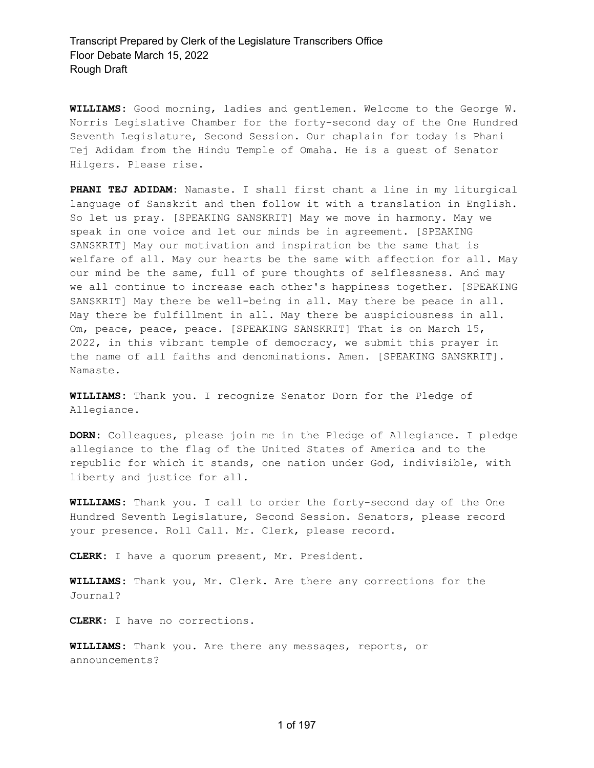**WILLIAMS:** Good morning, ladies and gentlemen. Welcome to the George W. Norris Legislative Chamber for the forty-second day of the One Hundred Seventh Legislature, Second Session. Our chaplain for today is Phani Tej Adidam from the Hindu Temple of Omaha. He is a guest of Senator Hilgers. Please rise.

**PHANI TEJ ADIDAM:** Namaste. I shall first chant a line in my liturgical language of Sanskrit and then follow it with a translation in English. So let us pray. [SPEAKING SANSKRIT] May we move in harmony. May we speak in one voice and let our minds be in agreement. [SPEAKING SANSKRIT] May our motivation and inspiration be the same that is welfare of all. May our hearts be the same with affection for all. May our mind be the same, full of pure thoughts of selflessness. And may we all continue to increase each other's happiness together. [SPEAKING SANSKRIT] May there be well-being in all. May there be peace in all. May there be fulfillment in all. May there be auspiciousness in all. Om, peace, peace, peace. [SPEAKING SANSKRIT] That is on March 15, 2022, in this vibrant temple of democracy, we submit this prayer in the name of all faiths and denominations. Amen. [SPEAKING SANSKRIT]. Namaste.

**WILLIAMS:** Thank you. I recognize Senator Dorn for the Pledge of Allegiance.

**DORN:** Colleagues, please join me in the Pledge of Allegiance. I pledge allegiance to the flag of the United States of America and to the republic for which it stands, one nation under God, indivisible, with liberty and justice for all.

**WILLIAMS:** Thank you. I call to order the forty-second day of the One Hundred Seventh Legislature, Second Session. Senators, please record your presence. Roll Call. Mr. Clerk, please record.

**CLERK:** I have a quorum present, Mr. President.

**WILLIAMS:** Thank you, Mr. Clerk. Are there any corrections for the Journal?

**CLERK:** I have no corrections.

**WILLIAMS:** Thank you. Are there any messages, reports, or announcements?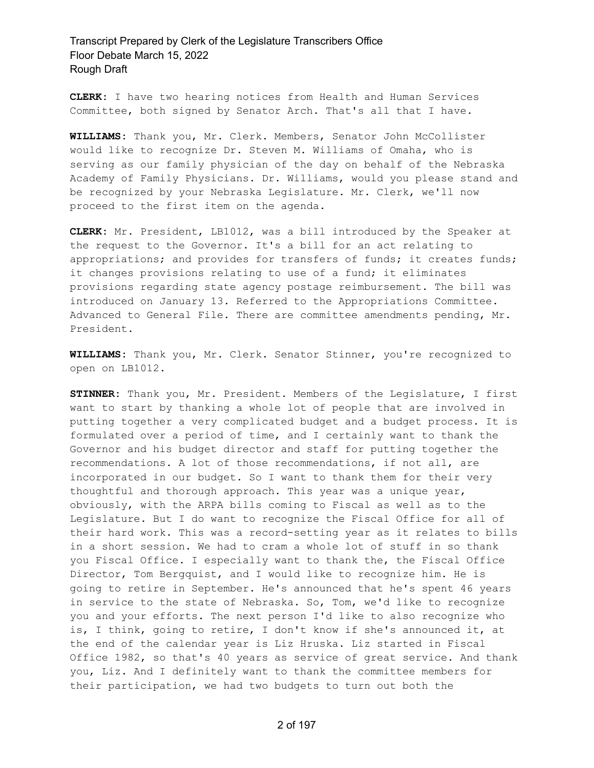**CLERK:** I have two hearing notices from Health and Human Services Committee, both signed by Senator Arch. That's all that I have.

**WILLIAMS:** Thank you, Mr. Clerk. Members, Senator John McCollister would like to recognize Dr. Steven M. Williams of Omaha, who is serving as our family physician of the day on behalf of the Nebraska Academy of Family Physicians. Dr. Williams, would you please stand and be recognized by your Nebraska Legislature. Mr. Clerk, we'll now proceed to the first item on the agenda.

**CLERK:** Mr. President, LB1012, was a bill introduced by the Speaker at the request to the Governor. It's a bill for an act relating to appropriations; and provides for transfers of funds; it creates funds; it changes provisions relating to use of a fund; it eliminates provisions regarding state agency postage reimbursement. The bill was introduced on January 13. Referred to the Appropriations Committee. Advanced to General File. There are committee amendments pending, Mr. President.

**WILLIAMS:** Thank you, Mr. Clerk. Senator Stinner, you're recognized to open on LB1012.

**STINNER:** Thank you, Mr. President. Members of the Legislature, I first want to start by thanking a whole lot of people that are involved in putting together a very complicated budget and a budget process. It is formulated over a period of time, and I certainly want to thank the Governor and his budget director and staff for putting together the recommendations. A lot of those recommendations, if not all, are incorporated in our budget. So I want to thank them for their very thoughtful and thorough approach. This year was a unique year, obviously, with the ARPA bills coming to Fiscal as well as to the Legislature. But I do want to recognize the Fiscal Office for all of their hard work. This was a record-setting year as it relates to bills in a short session. We had to cram a whole lot of stuff in so thank you Fiscal Office. I especially want to thank the, the Fiscal Office Director, Tom Bergquist, and I would like to recognize him. He is going to retire in September. He's announced that he's spent 46 years in service to the state of Nebraska. So, Tom, we'd like to recognize you and your efforts. The next person I'd like to also recognize who is, I think, going to retire, I don't know if she's announced it, at the end of the calendar year is Liz Hruska. Liz started in Fiscal Office 1982, so that's 40 years as service of great service. And thank you, Liz. And I definitely want to thank the committee members for their participation, we had two budgets to turn out both the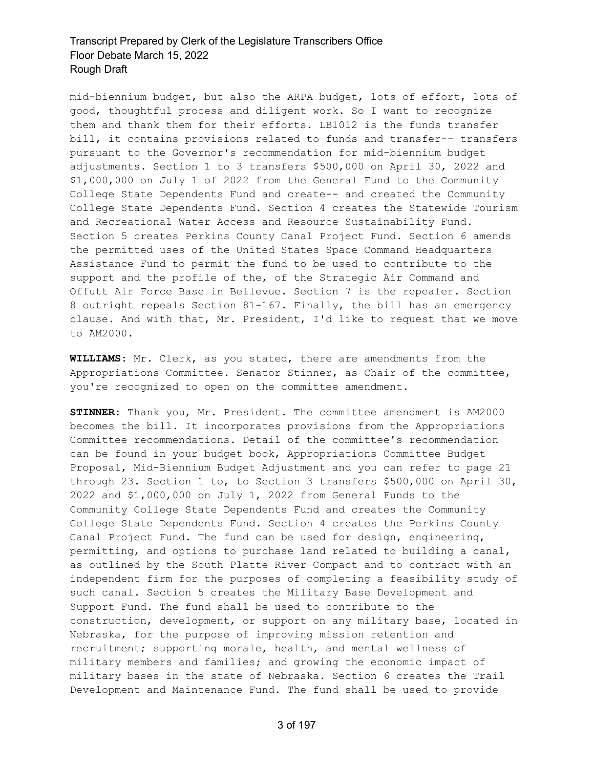mid-biennium budget, but also the ARPA budget, lots of effort, lots of good, thoughtful process and diligent work. So I want to recognize them and thank them for their efforts. LB1012 is the funds transfer bill, it contains provisions related to funds and transfer-- transfers pursuant to the Governor's recommendation for mid-biennium budget adjustments. Section 1 to 3 transfers \$500,000 on April 30, 2022 and \$1,000,000 on July 1 of 2022 from the General Fund to the Community College State Dependents Fund and create-- and created the Community College State Dependents Fund. Section 4 creates the Statewide Tourism and Recreational Water Access and Resource Sustainability Fund. Section 5 creates Perkins County Canal Project Fund. Section 6 amends the permitted uses of the United States Space Command Headquarters Assistance Fund to permit the fund to be used to contribute to the support and the profile of the, of the Strategic Air Command and Offutt Air Force Base in Bellevue. Section 7 is the repealer. Section 8 outright repeals Section 81-167. Finally, the bill has an emergency clause. And with that, Mr. President, I'd like to request that we move to AM2000.

**WILLIAMS:** Mr. Clerk, as you stated, there are amendments from the Appropriations Committee. Senator Stinner, as Chair of the committee, you're recognized to open on the committee amendment.

**STINNER:** Thank you, Mr. President. The committee amendment is AM2000 becomes the bill. It incorporates provisions from the Appropriations Committee recommendations. Detail of the committee's recommendation can be found in your budget book, Appropriations Committee Budget Proposal, Mid-Biennium Budget Adjustment and you can refer to page 21 through 23. Section 1 to, to Section 3 transfers \$500,000 on April 30, 2022 and \$1,000,000 on July 1, 2022 from General Funds to the Community College State Dependents Fund and creates the Community College State Dependents Fund. Section 4 creates the Perkins County Canal Project Fund. The fund can be used for design, engineering, permitting, and options to purchase land related to building a canal, as outlined by the South Platte River Compact and to contract with an independent firm for the purposes of completing a feasibility study of such canal. Section 5 creates the Military Base Development and Support Fund. The fund shall be used to contribute to the construction, development, or support on any military base, located in Nebraska, for the purpose of improving mission retention and recruitment; supporting morale, health, and mental wellness of military members and families; and growing the economic impact of military bases in the state of Nebraska. Section 6 creates the Trail Development and Maintenance Fund. The fund shall be used to provide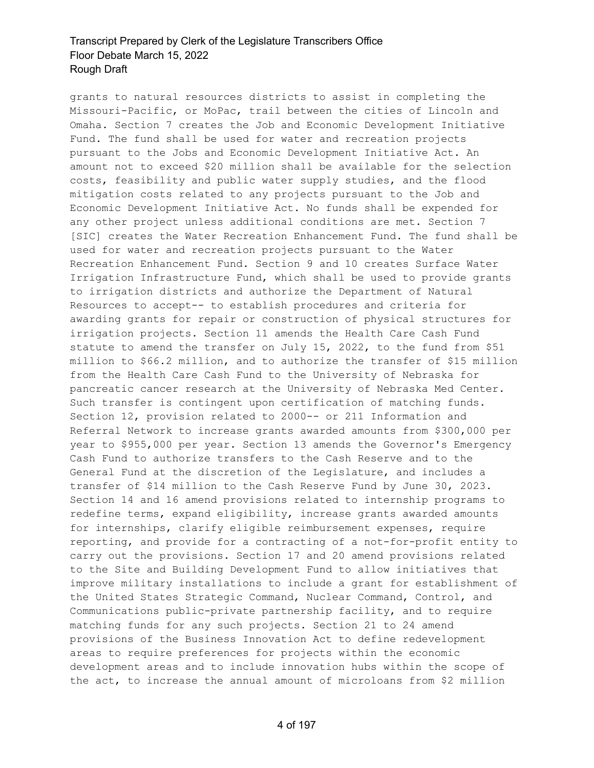grants to natural resources districts to assist in completing the Missouri-Pacific, or MoPac, trail between the cities of Lincoln and Omaha. Section 7 creates the Job and Economic Development Initiative Fund. The fund shall be used for water and recreation projects pursuant to the Jobs and Economic Development Initiative Act. An amount not to exceed \$20 million shall be available for the selection costs, feasibility and public water supply studies, and the flood mitigation costs related to any projects pursuant to the Job and Economic Development Initiative Act. No funds shall be expended for any other project unless additional conditions are met. Section 7 [SIC] creates the Water Recreation Enhancement Fund. The fund shall be used for water and recreation projects pursuant to the Water Recreation Enhancement Fund. Section 9 and 10 creates Surface Water Irrigation Infrastructure Fund, which shall be used to provide grants to irrigation districts and authorize the Department of Natural Resources to accept-- to establish procedures and criteria for awarding grants for repair or construction of physical structures for irrigation projects. Section 11 amends the Health Care Cash Fund statute to amend the transfer on July 15, 2022, to the fund from \$51 million to \$66.2 million, and to authorize the transfer of \$15 million from the Health Care Cash Fund to the University of Nebraska for pancreatic cancer research at the University of Nebraska Med Center. Such transfer is contingent upon certification of matching funds. Section 12, provision related to 2000-- or 211 Information and Referral Network to increase grants awarded amounts from \$300,000 per year to \$955,000 per year. Section 13 amends the Governor's Emergency Cash Fund to authorize transfers to the Cash Reserve and to the General Fund at the discretion of the Legislature, and includes a transfer of \$14 million to the Cash Reserve Fund by June 30, 2023. Section 14 and 16 amend provisions related to internship programs to redefine terms, expand eligibility, increase grants awarded amounts for internships, clarify eligible reimbursement expenses, require reporting, and provide for a contracting of a not-for-profit entity to carry out the provisions. Section 17 and 20 amend provisions related to the Site and Building Development Fund to allow initiatives that improve military installations to include a grant for establishment of the United States Strategic Command, Nuclear Command, Control, and Communications public-private partnership facility, and to require matching funds for any such projects. Section 21 to 24 amend provisions of the Business Innovation Act to define redevelopment areas to require preferences for projects within the economic development areas and to include innovation hubs within the scope of the act, to increase the annual amount of microloans from \$2 million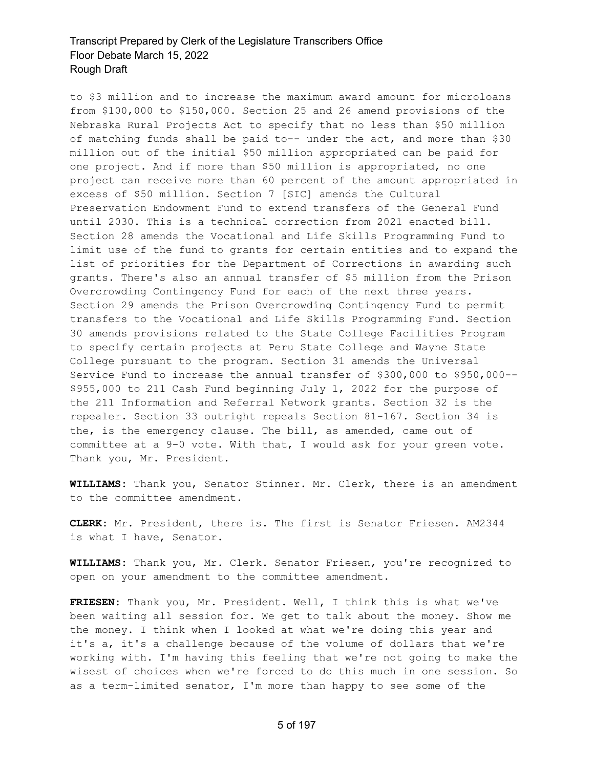to \$3 million and to increase the maximum award amount for microloans from \$100,000 to \$150,000. Section 25 and 26 amend provisions of the Nebraska Rural Projects Act to specify that no less than \$50 million of matching funds shall be paid to-- under the act, and more than \$30 million out of the initial \$50 million appropriated can be paid for one project. And if more than \$50 million is appropriated, no one project can receive more than 60 percent of the amount appropriated in excess of \$50 million. Section 7 [SIC] amends the Cultural Preservation Endowment Fund to extend transfers of the General Fund until 2030. This is a technical correction from 2021 enacted bill. Section 28 amends the Vocational and Life Skills Programming Fund to limit use of the fund to grants for certain entities and to expand the list of priorities for the Department of Corrections in awarding such grants. There's also an annual transfer of \$5 million from the Prison Overcrowding Contingency Fund for each of the next three years. Section 29 amends the Prison Overcrowding Contingency Fund to permit transfers to the Vocational and Life Skills Programming Fund. Section 30 amends provisions related to the State College Facilities Program to specify certain projects at Peru State College and Wayne State College pursuant to the program. Section 31 amends the Universal Service Fund to increase the annual transfer of \$300,000 to \$950,000-- \$955,000 to 211 Cash Fund beginning July 1, 2022 for the purpose of the 211 Information and Referral Network grants. Section 32 is the repealer. Section 33 outright repeals Section 81-167. Section 34 is the, is the emergency clause. The bill, as amended, came out of committee at a 9-0 vote. With that, I would ask for your green vote. Thank you, Mr. President.

**WILLIAMS:** Thank you, Senator Stinner. Mr. Clerk, there is an amendment to the committee amendment.

**CLERK:** Mr. President, there is. The first is Senator Friesen. AM2344 is what I have, Senator.

**WILLIAMS:** Thank you, Mr. Clerk. Senator Friesen, you're recognized to open on your amendment to the committee amendment.

**FRIESEN:** Thank you, Mr. President. Well, I think this is what we've been waiting all session for. We get to talk about the money. Show me the money. I think when I looked at what we're doing this year and it's a, it's a challenge because of the volume of dollars that we're working with. I'm having this feeling that we're not going to make the wisest of choices when we're forced to do this much in one session. So as a term-limited senator, I'm more than happy to see some of the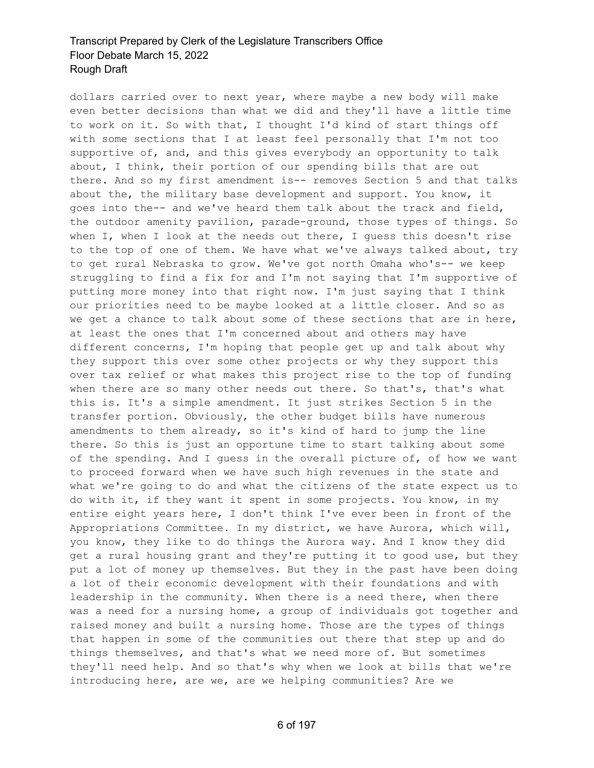dollars carried over to next year, where maybe a new body will make even better decisions than what we did and they'll have a little time to work on it. So with that, I thought I'd kind of start things off with some sections that I at least feel personally that I'm not too supportive of, and, and this gives everybody an opportunity to talk about, I think, their portion of our spending bills that are out there. And so my first amendment is-- removes Section 5 and that talks about the, the military base development and support. You know, it goes into the-- and we've heard them talk about the track and field, the outdoor amenity pavilion, parade-ground, those types of things. So when I, when I look at the needs out there, I guess this doesn't rise to the top of one of them. We have what we've always talked about, try to get rural Nebraska to grow. We've got north Omaha who's-- we keep struggling to find a fix for and I'm not saying that I'm supportive of putting more money into that right now. I'm just saying that I think our priorities need to be maybe looked at a little closer. And so as we get a chance to talk about some of these sections that are in here, at least the ones that I'm concerned about and others may have different concerns, I'm hoping that people get up and talk about why they support this over some other projects or why they support this over tax relief or what makes this project rise to the top of funding when there are so many other needs out there. So that's, that's what this is. It's a simple amendment. It just strikes Section 5 in the transfer portion. Obviously, the other budget bills have numerous amendments to them already, so it's kind of hard to jump the line there. So this is just an opportune time to start talking about some of the spending. And I guess in the overall picture of, of how we want to proceed forward when we have such high revenues in the state and what we're going to do and what the citizens of the state expect us to do with it, if they want it spent in some projects. You know, in my entire eight years here, I don't think I've ever been in front of the Appropriations Committee. In my district, we have Aurora, which will, you know, they like to do things the Aurora way. And I know they did get a rural housing grant and they're putting it to good use, but they put a lot of money up themselves. But they in the past have been doing a lot of their economic development with their foundations and with leadership in the community. When there is a need there, when there was a need for a nursing home, a group of individuals got together and raised money and built a nursing home. Those are the types of things that happen in some of the communities out there that step up and do things themselves, and that's what we need more of. But sometimes they'll need help. And so that's why when we look at bills that we're introducing here, are we, are we helping communities? Are we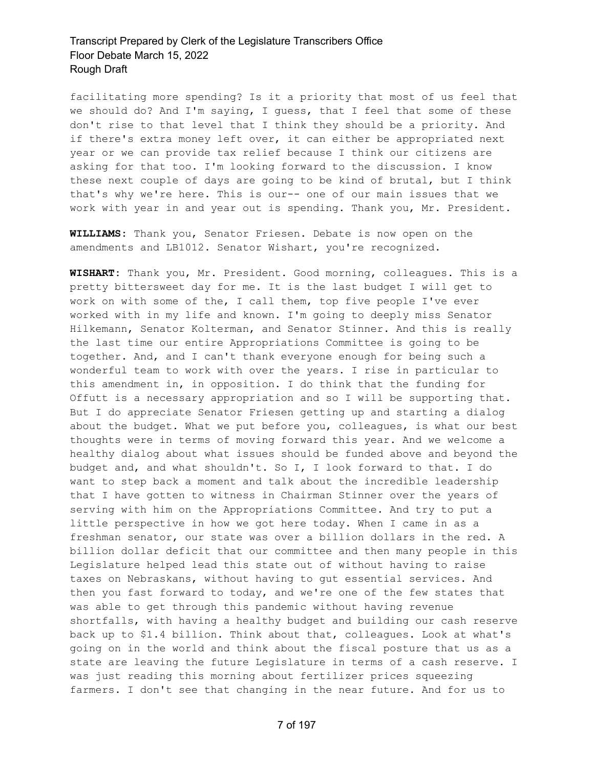facilitating more spending? Is it a priority that most of us feel that we should do? And I'm saying, I guess, that I feel that some of these don't rise to that level that I think they should be a priority. And if there's extra money left over, it can either be appropriated next year or we can provide tax relief because I think our citizens are asking for that too. I'm looking forward to the discussion. I know these next couple of days are going to be kind of brutal, but I think that's why we're here. This is our-- one of our main issues that we work with year in and year out is spending. Thank you, Mr. President.

**WILLIAMS:** Thank you, Senator Friesen. Debate is now open on the amendments and LB1012. Senator Wishart, you're recognized.

**WISHART:** Thank you, Mr. President. Good morning, colleagues. This is a pretty bittersweet day for me. It is the last budget I will get to work on with some of the, I call them, top five people I've ever worked with in my life and known. I'm going to deeply miss Senator Hilkemann, Senator Kolterman, and Senator Stinner. And this is really the last time our entire Appropriations Committee is going to be together. And, and I can't thank everyone enough for being such a wonderful team to work with over the years. I rise in particular to this amendment in, in opposition. I do think that the funding for Offutt is a necessary appropriation and so I will be supporting that. But I do appreciate Senator Friesen getting up and starting a dialog about the budget. What we put before you, colleagues, is what our best thoughts were in terms of moving forward this year. And we welcome a healthy dialog about what issues should be funded above and beyond the budget and, and what shouldn't. So I, I look forward to that. I do want to step back a moment and talk about the incredible leadership that I have gotten to witness in Chairman Stinner over the years of serving with him on the Appropriations Committee. And try to put a little perspective in how we got here today. When I came in as a freshman senator, our state was over a billion dollars in the red. A billion dollar deficit that our committee and then many people in this Legislature helped lead this state out of without having to raise taxes on Nebraskans, without having to gut essential services. And then you fast forward to today, and we're one of the few states that was able to get through this pandemic without having revenue shortfalls, with having a healthy budget and building our cash reserve back up to \$1.4 billion. Think about that, colleagues. Look at what's going on in the world and think about the fiscal posture that us as a state are leaving the future Legislature in terms of a cash reserve. I was just reading this morning about fertilizer prices squeezing farmers. I don't see that changing in the near future. And for us to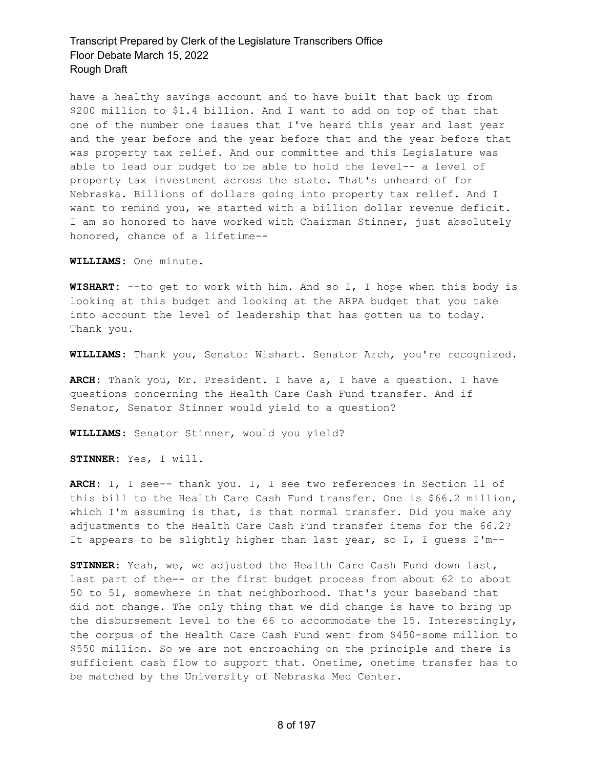have a healthy savings account and to have built that back up from \$200 million to \$1.4 billion. And I want to add on top of that that one of the number one issues that I've heard this year and last year and the year before and the year before that and the year before that was property tax relief. And our committee and this Legislature was able to lead our budget to be able to hold the level-- a level of property tax investment across the state. That's unheard of for Nebraska. Billions of dollars going into property tax relief. And I want to remind you, we started with a billion dollar revenue deficit. I am so honored to have worked with Chairman Stinner, just absolutely honored, chance of a lifetime--

**WILLIAMS:** One minute.

**WISHART:** --to get to work with him. And so I, I hope when this body is looking at this budget and looking at the ARPA budget that you take into account the level of leadership that has gotten us to today. Thank you.

**WILLIAMS:** Thank you, Senator Wishart. Senator Arch, you're recognized.

**ARCH:** Thank you, Mr. President. I have a, I have a question. I have questions concerning the Health Care Cash Fund transfer. And if Senator, Senator Stinner would yield to a question?

**WILLIAMS:** Senator Stinner, would you yield?

**STINNER:** Yes, I will.

**ARCH:** I, I see-- thank you. I, I see two references in Section 11 of this bill to the Health Care Cash Fund transfer. One is \$66.2 million, which I'm assuming is that, is that normal transfer. Did you make any adjustments to the Health Care Cash Fund transfer items for the 66.2? It appears to be slightly higher than last year, so I, I guess I'm--

**STINNER:** Yeah, we, we adjusted the Health Care Cash Fund down last, last part of the-- or the first budget process from about 62 to about 50 to 51, somewhere in that neighborhood. That's your baseband that did not change. The only thing that we did change is have to bring up the disbursement level to the 66 to accommodate the 15. Interestingly, the corpus of the Health Care Cash Fund went from \$450-some million to \$550 million. So we are not encroaching on the principle and there is sufficient cash flow to support that. Onetime, onetime transfer has to be matched by the University of Nebraska Med Center.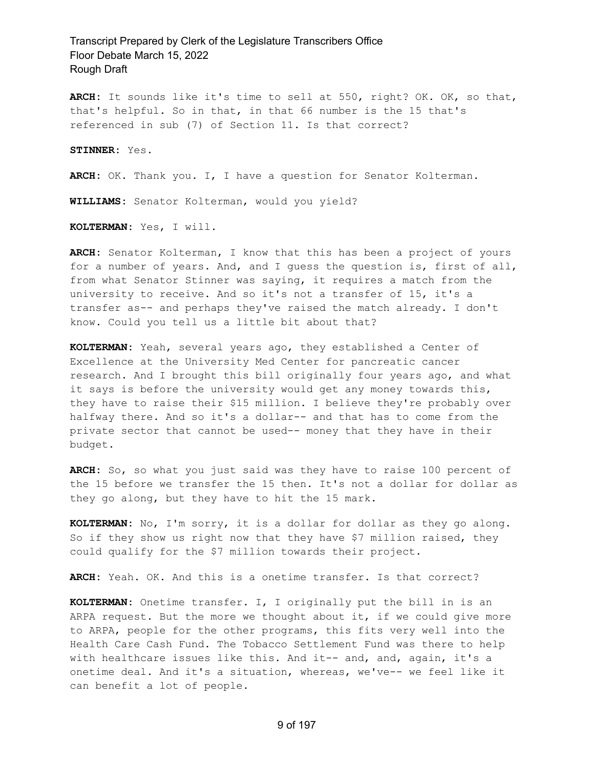**ARCH:** It sounds like it's time to sell at 550, right? OK. OK, so that, that's helpful. So in that, in that 66 number is the 15 that's referenced in sub (7) of Section 11. Is that correct?

**STINNER:** Yes.

**ARCH:** OK. Thank you. I, I have a question for Senator Kolterman.

**WILLIAMS:** Senator Kolterman, would you yield?

**KOLTERMAN:** Yes, I will.

**ARCH:** Senator Kolterman, I know that this has been a project of yours for a number of years. And, and I guess the question is, first of all, from what Senator Stinner was saying, it requires a match from the university to receive. And so it's not a transfer of 15, it's a transfer as-- and perhaps they've raised the match already. I don't know. Could you tell us a little bit about that?

**KOLTERMAN:** Yeah, several years ago, they established a Center of Excellence at the University Med Center for pancreatic cancer research. And I brought this bill originally four years ago, and what it says is before the university would get any money towards this, they have to raise their \$15 million. I believe they're probably over halfway there. And so it's a dollar-- and that has to come from the private sector that cannot be used-- money that they have in their budget.

**ARCH:** So, so what you just said was they have to raise 100 percent of the 15 before we transfer the 15 then. It's not a dollar for dollar as they go along, but they have to hit the 15 mark.

**KOLTERMAN:** No, I'm sorry, it is a dollar for dollar as they go along. So if they show us right now that they have \$7 million raised, they could qualify for the \$7 million towards their project.

**ARCH:** Yeah. OK. And this is a onetime transfer. Is that correct?

**KOLTERMAN:** Onetime transfer. I, I originally put the bill in is an ARPA request. But the more we thought about it, if we could give more to ARPA, people for the other programs, this fits very well into the Health Care Cash Fund. The Tobacco Settlement Fund was there to help with healthcare issues like this. And it-- and, and, again, it's a onetime deal. And it's a situation, whereas, we've-- we feel like it can benefit a lot of people.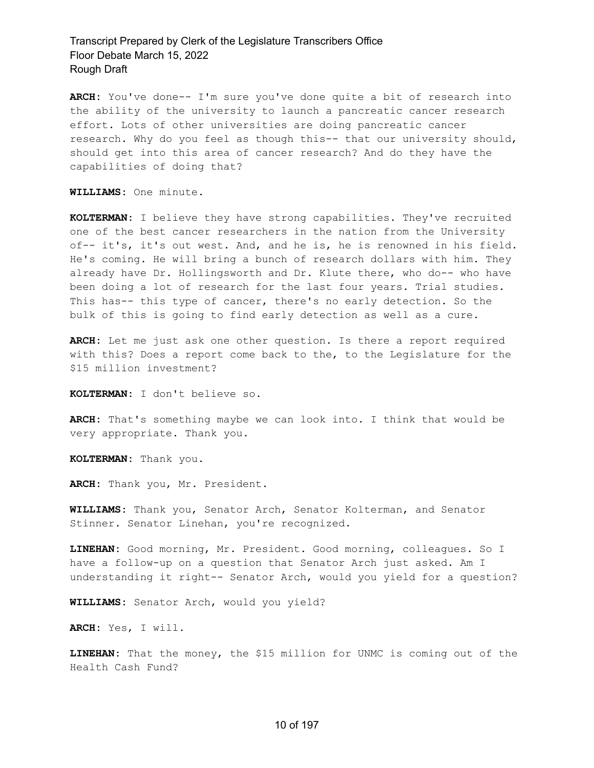**ARCH:** You've done-- I'm sure you've done quite a bit of research into the ability of the university to launch a pancreatic cancer research effort. Lots of other universities are doing pancreatic cancer research. Why do you feel as though this-- that our university should, should get into this area of cancer research? And do they have the capabilities of doing that?

**WILLIAMS:** One minute.

**KOLTERMAN:** I believe they have strong capabilities. They've recruited one of the best cancer researchers in the nation from the University of-- it's, it's out west. And, and he is, he is renowned in his field. He's coming. He will bring a bunch of research dollars with him. They already have Dr. Hollingsworth and Dr. Klute there, who do-- who have been doing a lot of research for the last four years. Trial studies. This has-- this type of cancer, there's no early detection. So the bulk of this is going to find early detection as well as a cure.

**ARCH:** Let me just ask one other question. Is there a report required with this? Does a report come back to the, to the Legislature for the \$15 million investment?

**KOLTERMAN:** I don't believe so.

**ARCH:** That's something maybe we can look into. I think that would be very appropriate. Thank you.

**KOLTERMAN:** Thank you.

**ARCH:** Thank you, Mr. President.

**WILLIAMS:** Thank you, Senator Arch, Senator Kolterman, and Senator Stinner. Senator Linehan, you're recognized.

**LINEHAN:** Good morning, Mr. President. Good morning, colleagues. So I have a follow-up on a question that Senator Arch just asked. Am I understanding it right-- Senator Arch, would you yield for a question?

**WILLIAMS:** Senator Arch, would you yield?

**ARCH:** Yes, I will.

**LINEHAN:** That the money, the \$15 million for UNMC is coming out of the Health Cash Fund?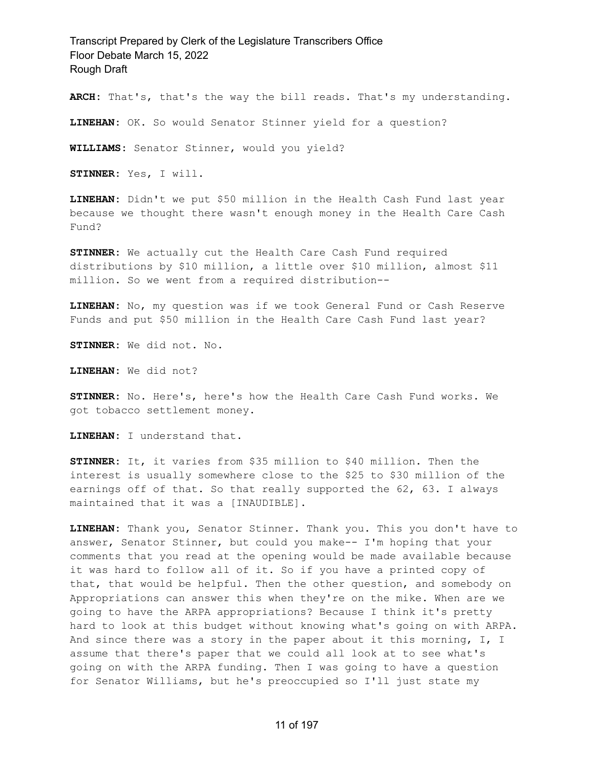**ARCH:** That's, that's the way the bill reads. That's my understanding.

**LINEHAN:** OK. So would Senator Stinner yield for a question?

**WILLIAMS:** Senator Stinner, would you yield?

**STINNER:** Yes, I will.

**LINEHAN:** Didn't we put \$50 million in the Health Cash Fund last year because we thought there wasn't enough money in the Health Care Cash Fund?

**STINNER:** We actually cut the Health Care Cash Fund required distributions by \$10 million, a little over \$10 million, almost \$11 million. So we went from a required distribution--

**LINEHAN:** No, my question was if we took General Fund or Cash Reserve Funds and put \$50 million in the Health Care Cash Fund last year?

**STINNER:** We did not. No.

**LINEHAN:** We did not?

**STINNER:** No. Here's, here's how the Health Care Cash Fund works. We got tobacco settlement money.

**LINEHAN:** I understand that.

**STINNER:** It, it varies from \$35 million to \$40 million. Then the interest is usually somewhere close to the \$25 to \$30 million of the earnings off of that. So that really supported the 62, 63. I always maintained that it was a [INAUDIBLE].

**LINEHAN:** Thank you, Senator Stinner. Thank you. This you don't have to answer, Senator Stinner, but could you make-- I'm hoping that your comments that you read at the opening would be made available because it was hard to follow all of it. So if you have a printed copy of that, that would be helpful. Then the other question, and somebody on Appropriations can answer this when they're on the mike. When are we going to have the ARPA appropriations? Because I think it's pretty hard to look at this budget without knowing what's going on with ARPA. And since there was a story in the paper about it this morning, I, I assume that there's paper that we could all look at to see what's going on with the ARPA funding. Then I was going to have a question for Senator Williams, but he's preoccupied so I'll just state my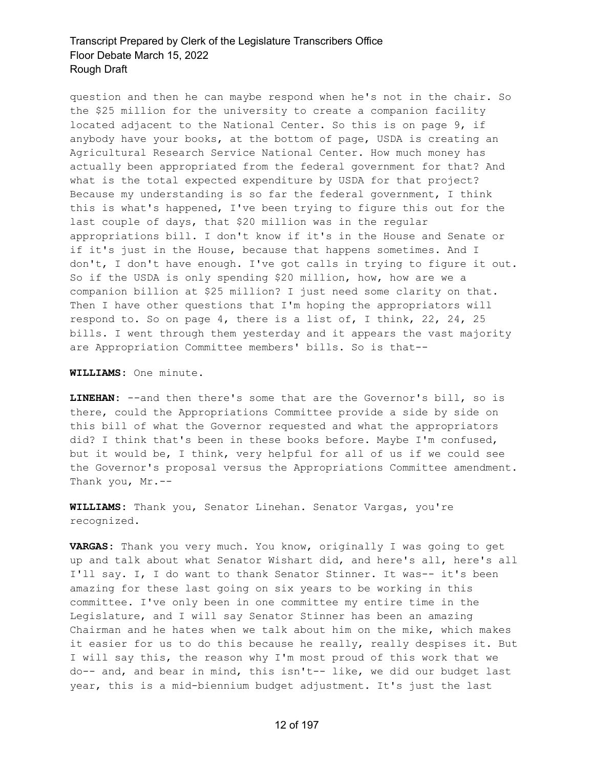question and then he can maybe respond when he's not in the chair. So the \$25 million for the university to create a companion facility located adjacent to the National Center. So this is on page 9, if anybody have your books, at the bottom of page, USDA is creating an Agricultural Research Service National Center. How much money has actually been appropriated from the federal government for that? And what is the total expected expenditure by USDA for that project? Because my understanding is so far the federal government, I think this is what's happened, I've been trying to figure this out for the last couple of days, that \$20 million was in the regular appropriations bill. I don't know if it's in the House and Senate or if it's just in the House, because that happens sometimes. And I don't, I don't have enough. I've got calls in trying to figure it out. So if the USDA is only spending \$20 million, how, how are we a companion billion at \$25 million? I just need some clarity on that. Then I have other questions that I'm hoping the appropriators will respond to. So on page 4, there is a list of, I think, 22, 24, 25 bills. I went through them yesterday and it appears the vast majority are Appropriation Committee members' bills. So is that--

**WILLIAMS:** One minute.

**LINEHAN:** --and then there's some that are the Governor's bill, so is there, could the Appropriations Committee provide a side by side on this bill of what the Governor requested and what the appropriators did? I think that's been in these books before. Maybe I'm confused, but it would be, I think, very helpful for all of us if we could see the Governor's proposal versus the Appropriations Committee amendment. Thank you, Mr.--

**WILLIAMS:** Thank you, Senator Linehan. Senator Vargas, you're recognized.

**VARGAS:** Thank you very much. You know, originally I was going to get up and talk about what Senator Wishart did, and here's all, here's all I'll say. I, I do want to thank Senator Stinner. It was-- it's been amazing for these last going on six years to be working in this committee. I've only been in one committee my entire time in the Legislature, and I will say Senator Stinner has been an amazing Chairman and he hates when we talk about him on the mike, which makes it easier for us to do this because he really, really despises it. But I will say this, the reason why I'm most proud of this work that we do-- and, and bear in mind, this isn't-- like, we did our budget last year, this is a mid-biennium budget adjustment. It's just the last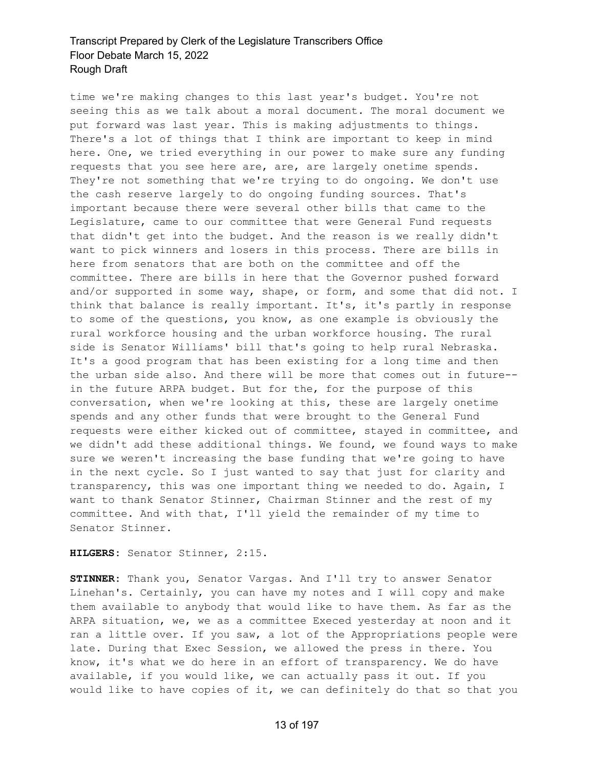time we're making changes to this last year's budget. You're not seeing this as we talk about a moral document. The moral document we put forward was last year. This is making adjustments to things. There's a lot of things that I think are important to keep in mind here. One, we tried everything in our power to make sure any funding requests that you see here are, are, are largely onetime spends. They're not something that we're trying to do ongoing. We don't use the cash reserve largely to do ongoing funding sources. That's important because there were several other bills that came to the Legislature, came to our committee that were General Fund requests that didn't get into the budget. And the reason is we really didn't want to pick winners and losers in this process. There are bills in here from senators that are both on the committee and off the committee. There are bills in here that the Governor pushed forward and/or supported in some way, shape, or form, and some that did not. I think that balance is really important. It's, it's partly in response to some of the questions, you know, as one example is obviously the rural workforce housing and the urban workforce housing. The rural side is Senator Williams' bill that's going to help rural Nebraska. It's a good program that has been existing for a long time and then the urban side also. And there will be more that comes out in future- in the future ARPA budget. But for the, for the purpose of this conversation, when we're looking at this, these are largely onetime spends and any other funds that were brought to the General Fund requests were either kicked out of committee, stayed in committee, and we didn't add these additional things. We found, we found ways to make sure we weren't increasing the base funding that we're going to have in the next cycle. So I just wanted to say that just for clarity and transparency, this was one important thing we needed to do. Again, I want to thank Senator Stinner, Chairman Stinner and the rest of my committee. And with that, I'll yield the remainder of my time to Senator Stinner.

**HILGERS:** Senator Stinner, 2:15.

**STINNER:** Thank you, Senator Vargas. And I'll try to answer Senator Linehan's. Certainly, you can have my notes and I will copy and make them available to anybody that would like to have them. As far as the ARPA situation, we, we as a committee Execed yesterday at noon and it ran a little over. If you saw, a lot of the Appropriations people were late. During that Exec Session, we allowed the press in there. You know, it's what we do here in an effort of transparency. We do have available, if you would like, we can actually pass it out. If you would like to have copies of it, we can definitely do that so that you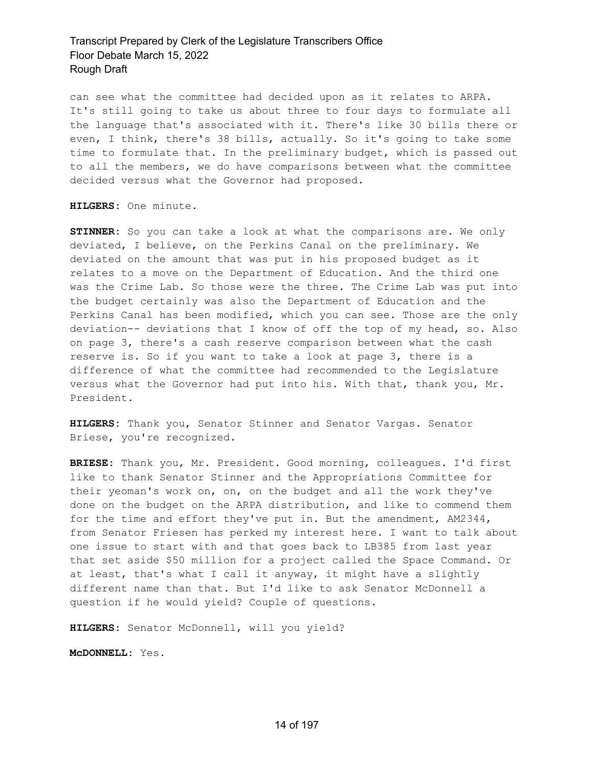can see what the committee had decided upon as it relates to ARPA. It's still going to take us about three to four days to formulate all the language that's associated with it. There's like 30 bills there or even, I think, there's 38 bills, actually. So it's going to take some time to formulate that. In the preliminary budget, which is passed out to all the members, we do have comparisons between what the committee decided versus what the Governor had proposed.

**HILGERS:** One minute.

**STINNER:** So you can take a look at what the comparisons are. We only deviated, I believe, on the Perkins Canal on the preliminary. We deviated on the amount that was put in his proposed budget as it relates to a move on the Department of Education. And the third one was the Crime Lab. So those were the three. The Crime Lab was put into the budget certainly was also the Department of Education and the Perkins Canal has been modified, which you can see. Those are the only deviation-- deviations that I know of off the top of my head, so. Also on page 3, there's a cash reserve comparison between what the cash reserve is. So if you want to take a look at page 3, there is a difference of what the committee had recommended to the Legislature versus what the Governor had put into his. With that, thank you, Mr. President.

**HILGERS:** Thank you, Senator Stinner and Senator Vargas. Senator Briese, you're recognized.

**BRIESE:** Thank you, Mr. President. Good morning, colleagues. I'd first like to thank Senator Stinner and the Appropriations Committee for their yeoman's work on, on, on the budget and all the work they've done on the budget on the ARPA distribution, and like to commend them for the time and effort they've put in. But the amendment, AM2344, from Senator Friesen has perked my interest here. I want to talk about one issue to start with and that goes back to LB385 from last year that set aside \$50 million for a project called the Space Command. Or at least, that's what I call it anyway, it might have a slightly different name than that. But I'd like to ask Senator McDonnell a question if he would yield? Couple of questions.

**HILGERS:** Senator McDonnell, will you yield?

**McDONNELL:** Yes.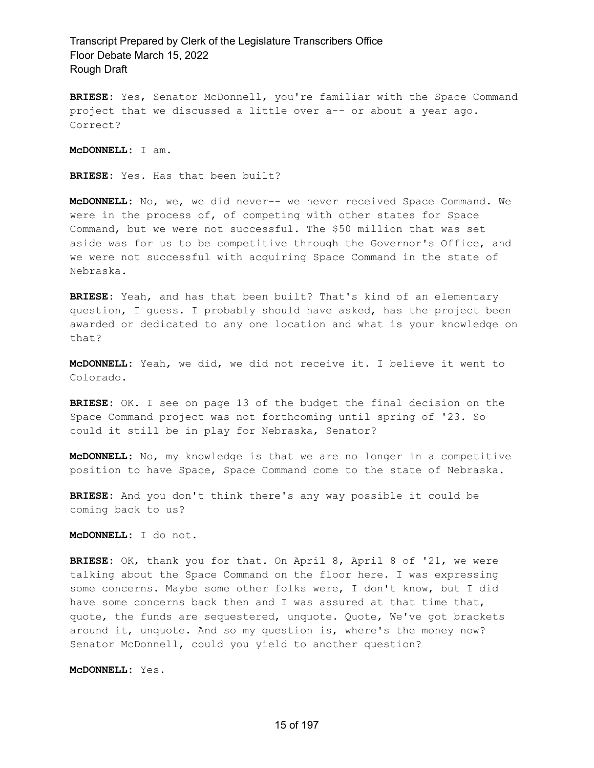**BRIESE:** Yes, Senator McDonnell, you're familiar with the Space Command project that we discussed a little over a-- or about a year ago. Correct?

**McDONNELL:** I am.

**BRIESE:** Yes. Has that been built?

**McDONNELL:** No, we, we did never-- we never received Space Command. We were in the process of, of competing with other states for Space Command, but we were not successful. The \$50 million that was set aside was for us to be competitive through the Governor's Office, and we were not successful with acquiring Space Command in the state of Nebraska.

**BRIESE:** Yeah, and has that been built? That's kind of an elementary question, I guess. I probably should have asked, has the project been awarded or dedicated to any one location and what is your knowledge on that?

**McDONNELL:** Yeah, we did, we did not receive it. I believe it went to Colorado.

**BRIESE:** OK. I see on page 13 of the budget the final decision on the Space Command project was not forthcoming until spring of '23. So could it still be in play for Nebraska, Senator?

**McDONNELL:** No, my knowledge is that we are no longer in a competitive position to have Space, Space Command come to the state of Nebraska.

**BRIESE:** And you don't think there's any way possible it could be coming back to us?

**McDONNELL:** I do not.

**BRIESE:** OK, thank you for that. On April 8, April 8 of '21, we were talking about the Space Command on the floor here. I was expressing some concerns. Maybe some other folks were, I don't know, but I did have some concerns back then and I was assured at that time that, quote, the funds are sequestered, unquote. Quote, We've got brackets around it, unquote. And so my question is, where's the money now? Senator McDonnell, could you yield to another question?

**McDONNELL:** Yes.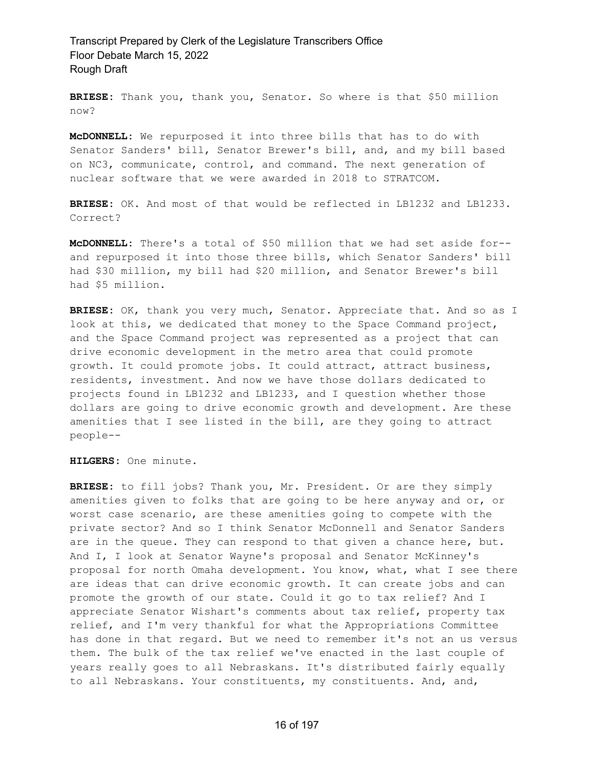**BRIESE:** Thank you, thank you, Senator. So where is that \$50 million now?

**McDONNELL:** We repurposed it into three bills that has to do with Senator Sanders' bill, Senator Brewer's bill, and, and my bill based on NC3, communicate, control, and command. The next generation of nuclear software that we were awarded in 2018 to STRATCOM.

**BRIESE:** OK. And most of that would be reflected in LB1232 and LB1233. Correct?

**McDONNELL:** There's a total of \$50 million that we had set aside for- and repurposed it into those three bills, which Senator Sanders' bill had \$30 million, my bill had \$20 million, and Senator Brewer's bill had \$5 million.

**BRIESE:** OK, thank you very much, Senator. Appreciate that. And so as I look at this, we dedicated that money to the Space Command project, and the Space Command project was represented as a project that can drive economic development in the metro area that could promote growth. It could promote jobs. It could attract, attract business, residents, investment. And now we have those dollars dedicated to projects found in LB1232 and LB1233, and I question whether those dollars are going to drive economic growth and development. Are these amenities that I see listed in the bill, are they going to attract people--

**HILGERS:** One minute.

**BRIESE:** to fill jobs? Thank you, Mr. President. Or are they simply amenities given to folks that are going to be here anyway and or, or worst case scenario, are these amenities going to compete with the private sector? And so I think Senator McDonnell and Senator Sanders are in the queue. They can respond to that given a chance here, but. And I, I look at Senator Wayne's proposal and Senator McKinney's proposal for north Omaha development. You know, what, what I see there are ideas that can drive economic growth. It can create jobs and can promote the growth of our state. Could it go to tax relief? And I appreciate Senator Wishart's comments about tax relief, property tax relief, and I'm very thankful for what the Appropriations Committee has done in that regard. But we need to remember it's not an us versus them. The bulk of the tax relief we've enacted in the last couple of years really goes to all Nebraskans. It's distributed fairly equally to all Nebraskans. Your constituents, my constituents. And, and,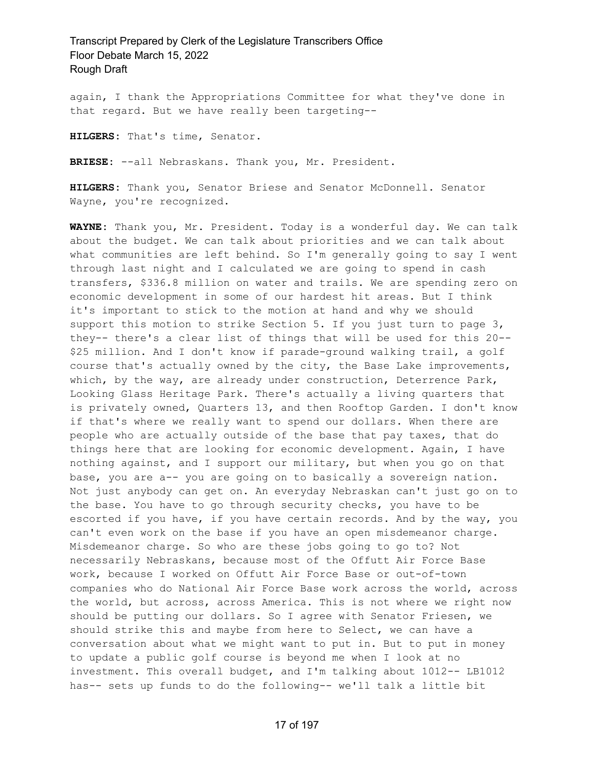again, I thank the Appropriations Committee for what they've done in that regard. But we have really been targeting--

**HILGERS:** That's time, Senator.

**BRIESE:** --all Nebraskans. Thank you, Mr. President.

**HILGERS:** Thank you, Senator Briese and Senator McDonnell. Senator Wayne, you're recognized.

**WAYNE:** Thank you, Mr. President. Today is a wonderful day. We can talk about the budget. We can talk about priorities and we can talk about what communities are left behind. So I'm generally going to say I went through last night and I calculated we are going to spend in cash transfers, \$336.8 million on water and trails. We are spending zero on economic development in some of our hardest hit areas. But I think it's important to stick to the motion at hand and why we should support this motion to strike Section 5. If you just turn to page 3, they-- there's a clear list of things that will be used for this 20-- \$25 million. And I don't know if parade-ground walking trail, a golf course that's actually owned by the city, the Base Lake improvements, which, by the way, are already under construction, Deterrence Park, Looking Glass Heritage Park. There's actually a living quarters that is privately owned, Quarters 13, and then Rooftop Garden. I don't know if that's where we really want to spend our dollars. When there are people who are actually outside of the base that pay taxes, that do things here that are looking for economic development. Again, I have nothing against, and I support our military, but when you go on that base, you are a-- you are going on to basically a sovereign nation. Not just anybody can get on. An everyday Nebraskan can't just go on to the base. You have to go through security checks, you have to be escorted if you have, if you have certain records. And by the way, you can't even work on the base if you have an open misdemeanor charge. Misdemeanor charge. So who are these jobs going to go to? Not necessarily Nebraskans, because most of the Offutt Air Force Base work, because I worked on Offutt Air Force Base or out-of-town companies who do National Air Force Base work across the world, across the world, but across, across America. This is not where we right now should be putting our dollars. So I agree with Senator Friesen, we should strike this and maybe from here to Select, we can have a conversation about what we might want to put in. But to put in money to update a public golf course is beyond me when I look at no investment. This overall budget, and I'm talking about 1012-- LB1012 has-- sets up funds to do the following-- we'll talk a little bit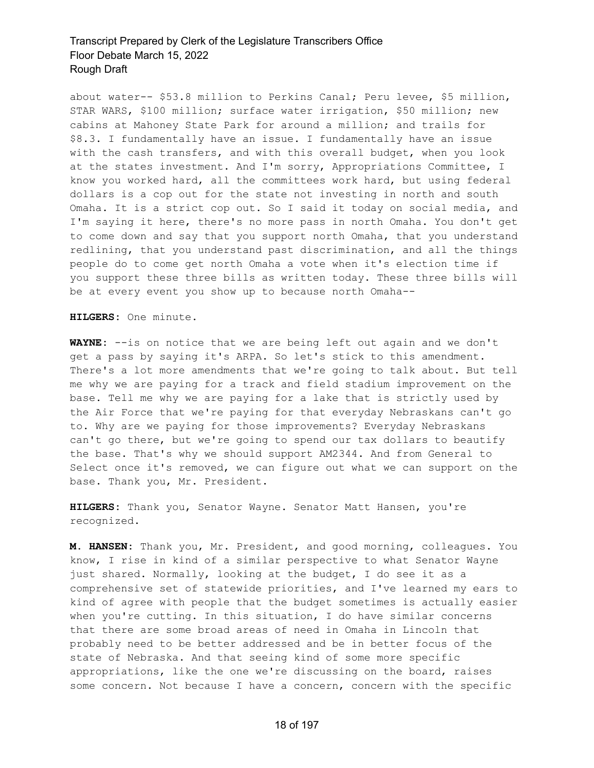about water-- \$53.8 million to Perkins Canal; Peru levee, \$5 million, STAR WARS, \$100 million; surface water irrigation, \$50 million; new cabins at Mahoney State Park for around a million; and trails for \$8.3. I fundamentally have an issue. I fundamentally have an issue with the cash transfers, and with this overall budget, when you look at the states investment. And I'm sorry, Appropriations Committee, I know you worked hard, all the committees work hard, but using federal dollars is a cop out for the state not investing in north and south Omaha. It is a strict cop out. So I said it today on social media, and I'm saying it here, there's no more pass in north Omaha. You don't get to come down and say that you support north Omaha, that you understand redlining, that you understand past discrimination, and all the things people do to come get north Omaha a vote when it's election time if you support these three bills as written today. These three bills will be at every event you show up to because north Omaha--

**HILGERS:** One minute.

**WAYNE:** --is on notice that we are being left out again and we don't get a pass by saying it's ARPA. So let's stick to this amendment. There's a lot more amendments that we're going to talk about. But tell me why we are paying for a track and field stadium improvement on the base. Tell me why we are paying for a lake that is strictly used by the Air Force that we're paying for that everyday Nebraskans can't go to. Why are we paying for those improvements? Everyday Nebraskans can't go there, but we're going to spend our tax dollars to beautify the base. That's why we should support AM2344. And from General to Select once it's removed, we can figure out what we can support on the base. Thank you, Mr. President.

**HILGERS:** Thank you, Senator Wayne. Senator Matt Hansen, you're recognized.

**M. HANSEN:** Thank you, Mr. President, and good morning, colleagues. You know, I rise in kind of a similar perspective to what Senator Wayne just shared. Normally, looking at the budget, I do see it as a comprehensive set of statewide priorities, and I've learned my ears to kind of agree with people that the budget sometimes is actually easier when you're cutting. In this situation, I do have similar concerns that there are some broad areas of need in Omaha in Lincoln that probably need to be better addressed and be in better focus of the state of Nebraska. And that seeing kind of some more specific appropriations, like the one we're discussing on the board, raises some concern. Not because I have a concern, concern with the specific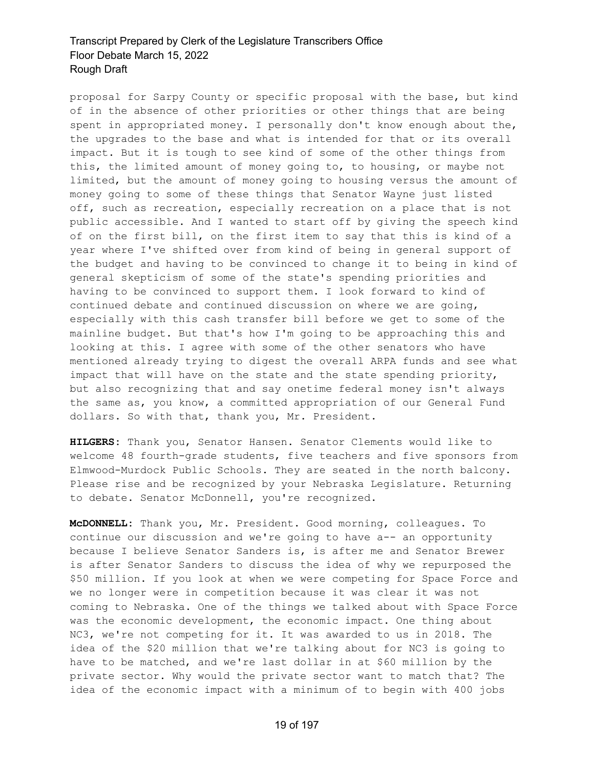proposal for Sarpy County or specific proposal with the base, but kind of in the absence of other priorities or other things that are being spent in appropriated money. I personally don't know enough about the, the upgrades to the base and what is intended for that or its overall impact. But it is tough to see kind of some of the other things from this, the limited amount of money going to, to housing, or maybe not limited, but the amount of money going to housing versus the amount of money going to some of these things that Senator Wayne just listed off, such as recreation, especially recreation on a place that is not public accessible. And I wanted to start off by giving the speech kind of on the first bill, on the first item to say that this is kind of a year where I've shifted over from kind of being in general support of the budget and having to be convinced to change it to being in kind of general skepticism of some of the state's spending priorities and having to be convinced to support them. I look forward to kind of continued debate and continued discussion on where we are going, especially with this cash transfer bill before we get to some of the mainline budget. But that's how I'm going to be approaching this and looking at this. I agree with some of the other senators who have mentioned already trying to digest the overall ARPA funds and see what impact that will have on the state and the state spending priority, but also recognizing that and say onetime federal money isn't always the same as, you know, a committed appropriation of our General Fund dollars. So with that, thank you, Mr. President.

**HILGERS:** Thank you, Senator Hansen. Senator Clements would like to welcome 48 fourth-grade students, five teachers and five sponsors from Elmwood-Murdock Public Schools. They are seated in the north balcony. Please rise and be recognized by your Nebraska Legislature. Returning to debate. Senator McDonnell, you're recognized.

**McDONNELL:** Thank you, Mr. President. Good morning, colleagues. To continue our discussion and we're going to have a-- an opportunity because I believe Senator Sanders is, is after me and Senator Brewer is after Senator Sanders to discuss the idea of why we repurposed the \$50 million. If you look at when we were competing for Space Force and we no longer were in competition because it was clear it was not coming to Nebraska. One of the things we talked about with Space Force was the economic development, the economic impact. One thing about NC3, we're not competing for it. It was awarded to us in 2018. The idea of the \$20 million that we're talking about for NC3 is going to have to be matched, and we're last dollar in at \$60 million by the private sector. Why would the private sector want to match that? The idea of the economic impact with a minimum of to begin with 400 jobs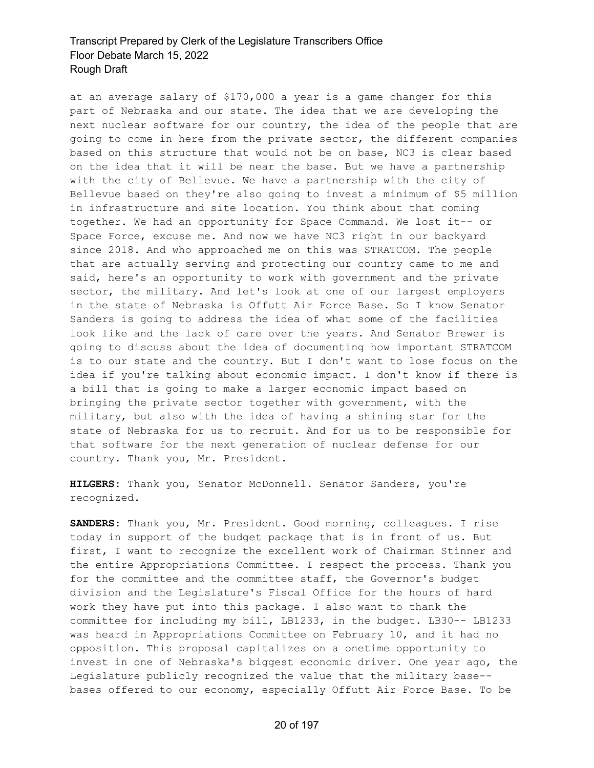at an average salary of \$170,000 a year is a game changer for this part of Nebraska and our state. The idea that we are developing the next nuclear software for our country, the idea of the people that are going to come in here from the private sector, the different companies based on this structure that would not be on base, NC3 is clear based on the idea that it will be near the base. But we have a partnership with the city of Bellevue. We have a partnership with the city of Bellevue based on they're also going to invest a minimum of \$5 million in infrastructure and site location. You think about that coming together. We had an opportunity for Space Command. We lost it-- or Space Force, excuse me. And now we have NC3 right in our backyard since 2018. And who approached me on this was STRATCOM. The people that are actually serving and protecting our country came to me and said, here's an opportunity to work with government and the private sector, the military. And let's look at one of our largest employers in the state of Nebraska is Offutt Air Force Base. So I know Senator Sanders is going to address the idea of what some of the facilities look like and the lack of care over the years. And Senator Brewer is going to discuss about the idea of documenting how important STRATCOM is to our state and the country. But I don't want to lose focus on the idea if you're talking about economic impact. I don't know if there is a bill that is going to make a larger economic impact based on bringing the private sector together with government, with the military, but also with the idea of having a shining star for the state of Nebraska for us to recruit. And for us to be responsible for that software for the next generation of nuclear defense for our country. Thank you, Mr. President.

**HILGERS:** Thank you, Senator McDonnell. Senator Sanders, you're recognized.

**SANDERS:** Thank you, Mr. President. Good morning, colleagues. I rise today in support of the budget package that is in front of us. But first, I want to recognize the excellent work of Chairman Stinner and the entire Appropriations Committee. I respect the process. Thank you for the committee and the committee staff, the Governor's budget division and the Legislature's Fiscal Office for the hours of hard work they have put into this package. I also want to thank the committee for including my bill, LB1233, in the budget. LB30-- LB1233 was heard in Appropriations Committee on February 10, and it had no opposition. This proposal capitalizes on a onetime opportunity to invest in one of Nebraska's biggest economic driver. One year ago, the Legislature publicly recognized the value that the military base- bases offered to our economy, especially Offutt Air Force Base. To be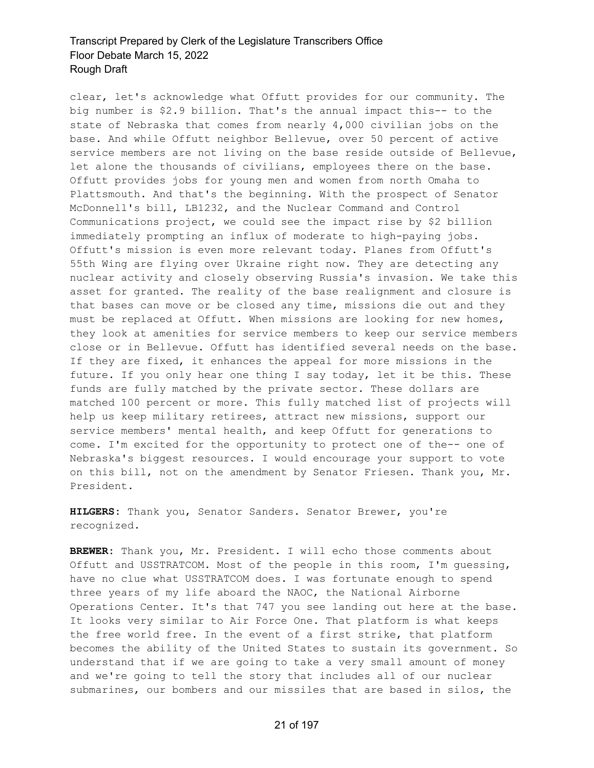clear, let's acknowledge what Offutt provides for our community. The big number is \$2.9 billion. That's the annual impact this-- to the state of Nebraska that comes from nearly 4,000 civilian jobs on the base. And while Offutt neighbor Bellevue, over 50 percent of active service members are not living on the base reside outside of Bellevue, let alone the thousands of civilians, employees there on the base. Offutt provides jobs for young men and women from north Omaha to Plattsmouth. And that's the beginning. With the prospect of Senator McDonnell's bill, LB1232, and the Nuclear Command and Control Communications project, we could see the impact rise by \$2 billion immediately prompting an influx of moderate to high-paying jobs. Offutt's mission is even more relevant today. Planes from Offutt's 55th Wing are flying over Ukraine right now. They are detecting any nuclear activity and closely observing Russia's invasion. We take this asset for granted. The reality of the base realignment and closure is that bases can move or be closed any time, missions die out and they must be replaced at Offutt. When missions are looking for new homes, they look at amenities for service members to keep our service members close or in Bellevue. Offutt has identified several needs on the base. If they are fixed, it enhances the appeal for more missions in the future. If you only hear one thing I say today, let it be this. These funds are fully matched by the private sector. These dollars are matched 100 percent or more. This fully matched list of projects will help us keep military retirees, attract new missions, support our service members' mental health, and keep Offutt for generations to come. I'm excited for the opportunity to protect one of the-- one of Nebraska's biggest resources. I would encourage your support to vote on this bill, not on the amendment by Senator Friesen. Thank you, Mr. President.

**HILGERS:** Thank you, Senator Sanders. Senator Brewer, you're recognized.

**BREWER:** Thank you, Mr. President. I will echo those comments about Offutt and USSTRATCOM. Most of the people in this room, I'm guessing, have no clue what USSTRATCOM does. I was fortunate enough to spend three years of my life aboard the NAOC, the National Airborne Operations Center. It's that 747 you see landing out here at the base. It looks very similar to Air Force One. That platform is what keeps the free world free. In the event of a first strike, that platform becomes the ability of the United States to sustain its government. So understand that if we are going to take a very small amount of money and we're going to tell the story that includes all of our nuclear submarines, our bombers and our missiles that are based in silos, the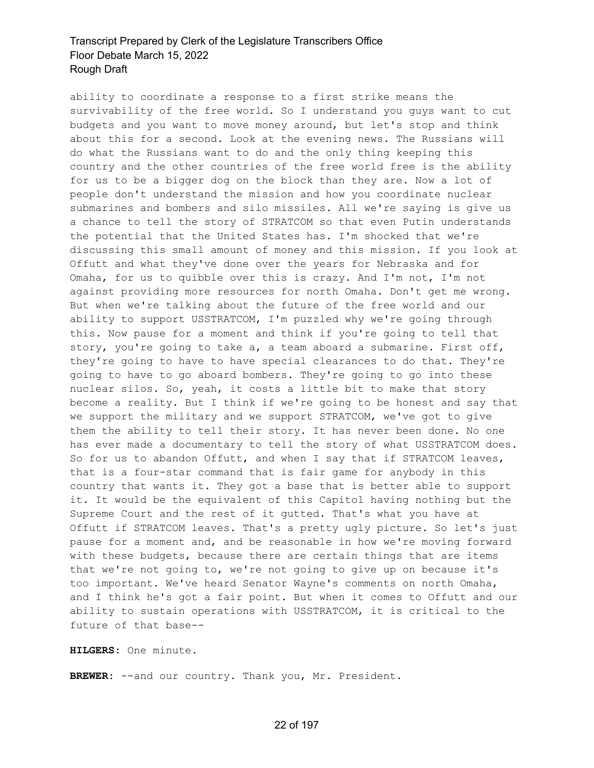ability to coordinate a response to a first strike means the survivability of the free world. So I understand you guys want to cut budgets and you want to move money around, but let's stop and think about this for a second. Look at the evening news. The Russians will do what the Russians want to do and the only thing keeping this country and the other countries of the free world free is the ability for us to be a bigger dog on the block than they are. Now a lot of people don't understand the mission and how you coordinate nuclear submarines and bombers and silo missiles. All we're saying is give us a chance to tell the story of STRATCOM so that even Putin understands the potential that the United States has. I'm shocked that we're discussing this small amount of money and this mission. If you look at Offutt and what they've done over the years for Nebraska and for Omaha, for us to quibble over this is crazy. And I'm not, I'm not against providing more resources for north Omaha. Don't get me wrong. But when we're talking about the future of the free world and our ability to support USSTRATCOM, I'm puzzled why we're going through this. Now pause for a moment and think if you're going to tell that story, you're going to take a, a team aboard a submarine. First off, they're going to have to have special clearances to do that. They're going to have to go aboard bombers. They're going to go into these nuclear silos. So, yeah, it costs a little bit to make that story become a reality. But I think if we're going to be honest and say that we support the military and we support STRATCOM, we've got to give them the ability to tell their story. It has never been done. No one has ever made a documentary to tell the story of what USSTRATCOM does. So for us to abandon Offutt, and when I say that if STRATCOM leaves, that is a four-star command that is fair game for anybody in this country that wants it. They got a base that is better able to support it. It would be the equivalent of this Capitol having nothing but the Supreme Court and the rest of it gutted. That's what you have at Offutt if STRATCOM leaves. That's a pretty ugly picture. So let's just pause for a moment and, and be reasonable in how we're moving forward with these budgets, because there are certain things that are items that we're not going to, we're not going to give up on because it's too important. We've heard Senator Wayne's comments on north Omaha, and I think he's got a fair point. But when it comes to Offutt and our ability to sustain operations with USSTRATCOM, it is critical to the future of that base--

**HILGERS:** One minute.

BREWER: --and our country. Thank you, Mr. President.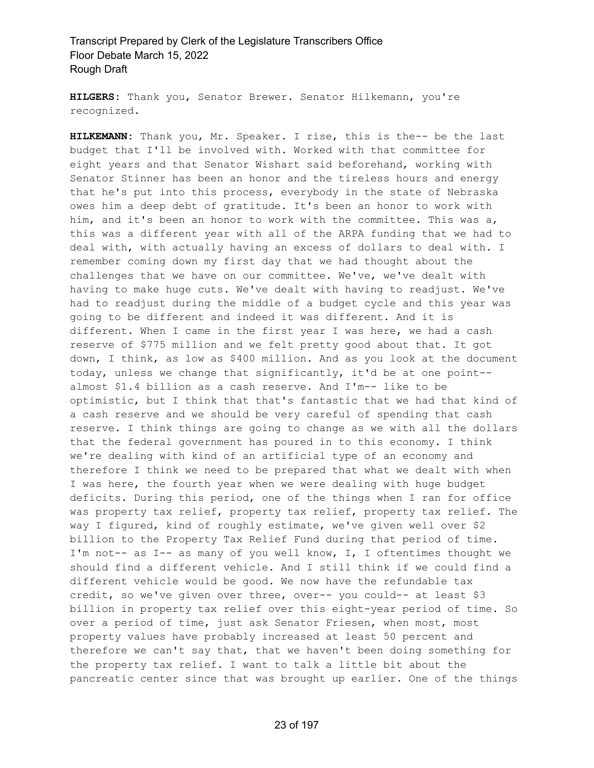**HILGERS:** Thank you, Senator Brewer. Senator Hilkemann, you're recognized.

**HILKEMANN:** Thank you, Mr. Speaker. I rise, this is the-- be the last budget that I'll be involved with. Worked with that committee for eight years and that Senator Wishart said beforehand, working with Senator Stinner has been an honor and the tireless hours and energy that he's put into this process, everybody in the state of Nebraska owes him a deep debt of gratitude. It's been an honor to work with him, and it's been an honor to work with the committee. This was a, this was a different year with all of the ARPA funding that we had to deal with, with actually having an excess of dollars to deal with. I remember coming down my first day that we had thought about the challenges that we have on our committee. We've, we've dealt with having to make huge cuts. We've dealt with having to readjust. We've had to readjust during the middle of a budget cycle and this year was going to be different and indeed it was different. And it is different. When I came in the first year I was here, we had a cash reserve of \$775 million and we felt pretty good about that. It got down, I think, as low as \$400 million. And as you look at the document today, unless we change that significantly, it'd be at one point- almost \$1.4 billion as a cash reserve. And I'm-- like to be optimistic, but I think that that's fantastic that we had that kind of a cash reserve and we should be very careful of spending that cash reserve. I think things are going to change as we with all the dollars that the federal government has poured in to this economy. I think we're dealing with kind of an artificial type of an economy and therefore I think we need to be prepared that what we dealt with when I was here, the fourth year when we were dealing with huge budget deficits. During this period, one of the things when I ran for office was property tax relief, property tax relief, property tax relief. The way I figured, kind of roughly estimate, we've given well over \$2 billion to the Property Tax Relief Fund during that period of time. I'm not-- as I-- as many of you well know, I, I oftentimes thought we should find a different vehicle. And I still think if we could find a different vehicle would be good. We now have the refundable tax credit, so we've given over three, over-- you could-- at least \$3 billion in property tax relief over this eight-year period of time. So over a period of time, just ask Senator Friesen, when most, most property values have probably increased at least 50 percent and therefore we can't say that, that we haven't been doing something for the property tax relief. I want to talk a little bit about the pancreatic center since that was brought up earlier. One of the things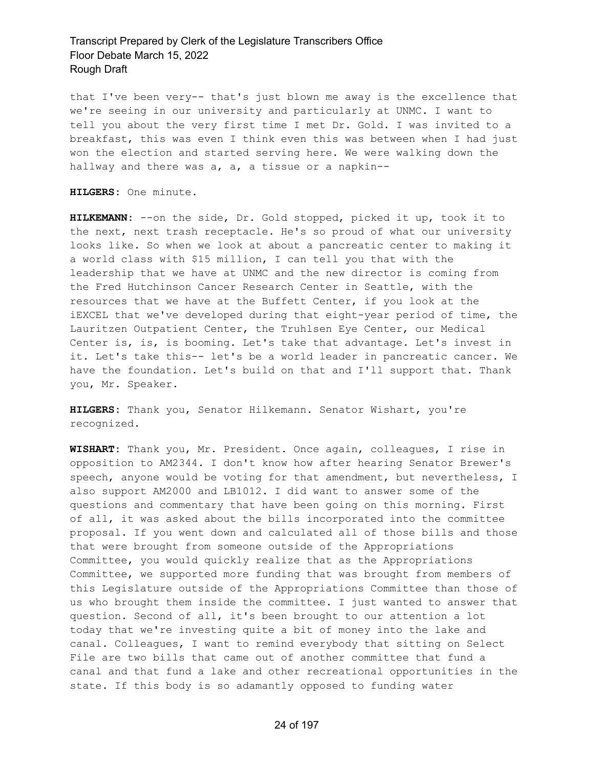that I've been very-- that's just blown me away is the excellence that we're seeing in our university and particularly at UNMC. I want to tell you about the very first time I met Dr. Gold. I was invited to a breakfast, this was even I think even this was between when I had just won the election and started serving here. We were walking down the hallway and there was a, a, a tissue or a napkin--

#### **HILGERS:** One minute.

**HILKEMANN:** --on the side, Dr. Gold stopped, picked it up, took it to the next, next trash receptacle. He's so proud of what our university looks like. So when we look at about a pancreatic center to making it a world class with \$15 million, I can tell you that with the leadership that we have at UNMC and the new director is coming from the Fred Hutchinson Cancer Research Center in Seattle, with the resources that we have at the Buffett Center, if you look at the iEXCEL that we've developed during that eight-year period of time, the Lauritzen Outpatient Center, the Truhlsen Eye Center, our Medical Center is, is, is booming. Let's take that advantage. Let's invest in it. Let's take this-- let's be a world leader in pancreatic cancer. We have the foundation. Let's build on that and I'll support that. Thank you, Mr. Speaker.

**HILGERS:** Thank you, Senator Hilkemann. Senator Wishart, you're recognized.

**WISHART:** Thank you, Mr. President. Once again, colleagues, I rise in opposition to AM2344. I don't know how after hearing Senator Brewer's speech, anyone would be voting for that amendment, but nevertheless, I also support AM2000 and LB1012. I did want to answer some of the questions and commentary that have been going on this morning. First of all, it was asked about the bills incorporated into the committee proposal. If you went down and calculated all of those bills and those that were brought from someone outside of the Appropriations Committee, you would quickly realize that as the Appropriations Committee, we supported more funding that was brought from members of this Legislature outside of the Appropriations Committee than those of us who brought them inside the committee. I just wanted to answer that question. Second of all, it's been brought to our attention a lot today that we're investing quite a bit of money into the lake and canal. Colleagues, I want to remind everybody that sitting on Select File are two bills that came out of another committee that fund a canal and that fund a lake and other recreational opportunities in the state. If this body is so adamantly opposed to funding water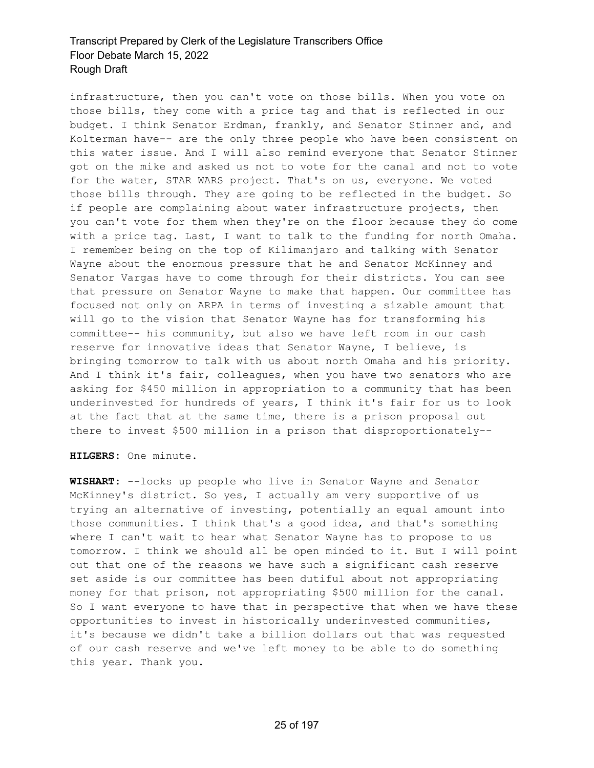infrastructure, then you can't vote on those bills. When you vote on those bills, they come with a price tag and that is reflected in our budget. I think Senator Erdman, frankly, and Senator Stinner and, and Kolterman have-- are the only three people who have been consistent on this water issue. And I will also remind everyone that Senator Stinner got on the mike and asked us not to vote for the canal and not to vote for the water, STAR WARS project. That's on us, everyone. We voted those bills through. They are going to be reflected in the budget. So if people are complaining about water infrastructure projects, then you can't vote for them when they're on the floor because they do come with a price tag. Last, I want to talk to the funding for north Omaha. I remember being on the top of Kilimanjaro and talking with Senator Wayne about the enormous pressure that he and Senator McKinney and Senator Vargas have to come through for their districts. You can see that pressure on Senator Wayne to make that happen. Our committee has focused not only on ARPA in terms of investing a sizable amount that will go to the vision that Senator Wayne has for transforming his committee-- his community, but also we have left room in our cash reserve for innovative ideas that Senator Wayne, I believe, is bringing tomorrow to talk with us about north Omaha and his priority. And I think it's fair, colleagues, when you have two senators who are asking for \$450 million in appropriation to a community that has been underinvested for hundreds of years, I think it's fair for us to look at the fact that at the same time, there is a prison proposal out there to invest \$500 million in a prison that disproportionately--

**HILGERS:** One minute.

**WISHART:** --locks up people who live in Senator Wayne and Senator McKinney's district. So yes, I actually am very supportive of us trying an alternative of investing, potentially an equal amount into those communities. I think that's a good idea, and that's something where I can't wait to hear what Senator Wayne has to propose to us tomorrow. I think we should all be open minded to it. But I will point out that one of the reasons we have such a significant cash reserve set aside is our committee has been dutiful about not appropriating money for that prison, not appropriating \$500 million for the canal. So I want everyone to have that in perspective that when we have these opportunities to invest in historically underinvested communities, it's because we didn't take a billion dollars out that was requested of our cash reserve and we've left money to be able to do something this year. Thank you.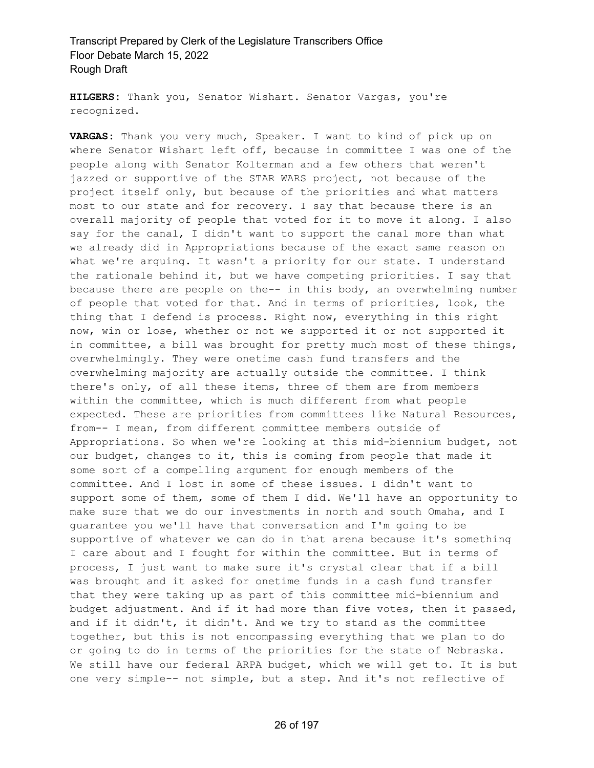**HILGERS:** Thank you, Senator Wishart. Senator Vargas, you're recognized.

**VARGAS:** Thank you very much, Speaker. I want to kind of pick up on where Senator Wishart left off, because in committee I was one of the people along with Senator Kolterman and a few others that weren't jazzed or supportive of the STAR WARS project, not because of the project itself only, but because of the priorities and what matters most to our state and for recovery. I say that because there is an overall majority of people that voted for it to move it along. I also say for the canal, I didn't want to support the canal more than what we already did in Appropriations because of the exact same reason on what we're arguing. It wasn't a priority for our state. I understand the rationale behind it, but we have competing priorities. I say that because there are people on the-- in this body, an overwhelming number of people that voted for that. And in terms of priorities, look, the thing that I defend is process. Right now, everything in this right now, win or lose, whether or not we supported it or not supported it in committee, a bill was brought for pretty much most of these things, overwhelmingly. They were onetime cash fund transfers and the overwhelming majority are actually outside the committee. I think there's only, of all these items, three of them are from members within the committee, which is much different from what people expected. These are priorities from committees like Natural Resources, from-- I mean, from different committee members outside of Appropriations. So when we're looking at this mid-biennium budget, not our budget, changes to it, this is coming from people that made it some sort of a compelling argument for enough members of the committee. And I lost in some of these issues. I didn't want to support some of them, some of them I did. We'll have an opportunity to make sure that we do our investments in north and south Omaha, and I guarantee you we'll have that conversation and I'm going to be supportive of whatever we can do in that arena because it's something I care about and I fought for within the committee. But in terms of process, I just want to make sure it's crystal clear that if a bill was brought and it asked for onetime funds in a cash fund transfer that they were taking up as part of this committee mid-biennium and budget adjustment. And if it had more than five votes, then it passed, and if it didn't, it didn't. And we try to stand as the committee together, but this is not encompassing everything that we plan to do or going to do in terms of the priorities for the state of Nebraska. We still have our federal ARPA budget, which we will get to. It is but one very simple-- not simple, but a step. And it's not reflective of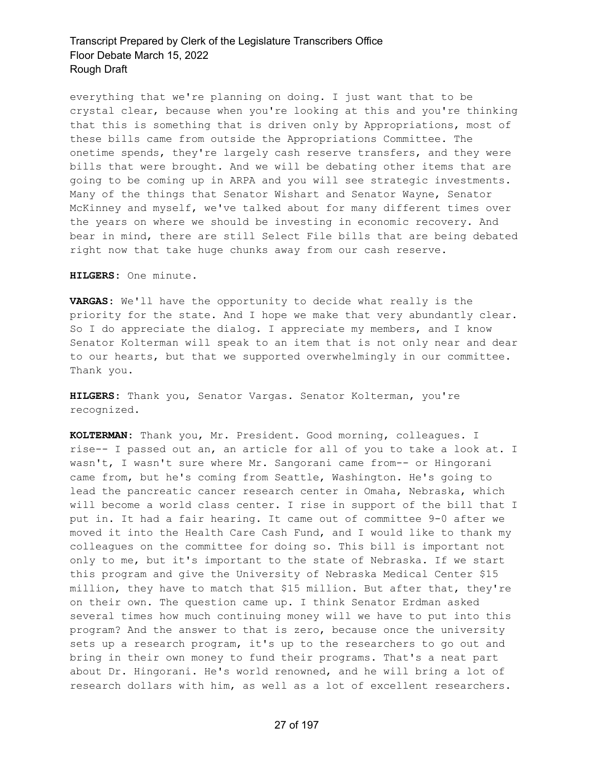everything that we're planning on doing. I just want that to be crystal clear, because when you're looking at this and you're thinking that this is something that is driven only by Appropriations, most of these bills came from outside the Appropriations Committee. The onetime spends, they're largely cash reserve transfers, and they were bills that were brought. And we will be debating other items that are going to be coming up in ARPA and you will see strategic investments. Many of the things that Senator Wishart and Senator Wayne, Senator McKinney and myself, we've talked about for many different times over the years on where we should be investing in economic recovery. And bear in mind, there are still Select File bills that are being debated right now that take huge chunks away from our cash reserve.

**HILGERS:** One minute.

**VARGAS:** We'll have the opportunity to decide what really is the priority for the state. And I hope we make that very abundantly clear. So I do appreciate the dialog. I appreciate my members, and I know Senator Kolterman will speak to an item that is not only near and dear to our hearts, but that we supported overwhelmingly in our committee. Thank you.

**HILGERS:** Thank you, Senator Vargas. Senator Kolterman, you're recognized.

**KOLTERMAN:** Thank you, Mr. President. Good morning, colleagues. I rise-- I passed out an, an article for all of you to take a look at. I wasn't, I wasn't sure where Mr. Sangorani came from-- or Hingorani came from, but he's coming from Seattle, Washington. He's going to lead the pancreatic cancer research center in Omaha, Nebraska, which will become a world class center. I rise in support of the bill that I put in. It had a fair hearing. It came out of committee 9-0 after we moved it into the Health Care Cash Fund, and I would like to thank my colleagues on the committee for doing so. This bill is important not only to me, but it's important to the state of Nebraska. If we start this program and give the University of Nebraska Medical Center \$15 million, they have to match that \$15 million. But after that, they're on their own. The question came up. I think Senator Erdman asked several times how much continuing money will we have to put into this program? And the answer to that is zero, because once the university sets up a research program, it's up to the researchers to go out and bring in their own money to fund their programs. That's a neat part about Dr. Hingorani. He's world renowned, and he will bring a lot of research dollars with him, as well as a lot of excellent researchers.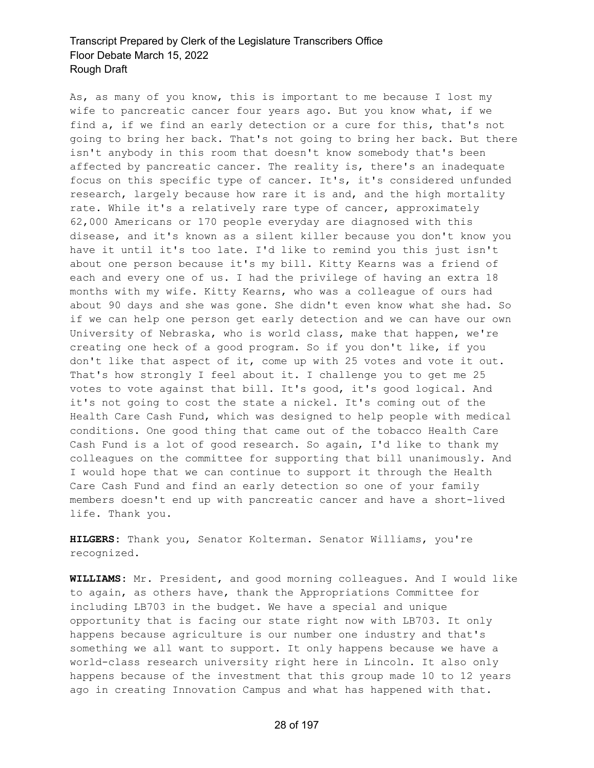As, as many of you know, this is important to me because I lost my wife to pancreatic cancer four years ago. But you know what, if we find a, if we find an early detection or a cure for this, that's not going to bring her back. That's not going to bring her back. But there isn't anybody in this room that doesn't know somebody that's been affected by pancreatic cancer. The reality is, there's an inadequate focus on this specific type of cancer. It's, it's considered unfunded research, largely because how rare it is and, and the high mortality rate. While it's a relatively rare type of cancer, approximately 62,000 Americans or 170 people everyday are diagnosed with this disease, and it's known as a silent killer because you don't know you have it until it's too late. I'd like to remind you this just isn't about one person because it's my bill. Kitty Kearns was a friend of each and every one of us. I had the privilege of having an extra 18 months with my wife. Kitty Kearns, who was a colleague of ours had about 90 days and she was gone. She didn't even know what she had. So if we can help one person get early detection and we can have our own University of Nebraska, who is world class, make that happen, we're creating one heck of a good program. So if you don't like, if you don't like that aspect of it, come up with 25 votes and vote it out. That's how strongly I feel about it. I challenge you to get me 25 votes to vote against that bill. It's good, it's good logical. And it's not going to cost the state a nickel. It's coming out of the Health Care Cash Fund, which was designed to help people with medical conditions. One good thing that came out of the tobacco Health Care Cash Fund is a lot of good research. So again, I'd like to thank my colleagues on the committee for supporting that bill unanimously. And I would hope that we can continue to support it through the Health Care Cash Fund and find an early detection so one of your family members doesn't end up with pancreatic cancer and have a short-lived life. Thank you.

**HILGERS:** Thank you, Senator Kolterman. Senator Williams, you're recognized.

**WILLIAMS:** Mr. President, and good morning colleagues. And I would like to again, as others have, thank the Appropriations Committee for including LB703 in the budget. We have a special and unique opportunity that is facing our state right now with LB703. It only happens because agriculture is our number one industry and that's something we all want to support. It only happens because we have a world-class research university right here in Lincoln. It also only happens because of the investment that this group made 10 to 12 years ago in creating Innovation Campus and what has happened with that.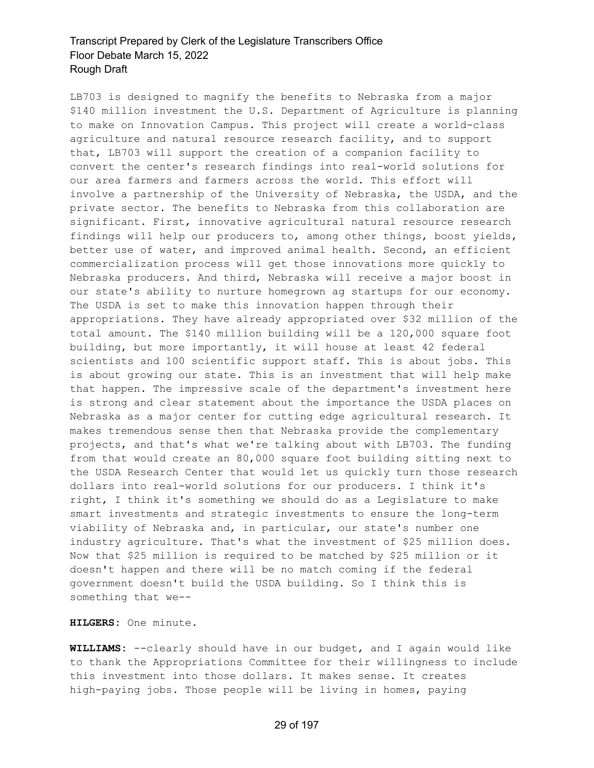LB703 is designed to magnify the benefits to Nebraska from a major \$140 million investment the U.S. Department of Agriculture is planning to make on Innovation Campus. This project will create a world-class agriculture and natural resource research facility, and to support that, LB703 will support the creation of a companion facility to convert the center's research findings into real-world solutions for our area farmers and farmers across the world. This effort will involve a partnership of the University of Nebraska, the USDA, and the private sector. The benefits to Nebraska from this collaboration are significant. First, innovative agricultural natural resource research findings will help our producers to, among other things, boost yields, better use of water, and improved animal health. Second, an efficient commercialization process will get those innovations more quickly to Nebraska producers. And third, Nebraska will receive a major boost in our state's ability to nurture homegrown ag startups for our economy. The USDA is set to make this innovation happen through their appropriations. They have already appropriated over \$32 million of the total amount. The \$140 million building will be a 120,000 square foot building, but more importantly, it will house at least 42 federal scientists and 100 scientific support staff. This is about jobs. This is about growing our state. This is an investment that will help make that happen. The impressive scale of the department's investment here is strong and clear statement about the importance the USDA places on Nebraska as a major center for cutting edge agricultural research. It makes tremendous sense then that Nebraska provide the complementary projects, and that's what we're talking about with LB703. The funding from that would create an 80,000 square foot building sitting next to the USDA Research Center that would let us quickly turn those research dollars into real-world solutions for our producers. I think it's right, I think it's something we should do as a Legislature to make smart investments and strategic investments to ensure the long-term viability of Nebraska and, in particular, our state's number one industry agriculture. That's what the investment of \$25 million does. Now that \$25 million is required to be matched by \$25 million or it doesn't happen and there will be no match coming if the federal government doesn't build the USDA building. So I think this is something that we--

**HILGERS:** One minute.

**WILLIAMS:** --clearly should have in our budget, and I again would like to thank the Appropriations Committee for their willingness to include this investment into those dollars. It makes sense. It creates high-paying jobs. Those people will be living in homes, paying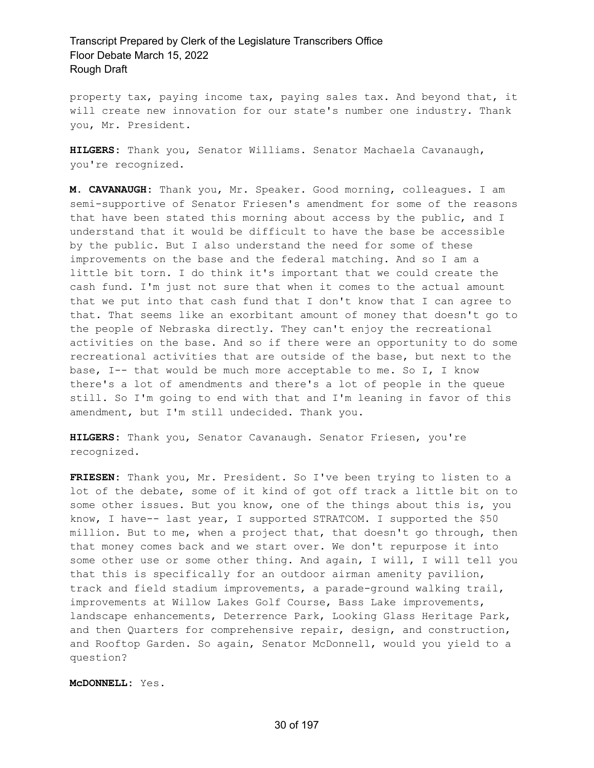property tax, paying income tax, paying sales tax. And beyond that, it will create new innovation for our state's number one industry. Thank you, Mr. President.

**HILGERS:** Thank you, Senator Williams. Senator Machaela Cavanaugh, you're recognized.

**M. CAVANAUGH:** Thank you, Mr. Speaker. Good morning, colleagues. I am semi-supportive of Senator Friesen's amendment for some of the reasons that have been stated this morning about access by the public, and I understand that it would be difficult to have the base be accessible by the public. But I also understand the need for some of these improvements on the base and the federal matching. And so I am a little bit torn. I do think it's important that we could create the cash fund. I'm just not sure that when it comes to the actual amount that we put into that cash fund that I don't know that I can agree to that. That seems like an exorbitant amount of money that doesn't go to the people of Nebraska directly. They can't enjoy the recreational activities on the base. And so if there were an opportunity to do some recreational activities that are outside of the base, but next to the base, I-- that would be much more acceptable to me. So I, I know there's a lot of amendments and there's a lot of people in the queue still. So I'm going to end with that and I'm leaning in favor of this amendment, but I'm still undecided. Thank you.

**HILGERS:** Thank you, Senator Cavanaugh. Senator Friesen, you're recognized.

**FRIESEN:** Thank you, Mr. President. So I've been trying to listen to a lot of the debate, some of it kind of got off track a little bit on to some other issues. But you know, one of the things about this is, you know, I have-- last year, I supported STRATCOM. I supported the \$50 million. But to me, when a project that, that doesn't go through, then that money comes back and we start over. We don't repurpose it into some other use or some other thing. And again, I will, I will tell you that this is specifically for an outdoor airman amenity pavilion, track and field stadium improvements, a parade-ground walking trail, improvements at Willow Lakes Golf Course, Bass Lake improvements, landscape enhancements, Deterrence Park, Looking Glass Heritage Park, and then Quarters for comprehensive repair, design, and construction, and Rooftop Garden. So again, Senator McDonnell, would you yield to a question?

**McDONNELL:** Yes.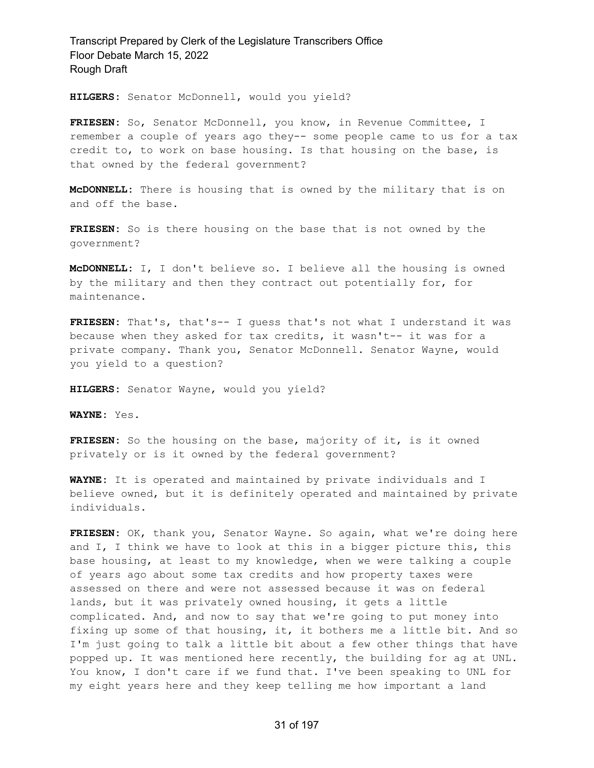**HILGERS:** Senator McDonnell, would you yield?

**FRIESEN:** So, Senator McDonnell, you know, in Revenue Committee, I remember a couple of years ago they-- some people came to us for a tax credit to, to work on base housing. Is that housing on the base, is that owned by the federal government?

**McDONNELL:** There is housing that is owned by the military that is on and off the base.

**FRIESEN:** So is there housing on the base that is not owned by the government?

**McDONNELL:** I, I don't believe so. I believe all the housing is owned by the military and then they contract out potentially for, for maintenance.

**FRIESEN:** That's, that's-- I guess that's not what I understand it was because when they asked for tax credits, it wasn't-- it was for a private company. Thank you, Senator McDonnell. Senator Wayne, would you yield to a question?

**HILGERS:** Senator Wayne, would you yield?

**WAYNE:** Yes.

**FRIESEN:** So the housing on the base, majority of it, is it owned privately or is it owned by the federal government?

**WAYNE:** It is operated and maintained by private individuals and I believe owned, but it is definitely operated and maintained by private individuals.

**FRIESEN:** OK, thank you, Senator Wayne. So again, what we're doing here and  $I$ , I think we have to look at this in a bigger picture this, this base housing, at least to my knowledge, when we were talking a couple of years ago about some tax credits and how property taxes were assessed on there and were not assessed because it was on federal lands, but it was privately owned housing, it gets a little complicated. And, and now to say that we're going to put money into fixing up some of that housing, it, it bothers me a little bit. And so I'm just going to talk a little bit about a few other things that have popped up. It was mentioned here recently, the building for ag at UNL. You know, I don't care if we fund that. I've been speaking to UNL for my eight years here and they keep telling me how important a land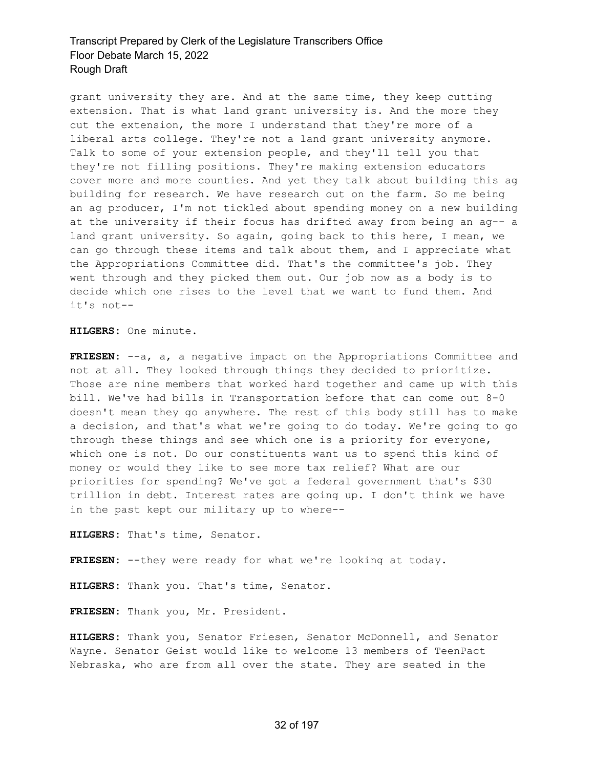grant university they are. And at the same time, they keep cutting extension. That is what land grant university is. And the more they cut the extension, the more I understand that they're more of a liberal arts college. They're not a land grant university anymore. Talk to some of your extension people, and they'll tell you that they're not filling positions. They're making extension educators cover more and more counties. And yet they talk about building this ag building for research. We have research out on the farm. So me being an ag producer, I'm not tickled about spending money on a new building at the university if their focus has drifted away from being an ag-- a land grant university. So again, going back to this here, I mean, we can go through these items and talk about them, and I appreciate what the Appropriations Committee did. That's the committee's job. They went through and they picked them out. Our job now as a body is to decide which one rises to the level that we want to fund them. And it's not--

**HILGERS:** One minute.

**FRIESEN:** --a, a, a negative impact on the Appropriations Committee and not at all. They looked through things they decided to prioritize. Those are nine members that worked hard together and came up with this bill. We've had bills in Transportation before that can come out 8-0 doesn't mean they go anywhere. The rest of this body still has to make a decision, and that's what we're going to do today. We're going to go through these things and see which one is a priority for everyone, which one is not. Do our constituents want us to spend this kind of money or would they like to see more tax relief? What are our priorities for spending? We've got a federal government that's \$30 trillion in debt. Interest rates are going up. I don't think we have in the past kept our military up to where--

**HILGERS:** That's time, Senator.

**FRIESEN:** --they were ready for what we're looking at today.

**HILGERS:** Thank you. That's time, Senator.

**FRIESEN:** Thank you, Mr. President.

**HILGERS:** Thank you, Senator Friesen, Senator McDonnell, and Senator Wayne. Senator Geist would like to welcome 13 members of TeenPact Nebraska, who are from all over the state. They are seated in the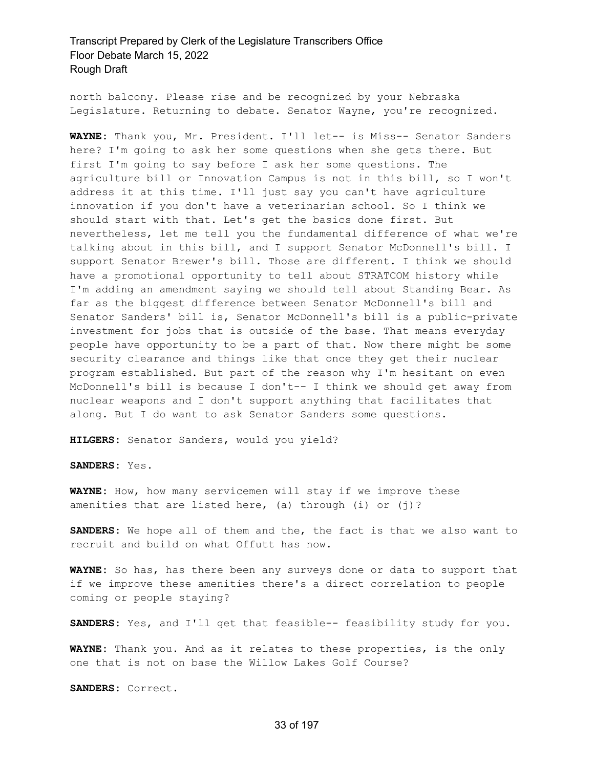north balcony. Please rise and be recognized by your Nebraska Legislature. Returning to debate. Senator Wayne, you're recognized.

**WAYNE:** Thank you, Mr. President. I'll let-- is Miss-- Senator Sanders here? I'm going to ask her some questions when she gets there. But first I'm going to say before I ask her some questions. The agriculture bill or Innovation Campus is not in this bill, so I won't address it at this time. I'll just say you can't have agriculture innovation if you don't have a veterinarian school. So I think we should start with that. Let's get the basics done first. But nevertheless, let me tell you the fundamental difference of what we're talking about in this bill, and I support Senator McDonnell's bill. I support Senator Brewer's bill. Those are different. I think we should have a promotional opportunity to tell about STRATCOM history while I'm adding an amendment saying we should tell about Standing Bear. As far as the biggest difference between Senator McDonnell's bill and Senator Sanders' bill is, Senator McDonnell's bill is a public-private investment for jobs that is outside of the base. That means everyday people have opportunity to be a part of that. Now there might be some security clearance and things like that once they get their nuclear program established. But part of the reason why I'm hesitant on even McDonnell's bill is because I don't-- I think we should get away from nuclear weapons and I don't support anything that facilitates that along. But I do want to ask Senator Sanders some questions.

**HILGERS:** Senator Sanders, would you yield?

**SANDERS:** Yes.

**WAYNE:** How, how many servicemen will stay if we improve these amenities that are listed here, (a) through (i) or (j)?

**SANDERS:** We hope all of them and the, the fact is that we also want to recruit and build on what Offutt has now.

**WAYNE:** So has, has there been any surveys done or data to support that if we improve these amenities there's a direct correlation to people coming or people staying?

**SANDERS:** Yes, and I'll get that feasible-- feasibility study for you.

**WAYNE:** Thank you. And as it relates to these properties, is the only one that is not on base the Willow Lakes Golf Course?

**SANDERS:** Correct.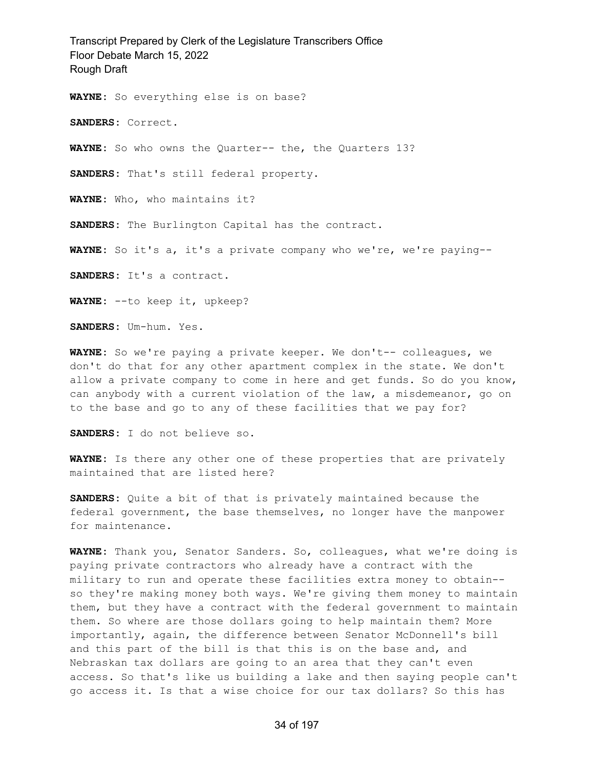**WAYNE:** So everything else is on base? **SANDERS:** Correct. **WAYNE:** So who owns the Quarter-- the, the Quarters 13? **SANDERS:** That's still federal property. **WAYNE:** Who, who maintains it? **SANDERS:** The Burlington Capital has the contract. **WAYNE:** So it's a, it's a private company who we're, we're paying-- **SANDERS:** It's a contract. **WAYNE:** --to keep it, upkeep? **SANDERS:** Um-hum. Yes.

**WAYNE:** So we're paying a private keeper. We don't-- colleagues, we don't do that for any other apartment complex in the state. We don't allow a private company to come in here and get funds. So do you know, can anybody with a current violation of the law, a misdemeanor, go on to the base and go to any of these facilities that we pay for?

**SANDERS:** I do not believe so.

**WAYNE:** Is there any other one of these properties that are privately maintained that are listed here?

**SANDERS:** Quite a bit of that is privately maintained because the federal government, the base themselves, no longer have the manpower for maintenance.

**WAYNE:** Thank you, Senator Sanders. So, colleagues, what we're doing is paying private contractors who already have a contract with the military to run and operate these facilities extra money to obtain- so they're making money both ways. We're giving them money to maintain them, but they have a contract with the federal government to maintain them. So where are those dollars going to help maintain them? More importantly, again, the difference between Senator McDonnell's bill and this part of the bill is that this is on the base and, and Nebraskan tax dollars are going to an area that they can't even access. So that's like us building a lake and then saying people can't go access it. Is that a wise choice for our tax dollars? So this has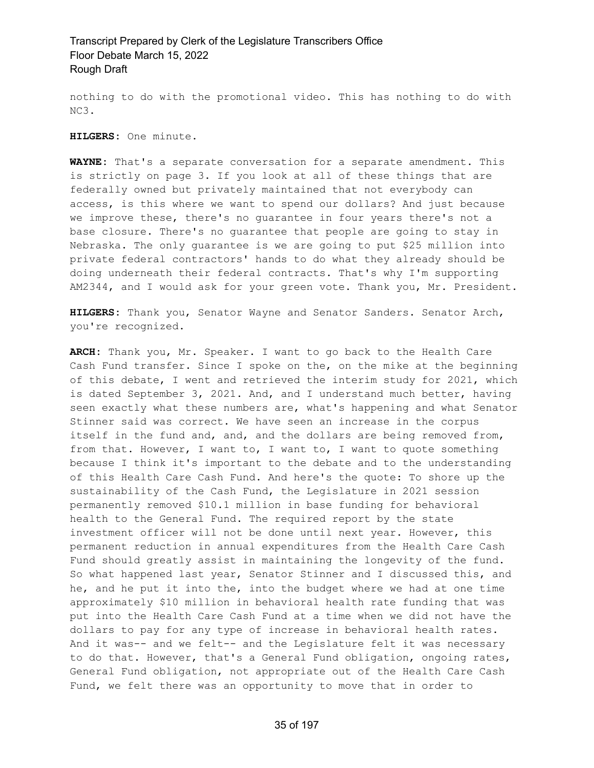nothing to do with the promotional video. This has nothing to do with NC3.

**HILGERS:** One minute.

**WAYNE:** That's a separate conversation for a separate amendment. This is strictly on page 3. If you look at all of these things that are federally owned but privately maintained that not everybody can access, is this where we want to spend our dollars? And just because we improve these, there's no guarantee in four years there's not a base closure. There's no guarantee that people are going to stay in Nebraska. The only guarantee is we are going to put \$25 million into private federal contractors' hands to do what they already should be doing underneath their federal contracts. That's why I'm supporting AM2344, and I would ask for your green vote. Thank you, Mr. President.

**HILGERS:** Thank you, Senator Wayne and Senator Sanders. Senator Arch, you're recognized.

**ARCH:** Thank you, Mr. Speaker. I want to go back to the Health Care Cash Fund transfer. Since I spoke on the, on the mike at the beginning of this debate, I went and retrieved the interim study for 2021, which is dated September 3, 2021. And, and I understand much better, having seen exactly what these numbers are, what's happening and what Senator Stinner said was correct. We have seen an increase in the corpus itself in the fund and, and, and the dollars are being removed from, from that. However, I want to, I want to, I want to quote something because I think it's important to the debate and to the understanding of this Health Care Cash Fund. And here's the quote: To shore up the sustainability of the Cash Fund, the Legislature in 2021 session permanently removed \$10.1 million in base funding for behavioral health to the General Fund. The required report by the state investment officer will not be done until next year. However, this permanent reduction in annual expenditures from the Health Care Cash Fund should greatly assist in maintaining the longevity of the fund. So what happened last year, Senator Stinner and I discussed this, and he, and he put it into the, into the budget where we had at one time approximately \$10 million in behavioral health rate funding that was put into the Health Care Cash Fund at a time when we did not have the dollars to pay for any type of increase in behavioral health rates. And it was-- and we felt-- and the Legislature felt it was necessary to do that. However, that's a General Fund obligation, ongoing rates, General Fund obligation, not appropriate out of the Health Care Cash Fund, we felt there was an opportunity to move that in order to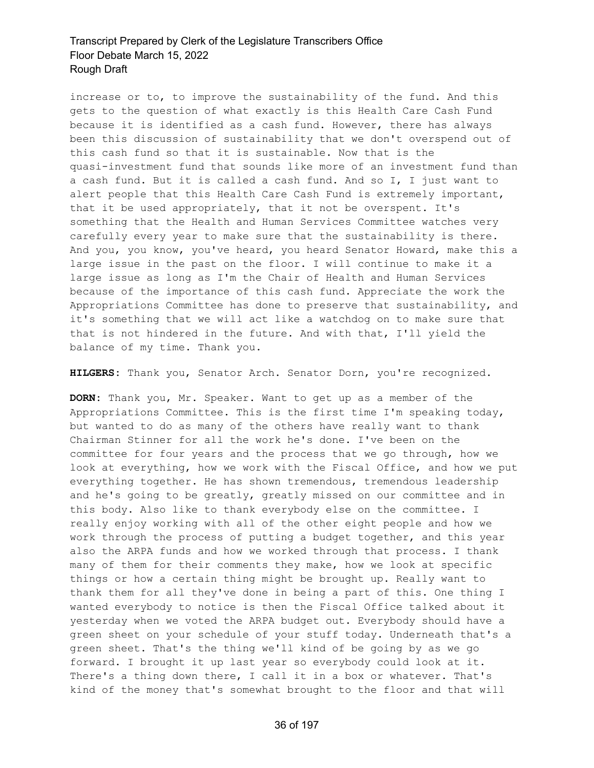increase or to, to improve the sustainability of the fund. And this gets to the question of what exactly is this Health Care Cash Fund because it is identified as a cash fund. However, there has always been this discussion of sustainability that we don't overspend out of this cash fund so that it is sustainable. Now that is the quasi-investment fund that sounds like more of an investment fund than a cash fund. But it is called a cash fund. And so I, I just want to alert people that this Health Care Cash Fund is extremely important, that it be used appropriately, that it not be overspent. It's something that the Health and Human Services Committee watches very carefully every year to make sure that the sustainability is there. And you, you know, you've heard, you heard Senator Howard, make this a large issue in the past on the floor. I will continue to make it a large issue as long as I'm the Chair of Health and Human Services because of the importance of this cash fund. Appreciate the work the Appropriations Committee has done to preserve that sustainability, and it's something that we will act like a watchdog on to make sure that that is not hindered in the future. And with that, I'll yield the balance of my time. Thank you.

**HILGERS:** Thank you, Senator Arch. Senator Dorn, you're recognized.

**DORN:** Thank you, Mr. Speaker. Want to get up as a member of the Appropriations Committee. This is the first time I'm speaking today, but wanted to do as many of the others have really want to thank Chairman Stinner for all the work he's done. I've been on the committee for four years and the process that we go through, how we look at everything, how we work with the Fiscal Office, and how we put everything together. He has shown tremendous, tremendous leadership and he's going to be greatly, greatly missed on our committee and in this body. Also like to thank everybody else on the committee. I really enjoy working with all of the other eight people and how we work through the process of putting a budget together, and this year also the ARPA funds and how we worked through that process. I thank many of them for their comments they make, how we look at specific things or how a certain thing might be brought up. Really want to thank them for all they've done in being a part of this. One thing I wanted everybody to notice is then the Fiscal Office talked about it yesterday when we voted the ARPA budget out. Everybody should have a green sheet on your schedule of your stuff today. Underneath that's a green sheet. That's the thing we'll kind of be going by as we go forward. I brought it up last year so everybody could look at it. There's a thing down there, I call it in a box or whatever. That's kind of the money that's somewhat brought to the floor and that will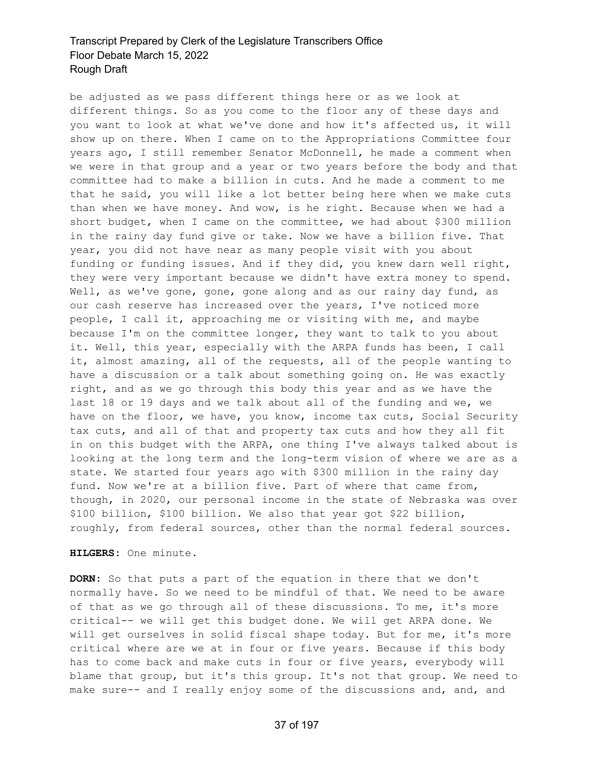be adjusted as we pass different things here or as we look at different things. So as you come to the floor any of these days and you want to look at what we've done and how it's affected us, it will show up on there. When I came on to the Appropriations Committee four years ago, I still remember Senator McDonnell, he made a comment when we were in that group and a year or two years before the body and that committee had to make a billion in cuts. And he made a comment to me that he said, you will like a lot better being here when we make cuts than when we have money. And wow, is he right. Because when we had a short budget, when I came on the committee, we had about \$300 million in the rainy day fund give or take. Now we have a billion five. That year, you did not have near as many people visit with you about funding or funding issues. And if they did, you knew darn well right, they were very important because we didn't have extra money to spend. Well, as we've gone, gone, gone along and as our rainy day fund, as our cash reserve has increased over the years, I've noticed more people, I call it, approaching me or visiting with me, and maybe because I'm on the committee longer, they want to talk to you about it. Well, this year, especially with the ARPA funds has been, I call it, almost amazing, all of the requests, all of the people wanting to have a discussion or a talk about something going on. He was exactly right, and as we go through this body this year and as we have the last 18 or 19 days and we talk about all of the funding and we, we have on the floor, we have, you know, income tax cuts, Social Security tax cuts, and all of that and property tax cuts and how they all fit in on this budget with the ARPA, one thing I've always talked about is looking at the long term and the long-term vision of where we are as a state. We started four years ago with \$300 million in the rainy day fund. Now we're at a billion five. Part of where that came from, though, in 2020, our personal income in the state of Nebraska was over \$100 billion, \$100 billion. We also that year got \$22 billion, roughly, from federal sources, other than the normal federal sources.

**HILGERS:** One minute.

**DORN:** So that puts a part of the equation in there that we don't normally have. So we need to be mindful of that. We need to be aware of that as we go through all of these discussions. To me, it's more critical-- we will get this budget done. We will get ARPA done. We will get ourselves in solid fiscal shape today. But for me, it's more critical where are we at in four or five years. Because if this body has to come back and make cuts in four or five years, everybody will blame that group, but it's this group. It's not that group. We need to make sure-- and I really enjoy some of the discussions and, and, and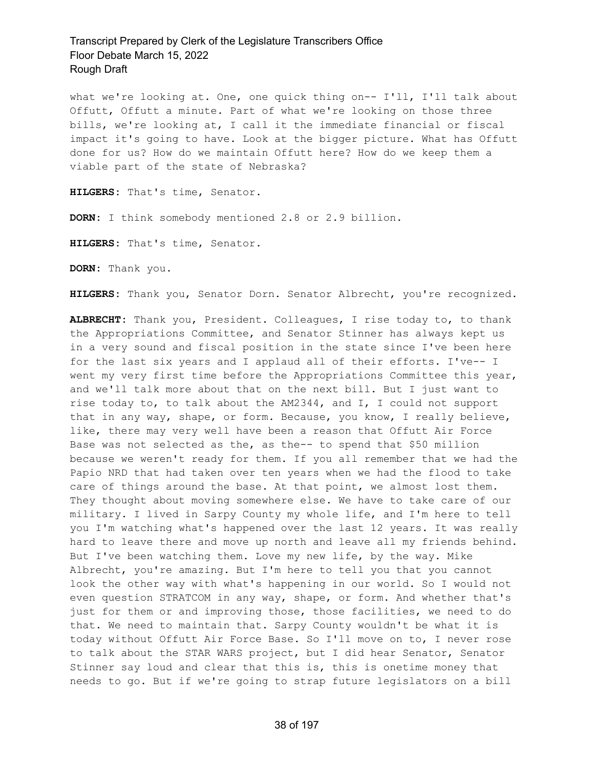what we're looking at. One, one quick thing on-- I'll, I'll talk about Offutt, Offutt a minute. Part of what we're looking on those three bills, we're looking at, I call it the immediate financial or fiscal impact it's going to have. Look at the bigger picture. What has Offutt done for us? How do we maintain Offutt here? How do we keep them a viable part of the state of Nebraska?

**HILGERS:** That's time, Senator.

**DORN:** I think somebody mentioned 2.8 or 2.9 billion.

**HILGERS:** That's time, Senator.

**DORN:** Thank you.

**HILGERS:** Thank you, Senator Dorn. Senator Albrecht, you're recognized.

**ALBRECHT:** Thank you, President. Colleagues, I rise today to, to thank the Appropriations Committee, and Senator Stinner has always kept us in a very sound and fiscal position in the state since I've been here for the last six years and I applaud all of their efforts. I've-- I went my very first time before the Appropriations Committee this year, and we'll talk more about that on the next bill. But I just want to rise today to, to talk about the AM2344, and I, I could not support that in any way, shape, or form. Because, you know, I really believe, like, there may very well have been a reason that Offutt Air Force Base was not selected as the, as the-- to spend that \$50 million because we weren't ready for them. If you all remember that we had the Papio NRD that had taken over ten years when we had the flood to take care of things around the base. At that point, we almost lost them. They thought about moving somewhere else. We have to take care of our military. I lived in Sarpy County my whole life, and I'm here to tell you I'm watching what's happened over the last 12 years. It was really hard to leave there and move up north and leave all my friends behind. But I've been watching them. Love my new life, by the way. Mike Albrecht, you're amazing. But I'm here to tell you that you cannot look the other way with what's happening in our world. So I would not even question STRATCOM in any way, shape, or form. And whether that's just for them or and improving those, those facilities, we need to do that. We need to maintain that. Sarpy County wouldn't be what it is today without Offutt Air Force Base. So I'll move on to, I never rose to talk about the STAR WARS project, but I did hear Senator, Senator Stinner say loud and clear that this is, this is onetime money that needs to go. But if we're going to strap future legislators on a bill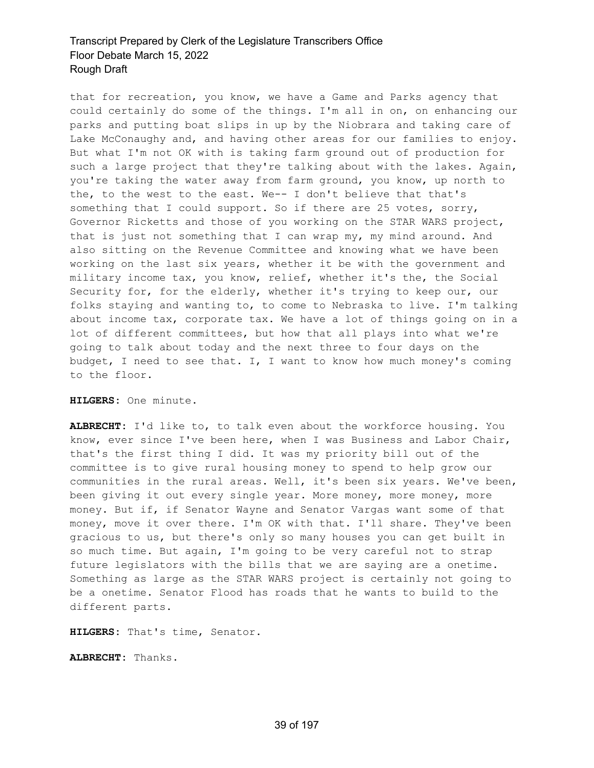that for recreation, you know, we have a Game and Parks agency that could certainly do some of the things. I'm all in on, on enhancing our parks and putting boat slips in up by the Niobrara and taking care of Lake McConaughy and, and having other areas for our families to enjoy. But what I'm not OK with is taking farm ground out of production for such a large project that they're talking about with the lakes. Again, you're taking the water away from farm ground, you know, up north to the, to the west to the east. We-- I don't believe that that's something that I could support. So if there are 25 votes, sorry, Governor Ricketts and those of you working on the STAR WARS project, that is just not something that I can wrap my, my mind around. And also sitting on the Revenue Committee and knowing what we have been working on the last six years, whether it be with the government and military income tax, you know, relief, whether it's the, the Social Security for, for the elderly, whether it's trying to keep our, our folks staying and wanting to, to come to Nebraska to live. I'm talking about income tax, corporate tax. We have a lot of things going on in a lot of different committees, but how that all plays into what we're going to talk about today and the next three to four days on the budget, I need to see that. I, I want to know how much money's coming to the floor.

**HILGERS:** One minute.

**ALBRECHT:** I'd like to, to talk even about the workforce housing. You know, ever since I've been here, when I was Business and Labor Chair, that's the first thing I did. It was my priority bill out of the committee is to give rural housing money to spend to help grow our communities in the rural areas. Well, it's been six years. We've been, been giving it out every single year. More money, more money, more money. But if, if Senator Wayne and Senator Vargas want some of that money, move it over there. I'm OK with that. I'll share. They've been gracious to us, but there's only so many houses you can get built in so much time. But again, I'm going to be very careful not to strap future legislators with the bills that we are saying are a onetime. Something as large as the STAR WARS project is certainly not going to be a onetime. Senator Flood has roads that he wants to build to the different parts.

**HILGERS:** That's time, Senator.

**ALBRECHT:** Thanks.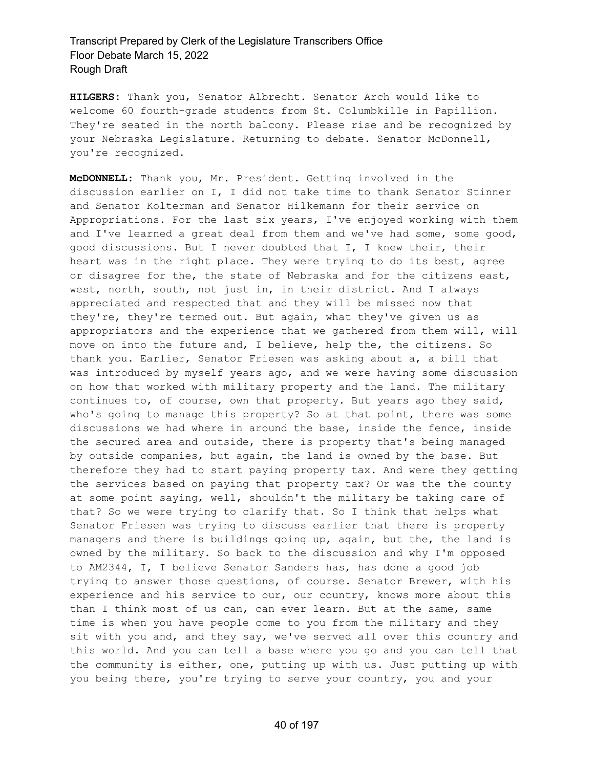**HILGERS:** Thank you, Senator Albrecht. Senator Arch would like to welcome 60 fourth-grade students from St. Columbkille in Papillion. They're seated in the north balcony. Please rise and be recognized by your Nebraska Legislature. Returning to debate. Senator McDonnell, you're recognized.

**McDONNELL:** Thank you, Mr. President. Getting involved in the discussion earlier on I, I did not take time to thank Senator Stinner and Senator Kolterman and Senator Hilkemann for their service on Appropriations. For the last six years, I've enjoyed working with them and I've learned a great deal from them and we've had some, some good, good discussions. But I never doubted that I, I knew their, their heart was in the right place. They were trying to do its best, agree or disagree for the, the state of Nebraska and for the citizens east, west, north, south, not just in, in their district. And I always appreciated and respected that and they will be missed now that they're, they're termed out. But again, what they've given us as appropriators and the experience that we gathered from them will, will move on into the future and, I believe, help the, the citizens. So thank you. Earlier, Senator Friesen was asking about a, a bill that was introduced by myself years ago, and we were having some discussion on how that worked with military property and the land. The military continues to, of course, own that property. But years ago they said, who's going to manage this property? So at that point, there was some discussions we had where in around the base, inside the fence, inside the secured area and outside, there is property that's being managed by outside companies, but again, the land is owned by the base. But therefore they had to start paying property tax. And were they getting the services based on paying that property tax? Or was the the county at some point saying, well, shouldn't the military be taking care of that? So we were trying to clarify that. So I think that helps what Senator Friesen was trying to discuss earlier that there is property managers and there is buildings going up, again, but the, the land is owned by the military. So back to the discussion and why I'm opposed to AM2344, I, I believe Senator Sanders has, has done a good job trying to answer those questions, of course. Senator Brewer, with his experience and his service to our, our country, knows more about this than I think most of us can, can ever learn. But at the same, same time is when you have people come to you from the military and they sit with you and, and they say, we've served all over this country and this world. And you can tell a base where you go and you can tell that the community is either, one, putting up with us. Just putting up with you being there, you're trying to serve your country, you and your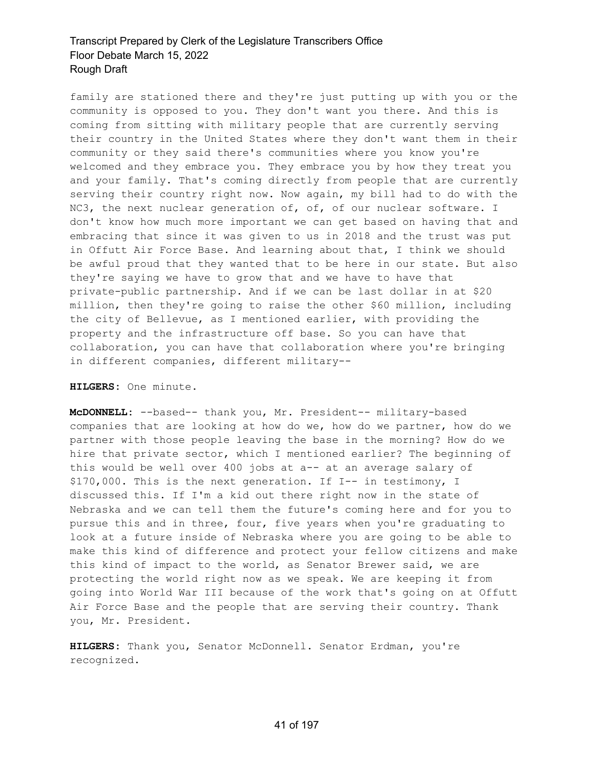family are stationed there and they're just putting up with you or the community is opposed to you. They don't want you there. And this is coming from sitting with military people that are currently serving their country in the United States where they don't want them in their community or they said there's communities where you know you're welcomed and they embrace you. They embrace you by how they treat you and your family. That's coming directly from people that are currently serving their country right now. Now again, my bill had to do with the NC3, the next nuclear generation of, of, of our nuclear software. I don't know how much more important we can get based on having that and embracing that since it was given to us in 2018 and the trust was put in Offutt Air Force Base. And learning about that, I think we should be awful proud that they wanted that to be here in our state. But also they're saying we have to grow that and we have to have that private-public partnership. And if we can be last dollar in at \$20 million, then they're going to raise the other \$60 million, including the city of Bellevue, as I mentioned earlier, with providing the property and the infrastructure off base. So you can have that collaboration, you can have that collaboration where you're bringing in different companies, different military--

**HILGERS:** One minute.

**McDONNELL:** --based-- thank you, Mr. President-- military-based companies that are looking at how do we, how do we partner, how do we partner with those people leaving the base in the morning? How do we hire that private sector, which I mentioned earlier? The beginning of this would be well over 400 jobs at a-- at an average salary of \$170,000. This is the next generation. If I-- in testimony, I discussed this. If I'm a kid out there right now in the state of Nebraska and we can tell them the future's coming here and for you to pursue this and in three, four, five years when you're graduating to look at a future inside of Nebraska where you are going to be able to make this kind of difference and protect your fellow citizens and make this kind of impact to the world, as Senator Brewer said, we are protecting the world right now as we speak. We are keeping it from going into World War III because of the work that's going on at Offutt Air Force Base and the people that are serving their country. Thank you, Mr. President.

**HILGERS:** Thank you, Senator McDonnell. Senator Erdman, you're recognized.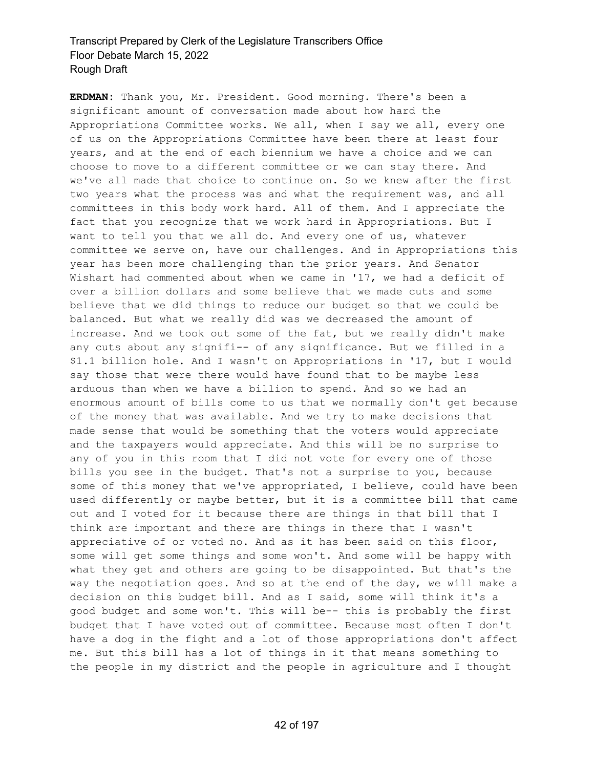**ERDMAN:** Thank you, Mr. President. Good morning. There's been a significant amount of conversation made about how hard the Appropriations Committee works. We all, when I say we all, every one of us on the Appropriations Committee have been there at least four years, and at the end of each biennium we have a choice and we can choose to move to a different committee or we can stay there. And we've all made that choice to continue on. So we knew after the first two years what the process was and what the requirement was, and all committees in this body work hard. All of them. And I appreciate the fact that you recognize that we work hard in Appropriations. But I want to tell you that we all do. And every one of us, whatever committee we serve on, have our challenges. And in Appropriations this year has been more challenging than the prior years. And Senator Wishart had commented about when we came in '17, we had a deficit of over a billion dollars and some believe that we made cuts and some believe that we did things to reduce our budget so that we could be balanced. But what we really did was we decreased the amount of increase. And we took out some of the fat, but we really didn't make any cuts about any signifi-- of any significance. But we filled in a \$1.1 billion hole. And I wasn't on Appropriations in '17, but I would say those that were there would have found that to be maybe less arduous than when we have a billion to spend. And so we had an enormous amount of bills come to us that we normally don't get because of the money that was available. And we try to make decisions that made sense that would be something that the voters would appreciate and the taxpayers would appreciate. And this will be no surprise to any of you in this room that I did not vote for every one of those bills you see in the budget. That's not a surprise to you, because some of this money that we've appropriated, I believe, could have been used differently or maybe better, but it is a committee bill that came out and I voted for it because there are things in that bill that I think are important and there are things in there that I wasn't appreciative of or voted no. And as it has been said on this floor, some will get some things and some won't. And some will be happy with what they get and others are going to be disappointed. But that's the way the negotiation goes. And so at the end of the day, we will make a decision on this budget bill. And as I said, some will think it's a good budget and some won't. This will be-- this is probably the first budget that I have voted out of committee. Because most often I don't have a dog in the fight and a lot of those appropriations don't affect me. But this bill has a lot of things in it that means something to the people in my district and the people in agriculture and I thought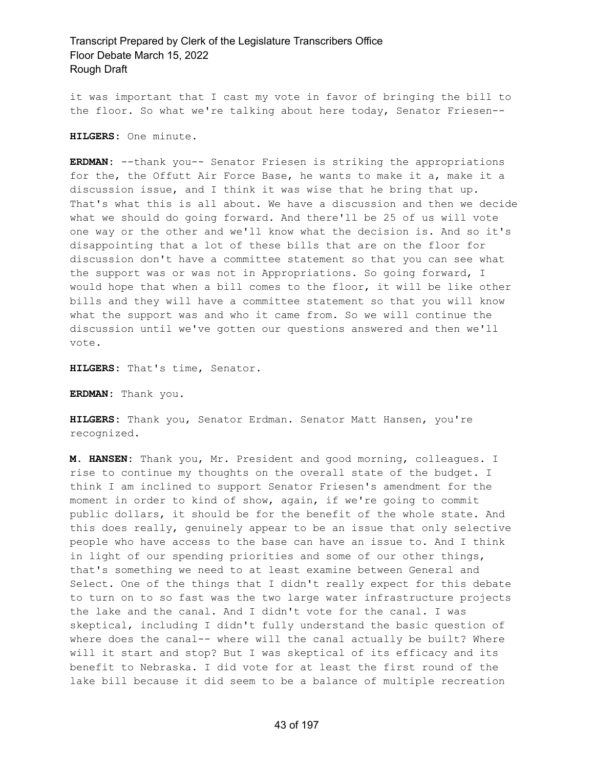it was important that I cast my vote in favor of bringing the bill to the floor. So what we're talking about here today, Senator Friesen--

**HILGERS:** One minute.

**ERDMAN:** --thank you-- Senator Friesen is striking the appropriations for the, the Offutt Air Force Base, he wants to make it a, make it a discussion issue, and I think it was wise that he bring that up. That's what this is all about. We have a discussion and then we decide what we should do going forward. And there'll be 25 of us will vote one way or the other and we'll know what the decision is. And so it's disappointing that a lot of these bills that are on the floor for discussion don't have a committee statement so that you can see what the support was or was not in Appropriations. So going forward, I would hope that when a bill comes to the floor, it will be like other bills and they will have a committee statement so that you will know what the support was and who it came from. So we will continue the discussion until we've gotten our questions answered and then we'll vote.

**HILGERS:** That's time, Senator.

**ERDMAN:** Thank you.

**HILGERS:** Thank you, Senator Erdman. Senator Matt Hansen, you're recognized.

**M. HANSEN:** Thank you, Mr. President and good morning, colleagues. I rise to continue my thoughts on the overall state of the budget. I think I am inclined to support Senator Friesen's amendment for the moment in order to kind of show, again, if we're going to commit public dollars, it should be for the benefit of the whole state. And this does really, genuinely appear to be an issue that only selective people who have access to the base can have an issue to. And I think in light of our spending priorities and some of our other things, that's something we need to at least examine between General and Select. One of the things that I didn't really expect for this debate to turn on to so fast was the two large water infrastructure projects the lake and the canal. And I didn't vote for the canal. I was skeptical, including I didn't fully understand the basic question of where does the canal-- where will the canal actually be built? Where will it start and stop? But I was skeptical of its efficacy and its benefit to Nebraska. I did vote for at least the first round of the lake bill because it did seem to be a balance of multiple recreation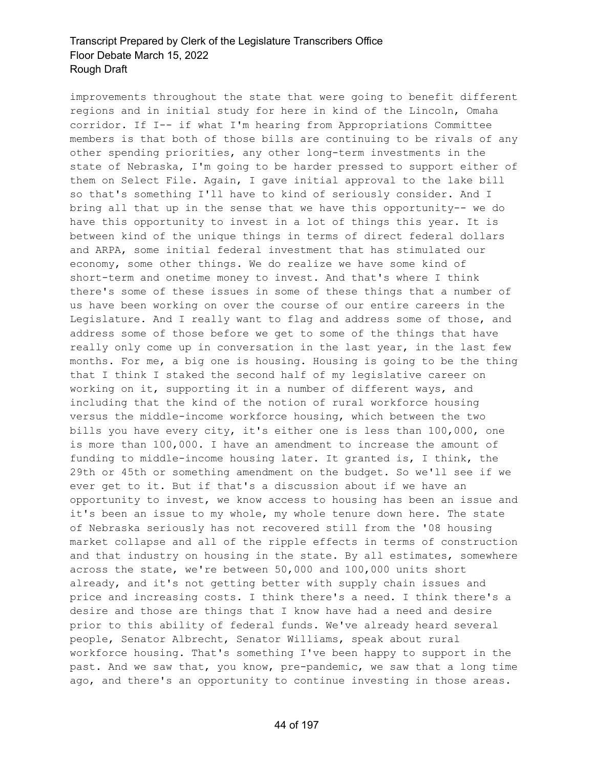improvements throughout the state that were going to benefit different regions and in initial study for here in kind of the Lincoln, Omaha corridor. If I-- if what I'm hearing from Appropriations Committee members is that both of those bills are continuing to be rivals of any other spending priorities, any other long-term investments in the state of Nebraska, I'm going to be harder pressed to support either of them on Select File. Again, I gave initial approval to the lake bill so that's something I'll have to kind of seriously consider. And I bring all that up in the sense that we have this opportunity-- we do have this opportunity to invest in a lot of things this year. It is between kind of the unique things in terms of direct federal dollars and ARPA, some initial federal investment that has stimulated our economy, some other things. We do realize we have some kind of short-term and onetime money to invest. And that's where I think there's some of these issues in some of these things that a number of us have been working on over the course of our entire careers in the Legislature. And I really want to flag and address some of those, and address some of those before we get to some of the things that have really only come up in conversation in the last year, in the last few months. For me, a big one is housing. Housing is going to be the thing that I think I staked the second half of my legislative career on working on it, supporting it in a number of different ways, and including that the kind of the notion of rural workforce housing versus the middle-income workforce housing, which between the two bills you have every city, it's either one is less than 100,000, one is more than 100,000. I have an amendment to increase the amount of funding to middle-income housing later. It granted is, I think, the 29th or 45th or something amendment on the budget. So we'll see if we ever get to it. But if that's a discussion about if we have an opportunity to invest, we know access to housing has been an issue and it's been an issue to my whole, my whole tenure down here. The state of Nebraska seriously has not recovered still from the '08 housing market collapse and all of the ripple effects in terms of construction and that industry on housing in the state. By all estimates, somewhere across the state, we're between 50,000 and 100,000 units short already, and it's not getting better with supply chain issues and price and increasing costs. I think there's a need. I think there's a desire and those are things that I know have had a need and desire prior to this ability of federal funds. We've already heard several people, Senator Albrecht, Senator Williams, speak about rural workforce housing. That's something I've been happy to support in the past. And we saw that, you know, pre-pandemic, we saw that a long time ago, and there's an opportunity to continue investing in those areas.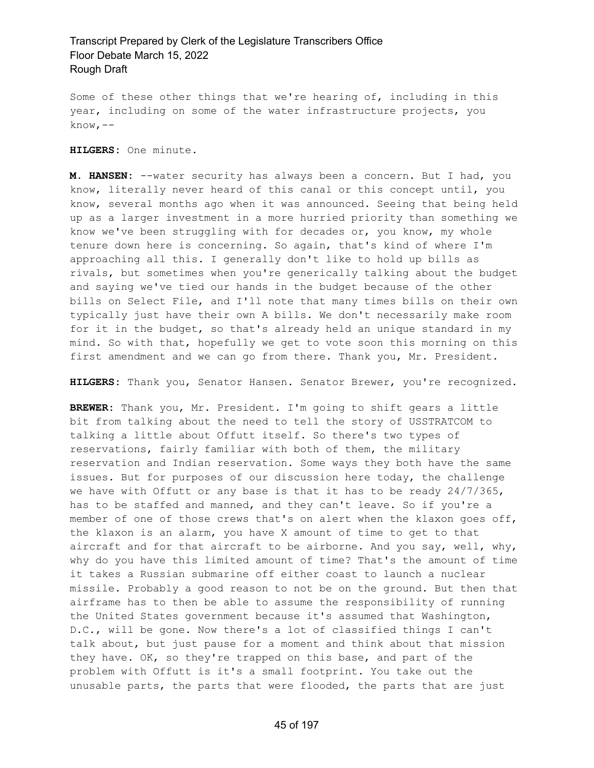Some of these other things that we're hearing of, including in this year, including on some of the water infrastructure projects, you know,--

**HILGERS:** One minute.

**M. HANSEN:** --water security has always been a concern. But I had, you know, literally never heard of this canal or this concept until, you know, several months ago when it was announced. Seeing that being held up as a larger investment in a more hurried priority than something we know we've been struggling with for decades or, you know, my whole tenure down here is concerning. So again, that's kind of where I'm approaching all this. I generally don't like to hold up bills as rivals, but sometimes when you're generically talking about the budget and saying we've tied our hands in the budget because of the other bills on Select File, and I'll note that many times bills on their own typically just have their own A bills. We don't necessarily make room for it in the budget, so that's already held an unique standard in my mind. So with that, hopefully we get to vote soon this morning on this first amendment and we can go from there. Thank you, Mr. President.

**HILGERS:** Thank you, Senator Hansen. Senator Brewer, you're recognized.

**BREWER:** Thank you, Mr. President. I'm going to shift gears a little bit from talking about the need to tell the story of USSTRATCOM to talking a little about Offutt itself. So there's two types of reservations, fairly familiar with both of them, the military reservation and Indian reservation. Some ways they both have the same issues. But for purposes of our discussion here today, the challenge we have with Offutt or any base is that it has to be ready 24/7/365, has to be staffed and manned, and they can't leave. So if you're a member of one of those crews that's on alert when the klaxon goes off, the klaxon is an alarm, you have X amount of time to get to that aircraft and for that aircraft to be airborne. And you say, well, why, why do you have this limited amount of time? That's the amount of time it takes a Russian submarine off either coast to launch a nuclear missile. Probably a good reason to not be on the ground. But then that airframe has to then be able to assume the responsibility of running the United States government because it's assumed that Washington, D.C., will be gone. Now there's a lot of classified things I can't talk about, but just pause for a moment and think about that mission they have. OK, so they're trapped on this base, and part of the problem with Offutt is it's a small footprint. You take out the unusable parts, the parts that were flooded, the parts that are just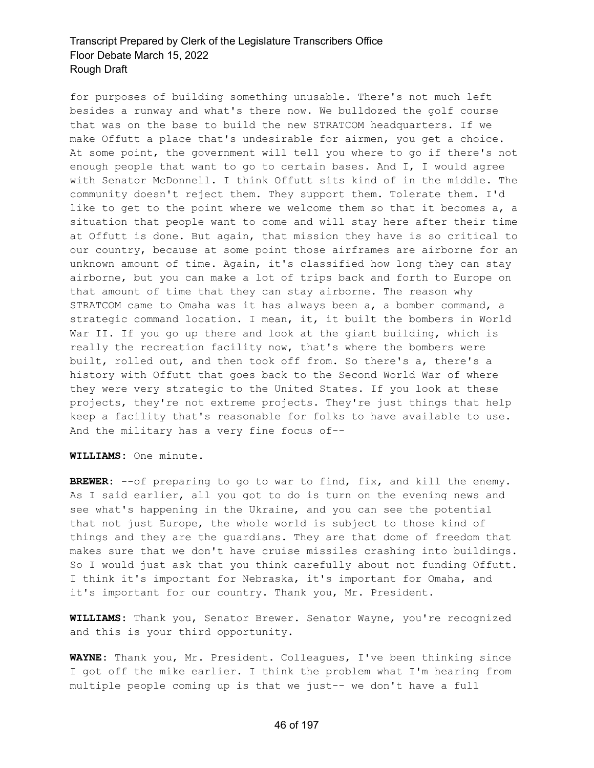for purposes of building something unusable. There's not much left besides a runway and what's there now. We bulldozed the golf course that was on the base to build the new STRATCOM headquarters. If we make Offutt a place that's undesirable for airmen, you get a choice. At some point, the government will tell you where to go if there's not enough people that want to go to certain bases. And I, I would agree with Senator McDonnell. I think Offutt sits kind of in the middle. The community doesn't reject them. They support them. Tolerate them. I'd like to get to the point where we welcome them so that it becomes a, a situation that people want to come and will stay here after their time at Offutt is done. But again, that mission they have is so critical to our country, because at some point those airframes are airborne for an unknown amount of time. Again, it's classified how long they can stay airborne, but you can make a lot of trips back and forth to Europe on that amount of time that they can stay airborne. The reason why STRATCOM came to Omaha was it has always been a, a bomber command, a strategic command location. I mean, it, it built the bombers in World War II. If you go up there and look at the giant building, which is really the recreation facility now, that's where the bombers were built, rolled out, and then took off from. So there's a, there's a history with Offutt that goes back to the Second World War of where they were very strategic to the United States. If you look at these projects, they're not extreme projects. They're just things that help keep a facility that's reasonable for folks to have available to use. And the military has a very fine focus of--

**WILLIAMS:** One minute.

BREWER: --of preparing to go to war to find, fix, and kill the enemy. As I said earlier, all you got to do is turn on the evening news and see what's happening in the Ukraine, and you can see the potential that not just Europe, the whole world is subject to those kind of things and they are the guardians. They are that dome of freedom that makes sure that we don't have cruise missiles crashing into buildings. So I would just ask that you think carefully about not funding Offutt. I think it's important for Nebraska, it's important for Omaha, and it's important for our country. Thank you, Mr. President.

**WILLIAMS:** Thank you, Senator Brewer. Senator Wayne, you're recognized and this is your third opportunity.

**WAYNE:** Thank you, Mr. President. Colleagues, I've been thinking since I got off the mike earlier. I think the problem what I'm hearing from multiple people coming up is that we just-- we don't have a full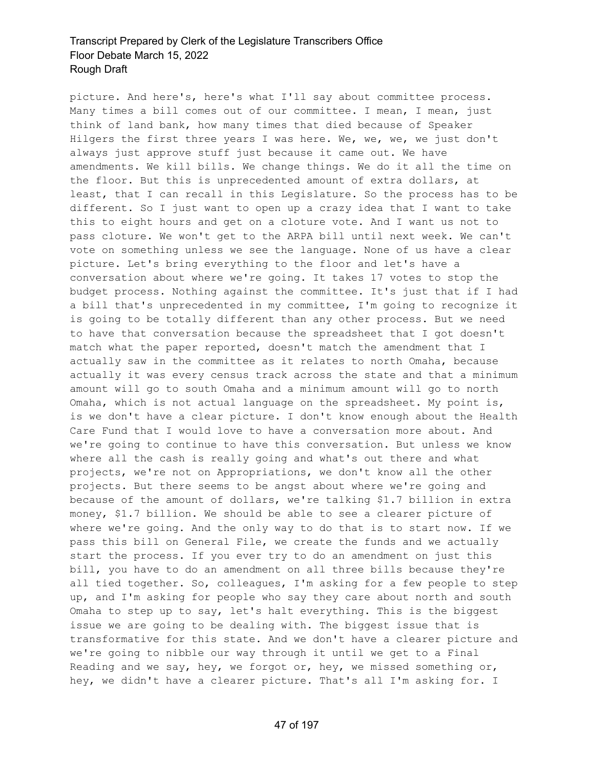picture. And here's, here's what I'll say about committee process. Many times a bill comes out of our committee. I mean, I mean, just think of land bank, how many times that died because of Speaker Hilgers the first three years I was here. We, we, we, we just don't always just approve stuff just because it came out. We have amendments. We kill bills. We change things. We do it all the time on the floor. But this is unprecedented amount of extra dollars, at least, that I can recall in this Legislature. So the process has to be different. So I just want to open up a crazy idea that I want to take this to eight hours and get on a cloture vote. And I want us not to pass cloture. We won't get to the ARPA bill until next week. We can't vote on something unless we see the language. None of us have a clear picture. Let's bring everything to the floor and let's have a conversation about where we're going. It takes 17 votes to stop the budget process. Nothing against the committee. It's just that if I had a bill that's unprecedented in my committee, I'm going to recognize it is going to be totally different than any other process. But we need to have that conversation because the spreadsheet that I got doesn't match what the paper reported, doesn't match the amendment that I actually saw in the committee as it relates to north Omaha, because actually it was every census track across the state and that a minimum amount will go to south Omaha and a minimum amount will go to north Omaha, which is not actual language on the spreadsheet. My point is, is we don't have a clear picture. I don't know enough about the Health Care Fund that I would love to have a conversation more about. And we're going to continue to have this conversation. But unless we know where all the cash is really going and what's out there and what projects, we're not on Appropriations, we don't know all the other projects. But there seems to be angst about where we're going and because of the amount of dollars, we're talking \$1.7 billion in extra money, \$1.7 billion. We should be able to see a clearer picture of where we're going. And the only way to do that is to start now. If we pass this bill on General File, we create the funds and we actually start the process. If you ever try to do an amendment on just this bill, you have to do an amendment on all three bills because they're all tied together. So, colleagues, I'm asking for a few people to step up, and I'm asking for people who say they care about north and south Omaha to step up to say, let's halt everything. This is the biggest issue we are going to be dealing with. The biggest issue that is transformative for this state. And we don't have a clearer picture and we're going to nibble our way through it until we get to a Final Reading and we say, hey, we forgot or, hey, we missed something or, hey, we didn't have a clearer picture. That's all I'm asking for. I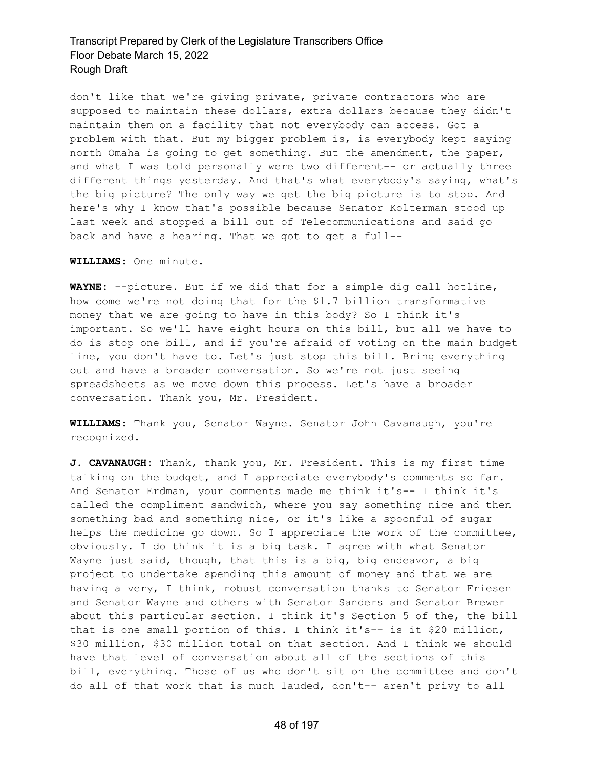don't like that we're giving private, private contractors who are supposed to maintain these dollars, extra dollars because they didn't maintain them on a facility that not everybody can access. Got a problem with that. But my bigger problem is, is everybody kept saying north Omaha is going to get something. But the amendment, the paper, and what I was told personally were two different-- or actually three different things yesterday. And that's what everybody's saying, what's the big picture? The only way we get the big picture is to stop. And here's why I know that's possible because Senator Kolterman stood up last week and stopped a bill out of Telecommunications and said go back and have a hearing. That we got to get a full--

**WILLIAMS:** One minute.

**WAYNE:** --picture. But if we did that for a simple dig call hotline, how come we're not doing that for the \$1.7 billion transformative money that we are going to have in this body? So I think it's important. So we'll have eight hours on this bill, but all we have to do is stop one bill, and if you're afraid of voting on the main budget line, you don't have to. Let's just stop this bill. Bring everything out and have a broader conversation. So we're not just seeing spreadsheets as we move down this process. Let's have a broader conversation. Thank you, Mr. President.

**WILLIAMS:** Thank you, Senator Wayne. Senator John Cavanaugh, you're recognized.

**J. CAVANAUGH:** Thank, thank you, Mr. President. This is my first time talking on the budget, and I appreciate everybody's comments so far. And Senator Erdman, your comments made me think it's-- I think it's called the compliment sandwich, where you say something nice and then something bad and something nice, or it's like a spoonful of sugar helps the medicine go down. So I appreciate the work of the committee, obviously. I do think it is a big task. I agree with what Senator Wayne just said, though, that this is a big, big endeavor, a big project to undertake spending this amount of money and that we are having a very, I think, robust conversation thanks to Senator Friesen and Senator Wayne and others with Senator Sanders and Senator Brewer about this particular section. I think it's Section 5 of the, the bill that is one small portion of this. I think it's-- is it \$20 million, \$30 million, \$30 million total on that section. And I think we should have that level of conversation about all of the sections of this bill, everything. Those of us who don't sit on the committee and don't do all of that work that is much lauded, don't-- aren't privy to all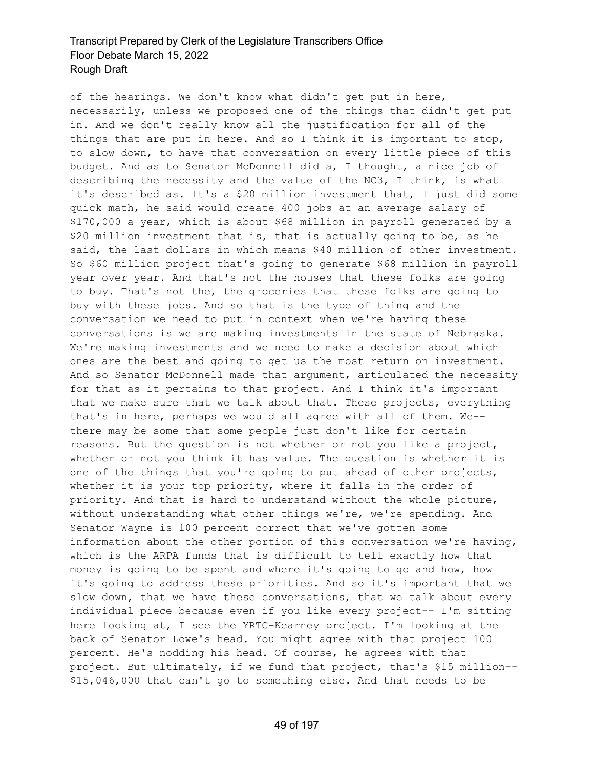of the hearings. We don't know what didn't get put in here, necessarily, unless we proposed one of the things that didn't get put in. And we don't really know all the justification for all of the things that are put in here. And so I think it is important to stop, to slow down, to have that conversation on every little piece of this budget. And as to Senator McDonnell did a, I thought, a nice job of describing the necessity and the value of the NC3, I think, is what it's described as. It's a \$20 million investment that, I just did some quick math, he said would create 400 jobs at an average salary of \$170,000 a year, which is about \$68 million in payroll generated by a \$20 million investment that is, that is actually going to be, as he said, the last dollars in which means \$40 million of other investment. So \$60 million project that's going to generate \$68 million in payroll year over year. And that's not the houses that these folks are going to buy. That's not the, the groceries that these folks are going to buy with these jobs. And so that is the type of thing and the conversation we need to put in context when we're having these conversations is we are making investments in the state of Nebraska. We're making investments and we need to make a decision about which ones are the best and going to get us the most return on investment. And so Senator McDonnell made that argument, articulated the necessity for that as it pertains to that project. And I think it's important that we make sure that we talk about that. These projects, everything that's in here, perhaps we would all agree with all of them. We- there may be some that some people just don't like for certain reasons. But the question is not whether or not you like a project, whether or not you think it has value. The question is whether it is one of the things that you're going to put ahead of other projects, whether it is your top priority, where it falls in the order of priority. And that is hard to understand without the whole picture, without understanding what other things we're, we're spending. And Senator Wayne is 100 percent correct that we've gotten some information about the other portion of this conversation we're having, which is the ARPA funds that is difficult to tell exactly how that money is going to be spent and where it's going to go and how, how it's going to address these priorities. And so it's important that we slow down, that we have these conversations, that we talk about every individual piece because even if you like every project-- I'm sitting here looking at, I see the YRTC-Kearney project. I'm looking at the back of Senator Lowe's head. You might agree with that project 100 percent. He's nodding his head. Of course, he agrees with that project. But ultimately, if we fund that project, that's \$15 million-- \$15,046,000 that can't go to something else. And that needs to be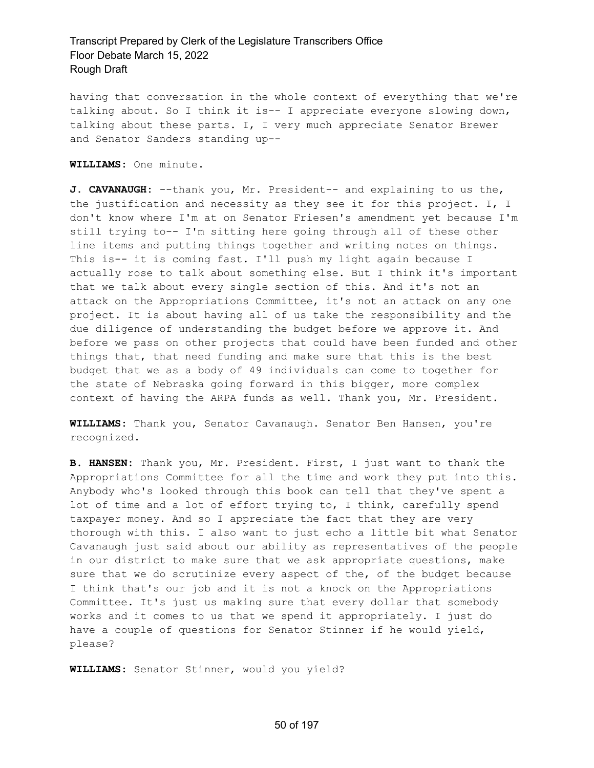having that conversation in the whole context of everything that we're talking about. So I think it is-- I appreciate everyone slowing down, talking about these parts. I, I very much appreciate Senator Brewer and Senator Sanders standing up--

**WILLIAMS:** One minute.

**J. CAVANAUGH:** --thank you, Mr. President-- and explaining to us the, the justification and necessity as they see it for this project. I, I don't know where I'm at on Senator Friesen's amendment yet because I'm still trying to-- I'm sitting here going through all of these other line items and putting things together and writing notes on things. This is-- it is coming fast. I'll push my light again because I actually rose to talk about something else. But I think it's important that we talk about every single section of this. And it's not an attack on the Appropriations Committee, it's not an attack on any one project. It is about having all of us take the responsibility and the due diligence of understanding the budget before we approve it. And before we pass on other projects that could have been funded and other things that, that need funding and make sure that this is the best budget that we as a body of 49 individuals can come to together for the state of Nebraska going forward in this bigger, more complex context of having the ARPA funds as well. Thank you, Mr. President.

**WILLIAMS:** Thank you, Senator Cavanaugh. Senator Ben Hansen, you're recognized.

**B. HANSEN:** Thank you, Mr. President. First, I just want to thank the Appropriations Committee for all the time and work they put into this. Anybody who's looked through this book can tell that they've spent a lot of time and a lot of effort trying to, I think, carefully spend taxpayer money. And so I appreciate the fact that they are very thorough with this. I also want to just echo a little bit what Senator Cavanaugh just said about our ability as representatives of the people in our district to make sure that we ask appropriate questions, make sure that we do scrutinize every aspect of the, of the budget because I think that's our job and it is not a knock on the Appropriations Committee. It's just us making sure that every dollar that somebody works and it comes to us that we spend it appropriately. I just do have a couple of questions for Senator Stinner if he would yield, please?

**WILLIAMS:** Senator Stinner, would you yield?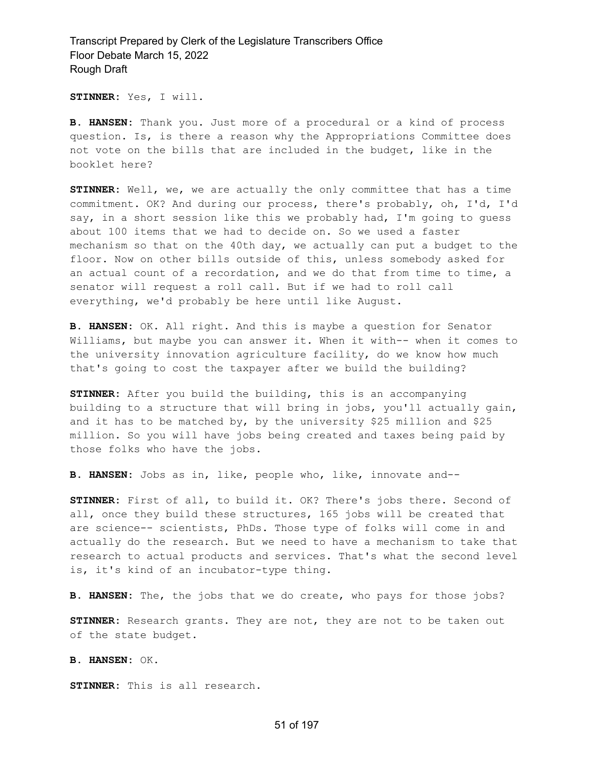**STINNER:** Yes, I will.

**B. HANSEN:** Thank you. Just more of a procedural or a kind of process question. Is, is there a reason why the Appropriations Committee does not vote on the bills that are included in the budget, like in the booklet here?

**STINNER:** Well, we, we are actually the only committee that has a time commitment. OK? And during our process, there's probably, oh, I'd, I'd say, in a short session like this we probably had, I'm going to guess about 100 items that we had to decide on. So we used a faster mechanism so that on the 40th day, we actually can put a budget to the floor. Now on other bills outside of this, unless somebody asked for an actual count of a recordation, and we do that from time to time, a senator will request a roll call. But if we had to roll call everything, we'd probably be here until like August.

**B. HANSEN:** OK. All right. And this is maybe a question for Senator Williams, but maybe you can answer it. When it with-- when it comes to the university innovation agriculture facility, do we know how much that's going to cost the taxpayer after we build the building?

**STINNER:** After you build the building, this is an accompanying building to a structure that will bring in jobs, you'll actually gain, and it has to be matched by, by the university \$25 million and \$25 million. So you will have jobs being created and taxes being paid by those folks who have the jobs.

**B. HANSEN:** Jobs as in, like, people who, like, innovate and--

**STINNER:** First of all, to build it. OK? There's jobs there. Second of all, once they build these structures, 165 jobs will be created that are science-- scientists, PhDs. Those type of folks will come in and actually do the research. But we need to have a mechanism to take that research to actual products and services. That's what the second level is, it's kind of an incubator-type thing.

**B. HANSEN:** The, the jobs that we do create, who pays for those jobs?

**STINNER:** Research grants. They are not, they are not to be taken out of the state budget.

**B. HANSEN:** OK.

**STINNER:** This is all research.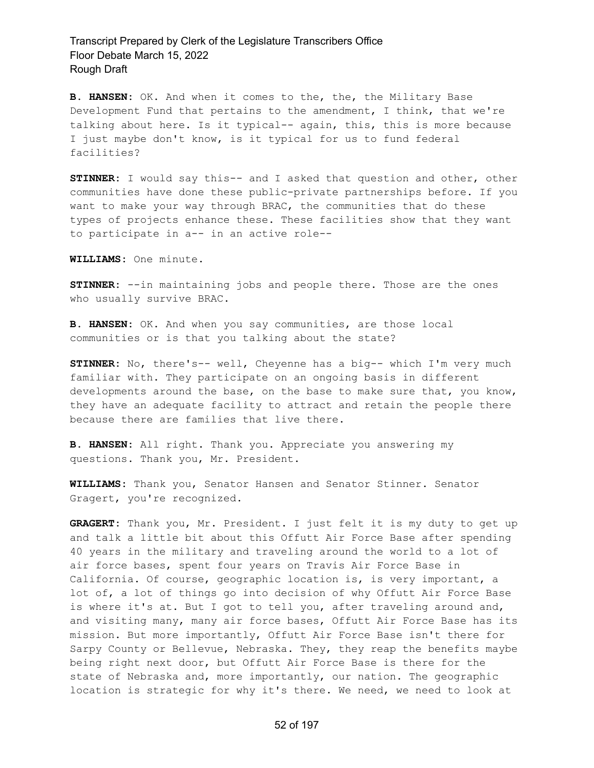**B. HANSEN:** OK. And when it comes to the, the, the Military Base Development Fund that pertains to the amendment, I think, that we're talking about here. Is it typical-- again, this, this is more because I just maybe don't know, is it typical for us to fund federal facilities?

**STINNER:** I would say this-- and I asked that question and other, other communities have done these public-private partnerships before. If you want to make your way through BRAC, the communities that do these types of projects enhance these. These facilities show that they want to participate in a-- in an active role--

**WILLIAMS:** One minute.

**STINNER:** --in maintaining jobs and people there. Those are the ones who usually survive BRAC.

**B. HANSEN:** OK. And when you say communities, are those local communities or is that you talking about the state?

**STINNER:** No, there's-- well, Cheyenne has a big-- which I'm very much familiar with. They participate on an ongoing basis in different developments around the base, on the base to make sure that, you know, they have an adequate facility to attract and retain the people there because there are families that live there.

**B. HANSEN:** All right. Thank you. Appreciate you answering my questions. Thank you, Mr. President.

**WILLIAMS:** Thank you, Senator Hansen and Senator Stinner. Senator Gragert, you're recognized.

**GRAGERT:** Thank you, Mr. President. I just felt it is my duty to get up and talk a little bit about this Offutt Air Force Base after spending 40 years in the military and traveling around the world to a lot of air force bases, spent four years on Travis Air Force Base in California. Of course, geographic location is, is very important, a lot of, a lot of things go into decision of why Offutt Air Force Base is where it's at. But I got to tell you, after traveling around and, and visiting many, many air force bases, Offutt Air Force Base has its mission. But more importantly, Offutt Air Force Base isn't there for Sarpy County or Bellevue, Nebraska. They, they reap the benefits maybe being right next door, but Offutt Air Force Base is there for the state of Nebraska and, more importantly, our nation. The geographic location is strategic for why it's there. We need, we need to look at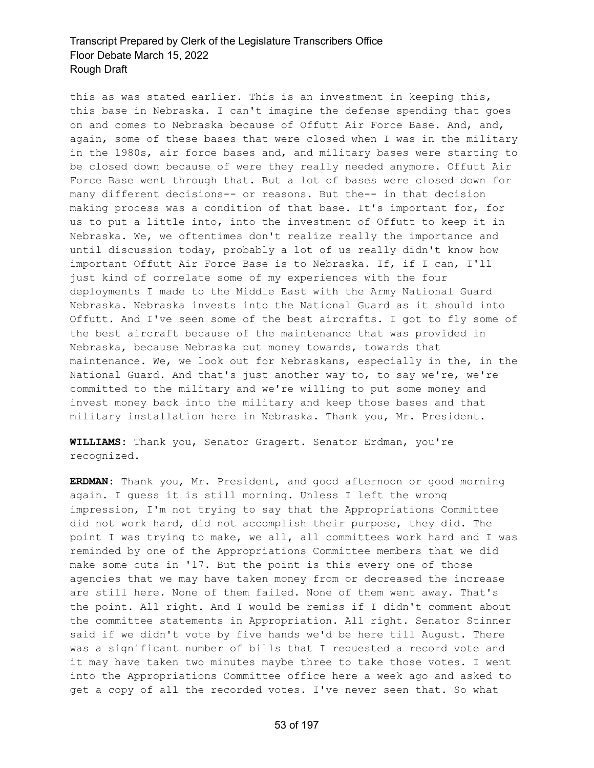this as was stated earlier. This is an investment in keeping this, this base in Nebraska. I can't imagine the defense spending that goes on and comes to Nebraska because of Offutt Air Force Base. And, and, again, some of these bases that were closed when I was in the military in the 1980s, air force bases and, and military bases were starting to be closed down because of were they really needed anymore. Offutt Air Force Base went through that. But a lot of bases were closed down for many different decisions-- or reasons. But the-- in that decision making process was a condition of that base. It's important for, for us to put a little into, into the investment of Offutt to keep it in Nebraska. We, we oftentimes don't realize really the importance and until discussion today, probably a lot of us really didn't know how important Offutt Air Force Base is to Nebraska. If, if I can, I'll just kind of correlate some of my experiences with the four deployments I made to the Middle East with the Army National Guard Nebraska. Nebraska invests into the National Guard as it should into Offutt. And I've seen some of the best aircrafts. I got to fly some of the best aircraft because of the maintenance that was provided in Nebraska, because Nebraska put money towards, towards that maintenance. We, we look out for Nebraskans, especially in the, in the National Guard. And that's just another way to, to say we're, we're committed to the military and we're willing to put some money and invest money back into the military and keep those bases and that military installation here in Nebraska. Thank you, Mr. President.

**WILLIAMS:** Thank you, Senator Gragert. Senator Erdman, you're recognized.

**ERDMAN:** Thank you, Mr. President, and good afternoon or good morning again. I guess it is still morning. Unless I left the wrong impression, I'm not trying to say that the Appropriations Committee did not work hard, did not accomplish their purpose, they did. The point I was trying to make, we all, all committees work hard and I was reminded by one of the Appropriations Committee members that we did make some cuts in '17. But the point is this every one of those agencies that we may have taken money from or decreased the increase are still here. None of them failed. None of them went away. That's the point. All right. And I would be remiss if I didn't comment about the committee statements in Appropriation. All right. Senator Stinner said if we didn't vote by five hands we'd be here till August. There was a significant number of bills that I requested a record vote and it may have taken two minutes maybe three to take those votes. I went into the Appropriations Committee office here a week ago and asked to get a copy of all the recorded votes. I've never seen that. So what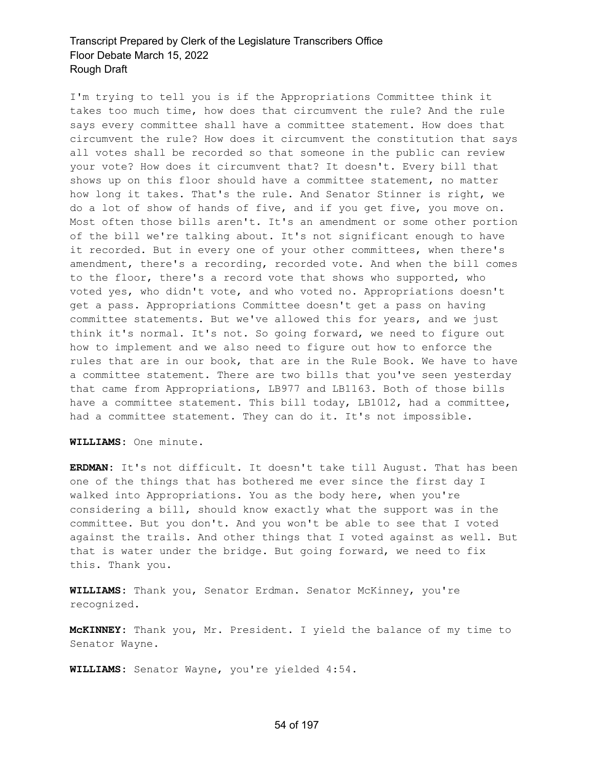I'm trying to tell you is if the Appropriations Committee think it takes too much time, how does that circumvent the rule? And the rule says every committee shall have a committee statement. How does that circumvent the rule? How does it circumvent the constitution that says all votes shall be recorded so that someone in the public can review your vote? How does it circumvent that? It doesn't. Every bill that shows up on this floor should have a committee statement, no matter how long it takes. That's the rule. And Senator Stinner is right, we do a lot of show of hands of five, and if you get five, you move on. Most often those bills aren't. It's an amendment or some other portion of the bill we're talking about. It's not significant enough to have it recorded. But in every one of your other committees, when there's amendment, there's a recording, recorded vote. And when the bill comes to the floor, there's a record vote that shows who supported, who voted yes, who didn't vote, and who voted no. Appropriations doesn't get a pass. Appropriations Committee doesn't get a pass on having committee statements. But we've allowed this for years, and we just think it's normal. It's not. So going forward, we need to figure out how to implement and we also need to figure out how to enforce the rules that are in our book, that are in the Rule Book. We have to have a committee statement. There are two bills that you've seen yesterday that came from Appropriations, LB977 and LB1163. Both of those bills have a committee statement. This bill today, LB1012, had a committee, had a committee statement. They can do it. It's not impossible.

**WILLIAMS:** One minute.

**ERDMAN:** It's not difficult. It doesn't take till August. That has been one of the things that has bothered me ever since the first day I walked into Appropriations. You as the body here, when you're considering a bill, should know exactly what the support was in the committee. But you don't. And you won't be able to see that I voted against the trails. And other things that I voted against as well. But that is water under the bridge. But going forward, we need to fix this. Thank you.

**WILLIAMS:** Thank you, Senator Erdman. Senator McKinney, you're recognized.

**McKINNEY:** Thank you, Mr. President. I yield the balance of my time to Senator Wayne.

**WILLIAMS:** Senator Wayne, you're yielded 4:54.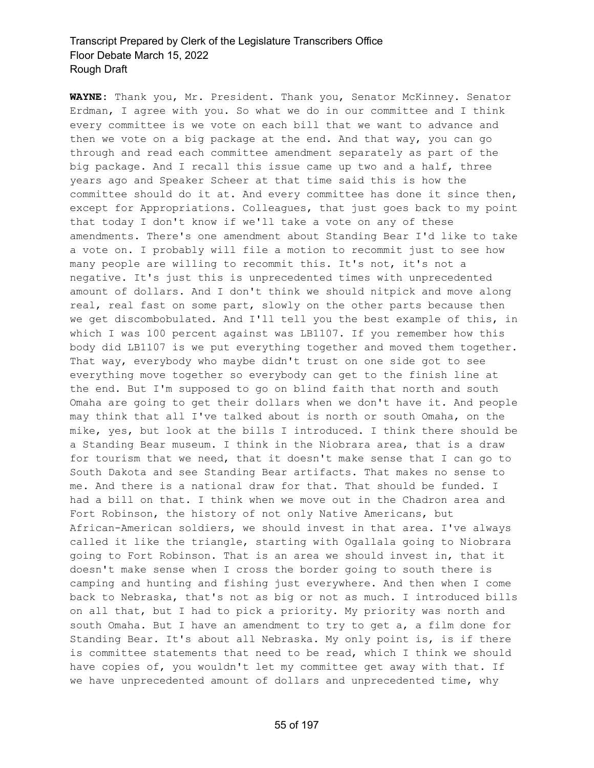**WAYNE:** Thank you, Mr. President. Thank you, Senator McKinney. Senator Erdman, I agree with you. So what we do in our committee and I think every committee is we vote on each bill that we want to advance and then we vote on a big package at the end. And that way, you can go through and read each committee amendment separately as part of the big package. And I recall this issue came up two and a half, three years ago and Speaker Scheer at that time said this is how the committee should do it at. And every committee has done it since then, except for Appropriations. Colleagues, that just goes back to my point that today I don't know if we'll take a vote on any of these amendments. There's one amendment about Standing Bear I'd like to take a vote on. I probably will file a motion to recommit just to see how many people are willing to recommit this. It's not, it's not a negative. It's just this is unprecedented times with unprecedented amount of dollars. And I don't think we should nitpick and move along real, real fast on some part, slowly on the other parts because then we get discombobulated. And I'll tell you the best example of this, in which I was 100 percent against was LB1107. If you remember how this body did LB1107 is we put everything together and moved them together. That way, everybody who maybe didn't trust on one side got to see everything move together so everybody can get to the finish line at the end. But I'm supposed to go on blind faith that north and south Omaha are going to get their dollars when we don't have it. And people may think that all I've talked about is north or south Omaha, on the mike, yes, but look at the bills I introduced. I think there should be a Standing Bear museum. I think in the Niobrara area, that is a draw for tourism that we need, that it doesn't make sense that I can go to South Dakota and see Standing Bear artifacts. That makes no sense to me. And there is a national draw for that. That should be funded. I had a bill on that. I think when we move out in the Chadron area and Fort Robinson, the history of not only Native Americans, but African-American soldiers, we should invest in that area. I've always called it like the triangle, starting with Ogallala going to Niobrara going to Fort Robinson. That is an area we should invest in, that it doesn't make sense when I cross the border going to south there is camping and hunting and fishing just everywhere. And then when I come back to Nebraska, that's not as big or not as much. I introduced bills on all that, but I had to pick a priority. My priority was north and south Omaha. But I have an amendment to try to get a, a film done for Standing Bear. It's about all Nebraska. My only point is, is if there is committee statements that need to be read, which I think we should have copies of, you wouldn't let my committee get away with that. If we have unprecedented amount of dollars and unprecedented time, why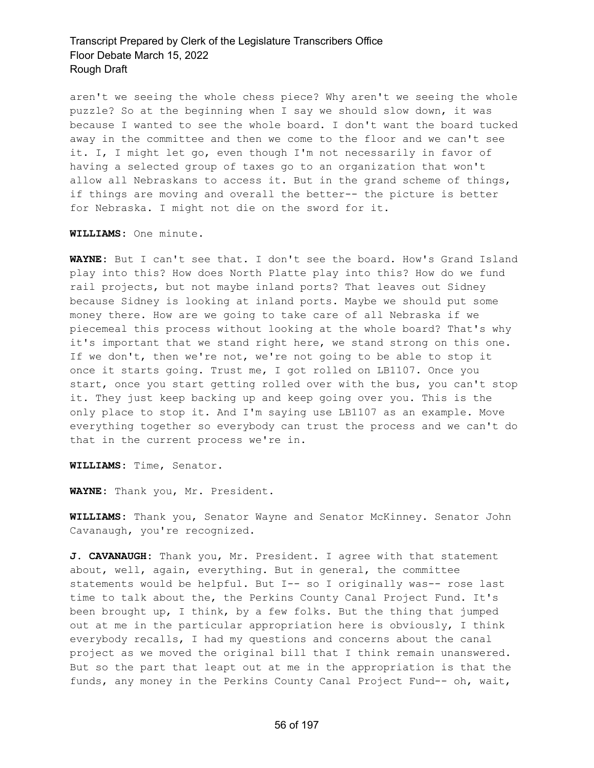aren't we seeing the whole chess piece? Why aren't we seeing the whole puzzle? So at the beginning when I say we should slow down, it was because I wanted to see the whole board. I don't want the board tucked away in the committee and then we come to the floor and we can't see it. I, I might let go, even though I'm not necessarily in favor of having a selected group of taxes go to an organization that won't allow all Nebraskans to access it. But in the grand scheme of things, if things are moving and overall the better-- the picture is better for Nebraska. I might not die on the sword for it.

**WILLIAMS:** One minute.

**WAYNE:** But I can't see that. I don't see the board. How's Grand Island play into this? How does North Platte play into this? How do we fund rail projects, but not maybe inland ports? That leaves out Sidney because Sidney is looking at inland ports. Maybe we should put some money there. How are we going to take care of all Nebraska if we piecemeal this process without looking at the whole board? That's why it's important that we stand right here, we stand strong on this one. If we don't, then we're not, we're not going to be able to stop it once it starts going. Trust me, I got rolled on LB1107. Once you start, once you start getting rolled over with the bus, you can't stop it. They just keep backing up and keep going over you. This is the only place to stop it. And I'm saying use LB1107 as an example. Move everything together so everybody can trust the process and we can't do that in the current process we're in.

**WILLIAMS:** Time, Senator.

**WAYNE:** Thank you, Mr. President.

**WILLIAMS:** Thank you, Senator Wayne and Senator McKinney. Senator John Cavanaugh, you're recognized.

**J. CAVANAUGH:** Thank you, Mr. President. I agree with that statement about, well, again, everything. But in general, the committee statements would be helpful. But I-- so I originally was-- rose last time to talk about the, the Perkins County Canal Project Fund. It's been brought up, I think, by a few folks. But the thing that jumped out at me in the particular appropriation here is obviously, I think everybody recalls, I had my questions and concerns about the canal project as we moved the original bill that I think remain unanswered. But so the part that leapt out at me in the appropriation is that the funds, any money in the Perkins County Canal Project Fund-- oh, wait,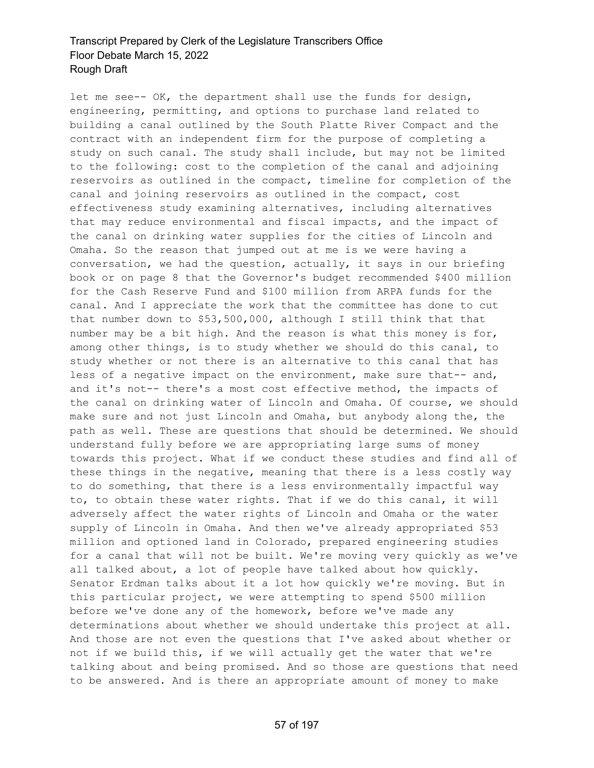let me see-- OK, the department shall use the funds for design, engineering, permitting, and options to purchase land related to building a canal outlined by the South Platte River Compact and the contract with an independent firm for the purpose of completing a study on such canal. The study shall include, but may not be limited to the following: cost to the completion of the canal and adjoining reservoirs as outlined in the compact, timeline for completion of the canal and joining reservoirs as outlined in the compact, cost effectiveness study examining alternatives, including alternatives that may reduce environmental and fiscal impacts, and the impact of the canal on drinking water supplies for the cities of Lincoln and Omaha. So the reason that jumped out at me is we were having a conversation, we had the question, actually, it says in our briefing book or on page 8 that the Governor's budget recommended \$400 million for the Cash Reserve Fund and \$100 million from ARPA funds for the canal. And I appreciate the work that the committee has done to cut that number down to \$53,500,000, although I still think that that number may be a bit high. And the reason is what this money is for, among other things, is to study whether we should do this canal, to study whether or not there is an alternative to this canal that has less of a negative impact on the environment, make sure that-- and, and it's not-- there's a most cost effective method, the impacts of the canal on drinking water of Lincoln and Omaha. Of course, we should make sure and not just Lincoln and Omaha, but anybody along the, the path as well. These are questions that should be determined. We should understand fully before we are appropriating large sums of money towards this project. What if we conduct these studies and find all of these things in the negative, meaning that there is a less costly way to do something, that there is a less environmentally impactful way to, to obtain these water rights. That if we do this canal, it will adversely affect the water rights of Lincoln and Omaha or the water supply of Lincoln in Omaha. And then we've already appropriated \$53 million and optioned land in Colorado, prepared engineering studies for a canal that will not be built. We're moving very quickly as we've all talked about, a lot of people have talked about how quickly. Senator Erdman talks about it a lot how quickly we're moving. But in this particular project, we were attempting to spend \$500 million before we've done any of the homework, before we've made any determinations about whether we should undertake this project at all. And those are not even the questions that I've asked about whether or not if we build this, if we will actually get the water that we're talking about and being promised. And so those are questions that need to be answered. And is there an appropriate amount of money to make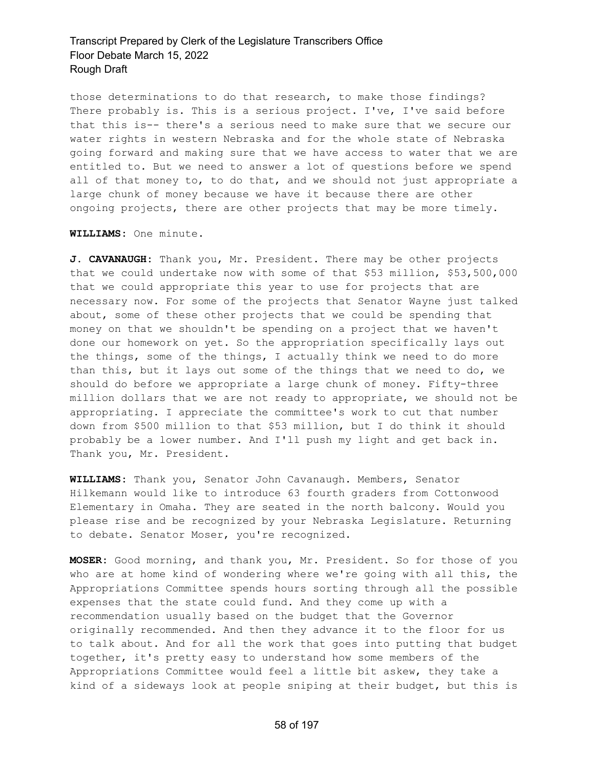those determinations to do that research, to make those findings? There probably is. This is a serious project. I've, I've said before that this is-- there's a serious need to make sure that we secure our water rights in western Nebraska and for the whole state of Nebraska going forward and making sure that we have access to water that we are entitled to. But we need to answer a lot of questions before we spend all of that money to, to do that, and we should not just appropriate a large chunk of money because we have it because there are other ongoing projects, there are other projects that may be more timely.

**WILLIAMS:** One minute.

**J. CAVANAUGH:** Thank you, Mr. President. There may be other projects that we could undertake now with some of that \$53 million, \$53,500,000 that we could appropriate this year to use for projects that are necessary now. For some of the projects that Senator Wayne just talked about, some of these other projects that we could be spending that money on that we shouldn't be spending on a project that we haven't done our homework on yet. So the appropriation specifically lays out the things, some of the things, I actually think we need to do more than this, but it lays out some of the things that we need to do, we should do before we appropriate a large chunk of money. Fifty-three million dollars that we are not ready to appropriate, we should not be appropriating. I appreciate the committee's work to cut that number down from \$500 million to that \$53 million, but I do think it should probably be a lower number. And I'll push my light and get back in. Thank you, Mr. President.

**WILLIAMS:** Thank you, Senator John Cavanaugh. Members, Senator Hilkemann would like to introduce 63 fourth graders from Cottonwood Elementary in Omaha. They are seated in the north balcony. Would you please rise and be recognized by your Nebraska Legislature. Returning to debate. Senator Moser, you're recognized.

**MOSER:** Good morning, and thank you, Mr. President. So for those of you who are at home kind of wondering where we're going with all this, the Appropriations Committee spends hours sorting through all the possible expenses that the state could fund. And they come up with a recommendation usually based on the budget that the Governor originally recommended. And then they advance it to the floor for us to talk about. And for all the work that goes into putting that budget together, it's pretty easy to understand how some members of the Appropriations Committee would feel a little bit askew, they take a kind of a sideways look at people sniping at their budget, but this is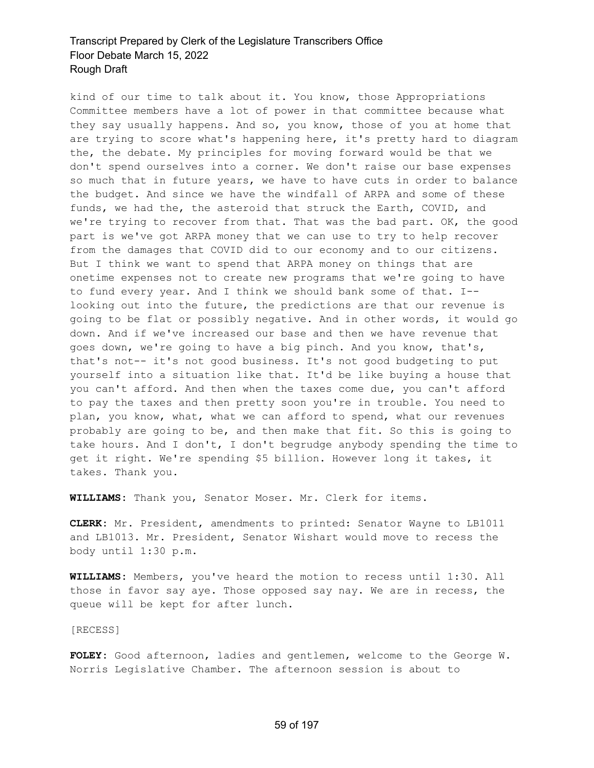kind of our time to talk about it. You know, those Appropriations Committee members have a lot of power in that committee because what they say usually happens. And so, you know, those of you at home that are trying to score what's happening here, it's pretty hard to diagram the, the debate. My principles for moving forward would be that we don't spend ourselves into a corner. We don't raise our base expenses so much that in future years, we have to have cuts in order to balance the budget. And since we have the windfall of ARPA and some of these funds, we had the, the asteroid that struck the Earth, COVID, and we're trying to recover from that. That was the bad part. OK, the good part is we've got ARPA money that we can use to try to help recover from the damages that COVID did to our economy and to our citizens. But I think we want to spend that ARPA money on things that are onetime expenses not to create new programs that we're going to have to fund every year. And I think we should bank some of that. I- looking out into the future, the predictions are that our revenue is going to be flat or possibly negative. And in other words, it would go down. And if we've increased our base and then we have revenue that goes down, we're going to have a big pinch. And you know, that's, that's not-- it's not good business. It's not good budgeting to put yourself into a situation like that. It'd be like buying a house that you can't afford. And then when the taxes come due, you can't afford to pay the taxes and then pretty soon you're in trouble. You need to plan, you know, what, what we can afford to spend, what our revenues probably are going to be, and then make that fit. So this is going to take hours. And I don't, I don't begrudge anybody spending the time to get it right. We're spending \$5 billion. However long it takes, it takes. Thank you.

**WILLIAMS:** Thank you, Senator Moser. Mr. Clerk for items.

**CLERK:** Mr. President, amendments to printed: Senator Wayne to LB1011 and LB1013. Mr. President, Senator Wishart would move to recess the body until 1:30 p.m.

**WILLIAMS:** Members, you've heard the motion to recess until 1:30. All those in favor say aye. Those opposed say nay. We are in recess, the queue will be kept for after lunch.

[RECESS]

**FOLEY:** Good afternoon, ladies and gentlemen, welcome to the George W. Norris Legislative Chamber. The afternoon session is about to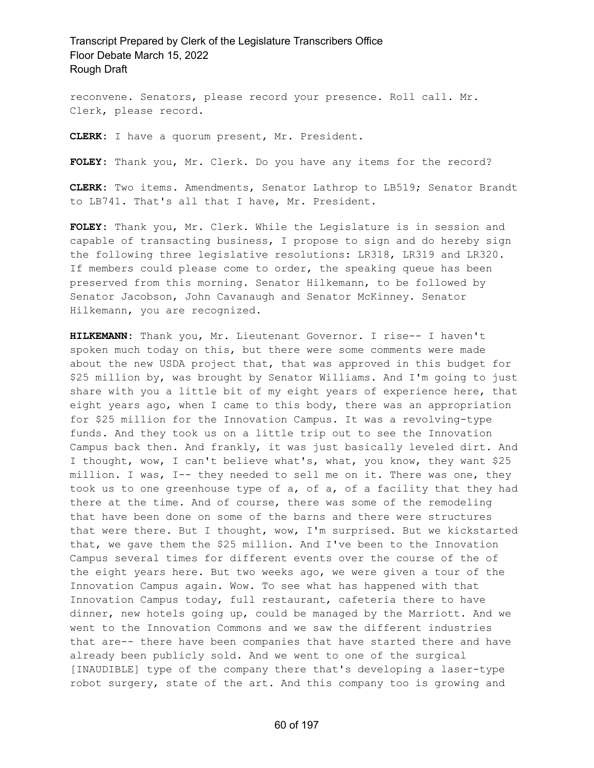reconvene. Senators, please record your presence. Roll call. Mr. Clerk, please record.

**CLERK:** I have a quorum present, Mr. President.

**FOLEY:** Thank you, Mr. Clerk. Do you have any items for the record?

**CLERK:** Two items. Amendments, Senator Lathrop to LB519; Senator Brandt to LB741. That's all that I have, Mr. President.

**FOLEY:** Thank you, Mr. Clerk. While the Legislature is in session and capable of transacting business, I propose to sign and do hereby sign the following three legislative resolutions: LR318, LR319 and LR320. If members could please come to order, the speaking queue has been preserved from this morning. Senator Hilkemann, to be followed by Senator Jacobson, John Cavanaugh and Senator McKinney. Senator Hilkemann, you are recognized.

**HILKEMANN:** Thank you, Mr. Lieutenant Governor. I rise-- I haven't spoken much today on this, but there were some comments were made about the new USDA project that, that was approved in this budget for \$25 million by, was brought by Senator Williams. And I'm going to just share with you a little bit of my eight years of experience here, that eight years ago, when I came to this body, there was an appropriation for \$25 million for the Innovation Campus. It was a revolving-type funds. And they took us on a little trip out to see the Innovation Campus back then. And frankly, it was just basically leveled dirt. And I thought, wow, I can't believe what's, what, you know, they want \$25 million. I was, I-- they needed to sell me on it. There was one, they took us to one greenhouse type of a, of a, of a facility that they had there at the time. And of course, there was some of the remodeling that have been done on some of the barns and there were structures that were there. But I thought, wow, I'm surprised. But we kickstarted that, we gave them the \$25 million. And I've been to the Innovation Campus several times for different events over the course of the of the eight years here. But two weeks ago, we were given a tour of the Innovation Campus again. Wow. To see what has happened with that Innovation Campus today, full restaurant, cafeteria there to have dinner, new hotels going up, could be managed by the Marriott. And we went to the Innovation Commons and we saw the different industries that are-- there have been companies that have started there and have already been publicly sold. And we went to one of the surgical [INAUDIBLE] type of the company there that's developing a laser-type robot surgery, state of the art. And this company too is growing and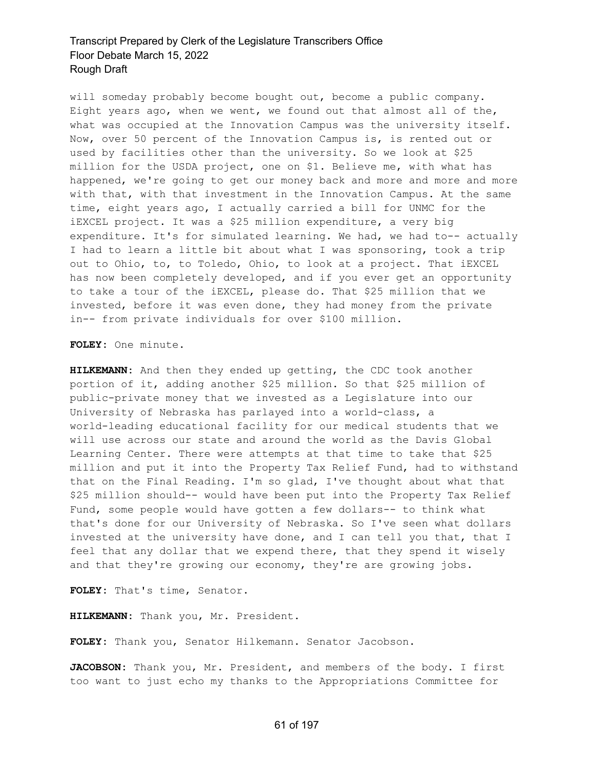will someday probably become bought out, become a public company. Eight years ago, when we went, we found out that almost all of the, what was occupied at the Innovation Campus was the university itself. Now, over 50 percent of the Innovation Campus is, is rented out or used by facilities other than the university. So we look at \$25 million for the USDA project, one on \$1. Believe me, with what has happened, we're going to get our money back and more and more and more with that, with that investment in the Innovation Campus. At the same time, eight years ago, I actually carried a bill for UNMC for the iEXCEL project. It was a \$25 million expenditure, a very big expenditure. It's for simulated learning. We had, we had to-- actually I had to learn a little bit about what I was sponsoring, took a trip out to Ohio, to, to Toledo, Ohio, to look at a project. That iEXCEL has now been completely developed, and if you ever get an opportunity to take a tour of the iEXCEL, please do. That \$25 million that we invested, before it was even done, they had money from the private in-- from private individuals for over \$100 million.

#### **FOLEY:** One minute.

**HILKEMANN:** And then they ended up getting, the CDC took another portion of it, adding another \$25 million. So that \$25 million of public-private money that we invested as a Legislature into our University of Nebraska has parlayed into a world-class, a world-leading educational facility for our medical students that we will use across our state and around the world as the Davis Global Learning Center. There were attempts at that time to take that \$25 million and put it into the Property Tax Relief Fund, had to withstand that on the Final Reading. I'm so glad, I've thought about what that \$25 million should-- would have been put into the Property Tax Relief Fund, some people would have gotten a few dollars-- to think what that's done for our University of Nebraska. So I've seen what dollars invested at the university have done, and I can tell you that, that I feel that any dollar that we expend there, that they spend it wisely and that they're growing our economy, they're are growing jobs.

**FOLEY:** That's time, Senator.

**HILKEMANN:** Thank you, Mr. President.

**FOLEY:** Thank you, Senator Hilkemann. Senator Jacobson.

**JACOBSON:** Thank you, Mr. President, and members of the body. I first too want to just echo my thanks to the Appropriations Committee for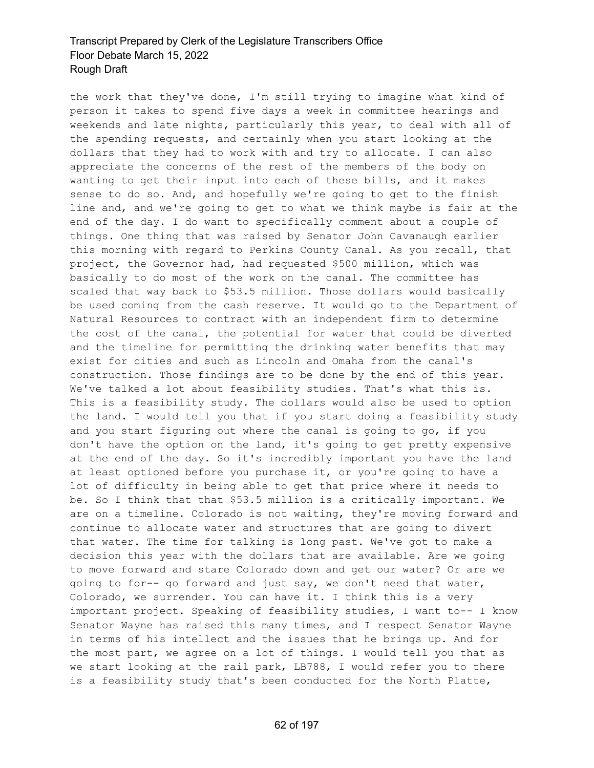the work that they've done, I'm still trying to imagine what kind of person it takes to spend five days a week in committee hearings and weekends and late nights, particularly this year, to deal with all of the spending requests, and certainly when you start looking at the dollars that they had to work with and try to allocate. I can also appreciate the concerns of the rest of the members of the body on wanting to get their input into each of these bills, and it makes sense to do so. And, and hopefully we're going to get to the finish line and, and we're going to get to what we think maybe is fair at the end of the day. I do want to specifically comment about a couple of things. One thing that was raised by Senator John Cavanaugh earlier this morning with regard to Perkins County Canal. As you recall, that project, the Governor had, had requested \$500 million, which was basically to do most of the work on the canal. The committee has scaled that way back to \$53.5 million. Those dollars would basically be used coming from the cash reserve. It would go to the Department of Natural Resources to contract with an independent firm to determine the cost of the canal, the potential for water that could be diverted and the timeline for permitting the drinking water benefits that may exist for cities and such as Lincoln and Omaha from the canal's construction. Those findings are to be done by the end of this year. We've talked a lot about feasibility studies. That's what this is. This is a feasibility study. The dollars would also be used to option the land. I would tell you that if you start doing a feasibility study and you start figuring out where the canal is going to go, if you don't have the option on the land, it's going to get pretty expensive at the end of the day. So it's incredibly important you have the land at least optioned before you purchase it, or you're going to have a lot of difficulty in being able to get that price where it needs to be. So I think that that \$53.5 million is a critically important. We are on a timeline. Colorado is not waiting, they're moving forward and continue to allocate water and structures that are going to divert that water. The time for talking is long past. We've got to make a decision this year with the dollars that are available. Are we going to move forward and stare Colorado down and get our water? Or are we going to for-- go forward and just say, we don't need that water, Colorado, we surrender. You can have it. I think this is a very important project. Speaking of feasibility studies, I want to-- I know Senator Wayne has raised this many times, and I respect Senator Wayne in terms of his intellect and the issues that he brings up. And for the most part, we agree on a lot of things. I would tell you that as we start looking at the rail park, LB788, I would refer you to there is a feasibility study that's been conducted for the North Platte,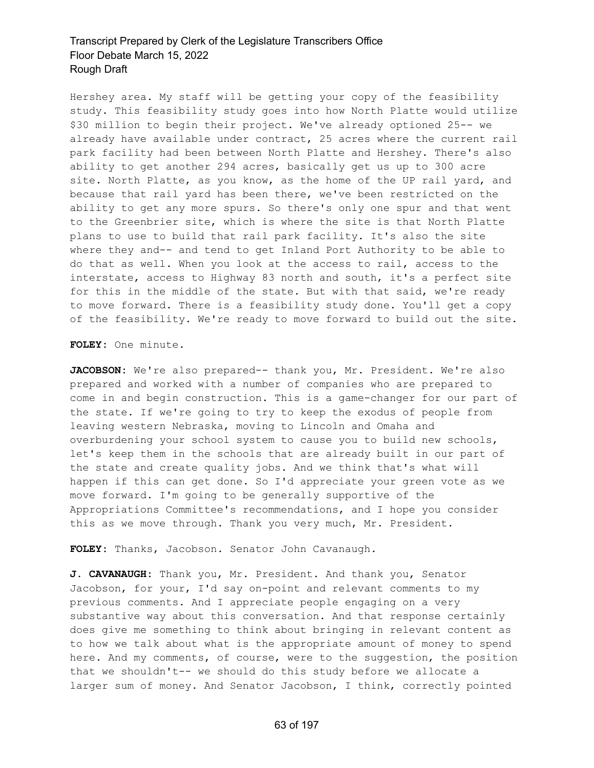Hershey area. My staff will be getting your copy of the feasibility study. This feasibility study goes into how North Platte would utilize \$30 million to begin their project. We've already optioned 25-- we already have available under contract, 25 acres where the current rail park facility had been between North Platte and Hershey. There's also ability to get another 294 acres, basically get us up to 300 acre site. North Platte, as you know, as the home of the UP rail yard, and because that rail yard has been there, we've been restricted on the ability to get any more spurs. So there's only one spur and that went to the Greenbrier site, which is where the site is that North Platte plans to use to build that rail park facility. It's also the site where they and-- and tend to get Inland Port Authority to be able to do that as well. When you look at the access to rail, access to the interstate, access to Highway 83 north and south, it's a perfect site for this in the middle of the state. But with that said, we're ready to move forward. There is a feasibility study done. You'll get a copy of the feasibility. We're ready to move forward to build out the site.

#### **FOLEY:** One minute.

**JACOBSON:** We're also prepared-- thank you, Mr. President. We're also prepared and worked with a number of companies who are prepared to come in and begin construction. This is a game-changer for our part of the state. If we're going to try to keep the exodus of people from leaving western Nebraska, moving to Lincoln and Omaha and overburdening your school system to cause you to build new schools, let's keep them in the schools that are already built in our part of the state and create quality jobs. And we think that's what will happen if this can get done. So I'd appreciate your green vote as we move forward. I'm going to be generally supportive of the Appropriations Committee's recommendations, and I hope you consider this as we move through. Thank you very much, Mr. President.

**FOLEY:** Thanks, Jacobson. Senator John Cavanaugh.

**J. CAVANAUGH:** Thank you, Mr. President. And thank you, Senator Jacobson, for your, I'd say on-point and relevant comments to my previous comments. And I appreciate people engaging on a very substantive way about this conversation. And that response certainly does give me something to think about bringing in relevant content as to how we talk about what is the appropriate amount of money to spend here. And my comments, of course, were to the suggestion, the position that we shouldn't-- we should do this study before we allocate a larger sum of money. And Senator Jacobson, I think, correctly pointed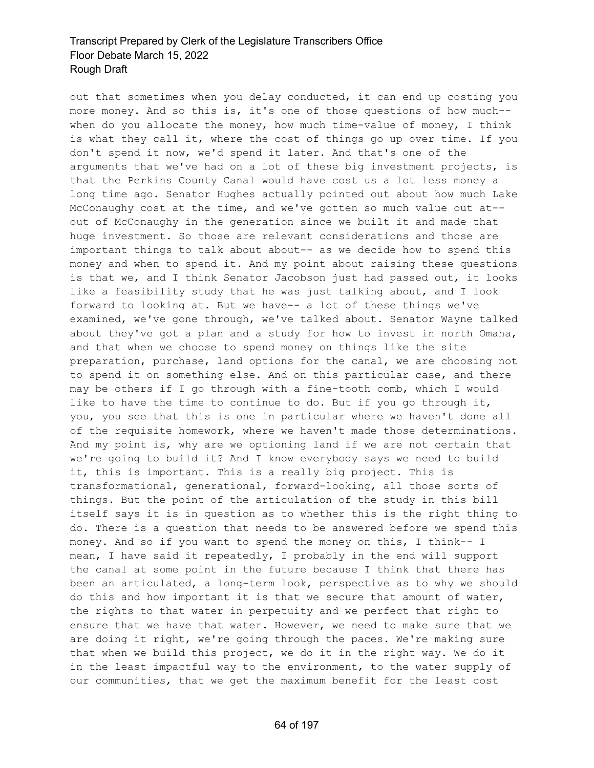out that sometimes when you delay conducted, it can end up costing you more money. And so this is, it's one of those questions of how much- when do you allocate the money, how much time-value of money, I think is what they call it, where the cost of things go up over time. If you don't spend it now, we'd spend it later. And that's one of the arguments that we've had on a lot of these big investment projects, is that the Perkins County Canal would have cost us a lot less money a long time ago. Senator Hughes actually pointed out about how much Lake McConaughy cost at the time, and we've gotten so much value out at- out of McConaughy in the generation since we built it and made that huge investment. So those are relevant considerations and those are important things to talk about about-- as we decide how to spend this money and when to spend it. And my point about raising these questions is that we, and I think Senator Jacobson just had passed out, it looks like a feasibility study that he was just talking about, and I look forward to looking at. But we have-- a lot of these things we've examined, we've gone through, we've talked about. Senator Wayne talked about they've got a plan and a study for how to invest in north Omaha, and that when we choose to spend money on things like the site preparation, purchase, land options for the canal, we are choosing not to spend it on something else. And on this particular case, and there may be others if I go through with a fine-tooth comb, which I would like to have the time to continue to do. But if you go through it, you, you see that this is one in particular where we haven't done all of the requisite homework, where we haven't made those determinations. And my point is, why are we optioning land if we are not certain that we're going to build it? And I know everybody says we need to build it, this is important. This is a really big project. This is transformational, generational, forward-looking, all those sorts of things. But the point of the articulation of the study in this bill itself says it is in question as to whether this is the right thing to do. There is a question that needs to be answered before we spend this money. And so if you want to spend the money on this, I think-- I mean, I have said it repeatedly, I probably in the end will support the canal at some point in the future because I think that there has been an articulated, a long-term look, perspective as to why we should do this and how important it is that we secure that amount of water, the rights to that water in perpetuity and we perfect that right to ensure that we have that water. However, we need to make sure that we are doing it right, we're going through the paces. We're making sure that when we build this project, we do it in the right way. We do it in the least impactful way to the environment, to the water supply of our communities, that we get the maximum benefit for the least cost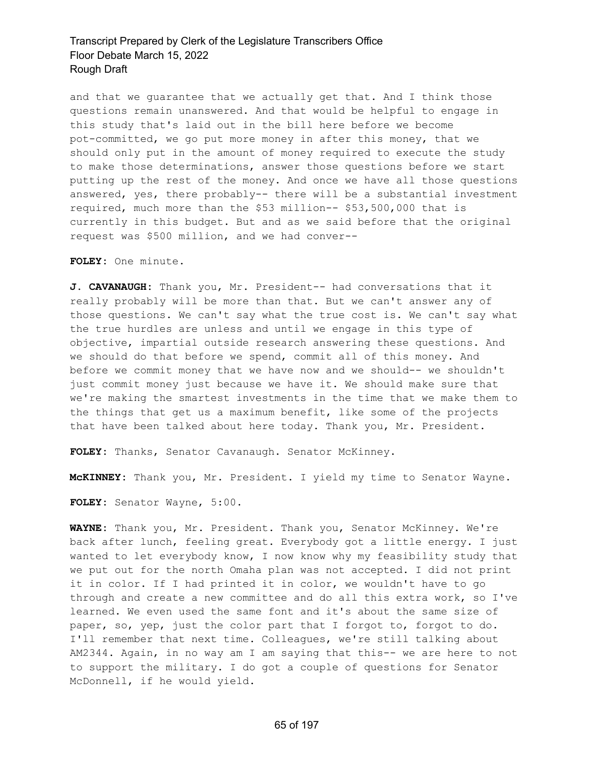and that we guarantee that we actually get that. And I think those questions remain unanswered. And that would be helpful to engage in this study that's laid out in the bill here before we become pot-committed, we go put more money in after this money, that we should only put in the amount of money required to execute the study to make those determinations, answer those questions before we start putting up the rest of the money. And once we have all those questions answered, yes, there probably-- there will be a substantial investment required, much more than the \$53 million-- \$53,500,000 that is currently in this budget. But and as we said before that the original request was \$500 million, and we had conver--

**FOLEY:** One minute.

**J. CAVANAUGH:** Thank you, Mr. President-- had conversations that it really probably will be more than that. But we can't answer any of those questions. We can't say what the true cost is. We can't say what the true hurdles are unless and until we engage in this type of objective, impartial outside research answering these questions. And we should do that before we spend, commit all of this money. And before we commit money that we have now and we should-- we shouldn't just commit money just because we have it. We should make sure that we're making the smartest investments in the time that we make them to the things that get us a maximum benefit, like some of the projects that have been talked about here today. Thank you, Mr. President.

**FOLEY:** Thanks, Senator Cavanaugh. Senator McKinney.

**McKINNEY:** Thank you, Mr. President. I yield my time to Senator Wayne.

**FOLEY:** Senator Wayne, 5:00.

**WAYNE:** Thank you, Mr. President. Thank you, Senator McKinney. We're back after lunch, feeling great. Everybody got a little energy. I just wanted to let everybody know, I now know why my feasibility study that we put out for the north Omaha plan was not accepted. I did not print it in color. If I had printed it in color, we wouldn't have to go through and create a new committee and do all this extra work, so I've learned. We even used the same font and it's about the same size of paper, so, yep, just the color part that I forgot to, forgot to do. I'll remember that next time. Colleagues, we're still talking about AM2344. Again, in no way am I am saying that this-- we are here to not to support the military. I do got a couple of questions for Senator McDonnell, if he would yield.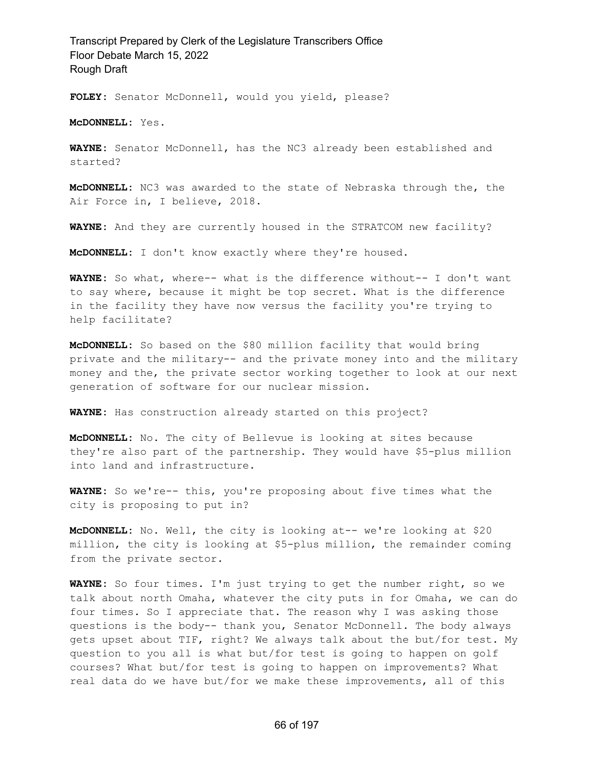**FOLEY:** Senator McDonnell, would you yield, please?

**McDONNELL:** Yes.

**WAYNE:** Senator McDonnell, has the NC3 already been established and started?

**McDONNELL:** NC3 was awarded to the state of Nebraska through the, the Air Force in, I believe, 2018.

**WAYNE:** And they are currently housed in the STRATCOM new facility?

**McDONNELL:** I don't know exactly where they're housed.

**WAYNE:** So what, where-- what is the difference without-- I don't want to say where, because it might be top secret. What is the difference in the facility they have now versus the facility you're trying to help facilitate?

**McDONNELL:** So based on the \$80 million facility that would bring private and the military-- and the private money into and the military money and the, the private sector working together to look at our next generation of software for our nuclear mission.

**WAYNE:** Has construction already started on this project?

**McDONNELL:** No. The city of Bellevue is looking at sites because they're also part of the partnership. They would have \$5-plus million into land and infrastructure.

**WAYNE:** So we're-- this, you're proposing about five times what the city is proposing to put in?

**McDONNELL:** No. Well, the city is looking at-- we're looking at \$20 million, the city is looking at \$5-plus million, the remainder coming from the private sector.

**WAYNE:** So four times. I'm just trying to get the number right, so we talk about north Omaha, whatever the city puts in for Omaha, we can do four times. So I appreciate that. The reason why I was asking those questions is the body-- thank you, Senator McDonnell. The body always gets upset about TIF, right? We always talk about the but/for test. My question to you all is what but/for test is going to happen on golf courses? What but/for test is going to happen on improvements? What real data do we have but/for we make these improvements, all of this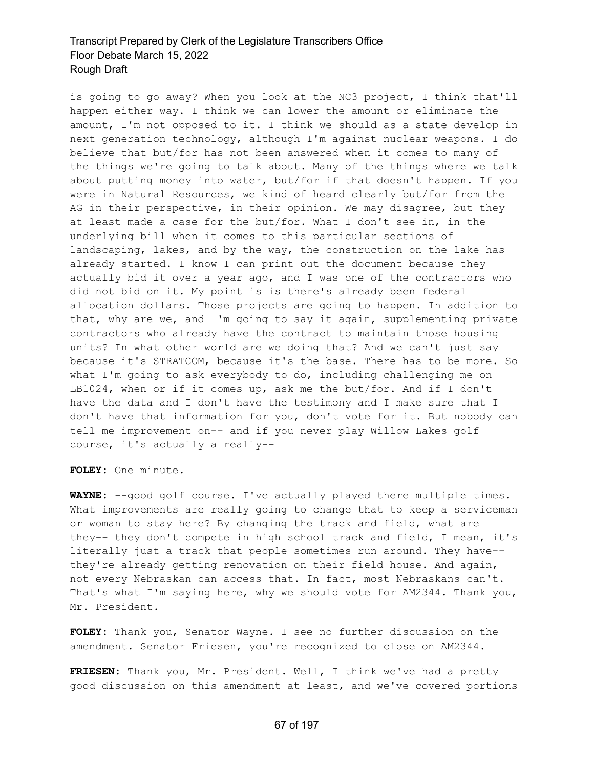is going to go away? When you look at the NC3 project, I think that'll happen either way. I think we can lower the amount or eliminate the amount, I'm not opposed to it. I think we should as a state develop in next generation technology, although I'm against nuclear weapons. I do believe that but/for has not been answered when it comes to many of the things we're going to talk about. Many of the things where we talk about putting money into water, but/for if that doesn't happen. If you were in Natural Resources, we kind of heard clearly but/for from the AG in their perspective, in their opinion. We may disagree, but they at least made a case for the but/for. What I don't see in, in the underlying bill when it comes to this particular sections of landscaping, lakes, and by the way, the construction on the lake has already started. I know I can print out the document because they actually bid it over a year ago, and I was one of the contractors who did not bid on it. My point is is there's already been federal allocation dollars. Those projects are going to happen. In addition to that, why are we, and I'm going to say it again, supplementing private contractors who already have the contract to maintain those housing units? In what other world are we doing that? And we can't just say because it's STRATCOM, because it's the base. There has to be more. So what I'm going to ask everybody to do, including challenging me on LB1024, when or if it comes up, ask me the but/for. And if I don't have the data and I don't have the testimony and I make sure that I don't have that information for you, don't vote for it. But nobody can tell me improvement on-- and if you never play Willow Lakes golf course, it's actually a really--

**FOLEY:** One minute.

**WAYNE:** --good golf course. I've actually played there multiple times. What improvements are really going to change that to keep a serviceman or woman to stay here? By changing the track and field, what are they-- they don't compete in high school track and field, I mean, it's literally just a track that people sometimes run around. They have- they're already getting renovation on their field house. And again, not every Nebraskan can access that. In fact, most Nebraskans can't. That's what I'm saying here, why we should vote for AM2344. Thank you, Mr. President.

**FOLEY:** Thank you, Senator Wayne. I see no further discussion on the amendment. Senator Friesen, you're recognized to close on AM2344.

**FRIESEN:** Thank you, Mr. President. Well, I think we've had a pretty good discussion on this amendment at least, and we've covered portions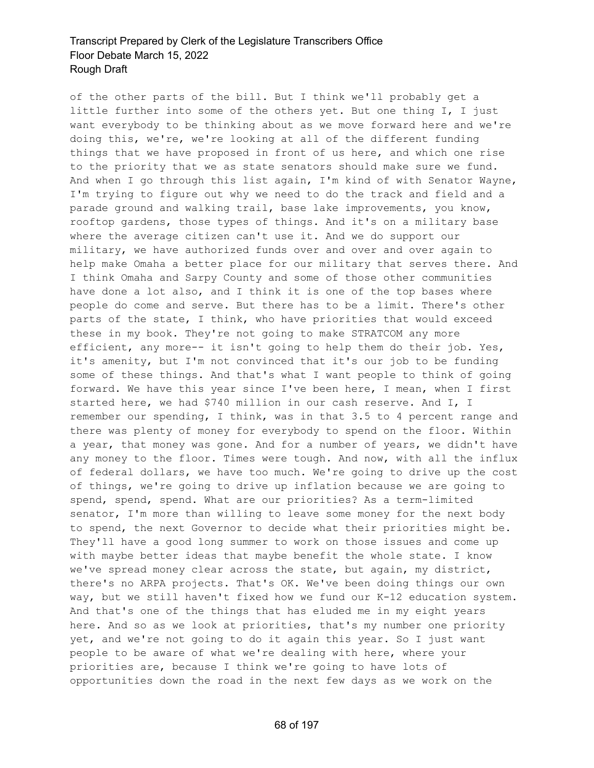of the other parts of the bill. But I think we'll probably get a little further into some of the others yet. But one thing I, I just want everybody to be thinking about as we move forward here and we're doing this, we're, we're looking at all of the different funding things that we have proposed in front of us here, and which one rise to the priority that we as state senators should make sure we fund. And when I go through this list again, I'm kind of with Senator Wayne, I'm trying to figure out why we need to do the track and field and a parade ground and walking trail, base lake improvements, you know, rooftop gardens, those types of things. And it's on a military base where the average citizen can't use it. And we do support our military, we have authorized funds over and over and over again to help make Omaha a better place for our military that serves there. And I think Omaha and Sarpy County and some of those other communities have done a lot also, and I think it is one of the top bases where people do come and serve. But there has to be a limit. There's other parts of the state, I think, who have priorities that would exceed these in my book. They're not going to make STRATCOM any more efficient, any more-- it isn't going to help them do their job. Yes, it's amenity, but I'm not convinced that it's our job to be funding some of these things. And that's what I want people to think of going forward. We have this year since I've been here, I mean, when I first started here, we had \$740 million in our cash reserve. And I, I remember our spending, I think, was in that 3.5 to 4 percent range and there was plenty of money for everybody to spend on the floor. Within a year, that money was gone. And for a number of years, we didn't have any money to the floor. Times were tough. And now, with all the influx of federal dollars, we have too much. We're going to drive up the cost of things, we're going to drive up inflation because we are going to spend, spend, spend. What are our priorities? As a term-limited senator, I'm more than willing to leave some money for the next body to spend, the next Governor to decide what their priorities might be. They'll have a good long summer to work on those issues and come up with maybe better ideas that maybe benefit the whole state. I know we've spread money clear across the state, but again, my district, there's no ARPA projects. That's OK. We've been doing things our own way, but we still haven't fixed how we fund our K-12 education system. And that's one of the things that has eluded me in my eight years here. And so as we look at priorities, that's my number one priority yet, and we're not going to do it again this year. So I just want people to be aware of what we're dealing with here, where your priorities are, because I think we're going to have lots of opportunities down the road in the next few days as we work on the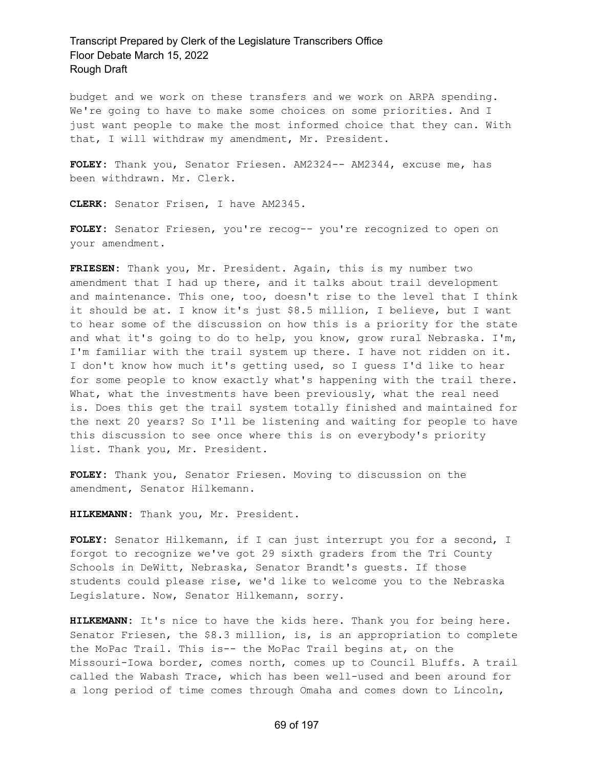budget and we work on these transfers and we work on ARPA spending. We're going to have to make some choices on some priorities. And I just want people to make the most informed choice that they can. With that, I will withdraw my amendment, Mr. President.

**FOLEY:** Thank you, Senator Friesen. AM2324-- AM2344, excuse me, has been withdrawn. Mr. Clerk.

**CLERK:** Senator Frisen, I have AM2345.

FOLEY: Senator Friesen, you're recog-- you're recognized to open on your amendment.

**FRIESEN:** Thank you, Mr. President. Again, this is my number two amendment that I had up there, and it talks about trail development and maintenance. This one, too, doesn't rise to the level that I think it should be at. I know it's just \$8.5 million, I believe, but I want to hear some of the discussion on how this is a priority for the state and what it's going to do to help, you know, grow rural Nebraska. I'm, I'm familiar with the trail system up there. I have not ridden on it. I don't know how much it's getting used, so I guess I'd like to hear for some people to know exactly what's happening with the trail there. What, what the investments have been previously, what the real need is. Does this get the trail system totally finished and maintained for the next 20 years? So I'll be listening and waiting for people to have this discussion to see once where this is on everybody's priority list. Thank you, Mr. President.

**FOLEY:** Thank you, Senator Friesen. Moving to discussion on the amendment, Senator Hilkemann.

**HILKEMANN:** Thank you, Mr. President.

**FOLEY:** Senator Hilkemann, if I can just interrupt you for a second, I forgot to recognize we've got 29 sixth graders from the Tri County Schools in DeWitt, Nebraska, Senator Brandt's guests. If those students could please rise, we'd like to welcome you to the Nebraska Legislature. Now, Senator Hilkemann, sorry.

**HILKEMANN:** It's nice to have the kids here. Thank you for being here. Senator Friesen, the \$8.3 million, is, is an appropriation to complete the MoPac Trail. This is-- the MoPac Trail begins at, on the Missouri-Iowa border, comes north, comes up to Council Bluffs. A trail called the Wabash Trace, which has been well-used and been around for a long period of time comes through Omaha and comes down to Lincoln,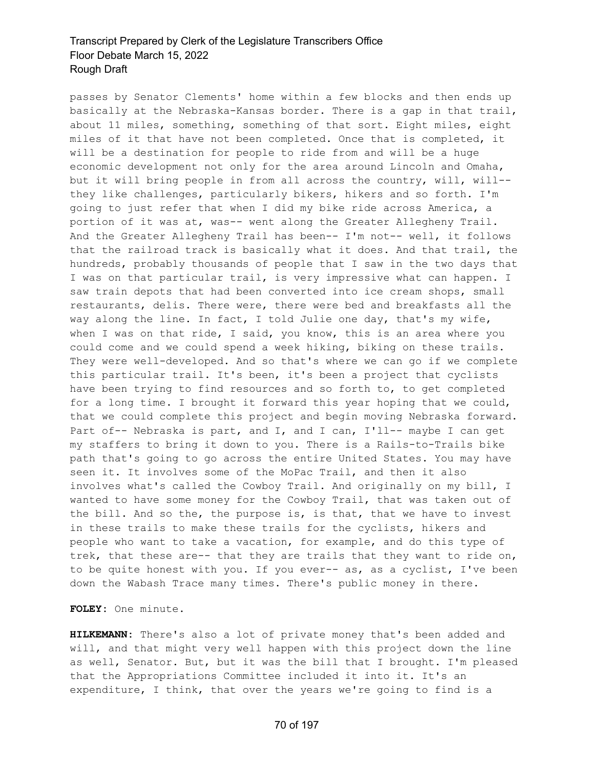passes by Senator Clements' home within a few blocks and then ends up basically at the Nebraska-Kansas border. There is a gap in that trail, about 11 miles, something, something of that sort. Eight miles, eight miles of it that have not been completed. Once that is completed, it will be a destination for people to ride from and will be a huge economic development not only for the area around Lincoln and Omaha, but it will bring people in from all across the country, will, will-they like challenges, particularly bikers, hikers and so forth. I'm going to just refer that when I did my bike ride across America, a portion of it was at, was-- went along the Greater Allegheny Trail. And the Greater Allegheny Trail has been-- I'm not-- well, it follows that the railroad track is basically what it does. And that trail, the hundreds, probably thousands of people that I saw in the two days that I was on that particular trail, is very impressive what can happen. I saw train depots that had been converted into ice cream shops, small restaurants, delis. There were, there were bed and breakfasts all the way along the line. In fact, I told Julie one day, that's my wife, when I was on that ride, I said, you know, this is an area where you could come and we could spend a week hiking, biking on these trails. They were well-developed. And so that's where we can go if we complete this particular trail. It's been, it's been a project that cyclists have been trying to find resources and so forth to, to get completed for a long time. I brought it forward this year hoping that we could, that we could complete this project and begin moving Nebraska forward. Part of-- Nebraska is part, and I, and I can, I'll-- maybe I can get my staffers to bring it down to you. There is a Rails-to-Trails bike path that's going to go across the entire United States. You may have seen it. It involves some of the MoPac Trail, and then it also involves what's called the Cowboy Trail. And originally on my bill, I wanted to have some money for the Cowboy Trail, that was taken out of the bill. And so the, the purpose is, is that, that we have to invest in these trails to make these trails for the cyclists, hikers and people who want to take a vacation, for example, and do this type of trek, that these are-- that they are trails that they want to ride on, to be quite honest with you. If you ever-- as, as a cyclist, I've been down the Wabash Trace many times. There's public money in there.

**FOLEY:** One minute.

**HILKEMANN:** There's also a lot of private money that's been added and will, and that might very well happen with this project down the line as well, Senator. But, but it was the bill that I brought. I'm pleased that the Appropriations Committee included it into it. It's an expenditure, I think, that over the years we're going to find is a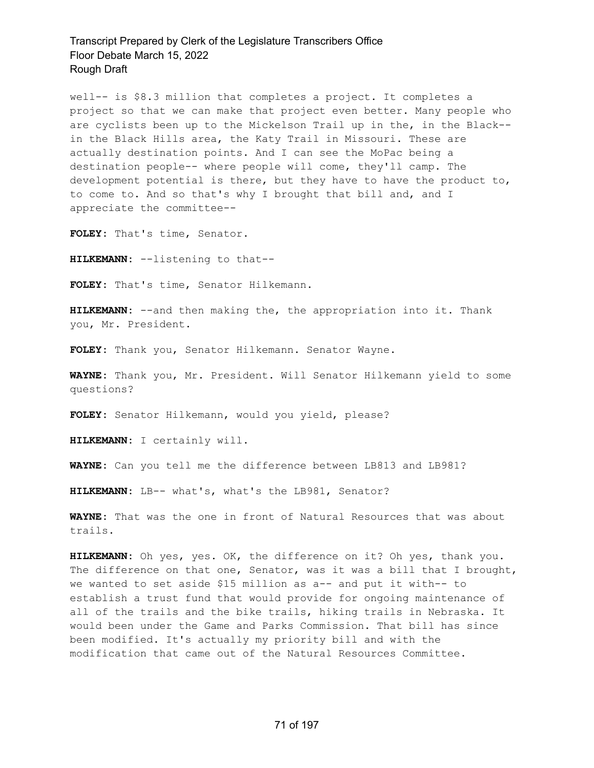well-- is \$8.3 million that completes a project. It completes a project so that we can make that project even better. Many people who are cyclists been up to the Mickelson Trail up in the, in the Black- in the Black Hills area, the Katy Trail in Missouri. These are actually destination points. And I can see the MoPac being a destination people-- where people will come, they'll camp. The development potential is there, but they have to have the product to, to come to. And so that's why I brought that bill and, and I appreciate the committee--

**FOLEY:** That's time, Senator.

**HILKEMANN:** --listening to that--

**FOLEY:** That's time, Senator Hilkemann.

**HILKEMANN:** --and then making the, the appropriation into it. Thank you, Mr. President.

**FOLEY:** Thank you, Senator Hilkemann. Senator Wayne.

**WAYNE:** Thank you, Mr. President. Will Senator Hilkemann yield to some questions?

**FOLEY:** Senator Hilkemann, would you yield, please?

**HILKEMANN:** I certainly will.

**WAYNE:** Can you tell me the difference between LB813 and LB981?

**HILKEMANN:** LB-- what's, what's the LB981, Senator?

**WAYNE:** That was the one in front of Natural Resources that was about trails.

**HILKEMANN:** Oh yes, yes. OK, the difference on it? Oh yes, thank you. The difference on that one, Senator, was it was a bill that I brought, we wanted to set aside \$15 million as a-- and put it with-- to establish a trust fund that would provide for ongoing maintenance of all of the trails and the bike trails, hiking trails in Nebraska. It would been under the Game and Parks Commission. That bill has since been modified. It's actually my priority bill and with the modification that came out of the Natural Resources Committee.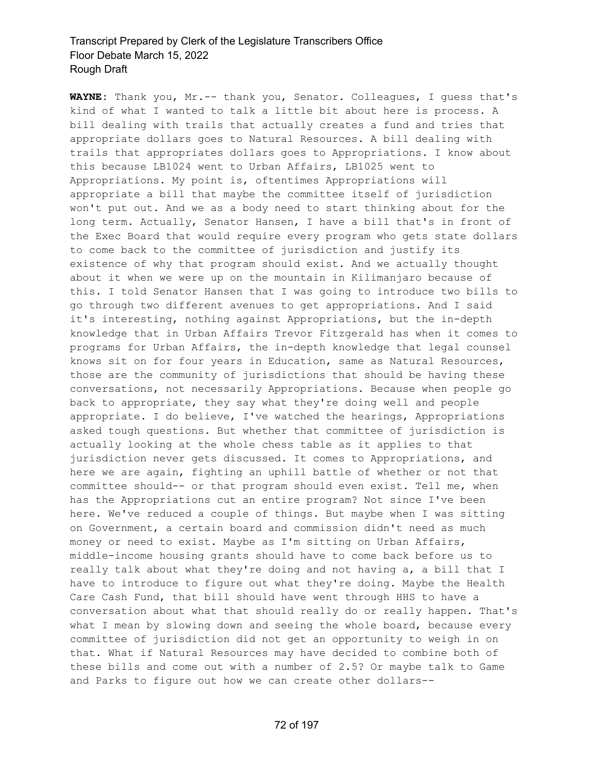**WAYNE:** Thank you, Mr.-- thank you, Senator. Colleagues, I guess that's kind of what I wanted to talk a little bit about here is process. A bill dealing with trails that actually creates a fund and tries that appropriate dollars goes to Natural Resources. A bill dealing with trails that appropriates dollars goes to Appropriations. I know about this because LB1024 went to Urban Affairs, LB1025 went to Appropriations. My point is, oftentimes Appropriations will appropriate a bill that maybe the committee itself of jurisdiction won't put out. And we as a body need to start thinking about for the long term. Actually, Senator Hansen, I have a bill that's in front of the Exec Board that would require every program who gets state dollars to come back to the committee of jurisdiction and justify its existence of why that program should exist. And we actually thought about it when we were up on the mountain in Kilimanjaro because of this. I told Senator Hansen that I was going to introduce two bills to go through two different avenues to get appropriations. And I said it's interesting, nothing against Appropriations, but the in-depth knowledge that in Urban Affairs Trevor Fitzgerald has when it comes to programs for Urban Affairs, the in-depth knowledge that legal counsel knows sit on for four years in Education, same as Natural Resources, those are the community of jurisdictions that should be having these conversations, not necessarily Appropriations. Because when people go back to appropriate, they say what they're doing well and people appropriate. I do believe, I've watched the hearings, Appropriations asked tough questions. But whether that committee of jurisdiction is actually looking at the whole chess table as it applies to that jurisdiction never gets discussed. It comes to Appropriations, and here we are again, fighting an uphill battle of whether or not that committee should-- or that program should even exist. Tell me, when has the Appropriations cut an entire program? Not since I've been here. We've reduced a couple of things. But maybe when I was sitting on Government, a certain board and commission didn't need as much money or need to exist. Maybe as I'm sitting on Urban Affairs, middle-income housing grants should have to come back before us to really talk about what they're doing and not having a, a bill that I have to introduce to figure out what they're doing. Maybe the Health Care Cash Fund, that bill should have went through HHS to have a conversation about what that should really do or really happen. That's what I mean by slowing down and seeing the whole board, because every committee of jurisdiction did not get an opportunity to weigh in on that. What if Natural Resources may have decided to combine both of these bills and come out with a number of 2.5? Or maybe talk to Game and Parks to figure out how we can create other dollars--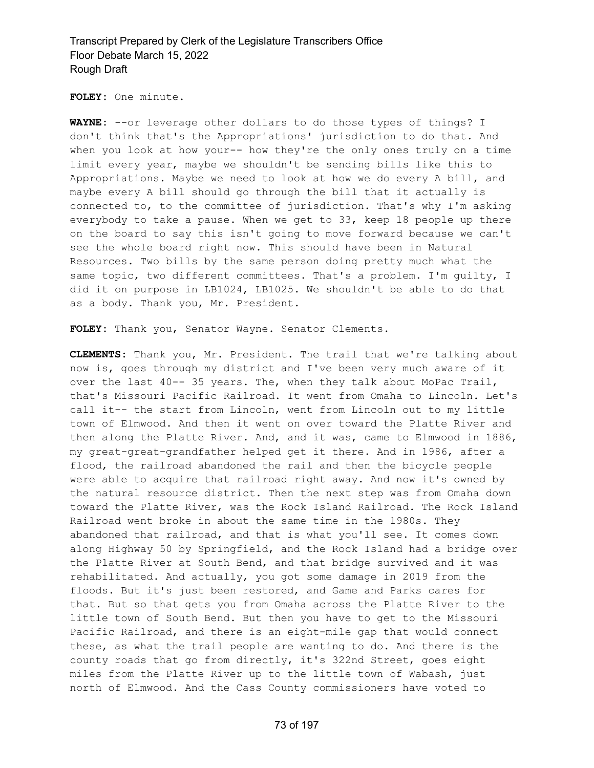**FOLEY:** One minute.

**WAYNE:** --or leverage other dollars to do those types of things? I don't think that's the Appropriations' jurisdiction to do that. And when you look at how your-- how they're the only ones truly on a time limit every year, maybe we shouldn't be sending bills like this to Appropriations. Maybe we need to look at how we do every A bill, and maybe every A bill should go through the bill that it actually is connected to, to the committee of jurisdiction. That's why I'm asking everybody to take a pause. When we get to 33, keep 18 people up there on the board to say this isn't going to move forward because we can't see the whole board right now. This should have been in Natural Resources. Two bills by the same person doing pretty much what the same topic, two different committees. That's a problem. I'm guilty, I did it on purpose in LB1024, LB1025. We shouldn't be able to do that as a body. Thank you, Mr. President.

**FOLEY:** Thank you, Senator Wayne. Senator Clements.

**CLEMENTS:** Thank you, Mr. President. The trail that we're talking about now is, goes through my district and I've been very much aware of it over the last 40-- 35 years. The, when they talk about MoPac Trail, that's Missouri Pacific Railroad. It went from Omaha to Lincoln. Let's call it-- the start from Lincoln, went from Lincoln out to my little town of Elmwood. And then it went on over toward the Platte River and then along the Platte River. And, and it was, came to Elmwood in 1886, my great-great-grandfather helped get it there. And in 1986, after a flood, the railroad abandoned the rail and then the bicycle people were able to acquire that railroad right away. And now it's owned by the natural resource district. Then the next step was from Omaha down toward the Platte River, was the Rock Island Railroad. The Rock Island Railroad went broke in about the same time in the 1980s. They abandoned that railroad, and that is what you'll see. It comes down along Highway 50 by Springfield, and the Rock Island had a bridge over the Platte River at South Bend, and that bridge survived and it was rehabilitated. And actually, you got some damage in 2019 from the floods. But it's just been restored, and Game and Parks cares for that. But so that gets you from Omaha across the Platte River to the little town of South Bend. But then you have to get to the Missouri Pacific Railroad, and there is an eight-mile gap that would connect these, as what the trail people are wanting to do. And there is the county roads that go from directly, it's 322nd Street, goes eight miles from the Platte River up to the little town of Wabash, just north of Elmwood. And the Cass County commissioners have voted to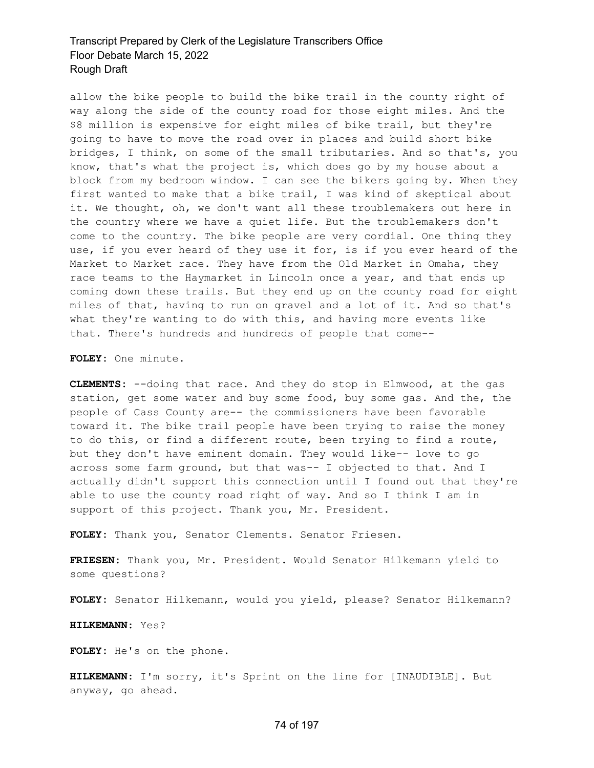allow the bike people to build the bike trail in the county right of way along the side of the county road for those eight miles. And the \$8 million is expensive for eight miles of bike trail, but they're going to have to move the road over in places and build short bike bridges, I think, on some of the small tributaries. And so that's, you know, that's what the project is, which does go by my house about a block from my bedroom window. I can see the bikers going by. When they first wanted to make that a bike trail, I was kind of skeptical about it. We thought, oh, we don't want all these troublemakers out here in the country where we have a quiet life. But the troublemakers don't come to the country. The bike people are very cordial. One thing they use, if you ever heard of they use it for, is if you ever heard of the Market to Market race. They have from the Old Market in Omaha, they race teams to the Haymarket in Lincoln once a year, and that ends up coming down these trails. But they end up on the county road for eight miles of that, having to run on gravel and a lot of it. And so that's what they're wanting to do with this, and having more events like that. There's hundreds and hundreds of people that come--

**FOLEY:** One minute.

**CLEMENTS:** --doing that race. And they do stop in Elmwood, at the gas station, get some water and buy some food, buy some gas. And the, the people of Cass County are-- the commissioners have been favorable toward it. The bike trail people have been trying to raise the money to do this, or find a different route, been trying to find a route, but they don't have eminent domain. They would like-- love to go across some farm ground, but that was-- I objected to that. And I actually didn't support this connection until I found out that they're able to use the county road right of way. And so I think I am in support of this project. Thank you, Mr. President.

**FOLEY:** Thank you, Senator Clements. Senator Friesen.

**FRIESEN:** Thank you, Mr. President. Would Senator Hilkemann yield to some questions?

**FOLEY:** Senator Hilkemann, would you yield, please? Senator Hilkemann?

**HILKEMANN:** Yes?

**FOLEY:** He's on the phone.

**HILKEMANN:** I'm sorry, it's Sprint on the line for [INAUDIBLE]. But anyway, go ahead.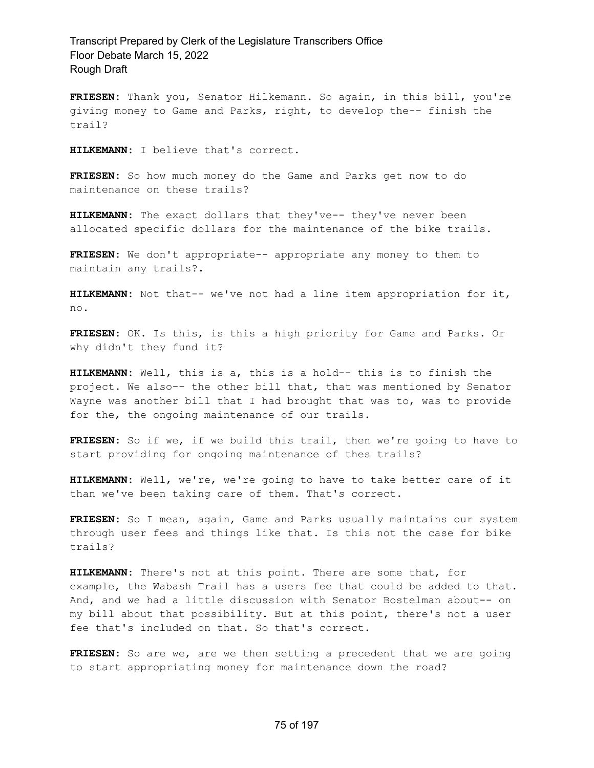**FRIESEN:** Thank you, Senator Hilkemann. So again, in this bill, you're giving money to Game and Parks, right, to develop the-- finish the trail?

**HILKEMANN:** I believe that's correct.

**FRIESEN:** So how much money do the Game and Parks get now to do maintenance on these trails?

**HILKEMANN:** The exact dollars that they've-- they've never been allocated specific dollars for the maintenance of the bike trails.

**FRIESEN:** We don't appropriate-- appropriate any money to them to maintain any trails?.

**HILKEMANN:** Not that-- we've not had a line item appropriation for it, no.

**FRIESEN:** OK. Is this, is this a high priority for Game and Parks. Or why didn't they fund it?

**HILKEMANN:** Well, this is a, this is a hold-- this is to finish the project. We also-- the other bill that, that was mentioned by Senator Wayne was another bill that I had brought that was to, was to provide for the, the ongoing maintenance of our trails.

**FRIESEN:** So if we, if we build this trail, then we're going to have to start providing for ongoing maintenance of thes trails?

**HILKEMANN:** Well, we're, we're going to have to take better care of it than we've been taking care of them. That's correct.

**FRIESEN:** So I mean, again, Game and Parks usually maintains our system through user fees and things like that. Is this not the case for bike trails?

**HILKEMANN:** There's not at this point. There are some that, for example, the Wabash Trail has a users fee that could be added to that. And, and we had a little discussion with Senator Bostelman about-- on my bill about that possibility. But at this point, there's not a user fee that's included on that. So that's correct.

FRIESEN: So are we, are we then setting a precedent that we are going to start appropriating money for maintenance down the road?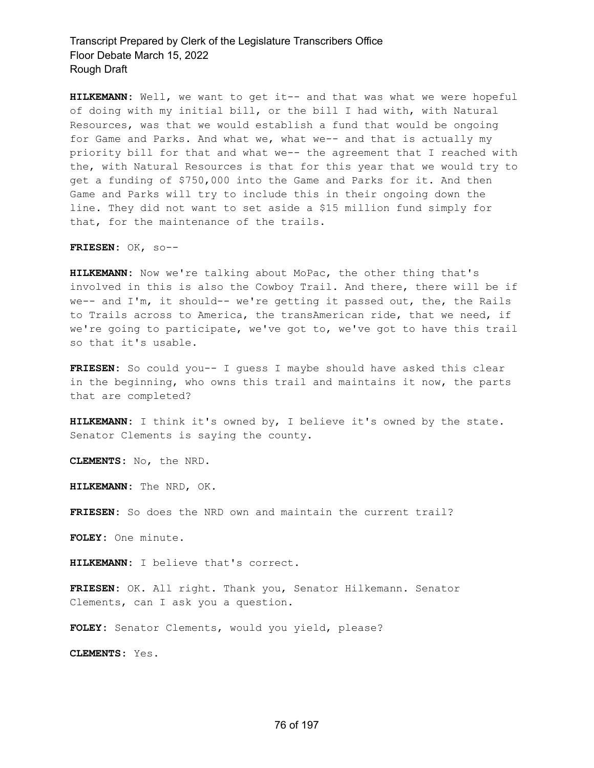**HILKEMANN:** Well, we want to get it-- and that was what we were hopeful of doing with my initial bill, or the bill I had with, with Natural Resources, was that we would establish a fund that would be ongoing for Game and Parks. And what we, what we-- and that is actually my priority bill for that and what we-- the agreement that I reached with the, with Natural Resources is that for this year that we would try to get a funding of \$750,000 into the Game and Parks for it. And then Game and Parks will try to include this in their ongoing down the line. They did not want to set aside a \$15 million fund simply for that, for the maintenance of the trails.

**FRIESEN:** OK, so--

**HILKEMANN:** Now we're talking about MoPac, the other thing that's involved in this is also the Cowboy Trail. And there, there will be if we-- and I'm, it should-- we're getting it passed out, the, the Rails to Trails across to America, the transAmerican ride, that we need, if we're going to participate, we've got to, we've got to have this trail so that it's usable.

**FRIESEN:** So could you-- I guess I maybe should have asked this clear in the beginning, who owns this trail and maintains it now, the parts that are completed?

**HILKEMANN:** I think it's owned by, I believe it's owned by the state. Senator Clements is saying the county.

**CLEMENTS:** No, the NRD.

**HILKEMANN:** The NRD, OK.

**FRIESEN:** So does the NRD own and maintain the current trail?

**FOLEY:** One minute.

**HILKEMANN:** I believe that's correct.

**FRIESEN:** OK. All right. Thank you, Senator Hilkemann. Senator Clements, can I ask you a question.

**FOLEY:** Senator Clements, would you yield, please?

**CLEMENTS:** Yes.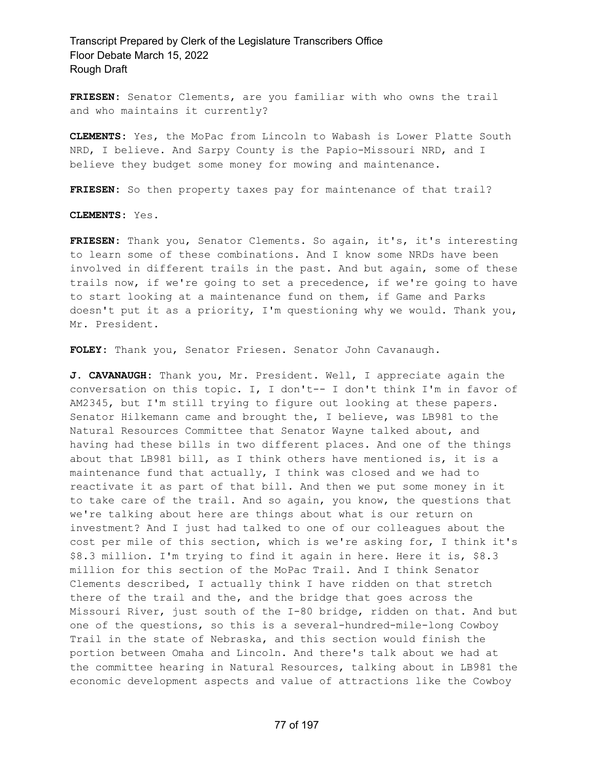**FRIESEN:** Senator Clements, are you familiar with who owns the trail and who maintains it currently?

**CLEMENTS:** Yes, the MoPac from Lincoln to Wabash is Lower Platte South NRD, I believe. And Sarpy County is the Papio-Missouri NRD, and I believe they budget some money for mowing and maintenance.

FRIESEN: So then property taxes pay for maintenance of that trail?

**CLEMENTS:** Yes.

FRIESEN: Thank you, Senator Clements. So again, it's, it's interesting to learn some of these combinations. And I know some NRDs have been involved in different trails in the past. And but again, some of these trails now, if we're going to set a precedence, if we're going to have to start looking at a maintenance fund on them, if Game and Parks doesn't put it as a priority, I'm questioning why we would. Thank you, Mr. President.

**FOLEY:** Thank you, Senator Friesen. Senator John Cavanaugh.

**J. CAVANAUGH:** Thank you, Mr. President. Well, I appreciate again the conversation on this topic. I, I don't-- I don't think I'm in favor of AM2345, but I'm still trying to figure out looking at these papers. Senator Hilkemann came and brought the, I believe, was LB981 to the Natural Resources Committee that Senator Wayne talked about, and having had these bills in two different places. And one of the things about that LB981 bill, as I think others have mentioned is, it is a maintenance fund that actually, I think was closed and we had to reactivate it as part of that bill. And then we put some money in it to take care of the trail. And so again, you know, the questions that we're talking about here are things about what is our return on investment? And I just had talked to one of our colleagues about the cost per mile of this section, which is we're asking for, I think it's \$8.3 million. I'm trying to find it again in here. Here it is, \$8.3 million for this section of the MoPac Trail. And I think Senator Clements described, I actually think I have ridden on that stretch there of the trail and the, and the bridge that goes across the Missouri River, just south of the I-80 bridge, ridden on that. And but one of the questions, so this is a several-hundred-mile-long Cowboy Trail in the state of Nebraska, and this section would finish the portion between Omaha and Lincoln. And there's talk about we had at the committee hearing in Natural Resources, talking about in LB981 the economic development aspects and value of attractions like the Cowboy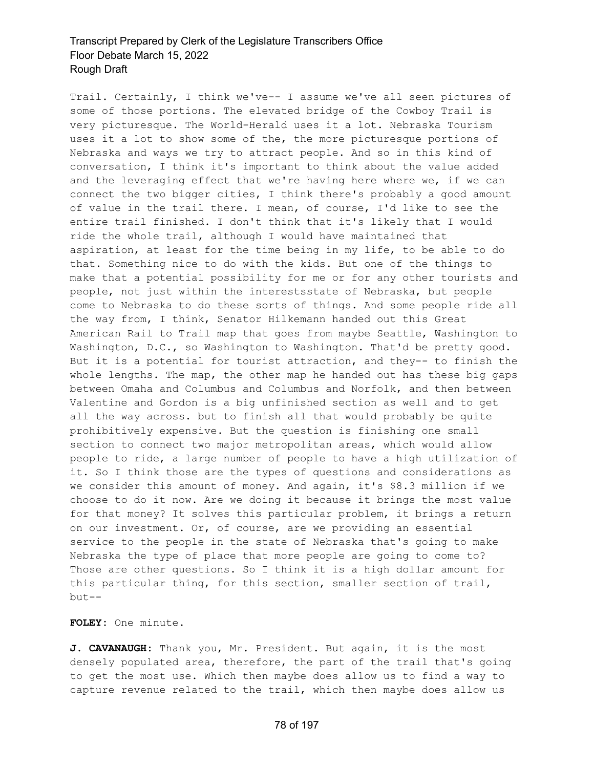Trail. Certainly, I think we've-- I assume we've all seen pictures of some of those portions. The elevated bridge of the Cowboy Trail is very picturesque. The World-Herald uses it a lot. Nebraska Tourism uses it a lot to show some of the, the more picturesque portions of Nebraska and ways we try to attract people. And so in this kind of conversation, I think it's important to think about the value added and the leveraging effect that we're having here where we, if we can connect the two bigger cities, I think there's probably a good amount of value in the trail there. I mean, of course, I'd like to see the entire trail finished. I don't think that it's likely that I would ride the whole trail, although I would have maintained that aspiration, at least for the time being in my life, to be able to do that. Something nice to do with the kids. But one of the things to make that a potential possibility for me or for any other tourists and people, not just within the interestsstate of Nebraska, but people come to Nebraska to do these sorts of things. And some people ride all the way from, I think, Senator Hilkemann handed out this Great American Rail to Trail map that goes from maybe Seattle, Washington to Washington, D.C., so Washington to Washington. That'd be pretty good. But it is a potential for tourist attraction, and they-- to finish the whole lengths. The map, the other map he handed out has these big gaps between Omaha and Columbus and Columbus and Norfolk, and then between Valentine and Gordon is a big unfinished section as well and to get all the way across. but to finish all that would probably be quite prohibitively expensive. But the question is finishing one small section to connect two major metropolitan areas, which would allow people to ride, a large number of people to have a high utilization of it. So I think those are the types of questions and considerations as we consider this amount of money. And again, it's \$8.3 million if we choose to do it now. Are we doing it because it brings the most value for that money? It solves this particular problem, it brings a return on our investment. Or, of course, are we providing an essential service to the people in the state of Nebraska that's going to make Nebraska the type of place that more people are going to come to? Those are other questions. So I think it is a high dollar amount for this particular thing, for this section, smaller section of trail, but--

**FOLEY:** One minute.

**J. CAVANAUGH:** Thank you, Mr. President. But again, it is the most densely populated area, therefore, the part of the trail that's going to get the most use. Which then maybe does allow us to find a way to capture revenue related to the trail, which then maybe does allow us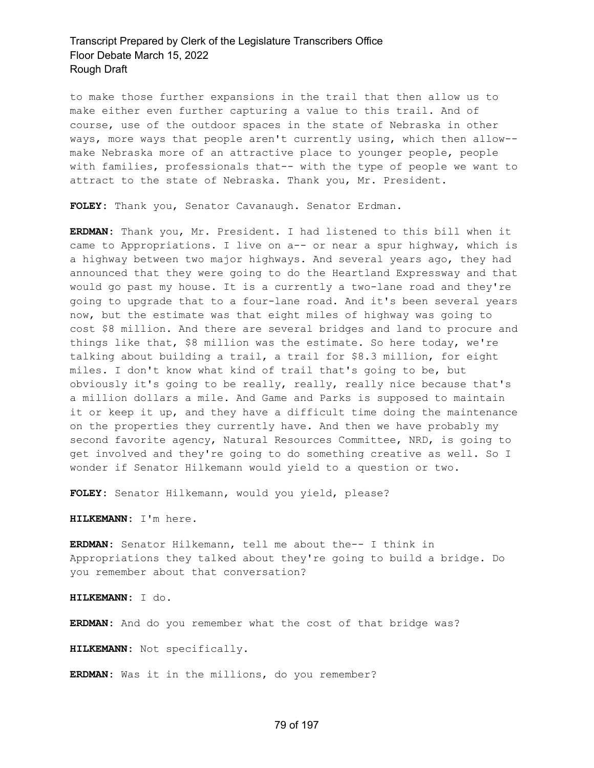to make those further expansions in the trail that then allow us to make either even further capturing a value to this trail. And of course, use of the outdoor spaces in the state of Nebraska in other ways, more ways that people aren't currently using, which then allow- make Nebraska more of an attractive place to younger people, people with families, professionals that-- with the type of people we want to attract to the state of Nebraska. Thank you, Mr. President.

**FOLEY:** Thank you, Senator Cavanaugh. Senator Erdman.

**ERDMAN:** Thank you, Mr. President. I had listened to this bill when it came to Appropriations. I live on a-- or near a spur highway, which is a highway between two major highways. And several years ago, they had announced that they were going to do the Heartland Expressway and that would go past my house. It is a currently a two-lane road and they're going to upgrade that to a four-lane road. And it's been several years now, but the estimate was that eight miles of highway was going to cost \$8 million. And there are several bridges and land to procure and things like that, \$8 million was the estimate. So here today, we're talking about building a trail, a trail for \$8.3 million, for eight miles. I don't know what kind of trail that's going to be, but obviously it's going to be really, really, really nice because that's a million dollars a mile. And Game and Parks is supposed to maintain it or keep it up, and they have a difficult time doing the maintenance on the properties they currently have. And then we have probably my second favorite agency, Natural Resources Committee, NRD, is going to get involved and they're going to do something creative as well. So I wonder if Senator Hilkemann would yield to a question or two.

**FOLEY:** Senator Hilkemann, would you yield, please?

**HILKEMANN:** I'm here.

**ERDMAN:** Senator Hilkemann, tell me about the-- I think in Appropriations they talked about they're going to build a bridge. Do you remember about that conversation?

**HILKEMANN:** I do.

**ERDMAN:** And do you remember what the cost of that bridge was?

**HILKEMANN:** Not specifically.

**ERDMAN:** Was it in the millions, do you remember?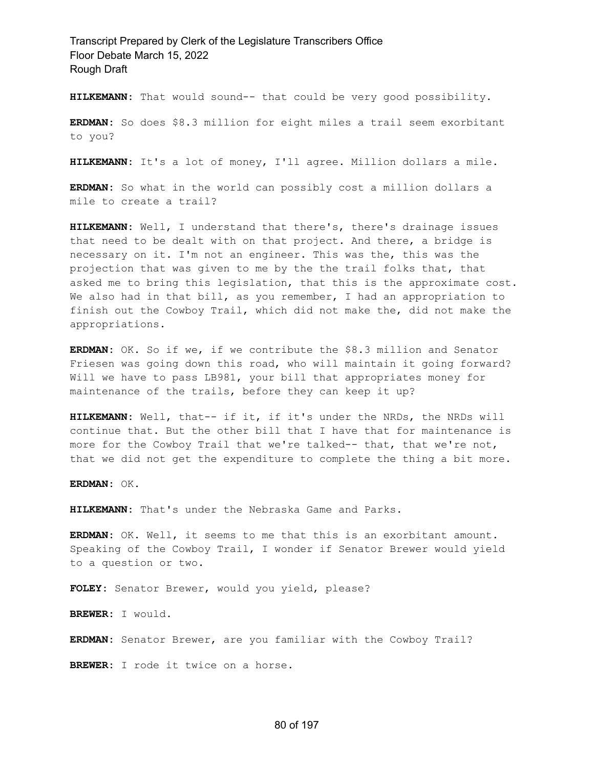**HILKEMANN:** That would sound-- that could be very good possibility.

**ERDMAN:** So does \$8.3 million for eight miles a trail seem exorbitant to you?

**HILKEMANN:** It's a lot of money, I'll agree. Million dollars a mile.

**ERDMAN:** So what in the world can possibly cost a million dollars a mile to create a trail?

**HILKEMANN:** Well, I understand that there's, there's drainage issues that need to be dealt with on that project. And there, a bridge is necessary on it. I'm not an engineer. This was the, this was the projection that was given to me by the the trail folks that, that asked me to bring this legislation, that this is the approximate cost. We also had in that bill, as you remember, I had an appropriation to finish out the Cowboy Trail, which did not make the, did not make the appropriations.

**ERDMAN:** OK. So if we, if we contribute the \$8.3 million and Senator Friesen was going down this road, who will maintain it going forward? Will we have to pass LB981, your bill that appropriates money for maintenance of the trails, before they can keep it up?

**HILKEMANN:** Well, that-- if it, if it's under the NRDs, the NRDs will continue that. But the other bill that I have that for maintenance is more for the Cowboy Trail that we're talked-- that, that we're not, that we did not get the expenditure to complete the thing a bit more.

**ERDMAN:** OK.

**HILKEMANN:** That's under the Nebraska Game and Parks.

**ERDMAN:** OK. Well, it seems to me that this is an exorbitant amount. Speaking of the Cowboy Trail, I wonder if Senator Brewer would yield to a question or two.

**FOLEY:** Senator Brewer, would you yield, please?

**BREWER:** I would.

**ERDMAN:** Senator Brewer, are you familiar with the Cowboy Trail?

**BREWER:** I rode it twice on a horse.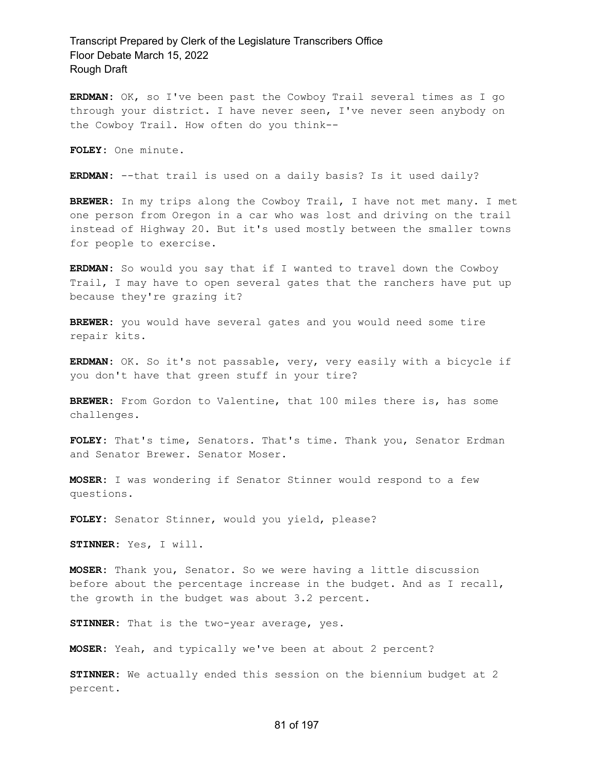**ERDMAN:** OK, so I've been past the Cowboy Trail several times as I go through your district. I have never seen, I've never seen anybody on the Cowboy Trail. How often do you think--

**FOLEY:** One minute.

**ERDMAN:** --that trail is used on a daily basis? Is it used daily?

**BREWER:** In my trips along the Cowboy Trail, I have not met many. I met one person from Oregon in a car who was lost and driving on the trail instead of Highway 20. But it's used mostly between the smaller towns for people to exercise.

**ERDMAN:** So would you say that if I wanted to travel down the Cowboy Trail, I may have to open several gates that the ranchers have put up because they're grazing it?

**BREWER:** you would have several gates and you would need some tire repair kits.

**ERDMAN:** OK. So it's not passable, very, very easily with a bicycle if you don't have that green stuff in your tire?

**BREWER:** From Gordon to Valentine, that 100 miles there is, has some challenges.

**FOLEY:** That's time, Senators. That's time. Thank you, Senator Erdman and Senator Brewer. Senator Moser.

**MOSER:** I was wondering if Senator Stinner would respond to a few questions.

**FOLEY:** Senator Stinner, would you yield, please?

**STINNER:** Yes, I will.

**MOSER:** Thank you, Senator. So we were having a little discussion before about the percentage increase in the budget. And as I recall, the growth in the budget was about 3.2 percent.

**STINNER:** That is the two-year average, yes.

**MOSER:** Yeah, and typically we've been at about 2 percent?

**STINNER:** We actually ended this session on the biennium budget at 2 percent.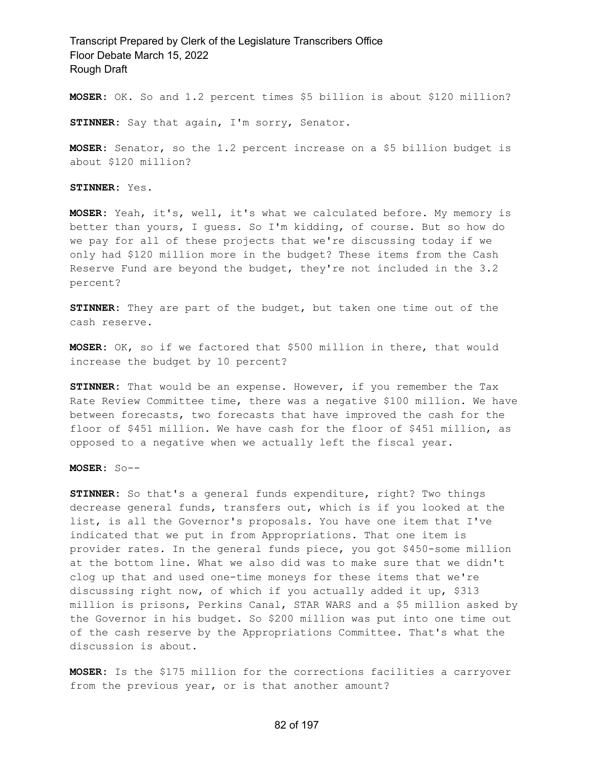**MOSER:** OK. So and 1.2 percent times \$5 billion is about \$120 million?

**STINNER:** Say that again, I'm sorry, Senator.

**MOSER:** Senator, so the 1.2 percent increase on a \$5 billion budget is about \$120 million?

**STINNER:** Yes.

**MOSER:** Yeah, it's, well, it's what we calculated before. My memory is better than yours, I guess. So I'm kidding, of course. But so how do we pay for all of these projects that we're discussing today if we only had \$120 million more in the budget? These items from the Cash Reserve Fund are beyond the budget, they're not included in the 3.2 percent?

**STINNER:** They are part of the budget, but taken one time out of the cash reserve.

**MOSER:** OK, so if we factored that \$500 million in there, that would increase the budget by 10 percent?

**STINNER:** That would be an expense. However, if you remember the Tax Rate Review Committee time, there was a negative \$100 million. We have between forecasts, two forecasts that have improved the cash for the floor of \$451 million. We have cash for the floor of \$451 million, as opposed to a negative when we actually left the fiscal year.

**MOSER:** So--

**STINNER:** So that's a general funds expenditure, right? Two things decrease general funds, transfers out, which is if you looked at the list, is all the Governor's proposals. You have one item that I've indicated that we put in from Appropriations. That one item is provider rates. In the general funds piece, you got \$450-some million at the bottom line. What we also did was to make sure that we didn't clog up that and used one-time moneys for these items that we're discussing right now, of which if you actually added it up, \$313 million is prisons, Perkins Canal, STAR WARS and a \$5 million asked by the Governor in his budget. So \$200 million was put into one time out of the cash reserve by the Appropriations Committee. That's what the discussion is about.

**MOSER:** Is the \$175 million for the corrections facilities a carryover from the previous year, or is that another amount?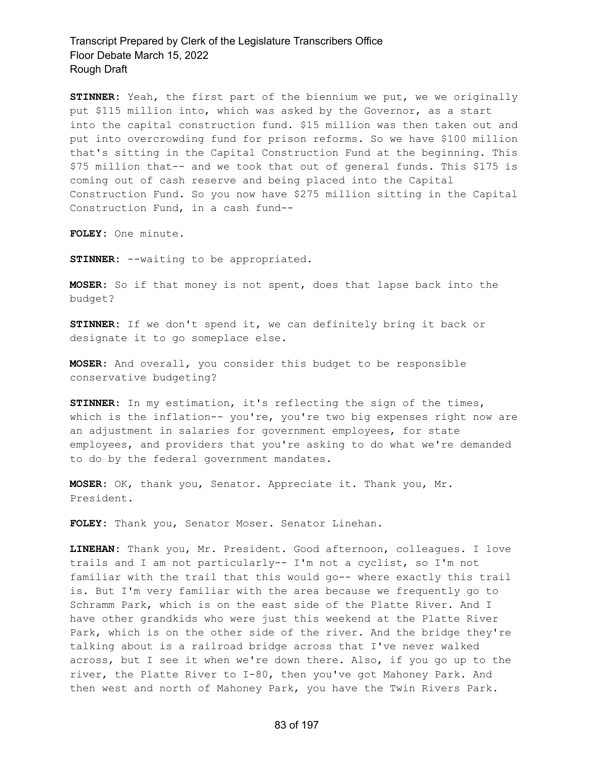**STINNER:** Yeah, the first part of the biennium we put, we we originally put \$115 million into, which was asked by the Governor, as a start into the capital construction fund. \$15 million was then taken out and put into overcrowding fund for prison reforms. So we have \$100 million that's sitting in the Capital Construction Fund at the beginning. This \$75 million that-- and we took that out of general funds. This \$175 is coming out of cash reserve and being placed into the Capital Construction Fund. So you now have \$275 million sitting in the Capital Construction Fund, in a cash fund--

**FOLEY:** One minute.

**STINNER:** --waiting to be appropriated.

**MOSER:** So if that money is not spent, does that lapse back into the budget?

**STINNER:** If we don't spend it, we can definitely bring it back or designate it to go someplace else.

**MOSER:** And overall, you consider this budget to be responsible conservative budgeting?

**STINNER:** In my estimation, it's reflecting the sign of the times, which is the inflation-- you're, you're two big expenses right now are an adjustment in salaries for government employees, for state employees, and providers that you're asking to do what we're demanded to do by the federal government mandates.

**MOSER:** OK, thank you, Senator. Appreciate it. Thank you, Mr. President.

**FOLEY:** Thank you, Senator Moser. Senator Linehan.

**LINEHAN:** Thank you, Mr. President. Good afternoon, colleagues. I love trails and I am not particularly-- I'm not a cyclist, so I'm not familiar with the trail that this would go-- where exactly this trail is. But I'm very familiar with the area because we frequently go to Schramm Park, which is on the east side of the Platte River. And I have other grandkids who were just this weekend at the Platte River Park, which is on the other side of the river. And the bridge they're talking about is a railroad bridge across that I've never walked across, but I see it when we're down there. Also, if you go up to the river, the Platte River to I-80, then you've got Mahoney Park. And then west and north of Mahoney Park, you have the Twin Rivers Park.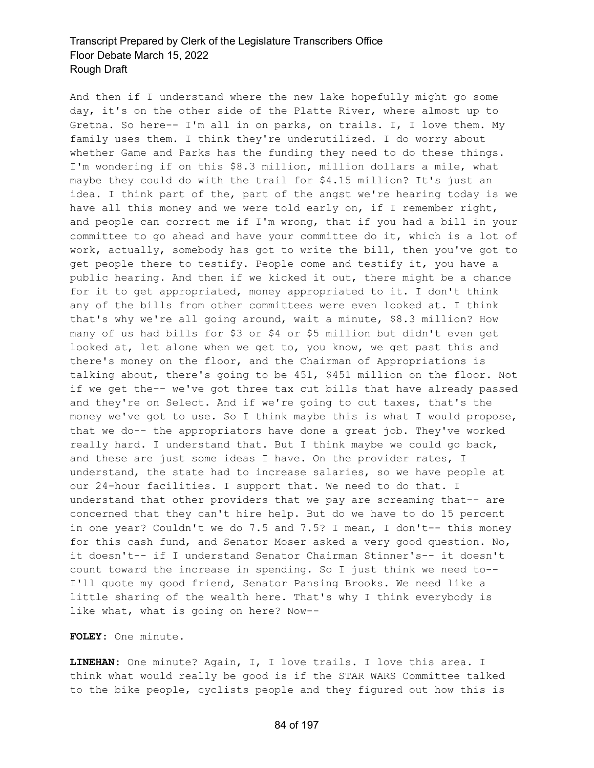And then if I understand where the new lake hopefully might go some day, it's on the other side of the Platte River, where almost up to Gretna. So here-- I'm all in on parks, on trails. I, I love them. My family uses them. I think they're underutilized. I do worry about whether Game and Parks has the funding they need to do these things. I'm wondering if on this \$8.3 million, million dollars a mile, what maybe they could do with the trail for \$4.15 million? It's just an idea. I think part of the, part of the angst we're hearing today is we have all this money and we were told early on, if I remember right, and people can correct me if I'm wrong, that if you had a bill in your committee to go ahead and have your committee do it, which is a lot of work, actually, somebody has got to write the bill, then you've got to get people there to testify. People come and testify it, you have a public hearing. And then if we kicked it out, there might be a chance for it to get appropriated, money appropriated to it. I don't think any of the bills from other committees were even looked at. I think that's why we're all going around, wait a minute, \$8.3 million? How many of us had bills for \$3 or \$4 or \$5 million but didn't even get looked at, let alone when we get to, you know, we get past this and there's money on the floor, and the Chairman of Appropriations is talking about, there's going to be 451, \$451 million on the floor. Not if we get the-- we've got three tax cut bills that have already passed and they're on Select. And if we're going to cut taxes, that's the money we've got to use. So I think maybe this is what I would propose, that we do-- the appropriators have done a great job. They've worked really hard. I understand that. But I think maybe we could go back, and these are just some ideas I have. On the provider rates, I understand, the state had to increase salaries, so we have people at our 24-hour facilities. I support that. We need to do that. I understand that other providers that we pay are screaming that-- are concerned that they can't hire help. But do we have to do 15 percent in one year? Couldn't we do 7.5 and 7.5? I mean, I don't-- this money for this cash fund, and Senator Moser asked a very good question. No, it doesn't-- if I understand Senator Chairman Stinner's-- it doesn't count toward the increase in spending. So I just think we need to-- I'll quote my good friend, Senator Pansing Brooks. We need like a little sharing of the wealth here. That's why I think everybody is like what, what is going on here? Now--

**FOLEY:** One minute.

**LINEHAN:** One minute? Again, I, I love trails. I love this area. I think what would really be good is if the STAR WARS Committee talked to the bike people, cyclists people and they figured out how this is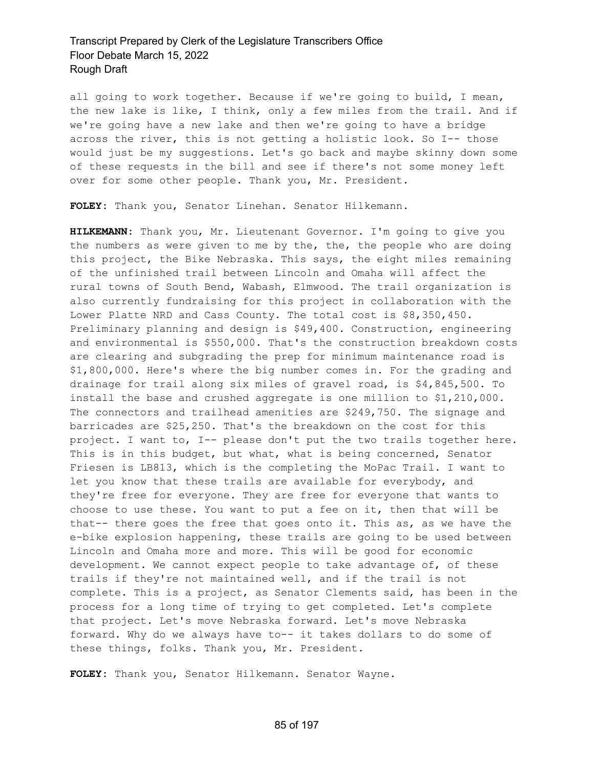all going to work together. Because if we're going to build, I mean, the new lake is like, I think, only a few miles from the trail. And if we're going have a new lake and then we're going to have a bridge across the river, this is not getting a holistic look. So I-- those would just be my suggestions. Let's go back and maybe skinny down some of these requests in the bill and see if there's not some money left over for some other people. Thank you, Mr. President.

**FOLEY:** Thank you, Senator Linehan. Senator Hilkemann.

**HILKEMANN:** Thank you, Mr. Lieutenant Governor. I'm going to give you the numbers as were given to me by the, the, the people who are doing this project, the Bike Nebraska. This says, the eight miles remaining of the unfinished trail between Lincoln and Omaha will affect the rural towns of South Bend, Wabash, Elmwood. The trail organization is also currently fundraising for this project in collaboration with the Lower Platte NRD and Cass County. The total cost is \$8,350,450. Preliminary planning and design is \$49,400. Construction, engineering and environmental is \$550,000. That's the construction breakdown costs are clearing and subgrading the prep for minimum maintenance road is \$1,800,000. Here's where the big number comes in. For the grading and drainage for trail along six miles of gravel road, is \$4,845,500. To install the base and crushed aggregate is one million to \$1,210,000. The connectors and trailhead amenities are \$249,750. The signage and barricades are \$25,250. That's the breakdown on the cost for this project. I want to, I-- please don't put the two trails together here. This is in this budget, but what, what is being concerned, Senator Friesen is LB813, which is the completing the MoPac Trail. I want to let you know that these trails are available for everybody, and they're free for everyone. They are free for everyone that wants to choose to use these. You want to put a fee on it, then that will be that-- there goes the free that goes onto it. This as, as we have the e-bike explosion happening, these trails are going to be used between Lincoln and Omaha more and more. This will be good for economic development. We cannot expect people to take advantage of, of these trails if they're not maintained well, and if the trail is not complete. This is a project, as Senator Clements said, has been in the process for a long time of trying to get completed. Let's complete that project. Let's move Nebraska forward. Let's move Nebraska forward. Why do we always have to-- it takes dollars to do some of these things, folks. Thank you, Mr. President.

**FOLEY:** Thank you, Senator Hilkemann. Senator Wayne.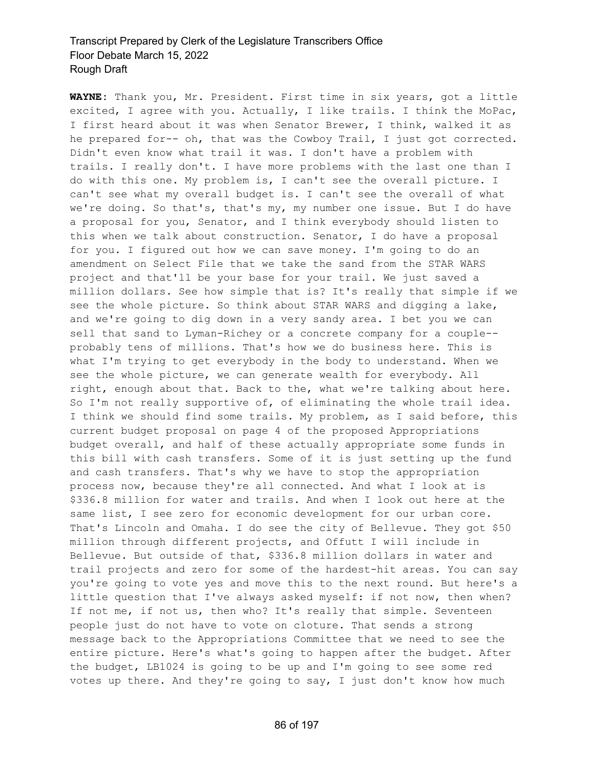**WAYNE:** Thank you, Mr. President. First time in six years, got a little excited, I agree with you. Actually, I like trails. I think the MoPac, I first heard about it was when Senator Brewer, I think, walked it as he prepared for-- oh, that was the Cowboy Trail, I just got corrected. Didn't even know what trail it was. I don't have a problem with trails. I really don't. I have more problems with the last one than I do with this one. My problem is, I can't see the overall picture. I can't see what my overall budget is. I can't see the overall of what we're doing. So that's, that's my, my number one issue. But I do have a proposal for you, Senator, and I think everybody should listen to this when we talk about construction. Senator, I do have a proposal for you. I figured out how we can save money. I'm going to do an amendment on Select File that we take the sand from the STAR WARS project and that'll be your base for your trail. We just saved a million dollars. See how simple that is? It's really that simple if we see the whole picture. So think about STAR WARS and digging a lake, and we're going to dig down in a very sandy area. I bet you we can sell that sand to Lyman-Richey or a concrete company for a couple- probably tens of millions. That's how we do business here. This is what I'm trying to get everybody in the body to understand. When we see the whole picture, we can generate wealth for everybody. All right, enough about that. Back to the, what we're talking about here. So I'm not really supportive of, of eliminating the whole trail idea. I think we should find some trails. My problem, as I said before, this current budget proposal on page 4 of the proposed Appropriations budget overall, and half of these actually appropriate some funds in this bill with cash transfers. Some of it is just setting up the fund and cash transfers. That's why we have to stop the appropriation process now, because they're all connected. And what I look at is \$336.8 million for water and trails. And when I look out here at the same list, I see zero for economic development for our urban core. That's Lincoln and Omaha. I do see the city of Bellevue. They got \$50 million through different projects, and Offutt I will include in Bellevue. But outside of that, \$336.8 million dollars in water and trail projects and zero for some of the hardest-hit areas. You can say you're going to vote yes and move this to the next round. But here's a little question that I've always asked myself: if not now, then when? If not me, if not us, then who? It's really that simple. Seventeen people just do not have to vote on cloture. That sends a strong message back to the Appropriations Committee that we need to see the entire picture. Here's what's going to happen after the budget. After the budget, LB1024 is going to be up and I'm going to see some red votes up there. And they're going to say, I just don't know how much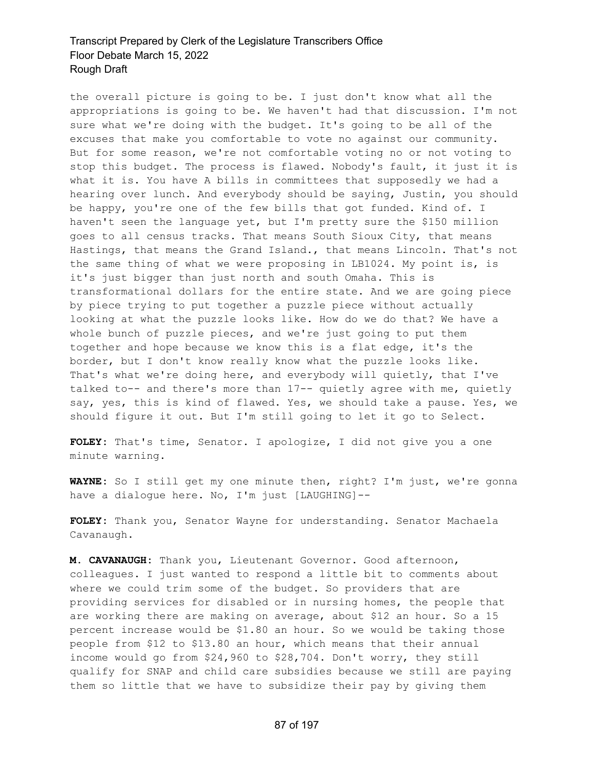the overall picture is going to be. I just don't know what all the appropriations is going to be. We haven't had that discussion. I'm not sure what we're doing with the budget. It's going to be all of the excuses that make you comfortable to vote no against our community. But for some reason, we're not comfortable voting no or not voting to stop this budget. The process is flawed. Nobody's fault, it just it is what it is. You have A bills in committees that supposedly we had a hearing over lunch. And everybody should be saying, Justin, you should be happy, you're one of the few bills that got funded. Kind of. I haven't seen the language yet, but I'm pretty sure the \$150 million goes to all census tracks. That means South Sioux City, that means Hastings, that means the Grand Island., that means Lincoln. That's not the same thing of what we were proposing in LB1024. My point is, is it's just bigger than just north and south Omaha. This is transformational dollars for the entire state. And we are going piece by piece trying to put together a puzzle piece without actually looking at what the puzzle looks like. How do we do that? We have a whole bunch of puzzle pieces, and we're just going to put them together and hope because we know this is a flat edge, it's the border, but I don't know really know what the puzzle looks like. That's what we're doing here, and everybody will quietly, that I've talked to-- and there's more than 17-- quietly agree with me, quietly say, yes, this is kind of flawed. Yes, we should take a pause. Yes, we should figure it out. But I'm still going to let it go to Select.

**FOLEY:** That's time, Senator. I apologize, I did not give you a one minute warning.

**WAYNE:** So I still get my one minute then, right? I'm just, we're gonna have a dialogue here. No, I'm just [LAUGHING]--

**FOLEY:** Thank you, Senator Wayne for understanding. Senator Machaela Cavanaugh.

**M. CAVANAUGH:** Thank you, Lieutenant Governor. Good afternoon, colleagues. I just wanted to respond a little bit to comments about where we could trim some of the budget. So providers that are providing services for disabled or in nursing homes, the people that are working there are making on average, about \$12 an hour. So a 15 percent increase would be \$1.80 an hour. So we would be taking those people from \$12 to \$13.80 an hour, which means that their annual income would go from \$24,960 to \$28,704. Don't worry, they still qualify for SNAP and child care subsidies because we still are paying them so little that we have to subsidize their pay by giving them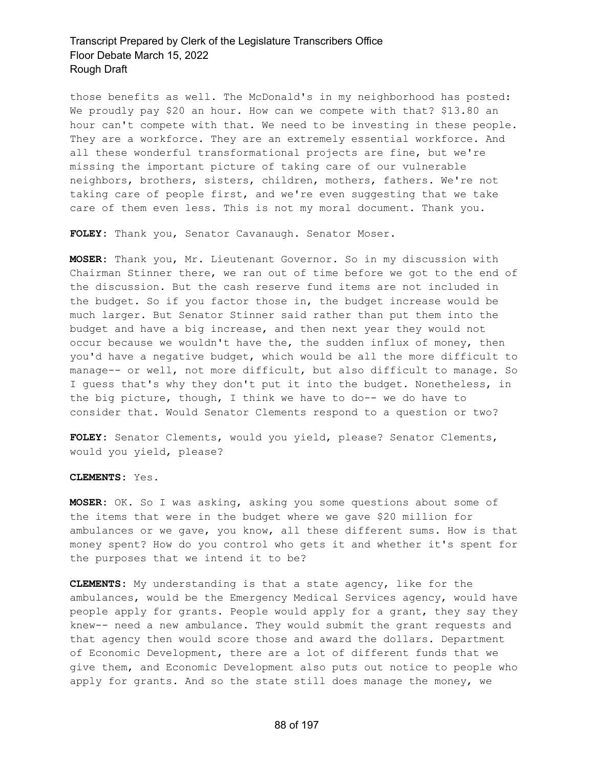those benefits as well. The McDonald's in my neighborhood has posted: We proudly pay \$20 an hour. How can we compete with that? \$13.80 an hour can't compete with that. We need to be investing in these people. They are a workforce. They are an extremely essential workforce. And all these wonderful transformational projects are fine, but we're missing the important picture of taking care of our vulnerable neighbors, brothers, sisters, children, mothers, fathers. We're not taking care of people first, and we're even suggesting that we take care of them even less. This is not my moral document. Thank you.

**FOLEY:** Thank you, Senator Cavanaugh. Senator Moser.

**MOSER:** Thank you, Mr. Lieutenant Governor. So in my discussion with Chairman Stinner there, we ran out of time before we got to the end of the discussion. But the cash reserve fund items are not included in the budget. So if you factor those in, the budget increase would be much larger. But Senator Stinner said rather than put them into the budget and have a big increase, and then next year they would not occur because we wouldn't have the, the sudden influx of money, then you'd have a negative budget, which would be all the more difficult to manage-- or well, not more difficult, but also difficult to manage. So I guess that's why they don't put it into the budget. Nonetheless, in the big picture, though, I think we have to do-- we do have to consider that. Would Senator Clements respond to a question or two?

**FOLEY:** Senator Clements, would you yield, please? Senator Clements, would you yield, please?

#### **CLEMENTS:** Yes.

**MOSER:** OK. So I was asking, asking you some questions about some of the items that were in the budget where we gave \$20 million for ambulances or we gave, you know, all these different sums. How is that money spent? How do you control who gets it and whether it's spent for the purposes that we intend it to be?

**CLEMENTS:** My understanding is that a state agency, like for the ambulances, would be the Emergency Medical Services agency, would have people apply for grants. People would apply for a grant, they say they knew-- need a new ambulance. They would submit the grant requests and that agency then would score those and award the dollars. Department of Economic Development, there are a lot of different funds that we give them, and Economic Development also puts out notice to people who apply for grants. And so the state still does manage the money, we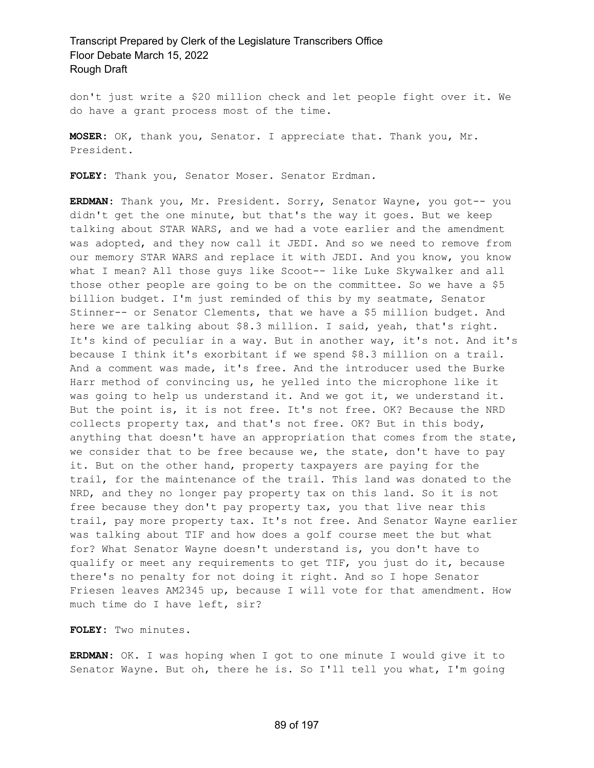don't just write a \$20 million check and let people fight over it. We do have a grant process most of the time.

**MOSER:** OK, thank you, Senator. I appreciate that. Thank you, Mr. President.

**FOLEY:** Thank you, Senator Moser. Senator Erdman.

**ERDMAN:** Thank you, Mr. President. Sorry, Senator Wayne, you got-- you didn't get the one minute, but that's the way it goes. But we keep talking about STAR WARS, and we had a vote earlier and the amendment was adopted, and they now call it JEDI. And so we need to remove from our memory STAR WARS and replace it with JEDI. And you know, you know what I mean? All those guys like Scoot-- like Luke Skywalker and all those other people are going to be on the committee. So we have a \$5 billion budget. I'm just reminded of this by my seatmate, Senator Stinner-- or Senator Clements, that we have a \$5 million budget. And here we are talking about \$8.3 million. I said, yeah, that's right. It's kind of peculiar in a way. But in another way, it's not. And it's because I think it's exorbitant if we spend \$8.3 million on a trail. And a comment was made, it's free. And the introducer used the Burke Harr method of convincing us, he yelled into the microphone like it was going to help us understand it. And we got it, we understand it. But the point is, it is not free. It's not free. OK? Because the NRD collects property tax, and that's not free. OK? But in this body, anything that doesn't have an appropriation that comes from the state, we consider that to be free because we, the state, don't have to pay it. But on the other hand, property taxpayers are paying for the trail, for the maintenance of the trail. This land was donated to the NRD, and they no longer pay property tax on this land. So it is not free because they don't pay property tax, you that live near this trail, pay more property tax. It's not free. And Senator Wayne earlier was talking about TIF and how does a golf course meet the but what for? What Senator Wayne doesn't understand is, you don't have to qualify or meet any requirements to get TIF, you just do it, because there's no penalty for not doing it right. And so I hope Senator Friesen leaves AM2345 up, because I will vote for that amendment. How much time do I have left, sir?

**FOLEY:** Two minutes.

**ERDMAN:** OK. I was hoping when I got to one minute I would give it to Senator Wayne. But oh, there he is. So I'll tell you what, I'm going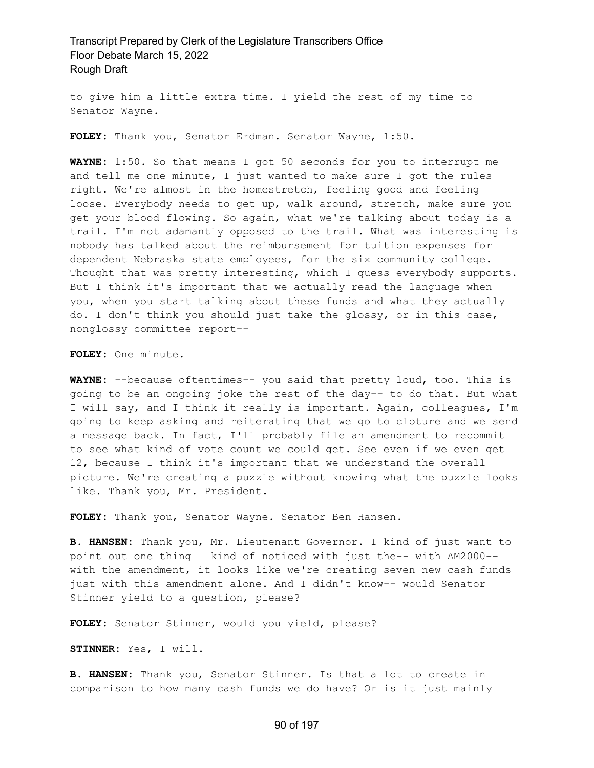to give him a little extra time. I yield the rest of my time to Senator Wayne.

**FOLEY:** Thank you, Senator Erdman. Senator Wayne, 1:50.

**WAYNE:** 1:50. So that means I got 50 seconds for you to interrupt me and tell me one minute, I just wanted to make sure I got the rules right. We're almost in the homestretch, feeling good and feeling loose. Everybody needs to get up, walk around, stretch, make sure you get your blood flowing. So again, what we're talking about today is a trail. I'm not adamantly opposed to the trail. What was interesting is nobody has talked about the reimbursement for tuition expenses for dependent Nebraska state employees, for the six community college. Thought that was pretty interesting, which I quess everybody supports. But I think it's important that we actually read the language when you, when you start talking about these funds and what they actually do. I don't think you should just take the glossy, or in this case, nonglossy committee report--

**FOLEY:** One minute.

**WAYNE:** --because oftentimes-- you said that pretty loud, too. This is going to be an ongoing joke the rest of the day-- to do that. But what I will say, and I think it really is important. Again, colleagues, I'm going to keep asking and reiterating that we go to cloture and we send a message back. In fact, I'll probably file an amendment to recommit to see what kind of vote count we could get. See even if we even get 12, because I think it's important that we understand the overall picture. We're creating a puzzle without knowing what the puzzle looks like. Thank you, Mr. President.

**FOLEY:** Thank you, Senator Wayne. Senator Ben Hansen.

**B. HANSEN:** Thank you, Mr. Lieutenant Governor. I kind of just want to point out one thing I kind of noticed with just the-- with AM2000- with the amendment, it looks like we're creating seven new cash funds just with this amendment alone. And I didn't know-- would Senator Stinner yield to a question, please?

**FOLEY:** Senator Stinner, would you yield, please?

**STINNER:** Yes, I will.

**B. HANSEN:** Thank you, Senator Stinner. Is that a lot to create in comparison to how many cash funds we do have? Or is it just mainly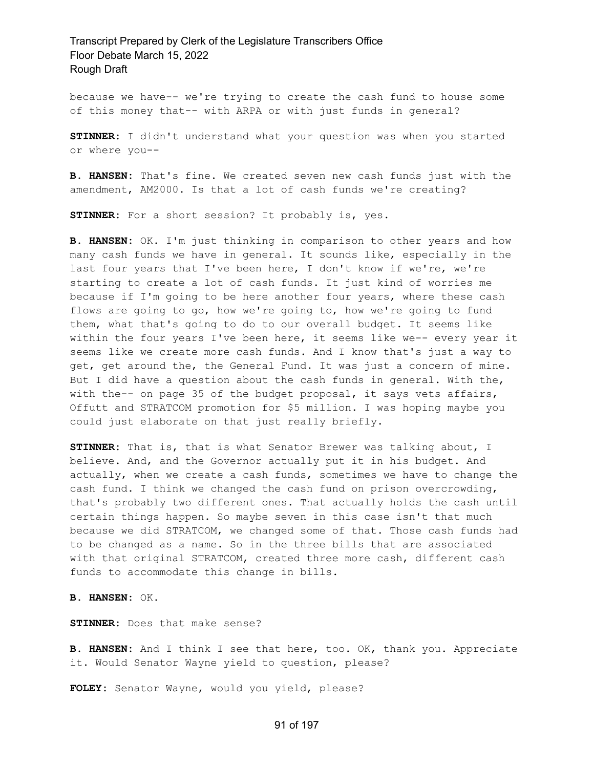because we have-- we're trying to create the cash fund to house some of this money that-- with ARPA or with just funds in general?

**STINNER:** I didn't understand what your question was when you started or where you--

**B. HANSEN:** That's fine. We created seven new cash funds just with the amendment, AM2000. Is that a lot of cash funds we're creating?

**STINNER:** For a short session? It probably is, yes.

**B. HANSEN:** OK. I'm just thinking in comparison to other years and how many cash funds we have in general. It sounds like, especially in the last four years that I've been here, I don't know if we're, we're starting to create a lot of cash funds. It just kind of worries me because if I'm going to be here another four years, where these cash flows are going to go, how we're going to, how we're going to fund them, what that's going to do to our overall budget. It seems like within the four years I've been here, it seems like we-- every year it seems like we create more cash funds. And I know that's just a way to get, get around the, the General Fund. It was just a concern of mine. But I did have a question about the cash funds in general. With the, with the-- on page 35 of the budget proposal, it says vets affairs, Offutt and STRATCOM promotion for \$5 million. I was hoping maybe you could just elaborate on that just really briefly.

**STINNER:** That is, that is what Senator Brewer was talking about, I believe. And, and the Governor actually put it in his budget. And actually, when we create a cash funds, sometimes we have to change the cash fund. I think we changed the cash fund on prison overcrowding, that's probably two different ones. That actually holds the cash until certain things happen. So maybe seven in this case isn't that much because we did STRATCOM, we changed some of that. Those cash funds had to be changed as a name. So in the three bills that are associated with that original STRATCOM, created three more cash, different cash funds to accommodate this change in bills.

**B. HANSEN:** OK.

**STINNER:** Does that make sense?

**B. HANSEN:** And I think I see that here, too. OK, thank you. Appreciate it. Would Senator Wayne yield to question, please?

**FOLEY:** Senator Wayne, would you yield, please?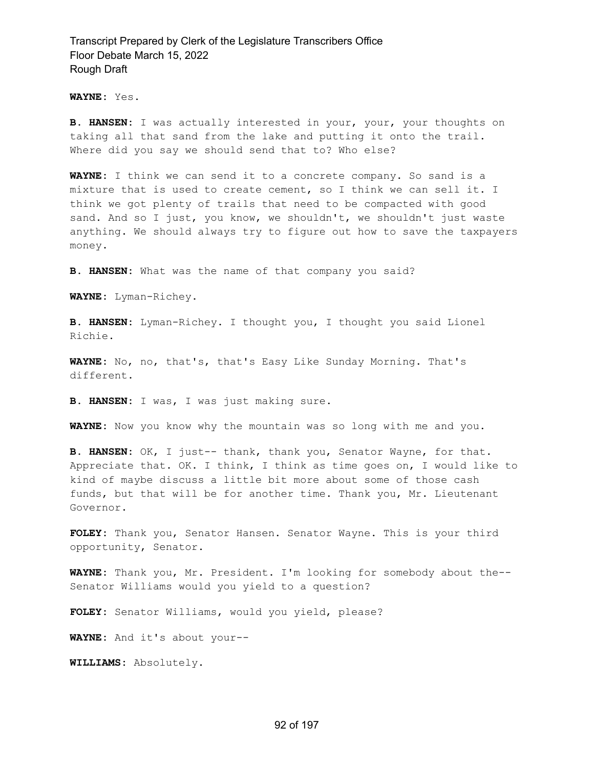**WAYNE:** Yes.

**B. HANSEN:** I was actually interested in your, your, your thoughts on taking all that sand from the lake and putting it onto the trail. Where did you say we should send that to? Who else?

**WAYNE:** I think we can send it to a concrete company. So sand is a mixture that is used to create cement, so I think we can sell it. I think we got plenty of trails that need to be compacted with good sand. And so I just, you know, we shouldn't, we shouldn't just waste anything. We should always try to figure out how to save the taxpayers money.

**B. HANSEN:** What was the name of that company you said?

**WAYNE:** Lyman-Richey.

**B. HANSEN:** Lyman-Richey. I thought you, I thought you said Lionel Richie.

**WAYNE:** No, no, that's, that's Easy Like Sunday Morning. That's different.

**B. HANSEN:** I was, I was just making sure.

**WAYNE:** Now you know why the mountain was so long with me and you.

**B. HANSEN:** OK, I just-- thank, thank you, Senator Wayne, for that. Appreciate that. OK. I think, I think as time goes on, I would like to kind of maybe discuss a little bit more about some of those cash funds, but that will be for another time. Thank you, Mr. Lieutenant Governor.

**FOLEY:** Thank you, Senator Hansen. Senator Wayne. This is your third opportunity, Senator.

**WAYNE:** Thank you, Mr. President. I'm looking for somebody about the-- Senator Williams would you yield to a question?

**FOLEY:** Senator Williams, would you yield, please?

**WAYNE:** And it's about your--

**WILLIAMS:** Absolutely.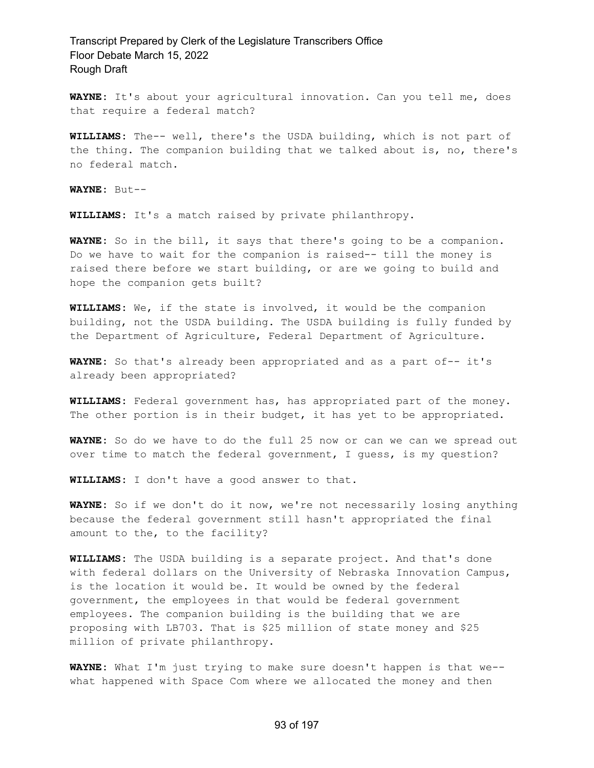**WAYNE:** It's about your agricultural innovation. Can you tell me, does that require a federal match?

**WILLIAMS:** The-- well, there's the USDA building, which is not part of the thing. The companion building that we talked about is, no, there's no federal match.

**WAYNE:** But--

**WILLIAMS:** It's a match raised by private philanthropy.

**WAYNE:** So in the bill, it says that there's going to be a companion. Do we have to wait for the companion is raised-- till the money is raised there before we start building, or are we going to build and hope the companion gets built?

**WILLIAMS:** We, if the state is involved, it would be the companion building, not the USDA building. The USDA building is fully funded by the Department of Agriculture, Federal Department of Agriculture.

**WAYNE:** So that's already been appropriated and as a part of-- it's already been appropriated?

**WILLIAMS:** Federal government has, has appropriated part of the money. The other portion is in their budget, it has yet to be appropriated.

**WAYNE:** So do we have to do the full 25 now or can we can we spread out over time to match the federal government, I guess, is my question?

**WILLIAMS:** I don't have a good answer to that.

**WAYNE:** So if we don't do it now, we're not necessarily losing anything because the federal government still hasn't appropriated the final amount to the, to the facility?

**WILLIAMS:** The USDA building is a separate project. And that's done with federal dollars on the University of Nebraska Innovation Campus, is the location it would be. It would be owned by the federal government, the employees in that would be federal government employees. The companion building is the building that we are proposing with LB703. That is \$25 million of state money and \$25 million of private philanthropy.

**WAYNE:** What I'm just trying to make sure doesn't happen is that we- what happened with Space Com where we allocated the money and then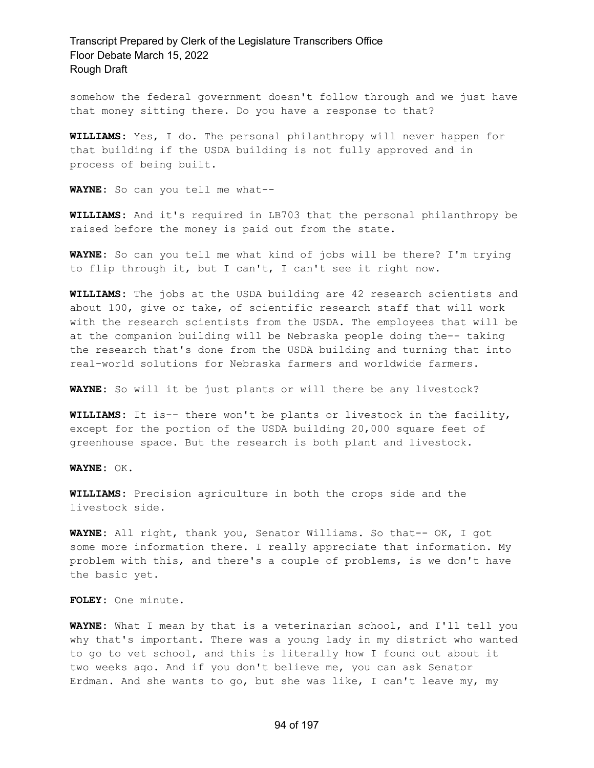somehow the federal government doesn't follow through and we just have that money sitting there. Do you have a response to that?

**WILLIAMS:** Yes, I do. The personal philanthropy will never happen for that building if the USDA building is not fully approved and in process of being built.

**WAYNE:** So can you tell me what--

**WILLIAMS:** And it's required in LB703 that the personal philanthropy be raised before the money is paid out from the state.

**WAYNE:** So can you tell me what kind of jobs will be there? I'm trying to flip through it, but I can't, I can't see it right now.

**WILLIAMS:** The jobs at the USDA building are 42 research scientists and about 100, give or take, of scientific research staff that will work with the research scientists from the USDA. The employees that will be at the companion building will be Nebraska people doing the-- taking the research that's done from the USDA building and turning that into real-world solutions for Nebraska farmers and worldwide farmers.

**WAYNE:** So will it be just plants or will there be any livestock?

**WILLIAMS:** It is-- there won't be plants or livestock in the facility, except for the portion of the USDA building 20,000 square feet of greenhouse space. But the research is both plant and livestock.

**WAYNE:** OK.

**WILLIAMS:** Precision agriculture in both the crops side and the livestock side.

**WAYNE:** All right, thank you, Senator Williams. So that-- OK, I got some more information there. I really appreciate that information. My problem with this, and there's a couple of problems, is we don't have the basic yet.

**FOLEY:** One minute.

**WAYNE:** What I mean by that is a veterinarian school, and I'll tell you why that's important. There was a young lady in my district who wanted to go to vet school, and this is literally how I found out about it two weeks ago. And if you don't believe me, you can ask Senator Erdman. And she wants to go, but she was like, I can't leave my, my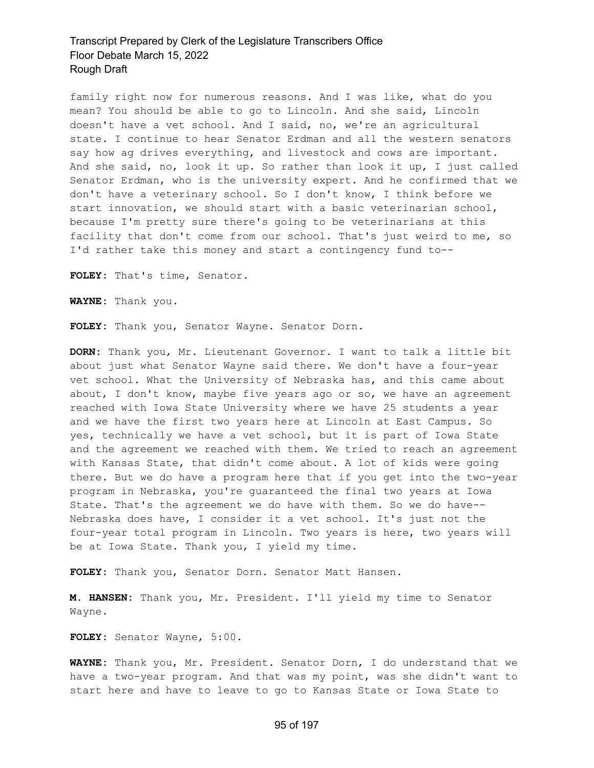family right now for numerous reasons. And I was like, what do you mean? You should be able to go to Lincoln. And she said, Lincoln doesn't have a vet school. And I said, no, we're an agricultural state. I continue to hear Senator Erdman and all the western senators say how ag drives everything, and livestock and cows are important. And she said, no, look it up. So rather than look it up, I just called Senator Erdman, who is the university expert. And he confirmed that we don't have a veterinary school. So I don't know, I think before we start innovation, we should start with a basic veterinarian school, because I'm pretty sure there's going to be veterinarians at this facility that don't come from our school. That's just weird to me, so I'd rather take this money and start a contingency fund to--

**FOLEY:** That's time, Senator.

**WAYNE:** Thank you.

**FOLEY:** Thank you, Senator Wayne. Senator Dorn.

**DORN:** Thank you, Mr. Lieutenant Governor. I want to talk a little bit about just what Senator Wayne said there. We don't have a four-year vet school. What the University of Nebraska has, and this came about about, I don't know, maybe five years ago or so, we have an agreement reached with Iowa State University where we have 25 students a year and we have the first two years here at Lincoln at East Campus. So yes, technically we have a vet school, but it is part of Iowa State and the agreement we reached with them. We tried to reach an agreement with Kansas State, that didn't come about. A lot of kids were going there. But we do have a program here that if you get into the two-year program in Nebraska, you're guaranteed the final two years at Iowa State. That's the agreement we do have with them. So we do have-- Nebraska does have, I consider it a vet school. It's just not the four-year total program in Lincoln. Two years is here, two years will be at Iowa State. Thank you, I yield my time.

**FOLEY:** Thank you, Senator Dorn. Senator Matt Hansen.

**M. HANSEN:** Thank you, Mr. President. I'll yield my time to Senator Wayne.

**FOLEY:** Senator Wayne, 5:00.

**WAYNE:** Thank you, Mr. President. Senator Dorn, I do understand that we have a two-year program. And that was my point, was she didn't want to start here and have to leave to go to Kansas State or Iowa State to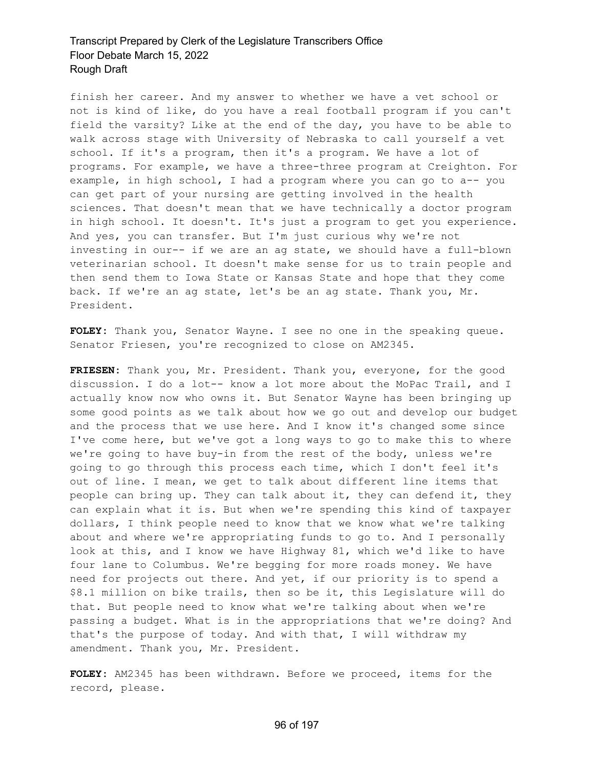finish her career. And my answer to whether we have a vet school or not is kind of like, do you have a real football program if you can't field the varsity? Like at the end of the day, you have to be able to walk across stage with University of Nebraska to call yourself a vet school. If it's a program, then it's a program. We have a lot of programs. For example, we have a three-three program at Creighton. For example, in high school, I had a program where you can go to a-- you can get part of your nursing are getting involved in the health sciences. That doesn't mean that we have technically a doctor program in high school. It doesn't. It's just a program to get you experience. And yes, you can transfer. But I'm just curious why we're not investing in our-- if we are an ag state, we should have a full-blown veterinarian school. It doesn't make sense for us to train people and then send them to Iowa State or Kansas State and hope that they come back. If we're an ag state, let's be an ag state. Thank you, Mr. President.

**FOLEY:** Thank you, Senator Wayne. I see no one in the speaking queue. Senator Friesen, you're recognized to close on AM2345.

**FRIESEN:** Thank you, Mr. President. Thank you, everyone, for the good discussion. I do a lot-- know a lot more about the MoPac Trail, and I actually know now who owns it. But Senator Wayne has been bringing up some good points as we talk about how we go out and develop our budget and the process that we use here. And I know it's changed some since I've come here, but we've got a long ways to go to make this to where we're going to have buy-in from the rest of the body, unless we're going to go through this process each time, which I don't feel it's out of line. I mean, we get to talk about different line items that people can bring up. They can talk about it, they can defend it, they can explain what it is. But when we're spending this kind of taxpayer dollars, I think people need to know that we know what we're talking about and where we're appropriating funds to go to. And I personally look at this, and I know we have Highway 81, which we'd like to have four lane to Columbus. We're begging for more roads money. We have need for projects out there. And yet, if our priority is to spend a \$8.1 million on bike trails, then so be it, this Legislature will do that. But people need to know what we're talking about when we're passing a budget. What is in the appropriations that we're doing? And that's the purpose of today. And with that, I will withdraw my amendment. Thank you, Mr. President.

**FOLEY:** AM2345 has been withdrawn. Before we proceed, items for the record, please.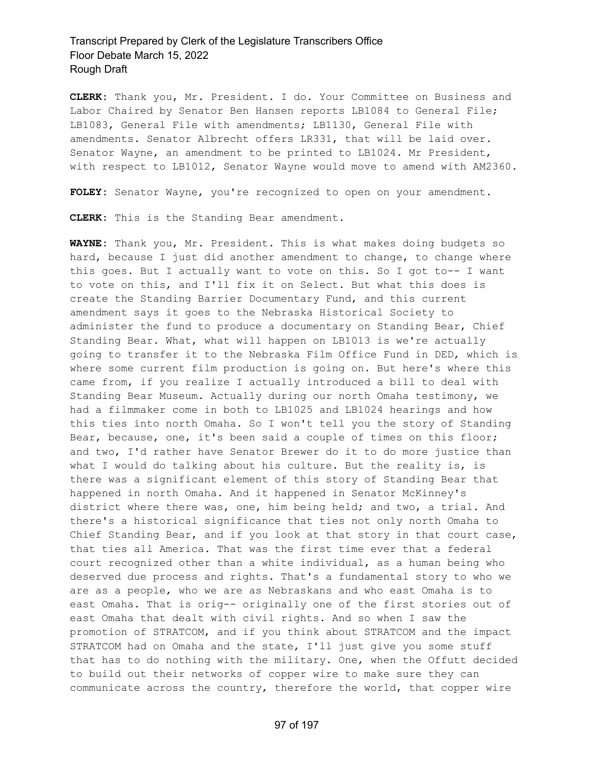**CLERK:** Thank you, Mr. President. I do. Your Committee on Business and Labor Chaired by Senator Ben Hansen reports LB1084 to General File; LB1083, General File with amendments; LB1130, General File with amendments. Senator Albrecht offers LR331, that will be laid over. Senator Wayne, an amendment to be printed to LB1024. Mr President, with respect to LB1012, Senator Wayne would move to amend with AM2360.

FOLEY: Senator Wayne, you're recognized to open on your amendment.

**CLERK:** This is the Standing Bear amendment.

**WAYNE:** Thank you, Mr. President. This is what makes doing budgets so hard, because I just did another amendment to change, to change where this goes. But I actually want to vote on this. So I got to-- I want to vote on this, and I'll fix it on Select. But what this does is create the Standing Barrier Documentary Fund, and this current amendment says it goes to the Nebraska Historical Society to administer the fund to produce a documentary on Standing Bear, Chief Standing Bear. What, what will happen on LB1013 is we're actually going to transfer it to the Nebraska Film Office Fund in DED, which is where some current film production is going on. But here's where this came from, if you realize I actually introduced a bill to deal with Standing Bear Museum. Actually during our north Omaha testimony, we had a filmmaker come in both to LB1025 and LB1024 hearings and how this ties into north Omaha. So I won't tell you the story of Standing Bear, because, one, it's been said a couple of times on this floor; and two, I'd rather have Senator Brewer do it to do more justice than what I would do talking about his culture. But the reality is, is there was a significant element of this story of Standing Bear that happened in north Omaha. And it happened in Senator McKinney's district where there was, one, him being held; and two, a trial. And there's a historical significance that ties not only north Omaha to Chief Standing Bear, and if you look at that story in that court case, that ties all America. That was the first time ever that a federal court recognized other than a white individual, as a human being who deserved due process and rights. That's a fundamental story to who we are as a people, who we are as Nebraskans and who east Omaha is to east Omaha. That is orig-- originally one of the first stories out of east Omaha that dealt with civil rights. And so when I saw the promotion of STRATCOM, and if you think about STRATCOM and the impact STRATCOM had on Omaha and the state, I'll just give you some stuff that has to do nothing with the military. One, when the Offutt decided to build out their networks of copper wire to make sure they can communicate across the country, therefore the world, that copper wire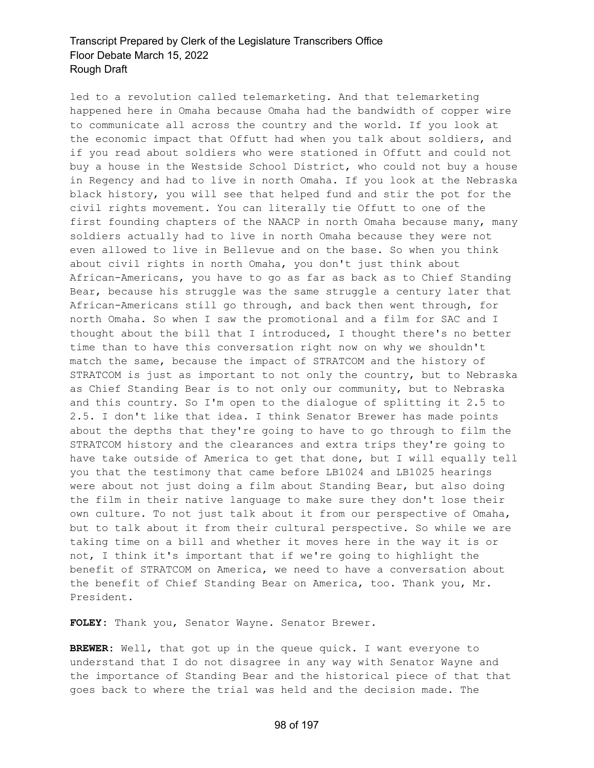led to a revolution called telemarketing. And that telemarketing happened here in Omaha because Omaha had the bandwidth of copper wire to communicate all across the country and the world. If you look at the economic impact that Offutt had when you talk about soldiers, and if you read about soldiers who were stationed in Offutt and could not buy a house in the Westside School District, who could not buy a house in Regency and had to live in north Omaha. If you look at the Nebraska black history, you will see that helped fund and stir the pot for the civil rights movement. You can literally tie Offutt to one of the first founding chapters of the NAACP in north Omaha because many, many soldiers actually had to live in north Omaha because they were not even allowed to live in Bellevue and on the base. So when you think about civil rights in north Omaha, you don't just think about African-Americans, you have to go as far as back as to Chief Standing Bear, because his struggle was the same struggle a century later that African-Americans still go through, and back then went through, for north Omaha. So when I saw the promotional and a film for SAC and I thought about the bill that I introduced, I thought there's no better time than to have this conversation right now on why we shouldn't match the same, because the impact of STRATCOM and the history of STRATCOM is just as important to not only the country, but to Nebraska as Chief Standing Bear is to not only our community, but to Nebraska and this country. So I'm open to the dialogue of splitting it 2.5 to 2.5. I don't like that idea. I think Senator Brewer has made points about the depths that they're going to have to go through to film the STRATCOM history and the clearances and extra trips they're going to have take outside of America to get that done, but I will equally tell you that the testimony that came before LB1024 and LB1025 hearings were about not just doing a film about Standing Bear, but also doing the film in their native language to make sure they don't lose their own culture. To not just talk about it from our perspective of Omaha, but to talk about it from their cultural perspective. So while we are taking time on a bill and whether it moves here in the way it is or not, I think it's important that if we're going to highlight the benefit of STRATCOM on America, we need to have a conversation about the benefit of Chief Standing Bear on America, too. Thank you, Mr. President.

**FOLEY:** Thank you, Senator Wayne. Senator Brewer.

**BREWER:** Well, that got up in the queue quick. I want everyone to understand that I do not disagree in any way with Senator Wayne and the importance of Standing Bear and the historical piece of that that goes back to where the trial was held and the decision made. The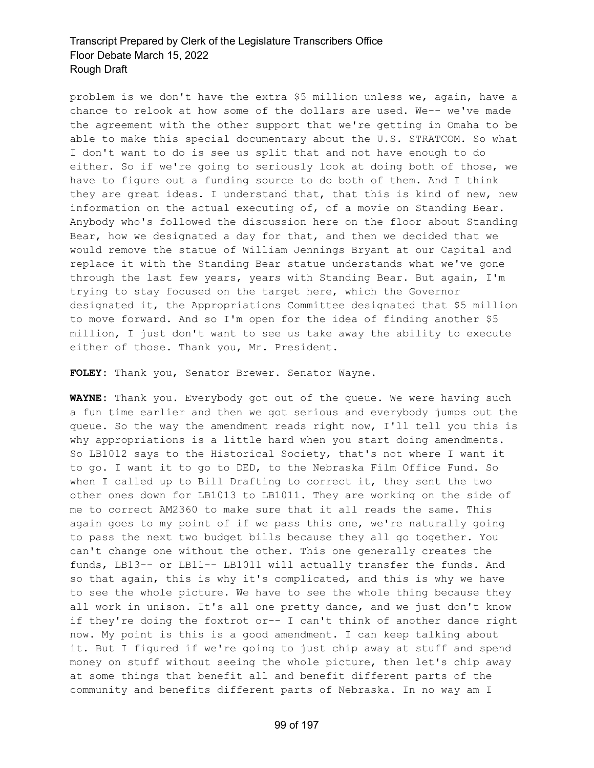problem is we don't have the extra \$5 million unless we, again, have a chance to relook at how some of the dollars are used. We-- we've made the agreement with the other support that we're getting in Omaha to be able to make this special documentary about the U.S. STRATCOM. So what I don't want to do is see us split that and not have enough to do either. So if we're going to seriously look at doing both of those, we have to figure out a funding source to do both of them. And I think they are great ideas. I understand that, that this is kind of new, new information on the actual executing of, of a movie on Standing Bear. Anybody who's followed the discussion here on the floor about Standing Bear, how we designated a day for that, and then we decided that we would remove the statue of William Jennings Bryant at our Capital and replace it with the Standing Bear statue understands what we've gone through the last few years, years with Standing Bear. But again, I'm trying to stay focused on the target here, which the Governor designated it, the Appropriations Committee designated that \$5 million to move forward. And so I'm open for the idea of finding another \$5 million, I just don't want to see us take away the ability to execute either of those. Thank you, Mr. President.

**FOLEY:** Thank you, Senator Brewer. Senator Wayne.

**WAYNE:** Thank you. Everybody got out of the queue. We were having such a fun time earlier and then we got serious and everybody jumps out the queue. So the way the amendment reads right now, I'll tell you this is why appropriations is a little hard when you start doing amendments. So LB1012 says to the Historical Society, that's not where I want it to go. I want it to go to DED, to the Nebraska Film Office Fund. So when I called up to Bill Drafting to correct it, they sent the two other ones down for LB1013 to LB1011. They are working on the side of me to correct AM2360 to make sure that it all reads the same. This again goes to my point of if we pass this one, we're naturally going to pass the next two budget bills because they all go together. You can't change one without the other. This one generally creates the funds, LB13-- or LB11-- LB1011 will actually transfer the funds. And so that again, this is why it's complicated, and this is why we have to see the whole picture. We have to see the whole thing because they all work in unison. It's all one pretty dance, and we just don't know if they're doing the foxtrot or-- I can't think of another dance right now. My point is this is a good amendment. I can keep talking about it. But I figured if we're going to just chip away at stuff and spend money on stuff without seeing the whole picture, then let's chip away at some things that benefit all and benefit different parts of the community and benefits different parts of Nebraska. In no way am I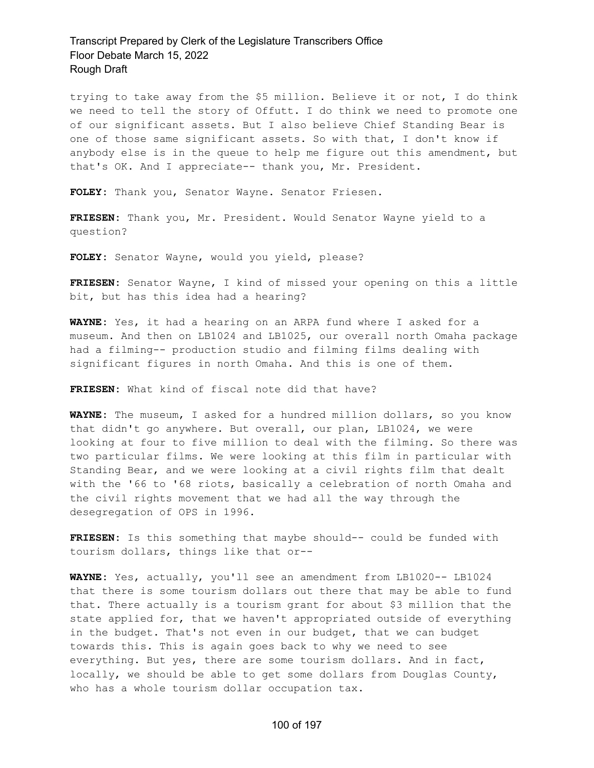trying to take away from the \$5 million. Believe it or not, I do think we need to tell the story of Offutt. I do think we need to promote one of our significant assets. But I also believe Chief Standing Bear is one of those same significant assets. So with that, I don't know if anybody else is in the queue to help me figure out this amendment, but that's OK. And I appreciate-- thank you, Mr. President.

**FOLEY:** Thank you, Senator Wayne. Senator Friesen.

**FRIESEN:** Thank you, Mr. President. Would Senator Wayne yield to a question?

**FOLEY:** Senator Wayne, would you yield, please?

**FRIESEN:** Senator Wayne, I kind of missed your opening on this a little bit, but has this idea had a hearing?

**WAYNE:** Yes, it had a hearing on an ARPA fund where I asked for a museum. And then on LB1024 and LB1025, our overall north Omaha package had a filming-- production studio and filming films dealing with significant figures in north Omaha. And this is one of them.

**FRIESEN:** What kind of fiscal note did that have?

**WAYNE:** The museum, I asked for a hundred million dollars, so you know that didn't go anywhere. But overall, our plan, LB1024, we were looking at four to five million to deal with the filming. So there was two particular films. We were looking at this film in particular with Standing Bear, and we were looking at a civil rights film that dealt with the '66 to '68 riots, basically a celebration of north Omaha and the civil rights movement that we had all the way through the desegregation of OPS in 1996.

**FRIESEN:** Is this something that maybe should-- could be funded with tourism dollars, things like that or--

**WAYNE:** Yes, actually, you'll see an amendment from LB1020-- LB1024 that there is some tourism dollars out there that may be able to fund that. There actually is a tourism grant for about \$3 million that the state applied for, that we haven't appropriated outside of everything in the budget. That's not even in our budget, that we can budget towards this. This is again goes back to why we need to see everything. But yes, there are some tourism dollars. And in fact, locally, we should be able to get some dollars from Douglas County, who has a whole tourism dollar occupation tax.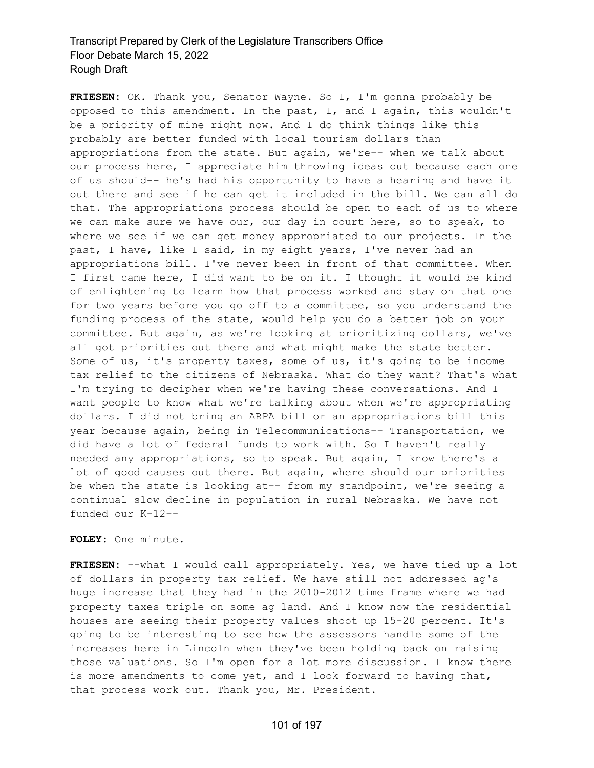**FRIESEN:** OK. Thank you, Senator Wayne. So I, I'm gonna probably be opposed to this amendment. In the past, I, and I again, this wouldn't be a priority of mine right now. And I do think things like this probably are better funded with local tourism dollars than appropriations from the state. But again, we're-- when we talk about our process here, I appreciate him throwing ideas out because each one of us should-- he's had his opportunity to have a hearing and have it out there and see if he can get it included in the bill. We can all do that. The appropriations process should be open to each of us to where we can make sure we have our, our day in court here, so to speak, to where we see if we can get money appropriated to our projects. In the past, I have, like I said, in my eight years, I've never had an appropriations bill. I've never been in front of that committee. When I first came here, I did want to be on it. I thought it would be kind of enlightening to learn how that process worked and stay on that one for two years before you go off to a committee, so you understand the funding process of the state, would help you do a better job on your committee. But again, as we're looking at prioritizing dollars, we've all got priorities out there and what might make the state better. Some of us, it's property taxes, some of us, it's going to be income tax relief to the citizens of Nebraska. What do they want? That's what I'm trying to decipher when we're having these conversations. And I want people to know what we're talking about when we're appropriating dollars. I did not bring an ARPA bill or an appropriations bill this year because again, being in Telecommunications-- Transportation, we did have a lot of federal funds to work with. So I haven't really needed any appropriations, so to speak. But again, I know there's a lot of good causes out there. But again, where should our priorities be when the state is looking at-- from my standpoint, we're seeing a continual slow decline in population in rural Nebraska. We have not funded our K-12--

**FOLEY:** One minute.

**FRIESEN:** --what I would call appropriately. Yes, we have tied up a lot of dollars in property tax relief. We have still not addressed ag's huge increase that they had in the 2010-2012 time frame where we had property taxes triple on some ag land. And I know now the residential houses are seeing their property values shoot up 15-20 percent. It's going to be interesting to see how the assessors handle some of the increases here in Lincoln when they've been holding back on raising those valuations. So I'm open for a lot more discussion. I know there is more amendments to come yet, and I look forward to having that, that process work out. Thank you, Mr. President.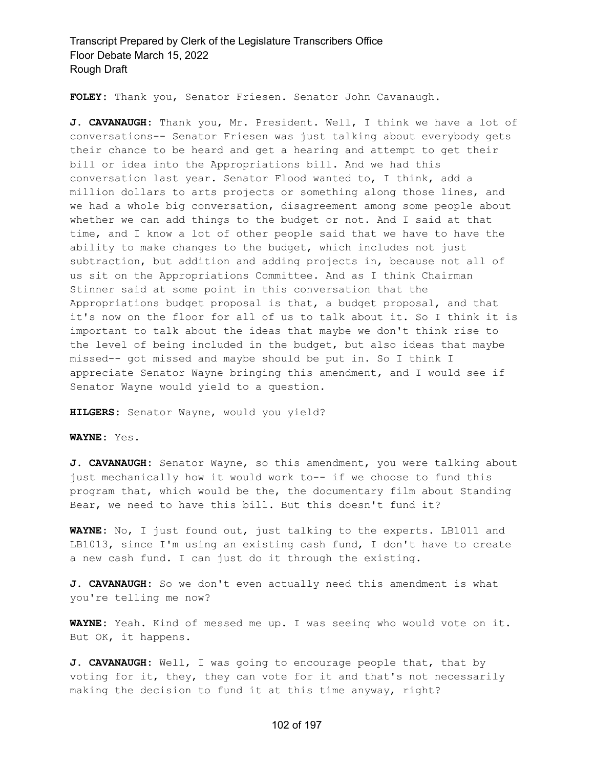**FOLEY:** Thank you, Senator Friesen. Senator John Cavanaugh.

**J. CAVANAUGH:** Thank you, Mr. President. Well, I think we have a lot of conversations-- Senator Friesen was just talking about everybody gets their chance to be heard and get a hearing and attempt to get their bill or idea into the Appropriations bill. And we had this conversation last year. Senator Flood wanted to, I think, add a million dollars to arts projects or something along those lines, and we had a whole big conversation, disagreement among some people about whether we can add things to the budget or not. And I said at that time, and I know a lot of other people said that we have to have the ability to make changes to the budget, which includes not just subtraction, but addition and adding projects in, because not all of us sit on the Appropriations Committee. And as I think Chairman Stinner said at some point in this conversation that the Appropriations budget proposal is that, a budget proposal, and that it's now on the floor for all of us to talk about it. So I think it is important to talk about the ideas that maybe we don't think rise to the level of being included in the budget, but also ideas that maybe missed-- got missed and maybe should be put in. So I think I appreciate Senator Wayne bringing this amendment, and I would see if Senator Wayne would yield to a question.

**HILGERS:** Senator Wayne, would you yield?

**WAYNE:** Yes.

**J. CAVANAUGH:** Senator Wayne, so this amendment, you were talking about just mechanically how it would work to-- if we choose to fund this program that, which would be the, the documentary film about Standing Bear, we need to have this bill. But this doesn't fund it?

**WAYNE:** No, I just found out, just talking to the experts. LB1011 and LB1013, since I'm using an existing cash fund, I don't have to create a new cash fund. I can just do it through the existing.

**J. CAVANAUGH:** So we don't even actually need this amendment is what you're telling me now?

**WAYNE:** Yeah. Kind of messed me up. I was seeing who would vote on it. But OK, it happens.

**J. CAVANAUGH:** Well, I was going to encourage people that, that by voting for it, they, they can vote for it and that's not necessarily making the decision to fund it at this time anyway, right?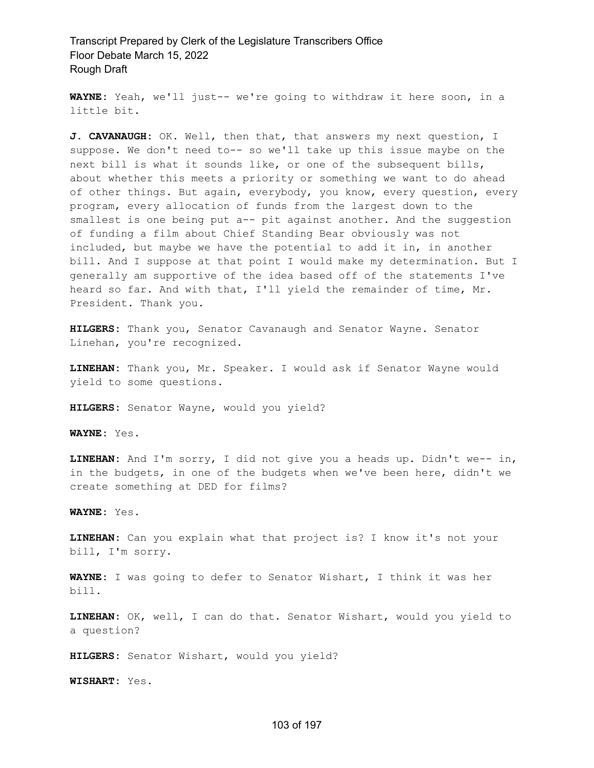**WAYNE:** Yeah, we'll just-- we're going to withdraw it here soon, in a little bit.

**J. CAVANAUGH:** OK. Well, then that, that answers my next question, I suppose. We don't need to-- so we'll take up this issue maybe on the next bill is what it sounds like, or one of the subsequent bills, about whether this meets a priority or something we want to do ahead of other things. But again, everybody, you know, every question, every program, every allocation of funds from the largest down to the smallest is one being put a-- pit against another. And the suggestion of funding a film about Chief Standing Bear obviously was not included, but maybe we have the potential to add it in, in another bill. And I suppose at that point I would make my determination. But I generally am supportive of the idea based off of the statements I've heard so far. And with that, I'll yield the remainder of time, Mr. President. Thank you.

**HILGERS:** Thank you, Senator Cavanaugh and Senator Wayne. Senator Linehan, you're recognized.

**LINEHAN:** Thank you, Mr. Speaker. I would ask if Senator Wayne would yield to some questions.

**HILGERS:** Senator Wayne, would you yield?

**WAYNE:** Yes.

**LINEHAN:** And I'm sorry, I did not give you a heads up. Didn't we-- in, in the budgets, in one of the budgets when we've been here, didn't we create something at DED for films?

**WAYNE:** Yes.

**LINEHAN:** Can you explain what that project is? I know it's not your bill, I'm sorry.

**WAYNE:** I was going to defer to Senator Wishart, I think it was her bill.

**LINEHAN:** OK, well, I can do that. Senator Wishart, would you yield to a question?

**HILGERS:** Senator Wishart, would you yield?

**WISHART:** Yes.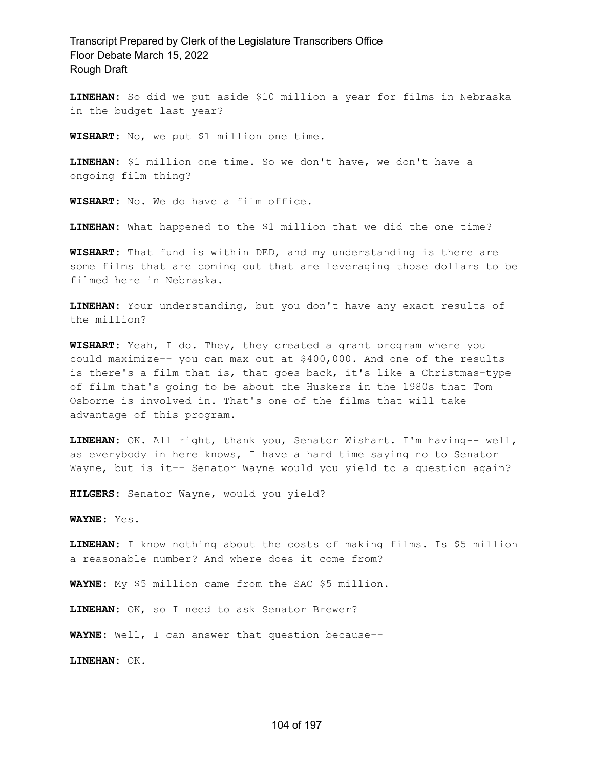**LINEHAN:** So did we put aside \$10 million a year for films in Nebraska in the budget last year?

**WISHART:** No, we put \$1 million one time.

**LINEHAN:** \$1 million one time. So we don't have, we don't have a ongoing film thing?

**WISHART:** No. We do have a film office.

**LINEHAN:** What happened to the \$1 million that we did the one time?

**WISHART:** That fund is within DED, and my understanding is there are some films that are coming out that are leveraging those dollars to be filmed here in Nebraska.

**LINEHAN:** Your understanding, but you don't have any exact results of the million?

**WISHART:** Yeah, I do. They, they created a grant program where you could maximize-- you can max out at \$400,000. And one of the results is there's a film that is, that goes back, it's like a Christmas-type of film that's going to be about the Huskers in the 1980s that Tom Osborne is involved in. That's one of the films that will take advantage of this program.

**LINEHAN:** OK. All right, thank you, Senator Wishart. I'm having-- well, as everybody in here knows, I have a hard time saying no to Senator Wayne, but is it-- Senator Wayne would you yield to a question again?

**HILGERS:** Senator Wayne, would you yield?

**WAYNE:** Yes.

**LINEHAN:** I know nothing about the costs of making films. Is \$5 million a reasonable number? And where does it come from?

**WAYNE:** My \$5 million came from the SAC \$5 million.

**LINEHAN:** OK, so I need to ask Senator Brewer?

**WAYNE:** Well, I can answer that question because--

**LINEHAN:** OK.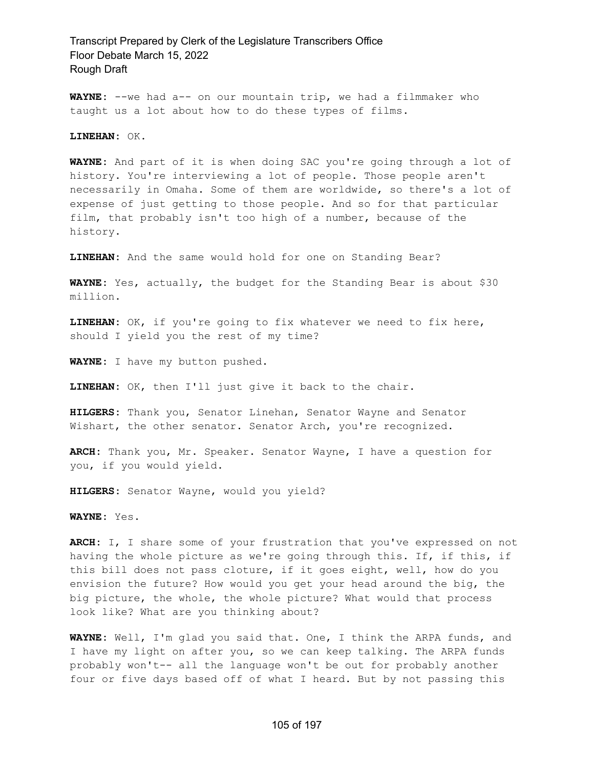**WAYNE:** --we had a-- on our mountain trip, we had a filmmaker who taught us a lot about how to do these types of films.

**LINEHAN:** OK.

**WAYNE:** And part of it is when doing SAC you're going through a lot of history. You're interviewing a lot of people. Those people aren't necessarily in Omaha. Some of them are worldwide, so there's a lot of expense of just getting to those people. And so for that particular film, that probably isn't too high of a number, because of the history.

**LINEHAN:** And the same would hold for one on Standing Bear?

**WAYNE:** Yes, actually, the budget for the Standing Bear is about \$30 million.

**LINEHAN:** OK, if you're going to fix whatever we need to fix here, should I yield you the rest of my time?

**WAYNE:** I have my button pushed.

**LINEHAN:** OK, then I'll just give it back to the chair.

**HILGERS:** Thank you, Senator Linehan, Senator Wayne and Senator Wishart, the other senator. Senator Arch, you're recognized.

**ARCH:** Thank you, Mr. Speaker. Senator Wayne, I have a question for you, if you would yield.

**HILGERS:** Senator Wayne, would you yield?

**WAYNE:** Yes.

**ARCH:** I, I share some of your frustration that you've expressed on not having the whole picture as we're going through this. If, if this, if this bill does not pass cloture, if it goes eight, well, how do you envision the future? How would you get your head around the big, the big picture, the whole, the whole picture? What would that process look like? What are you thinking about?

**WAYNE:** Well, I'm glad you said that. One, I think the ARPA funds, and I have my light on after you, so we can keep talking. The ARPA funds probably won't-- all the language won't be out for probably another four or five days based off of what I heard. But by not passing this

#### 105 of 197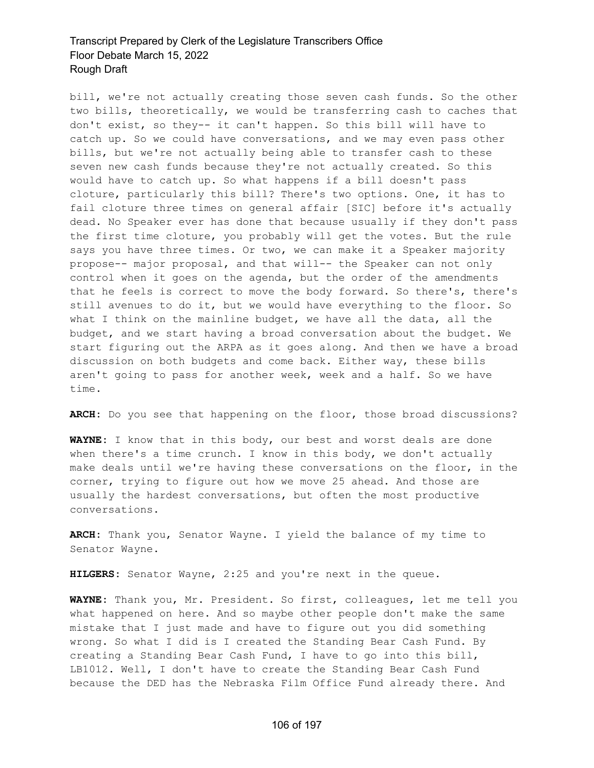bill, we're not actually creating those seven cash funds. So the other two bills, theoretically, we would be transferring cash to caches that don't exist, so they-- it can't happen. So this bill will have to catch up. So we could have conversations, and we may even pass other bills, but we're not actually being able to transfer cash to these seven new cash funds because they're not actually created. So this would have to catch up. So what happens if a bill doesn't pass cloture, particularly this bill? There's two options. One, it has to fail cloture three times on general affair [SIC] before it's actually dead. No Speaker ever has done that because usually if they don't pass the first time cloture, you probably will get the votes. But the rule says you have three times. Or two, we can make it a Speaker majority propose-- major proposal, and that will-- the Speaker can not only control when it goes on the agenda, but the order of the amendments that he feels is correct to move the body forward. So there's, there's still avenues to do it, but we would have everything to the floor. So what I think on the mainline budget, we have all the data, all the budget, and we start having a broad conversation about the budget. We start figuring out the ARPA as it goes along. And then we have a broad discussion on both budgets and come back. Either way, these bills aren't going to pass for another week, week and a half. So we have time.

**ARCH:** Do you see that happening on the floor, those broad discussions?

**WAYNE:** I know that in this body, our best and worst deals are done when there's a time crunch. I know in this body, we don't actually make deals until we're having these conversations on the floor, in the corner, trying to figure out how we move 25 ahead. And those are usually the hardest conversations, but often the most productive conversations.

**ARCH:** Thank you, Senator Wayne. I yield the balance of my time to Senator Wayne.

**HILGERS:** Senator Wayne, 2:25 and you're next in the queue.

**WAYNE:** Thank you, Mr. President. So first, colleagues, let me tell you what happened on here. And so maybe other people don't make the same mistake that I just made and have to figure out you did something wrong. So what I did is I created the Standing Bear Cash Fund. By creating a Standing Bear Cash Fund, I have to go into this bill, LB1012. Well, I don't have to create the Standing Bear Cash Fund because the DED has the Nebraska Film Office Fund already there. And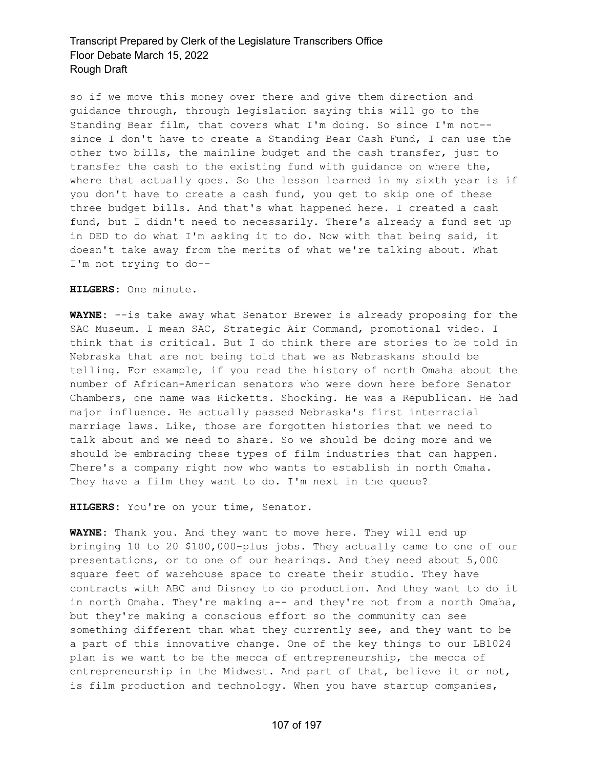so if we move this money over there and give them direction and guidance through, through legislation saying this will go to the Standing Bear film, that covers what I'm doing. So since I'm not- since I don't have to create a Standing Bear Cash Fund, I can use the other two bills, the mainline budget and the cash transfer, just to transfer the cash to the existing fund with guidance on where the, where that actually goes. So the lesson learned in my sixth year is if you don't have to create a cash fund, you get to skip one of these three budget bills. And that's what happened here. I created a cash fund, but I didn't need to necessarily. There's already a fund set up in DED to do what I'm asking it to do. Now with that being said, it doesn't take away from the merits of what we're talking about. What I'm not trying to do--

**HILGERS:** One minute.

**WAYNE:** --is take away what Senator Brewer is already proposing for the SAC Museum. I mean SAC, Strategic Air Command, promotional video. I think that is critical. But I do think there are stories to be told in Nebraska that are not being told that we as Nebraskans should be telling. For example, if you read the history of north Omaha about the number of African-American senators who were down here before Senator Chambers, one name was Ricketts. Shocking. He was a Republican. He had major influence. He actually passed Nebraska's first interracial marriage laws. Like, those are forgotten histories that we need to talk about and we need to share. So we should be doing more and we should be embracing these types of film industries that can happen. There's a company right now who wants to establish in north Omaha. They have a film they want to do. I'm next in the queue?

**HILGERS:** You're on your time, Senator.

**WAYNE:** Thank you. And they want to move here. They will end up bringing 10 to 20 \$100,000-plus jobs. They actually came to one of our presentations, or to one of our hearings. And they need about 5,000 square feet of warehouse space to create their studio. They have contracts with ABC and Disney to do production. And they want to do it in north Omaha. They're making a-- and they're not from a north Omaha, but they're making a conscious effort so the community can see something different than what they currently see, and they want to be a part of this innovative change. One of the key things to our LB1024 plan is we want to be the mecca of entrepreneurship, the mecca of entrepreneurship in the Midwest. And part of that, believe it or not, is film production and technology. When you have startup companies,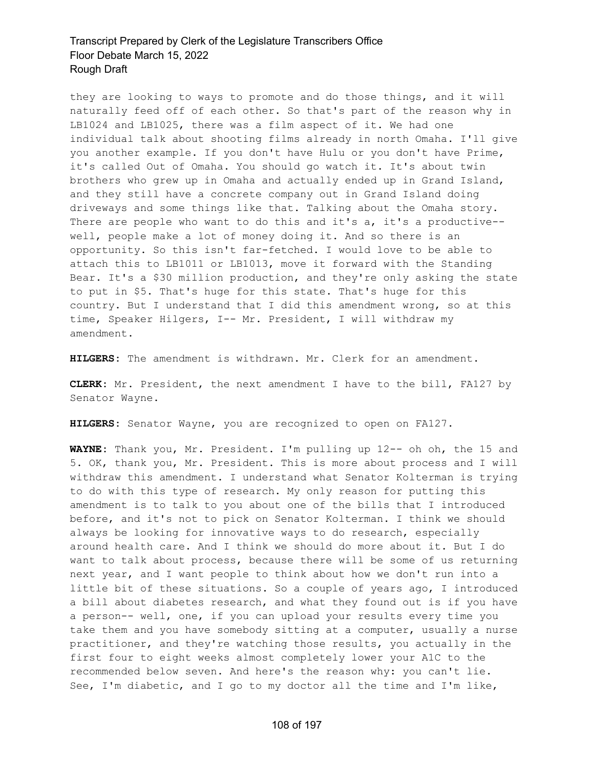they are looking to ways to promote and do those things, and it will naturally feed off of each other. So that's part of the reason why in LB1024 and LB1025, there was a film aspect of it. We had one individual talk about shooting films already in north Omaha. I'll give you another example. If you don't have Hulu or you don't have Prime, it's called Out of Omaha. You should go watch it. It's about twin brothers who grew up in Omaha and actually ended up in Grand Island, and they still have a concrete company out in Grand Island doing driveways and some things like that. Talking about the Omaha story. There are people who want to do this and it's a, it's a productive-well, people make a lot of money doing it. And so there is an opportunity. So this isn't far-fetched. I would love to be able to attach this to LB1011 or LB1013, move it forward with the Standing Bear. It's a \$30 million production, and they're only asking the state to put in \$5. That's huge for this state. That's huge for this country. But I understand that I did this amendment wrong, so at this time, Speaker Hilgers, I-- Mr. President, I will withdraw my amendment.

**HILGERS:** The amendment is withdrawn. Mr. Clerk for an amendment.

**CLERK:** Mr. President, the next amendment I have to the bill, FA127 by Senator Wayne.

**HILGERS:** Senator Wayne, you are recognized to open on FA127.

**WAYNE:** Thank you, Mr. President. I'm pulling up 12-- oh oh, the 15 and 5. OK, thank you, Mr. President. This is more about process and I will withdraw this amendment. I understand what Senator Kolterman is trying to do with this type of research. My only reason for putting this amendment is to talk to you about one of the bills that I introduced before, and it's not to pick on Senator Kolterman. I think we should always be looking for innovative ways to do research, especially around health care. And I think we should do more about it. But I do want to talk about process, because there will be some of us returning next year, and I want people to think about how we don't run into a little bit of these situations. So a couple of years ago, I introduced a bill about diabetes research, and what they found out is if you have a person-- well, one, if you can upload your results every time you take them and you have somebody sitting at a computer, usually a nurse practitioner, and they're watching those results, you actually in the first four to eight weeks almost completely lower your A1C to the recommended below seven. And here's the reason why: you can't lie. See, I'm diabetic, and I go to my doctor all the time and I'm like,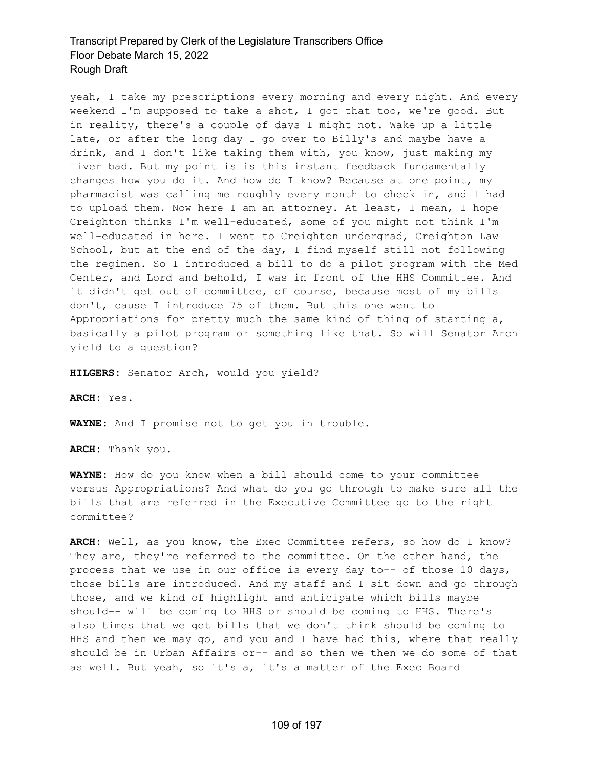yeah, I take my prescriptions every morning and every night. And every weekend I'm supposed to take a shot, I got that too, we're good. But in reality, there's a couple of days I might not. Wake up a little late, or after the long day I go over to Billy's and maybe have a drink, and I don't like taking them with, you know, just making my liver bad. But my point is is this instant feedback fundamentally changes how you do it. And how do I know? Because at one point, my pharmacist was calling me roughly every month to check in, and I had to upload them. Now here I am an attorney. At least, I mean, I hope Creighton thinks I'm well-educated, some of you might not think I'm well-educated in here. I went to Creighton undergrad, Creighton Law School, but at the end of the day, I find myself still not following the regimen. So I introduced a bill to do a pilot program with the Med Center, and Lord and behold, I was in front of the HHS Committee. And it didn't get out of committee, of course, because most of my bills don't, cause I introduce 75 of them. But this one went to Appropriations for pretty much the same kind of thing of starting a, basically a pilot program or something like that. So will Senator Arch yield to a question?

**HILGERS:** Senator Arch, would you yield?

**ARCH:** Yes.

**WAYNE:** And I promise not to get you in trouble.

**ARCH:** Thank you.

**WAYNE:** How do you know when a bill should come to your committee versus Appropriations? And what do you go through to make sure all the bills that are referred in the Executive Committee go to the right committee?

ARCH: Well, as you know, the Exec Committee refers, so how do I know? They are, they're referred to the committee. On the other hand, the process that we use in our office is every day to-- of those 10 days, those bills are introduced. And my staff and I sit down and go through those, and we kind of highlight and anticipate which bills maybe should-- will be coming to HHS or should be coming to HHS. There's also times that we get bills that we don't think should be coming to HHS and then we may go, and you and I have had this, where that really should be in Urban Affairs or-- and so then we then we do some of that as well. But yeah, so it's a, it's a matter of the Exec Board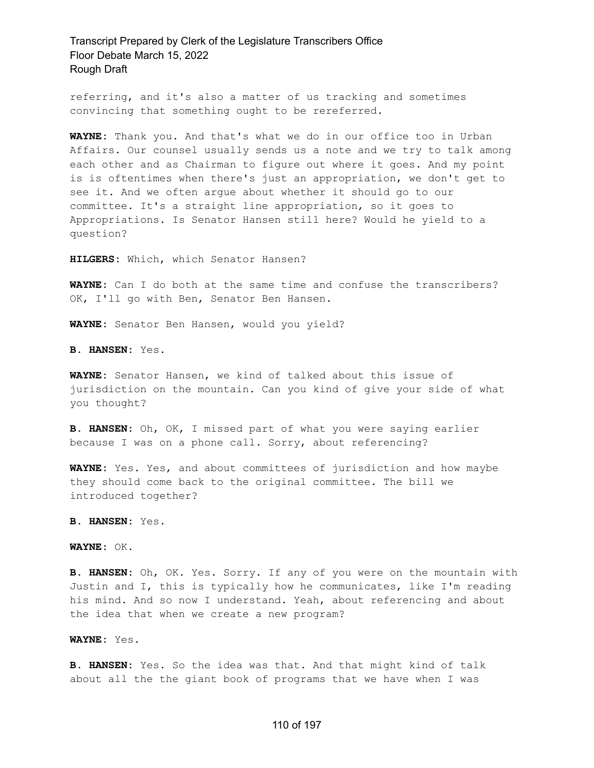referring, and it's also a matter of us tracking and sometimes convincing that something ought to be rereferred.

**WAYNE:** Thank you. And that's what we do in our office too in Urban Affairs. Our counsel usually sends us a note and we try to talk among each other and as Chairman to figure out where it goes. And my point is is oftentimes when there's just an appropriation, we don't get to see it. And we often argue about whether it should go to our committee. It's a straight line appropriation, so it goes to Appropriations. Is Senator Hansen still here? Would he yield to a question?

**HILGERS:** Which, which Senator Hansen?

**WAYNE:** Can I do both at the same time and confuse the transcribers? OK, I'll go with Ben, Senator Ben Hansen.

**WAYNE:** Senator Ben Hansen, would you yield?

**B. HANSEN:** Yes.

**WAYNE:** Senator Hansen, we kind of talked about this issue of jurisdiction on the mountain. Can you kind of give your side of what you thought?

**B. HANSEN:** Oh, OK, I missed part of what you were saying earlier because I was on a phone call. Sorry, about referencing?

**WAYNE:** Yes. Yes, and about committees of jurisdiction and how maybe they should come back to the original committee. The bill we introduced together?

**B. HANSEN:** Yes.

**WAYNE:** OK.

**B. HANSEN:** Oh, OK. Yes. Sorry. If any of you were on the mountain with Justin and I, this is typically how he communicates, like I'm reading his mind. And so now I understand. Yeah, about referencing and about the idea that when we create a new program?

#### **WAYNE:** Yes.

**B. HANSEN:** Yes. So the idea was that. And that might kind of talk about all the the giant book of programs that we have when I was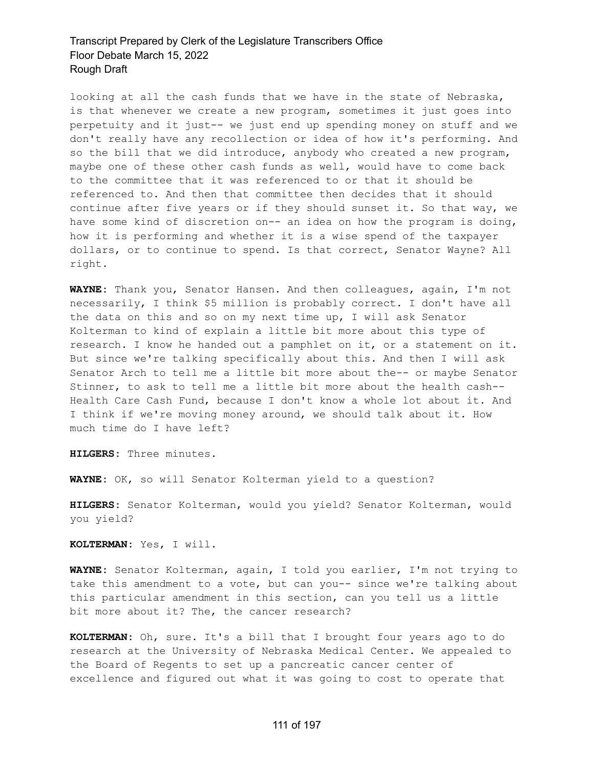looking at all the cash funds that we have in the state of Nebraska, is that whenever we create a new program, sometimes it just goes into perpetuity and it just-- we just end up spending money on stuff and we don't really have any recollection or idea of how it's performing. And so the bill that we did introduce, anybody who created a new program, maybe one of these other cash funds as well, would have to come back to the committee that it was referenced to or that it should be referenced to. And then that committee then decides that it should continue after five years or if they should sunset it. So that way, we have some kind of discretion on-- an idea on how the program is doing, how it is performing and whether it is a wise spend of the taxpayer dollars, or to continue to spend. Is that correct, Senator Wayne? All right.

**WAYNE:** Thank you, Senator Hansen. And then colleagues, again, I'm not necessarily, I think \$5 million is probably correct. I don't have all the data on this and so on my next time up, I will ask Senator Kolterman to kind of explain a little bit more about this type of research. I know he handed out a pamphlet on it, or a statement on it. But since we're talking specifically about this. And then I will ask Senator Arch to tell me a little bit more about the-- or maybe Senator Stinner, to ask to tell me a little bit more about the health cash-- Health Care Cash Fund, because I don't know a whole lot about it. And I think if we're moving money around, we should talk about it. How much time do I have left?

**HILGERS:** Three minutes.

**WAYNE:** OK, so will Senator Kolterman yield to a question?

**HILGERS:** Senator Kolterman, would you yield? Senator Kolterman, would you yield?

**KOLTERMAN:** Yes, I will.

**WAYNE:** Senator Kolterman, again, I told you earlier, I'm not trying to take this amendment to a vote, but can you-- since we're talking about this particular amendment in this section, can you tell us a little bit more about it? The, the cancer research?

**KOLTERMAN:** Oh, sure. It's a bill that I brought four years ago to do research at the University of Nebraska Medical Center. We appealed to the Board of Regents to set up a pancreatic cancer center of excellence and figured out what it was going to cost to operate that

#### 111 of 197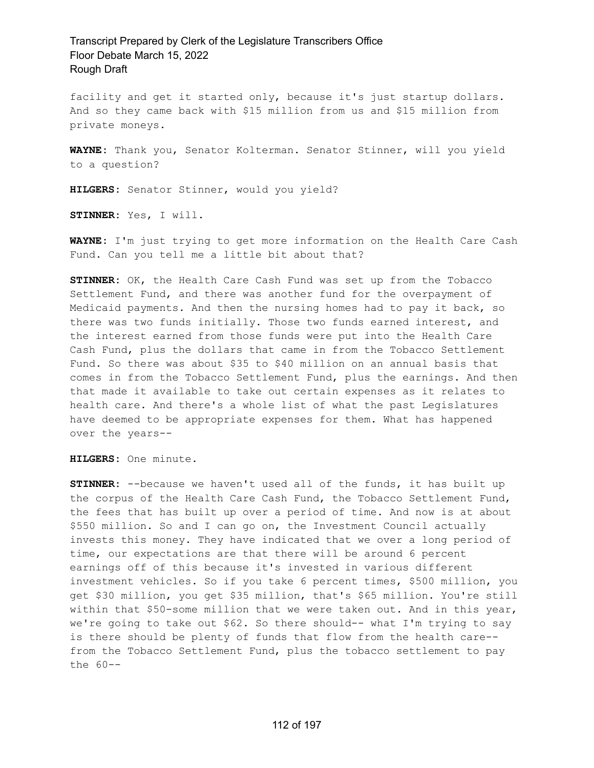facility and get it started only, because it's just startup dollars. And so they came back with \$15 million from us and \$15 million from private moneys.

**WAYNE:** Thank you, Senator Kolterman. Senator Stinner, will you yield to a question?

**HILGERS:** Senator Stinner, would you yield?

**STINNER:** Yes, I will.

**WAYNE:** I'm just trying to get more information on the Health Care Cash Fund. Can you tell me a little bit about that?

**STINNER:** OK, the Health Care Cash Fund was set up from the Tobacco Settlement Fund, and there was another fund for the overpayment of Medicaid payments. And then the nursing homes had to pay it back, so there was two funds initially. Those two funds earned interest, and the interest earned from those funds were put into the Health Care Cash Fund, plus the dollars that came in from the Tobacco Settlement Fund. So there was about \$35 to \$40 million on an annual basis that comes in from the Tobacco Settlement Fund, plus the earnings. And then that made it available to take out certain expenses as it relates to health care. And there's a whole list of what the past Legislatures have deemed to be appropriate expenses for them. What has happened over the years--

**HILGERS:** One minute.

**STINNER:** --because we haven't used all of the funds, it has built up the corpus of the Health Care Cash Fund, the Tobacco Settlement Fund, the fees that has built up over a period of time. And now is at about \$550 million. So and I can go on, the Investment Council actually invests this money. They have indicated that we over a long period of time, our expectations are that there will be around 6 percent earnings off of this because it's invested in various different investment vehicles. So if you take 6 percent times, \$500 million, you get \$30 million, you get \$35 million, that's \$65 million. You're still within that \$50-some million that we were taken out. And in this year, we're going to take out \$62. So there should-- what I'm trying to say is there should be plenty of funds that flow from the health care- from the Tobacco Settlement Fund, plus the tobacco settlement to pay the 60--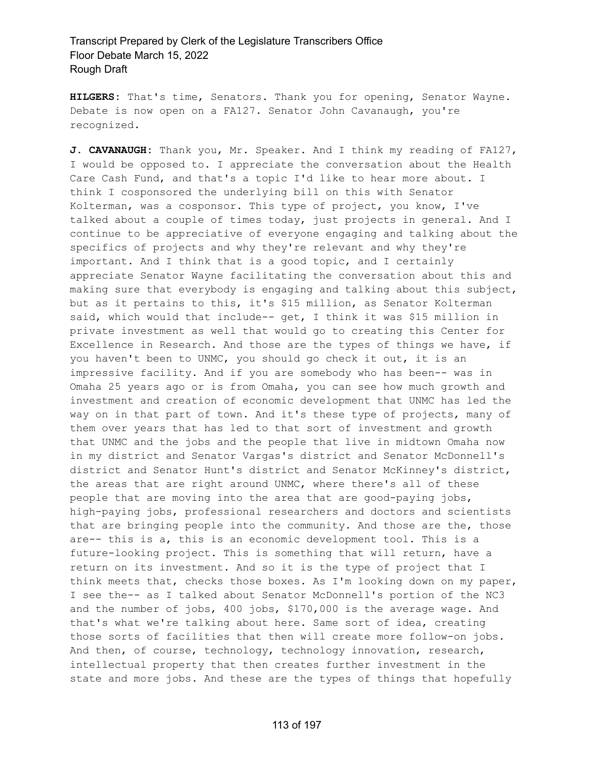**HILGERS:** That's time, Senators. Thank you for opening, Senator Wayne. Debate is now open on a FA127. Senator John Cavanaugh, you're recognized.

**J. CAVANAUGH:** Thank you, Mr. Speaker. And I think my reading of FA127, I would be opposed to. I appreciate the conversation about the Health Care Cash Fund, and that's a topic I'd like to hear more about. I think I cosponsored the underlying bill on this with Senator Kolterman, was a cosponsor. This type of project, you know, I've talked about a couple of times today, just projects in general. And I continue to be appreciative of everyone engaging and talking about the specifics of projects and why they're relevant and why they're important. And I think that is a good topic, and I certainly appreciate Senator Wayne facilitating the conversation about this and making sure that everybody is engaging and talking about this subject, but as it pertains to this, it's \$15 million, as Senator Kolterman said, which would that include-- get, I think it was \$15 million in private investment as well that would go to creating this Center for Excellence in Research. And those are the types of things we have, if you haven't been to UNMC, you should go check it out, it is an impressive facility. And if you are somebody who has been-- was in Omaha 25 years ago or is from Omaha, you can see how much growth and investment and creation of economic development that UNMC has led the way on in that part of town. And it's these type of projects, many of them over years that has led to that sort of investment and growth that UNMC and the jobs and the people that live in midtown Omaha now in my district and Senator Vargas's district and Senator McDonnell's district and Senator Hunt's district and Senator McKinney's district, the areas that are right around UNMC, where there's all of these people that are moving into the area that are good-paying jobs, high-paying jobs, professional researchers and doctors and scientists that are bringing people into the community. And those are the, those are-- this is a, this is an economic development tool. This is a future-looking project. This is something that will return, have a return on its investment. And so it is the type of project that I think meets that, checks those boxes. As I'm looking down on my paper, I see the-- as I talked about Senator McDonnell's portion of the NC3 and the number of jobs, 400 jobs, \$170,000 is the average wage. And that's what we're talking about here. Same sort of idea, creating those sorts of facilities that then will create more follow-on jobs. And then, of course, technology, technology innovation, research, intellectual property that then creates further investment in the state and more jobs. And these are the types of things that hopefully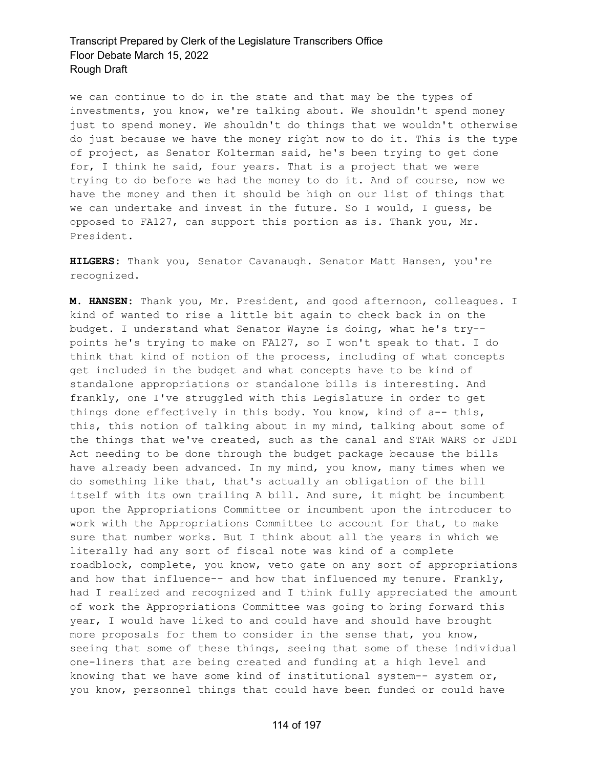we can continue to do in the state and that may be the types of investments, you know, we're talking about. We shouldn't spend money just to spend money. We shouldn't do things that we wouldn't otherwise do just because we have the money right now to do it. This is the type of project, as Senator Kolterman said, he's been trying to get done for, I think he said, four years. That is a project that we were trying to do before we had the money to do it. And of course, now we have the money and then it should be high on our list of things that we can undertake and invest in the future. So I would, I guess, be opposed to FA127, can support this portion as is. Thank you, Mr. President.

**HILGERS:** Thank you, Senator Cavanaugh. Senator Matt Hansen, you're recognized.

**M. HANSEN:** Thank you, Mr. President, and good afternoon, colleagues. I kind of wanted to rise a little bit again to check back in on the budget. I understand what Senator Wayne is doing, what he's try- points he's trying to make on FA127, so I won't speak to that. I do think that kind of notion of the process, including of what concepts get included in the budget and what concepts have to be kind of standalone appropriations or standalone bills is interesting. And frankly, one I've struggled with this Legislature in order to get things done effectively in this body. You know, kind of a-- this, this, this notion of talking about in my mind, talking about some of the things that we've created, such as the canal and STAR WARS or JEDI Act needing to be done through the budget package because the bills have already been advanced. In my mind, you know, many times when we do something like that, that's actually an obligation of the bill itself with its own trailing A bill. And sure, it might be incumbent upon the Appropriations Committee or incumbent upon the introducer to work with the Appropriations Committee to account for that, to make sure that number works. But I think about all the years in which we literally had any sort of fiscal note was kind of a complete roadblock, complete, you know, veto gate on any sort of appropriations and how that influence-- and how that influenced my tenure. Frankly, had I realized and recognized and I think fully appreciated the amount of work the Appropriations Committee was going to bring forward this year, I would have liked to and could have and should have brought more proposals for them to consider in the sense that, you know, seeing that some of these things, seeing that some of these individual one-liners that are being created and funding at a high level and knowing that we have some kind of institutional system-- system or, you know, personnel things that could have been funded or could have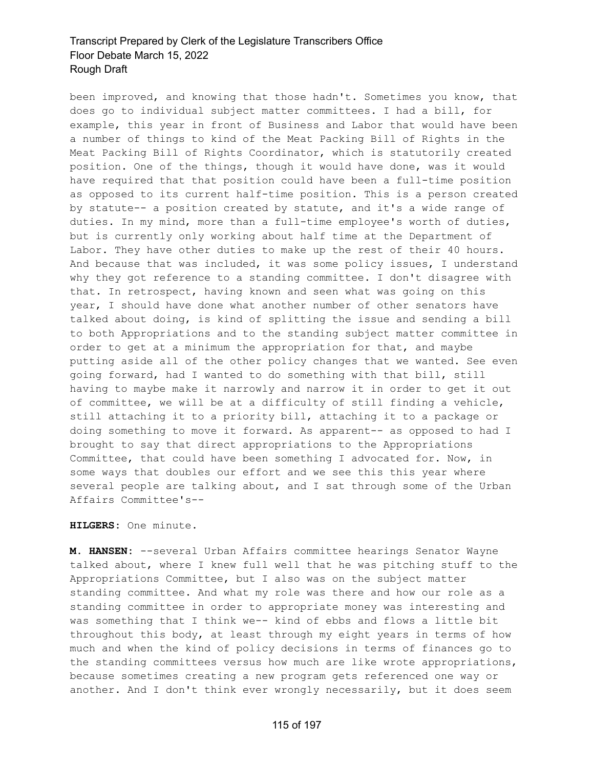been improved, and knowing that those hadn't. Sometimes you know, that does go to individual subject matter committees. I had a bill, for example, this year in front of Business and Labor that would have been a number of things to kind of the Meat Packing Bill of Rights in the Meat Packing Bill of Rights Coordinator, which is statutorily created position. One of the things, though it would have done, was it would have required that that position could have been a full-time position as opposed to its current half-time position. This is a person created by statute-- a position created by statute, and it's a wide range of duties. In my mind, more than a full-time employee's worth of duties, but is currently only working about half time at the Department of Labor. They have other duties to make up the rest of their 40 hours. And because that was included, it was some policy issues, I understand why they got reference to a standing committee. I don't disagree with that. In retrospect, having known and seen what was going on this year, I should have done what another number of other senators have talked about doing, is kind of splitting the issue and sending a bill to both Appropriations and to the standing subject matter committee in order to get at a minimum the appropriation for that, and maybe putting aside all of the other policy changes that we wanted. See even going forward, had I wanted to do something with that bill, still having to maybe make it narrowly and narrow it in order to get it out of committee, we will be at a difficulty of still finding a vehicle, still attaching it to a priority bill, attaching it to a package or doing something to move it forward. As apparent-- as opposed to had I brought to say that direct appropriations to the Appropriations Committee, that could have been something I advocated for. Now, in some ways that doubles our effort and we see this this year where several people are talking about, and I sat through some of the Urban Affairs Committee's--

#### **HILGERS:** One minute.

**M. HANSEN:** --several Urban Affairs committee hearings Senator Wayne talked about, where I knew full well that he was pitching stuff to the Appropriations Committee, but I also was on the subject matter standing committee. And what my role was there and how our role as a standing committee in order to appropriate money was interesting and was something that I think we-- kind of ebbs and flows a little bit throughout this body, at least through my eight years in terms of how much and when the kind of policy decisions in terms of finances go to the standing committees versus how much are like wrote appropriations, because sometimes creating a new program gets referenced one way or another. And I don't think ever wrongly necessarily, but it does seem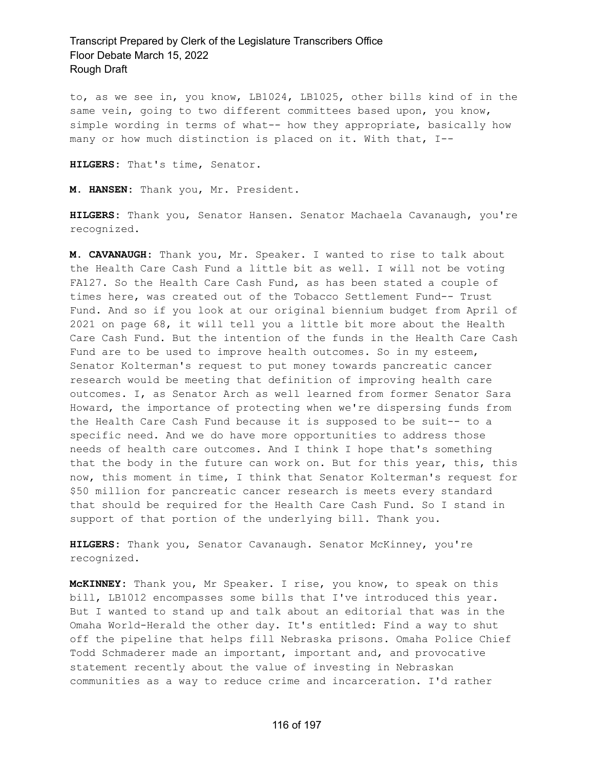to, as we see in, you know, LB1024, LB1025, other bills kind of in the same vein, going to two different committees based upon, you know, simple wording in terms of what-- how they appropriate, basically how many or how much distinction is placed on it. With that, I--

**HILGERS:** That's time, Senator.

**M. HANSEN:** Thank you, Mr. President.

**HILGERS:** Thank you, Senator Hansen. Senator Machaela Cavanaugh, you're recognized.

**M. CAVANAUGH:** Thank you, Mr. Speaker. I wanted to rise to talk about the Health Care Cash Fund a little bit as well. I will not be voting FA127. So the Health Care Cash Fund, as has been stated a couple of times here, was created out of the Tobacco Settlement Fund-- Trust Fund. And so if you look at our original biennium budget from April of 2021 on page 68, it will tell you a little bit more about the Health Care Cash Fund. But the intention of the funds in the Health Care Cash Fund are to be used to improve health outcomes. So in my esteem, Senator Kolterman's request to put money towards pancreatic cancer research would be meeting that definition of improving health care outcomes. I, as Senator Arch as well learned from former Senator Sara Howard, the importance of protecting when we're dispersing funds from the Health Care Cash Fund because it is supposed to be suit-- to a specific need. And we do have more opportunities to address those needs of health care outcomes. And I think I hope that's something that the body in the future can work on. But for this year, this, this now, this moment in time, I think that Senator Kolterman's request for \$50 million for pancreatic cancer research is meets every standard that should be required for the Health Care Cash Fund. So I stand in support of that portion of the underlying bill. Thank you.

**HILGERS:** Thank you, Senator Cavanaugh. Senator McKinney, you're recognized.

**McKINNEY:** Thank you, Mr Speaker. I rise, you know, to speak on this bill, LB1012 encompasses some bills that I've introduced this year. But I wanted to stand up and talk about an editorial that was in the Omaha World-Herald the other day. It's entitled: Find a way to shut off the pipeline that helps fill Nebraska prisons. Omaha Police Chief Todd Schmaderer made an important, important and, and provocative statement recently about the value of investing in Nebraskan communities as a way to reduce crime and incarceration. I'd rather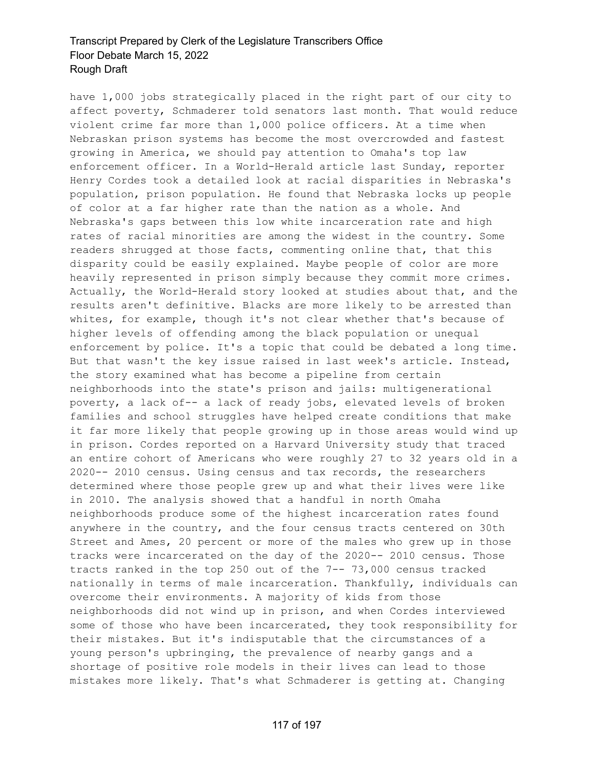have 1,000 jobs strategically placed in the right part of our city to affect poverty, Schmaderer told senators last month. That would reduce violent crime far more than 1,000 police officers. At a time when Nebraskan prison systems has become the most overcrowded and fastest growing in America, we should pay attention to Omaha's top law enforcement officer. In a World-Herald article last Sunday, reporter Henry Cordes took a detailed look at racial disparities in Nebraska's population, prison population. He found that Nebraska locks up people of color at a far higher rate than the nation as a whole. And Nebraska's gaps between this low white incarceration rate and high rates of racial minorities are among the widest in the country. Some readers shrugged at those facts, commenting online that, that this disparity could be easily explained. Maybe people of color are more heavily represented in prison simply because they commit more crimes. Actually, the World-Herald story looked at studies about that, and the results aren't definitive. Blacks are more likely to be arrested than whites, for example, though it's not clear whether that's because of higher levels of offending among the black population or unequal enforcement by police. It's a topic that could be debated a long time. But that wasn't the key issue raised in last week's article. Instead, the story examined what has become a pipeline from certain neighborhoods into the state's prison and jails: multigenerational poverty, a lack of-- a lack of ready jobs, elevated levels of broken families and school struggles have helped create conditions that make it far more likely that people growing up in those areas would wind up in prison. Cordes reported on a Harvard University study that traced an entire cohort of Americans who were roughly 27 to 32 years old in a 2020-- 2010 census. Using census and tax records, the researchers determined where those people grew up and what their lives were like in 2010. The analysis showed that a handful in north Omaha neighborhoods produce some of the highest incarceration rates found anywhere in the country, and the four census tracts centered on 30th Street and Ames, 20 percent or more of the males who grew up in those tracks were incarcerated on the day of the 2020-- 2010 census. Those tracts ranked in the top 250 out of the 7-- 73,000 census tracked nationally in terms of male incarceration. Thankfully, individuals can overcome their environments. A majority of kids from those neighborhoods did not wind up in prison, and when Cordes interviewed some of those who have been incarcerated, they took responsibility for their mistakes. But it's indisputable that the circumstances of a young person's upbringing, the prevalence of nearby gangs and a shortage of positive role models in their lives can lead to those mistakes more likely. That's what Schmaderer is getting at. Changing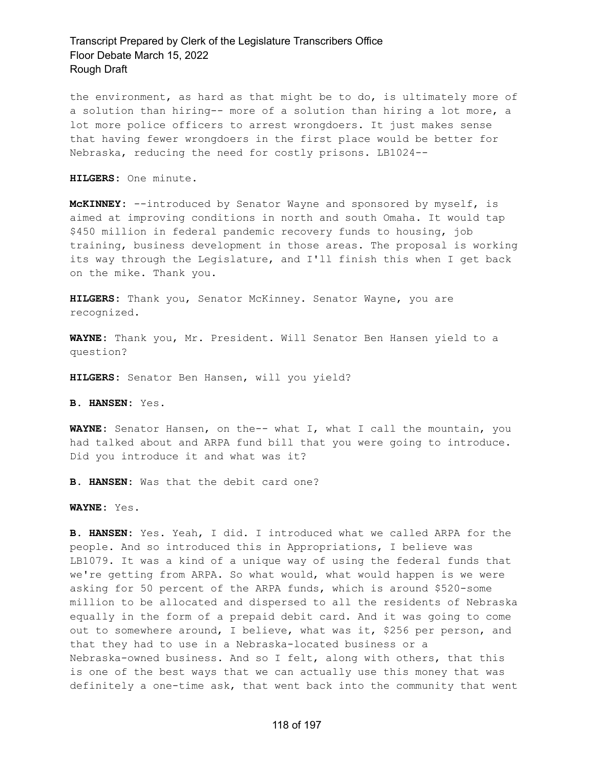the environment, as hard as that might be to do, is ultimately more of a solution than hiring-- more of a solution than hiring a lot more, a lot more police officers to arrest wrongdoers. It just makes sense that having fewer wrongdoers in the first place would be better for Nebraska, reducing the need for costly prisons. LB1024--

**HILGERS:** One minute.

**McKINNEY:** --introduced by Senator Wayne and sponsored by myself, is aimed at improving conditions in north and south Omaha. It would tap \$450 million in federal pandemic recovery funds to housing, job training, business development in those areas. The proposal is working its way through the Legislature, and I'll finish this when I get back on the mike. Thank you.

**HILGERS:** Thank you, Senator McKinney. Senator Wayne, you are recognized.

**WAYNE:** Thank you, Mr. President. Will Senator Ben Hansen yield to a question?

**HILGERS:** Senator Ben Hansen, will you yield?

**B. HANSEN:** Yes.

**WAYNE:** Senator Hansen, on the-- what I, what I call the mountain, you had talked about and ARPA fund bill that you were going to introduce. Did you introduce it and what was it?

**B. HANSEN:** Was that the debit card one?

**WAYNE:** Yes.

**B. HANSEN:** Yes. Yeah, I did. I introduced what we called ARPA for the people. And so introduced this in Appropriations, I believe was LB1079. It was a kind of a unique way of using the federal funds that we're getting from ARPA. So what would, what would happen is we were asking for 50 percent of the ARPA funds, which is around \$520-some million to be allocated and dispersed to all the residents of Nebraska equally in the form of a prepaid debit card. And it was going to come out to somewhere around, I believe, what was it, \$256 per person, and that they had to use in a Nebraska-located business or a Nebraska-owned business. And so I felt, along with others, that this is one of the best ways that we can actually use this money that was definitely a one-time ask, that went back into the community that went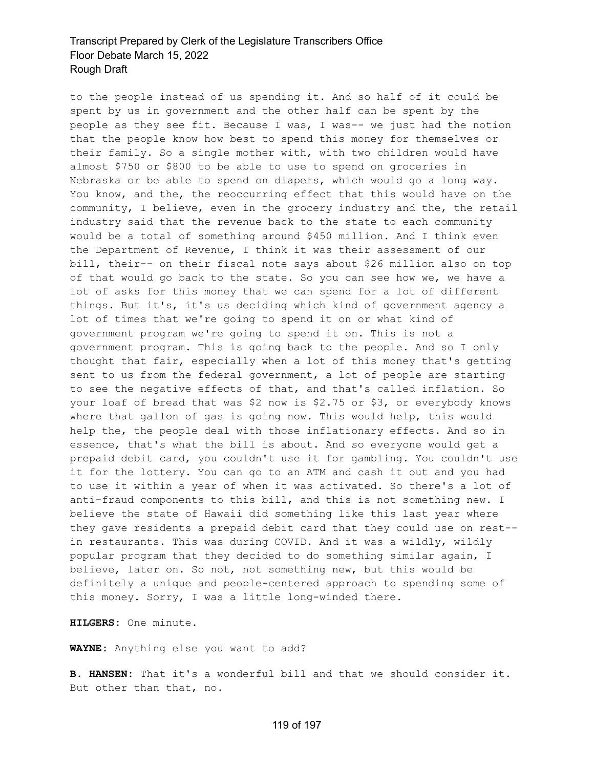to the people instead of us spending it. And so half of it could be spent by us in government and the other half can be spent by the people as they see fit. Because I was, I was-- we just had the notion that the people know how best to spend this money for themselves or their family. So a single mother with, with two children would have almost \$750 or \$800 to be able to use to spend on groceries in Nebraska or be able to spend on diapers, which would go a long way. You know, and the, the reoccurring effect that this would have on the community, I believe, even in the grocery industry and the, the retail industry said that the revenue back to the state to each community would be a total of something around \$450 million. And I think even the Department of Revenue, I think it was their assessment of our bill, their-- on their fiscal note says about \$26 million also on top of that would go back to the state. So you can see how we, we have a lot of asks for this money that we can spend for a lot of different things. But it's, it's us deciding which kind of government agency a lot of times that we're going to spend it on or what kind of government program we're going to spend it on. This is not a government program. This is going back to the people. And so I only thought that fair, especially when a lot of this money that's getting sent to us from the federal government, a lot of people are starting to see the negative effects of that, and that's called inflation. So your loaf of bread that was \$2 now is \$2.75 or \$3, or everybody knows where that gallon of gas is going now. This would help, this would help the, the people deal with those inflationary effects. And so in essence, that's what the bill is about. And so everyone would get a prepaid debit card, you couldn't use it for gambling. You couldn't use it for the lottery. You can go to an ATM and cash it out and you had to use it within a year of when it was activated. So there's a lot of anti-fraud components to this bill, and this is not something new. I believe the state of Hawaii did something like this last year where they gave residents a prepaid debit card that they could use on rest- in restaurants. This was during COVID. And it was a wildly, wildly popular program that they decided to do something similar again, I believe, later on. So not, not something new, but this would be definitely a unique and people-centered approach to spending some of this money. Sorry, I was a little long-winded there.

**HILGERS:** One minute.

**WAYNE:** Anything else you want to add?

**B. HANSEN:** That it's a wonderful bill and that we should consider it. But other than that, no.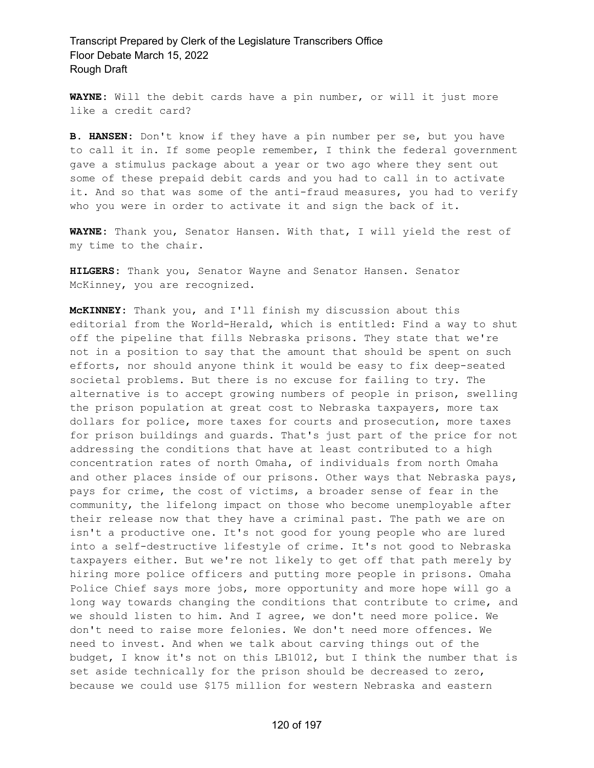**WAYNE:** Will the debit cards have a pin number, or will it just more like a credit card?

**B. HANSEN:** Don't know if they have a pin number per se, but you have to call it in. If some people remember, I think the federal government gave a stimulus package about a year or two ago where they sent out some of these prepaid debit cards and you had to call in to activate it. And so that was some of the anti-fraud measures, you had to verify who you were in order to activate it and sign the back of it.

**WAYNE:** Thank you, Senator Hansen. With that, I will yield the rest of my time to the chair.

**HILGERS:** Thank you, Senator Wayne and Senator Hansen. Senator McKinney, you are recognized.

**McKINNEY:** Thank you, and I'll finish my discussion about this editorial from the World-Herald, which is entitled: Find a way to shut off the pipeline that fills Nebraska prisons. They state that we're not in a position to say that the amount that should be spent on such efforts, nor should anyone think it would be easy to fix deep-seated societal problems. But there is no excuse for failing to try. The alternative is to accept growing numbers of people in prison, swelling the prison population at great cost to Nebraska taxpayers, more tax dollars for police, more taxes for courts and prosecution, more taxes for prison buildings and guards. That's just part of the price for not addressing the conditions that have at least contributed to a high concentration rates of north Omaha, of individuals from north Omaha and other places inside of our prisons. Other ways that Nebraska pays, pays for crime, the cost of victims, a broader sense of fear in the community, the lifelong impact on those who become unemployable after their release now that they have a criminal past. The path we are on isn't a productive one. It's not good for young people who are lured into a self-destructive lifestyle of crime. It's not good to Nebraska taxpayers either. But we're not likely to get off that path merely by hiring more police officers and putting more people in prisons. Omaha Police Chief says more jobs, more opportunity and more hope will go a long way towards changing the conditions that contribute to crime, and we should listen to him. And I agree, we don't need more police. We don't need to raise more felonies. We don't need more offences. We need to invest. And when we talk about carving things out of the budget, I know it's not on this LB1012, but I think the number that is set aside technically for the prison should be decreased to zero, because we could use \$175 million for western Nebraska and eastern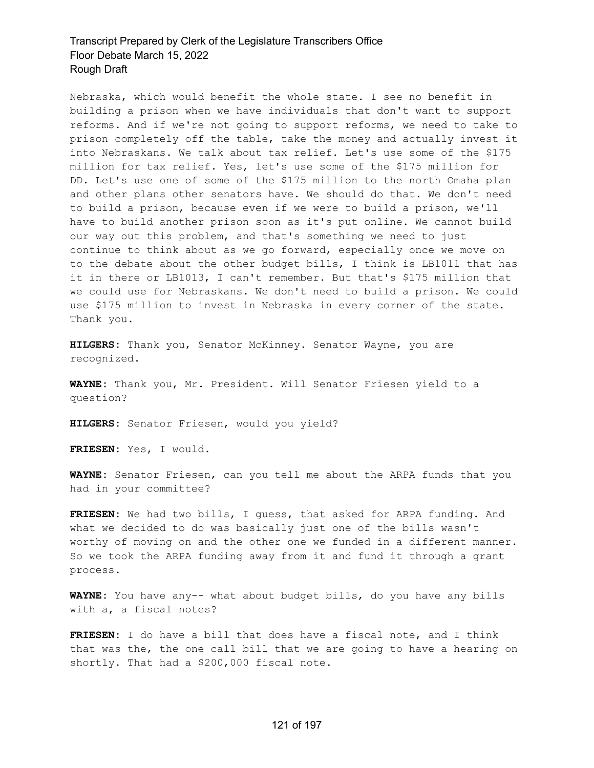Nebraska, which would benefit the whole state. I see no benefit in building a prison when we have individuals that don't want to support reforms. And if we're not going to support reforms, we need to take to prison completely off the table, take the money and actually invest it into Nebraskans. We talk about tax relief. Let's use some of the \$175 million for tax relief. Yes, let's use some of the \$175 million for DD. Let's use one of some of the \$175 million to the north Omaha plan and other plans other senators have. We should do that. We don't need to build a prison, because even if we were to build a prison, we'll have to build another prison soon as it's put online. We cannot build our way out this problem, and that's something we need to just continue to think about as we go forward, especially once we move on to the debate about the other budget bills, I think is LB1011 that has it in there or LB1013, I can't remember. But that's \$175 million that we could use for Nebraskans. We don't need to build a prison. We could use \$175 million to invest in Nebraska in every corner of the state. Thank you.

**HILGERS:** Thank you, Senator McKinney. Senator Wayne, you are recognized.

**WAYNE:** Thank you, Mr. President. Will Senator Friesen yield to a question?

**HILGERS:** Senator Friesen, would you yield?

**FRIESEN:** Yes, I would.

**WAYNE:** Senator Friesen, can you tell me about the ARPA funds that you had in your committee?

**FRIESEN:** We had two bills, I guess, that asked for ARPA funding. And what we decided to do was basically just one of the bills wasn't worthy of moving on and the other one we funded in a different manner. So we took the ARPA funding away from it and fund it through a grant process.

**WAYNE:** You have any-- what about budget bills, do you have any bills with a, a fiscal notes?

**FRIESEN:** I do have a bill that does have a fiscal note, and I think that was the, the one call bill that we are going to have a hearing on shortly. That had a \$200,000 fiscal note.

#### 121 of 197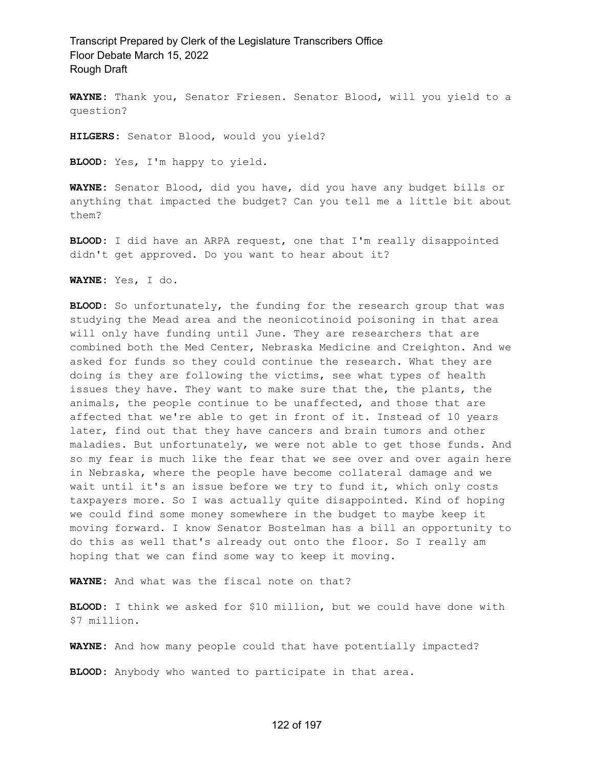**WAYNE:** Thank you, Senator Friesen. Senator Blood, will you yield to a question?

**HILGERS:** Senator Blood, would you yield?

**BLOOD:** Yes, I'm happy to yield.

**WAYNE:** Senator Blood, did you have, did you have any budget bills or anything that impacted the budget? Can you tell me a little bit about them?

**BLOOD:** I did have an ARPA request, one that I'm really disappointed didn't get approved. Do you want to hear about it?

**WAYNE:** Yes, I do.

**BLOOD:** So unfortunately, the funding for the research group that was studying the Mead area and the neonicotinoid poisoning in that area will only have funding until June. They are researchers that are combined both the Med Center, Nebraska Medicine and Creighton. And we asked for funds so they could continue the research. What they are doing is they are following the victims, see what types of health issues they have. They want to make sure that the, the plants, the animals, the people continue to be unaffected, and those that are affected that we're able to get in front of it. Instead of 10 years later, find out that they have cancers and brain tumors and other maladies. But unfortunately, we were not able to get those funds. And so my fear is much like the fear that we see over and over again here in Nebraska, where the people have become collateral damage and we wait until it's an issue before we try to fund it, which only costs taxpayers more. So I was actually quite disappointed. Kind of hoping we could find some money somewhere in the budget to maybe keep it moving forward. I know Senator Bostelman has a bill an opportunity to do this as well that's already out onto the floor. So I really am hoping that we can find some way to keep it moving.

**WAYNE:** And what was the fiscal note on that?

**BLOOD:** I think we asked for \$10 million, but we could have done with \$7 million.

**WAYNE:** And how many people could that have potentially impacted?

**BLOOD:** Anybody who wanted to participate in that area.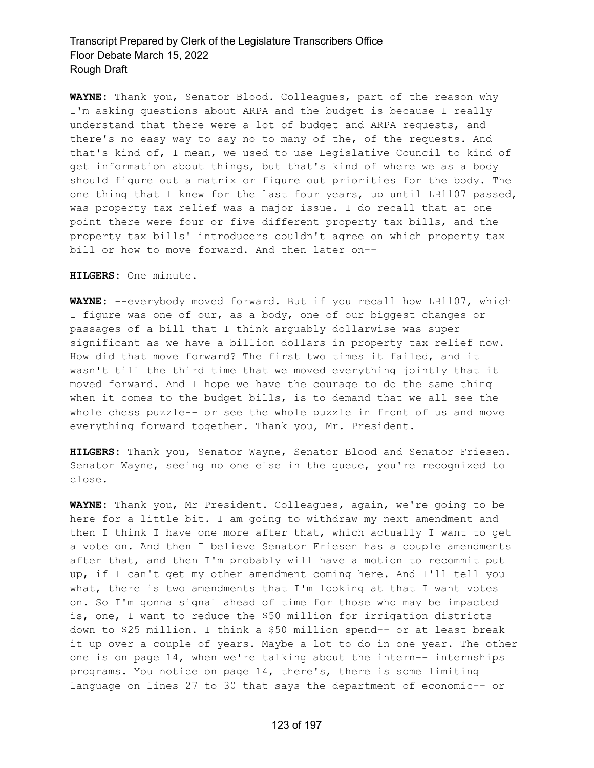**WAYNE:** Thank you, Senator Blood. Colleagues, part of the reason why I'm asking questions about ARPA and the budget is because I really understand that there were a lot of budget and ARPA requests, and there's no easy way to say no to many of the, of the requests. And that's kind of, I mean, we used to use Legislative Council to kind of get information about things, but that's kind of where we as a body should figure out a matrix or figure out priorities for the body. The one thing that I knew for the last four years, up until LB1107 passed, was property tax relief was a major issue. I do recall that at one point there were four or five different property tax bills, and the property tax bills' introducers couldn't agree on which property tax bill or how to move forward. And then later on--

**HILGERS:** One minute.

**WAYNE:** --everybody moved forward. But if you recall how LB1107, which I figure was one of our, as a body, one of our biggest changes or passages of a bill that I think arguably dollarwise was super significant as we have a billion dollars in property tax relief now. How did that move forward? The first two times it failed, and it wasn't till the third time that we moved everything jointly that it moved forward. And I hope we have the courage to do the same thing when it comes to the budget bills, is to demand that we all see the whole chess puzzle-- or see the whole puzzle in front of us and move everything forward together. Thank you, Mr. President.

**HILGERS:** Thank you, Senator Wayne, Senator Blood and Senator Friesen. Senator Wayne, seeing no one else in the queue, you're recognized to close.

**WAYNE:** Thank you, Mr President. Colleagues, again, we're going to be here for a little bit. I am going to withdraw my next amendment and then I think I have one more after that, which actually I want to get a vote on. And then I believe Senator Friesen has a couple amendments after that, and then I'm probably will have a motion to recommit put up, if I can't get my other amendment coming here. And I'll tell you what, there is two amendments that I'm looking at that I want votes on. So I'm gonna signal ahead of time for those who may be impacted is, one, I want to reduce the \$50 million for irrigation districts down to \$25 million. I think a \$50 million spend-- or at least break it up over a couple of years. Maybe a lot to do in one year. The other one is on page 14, when we're talking about the intern-- internships programs. You notice on page 14, there's, there is some limiting language on lines 27 to 30 that says the department of economic-- or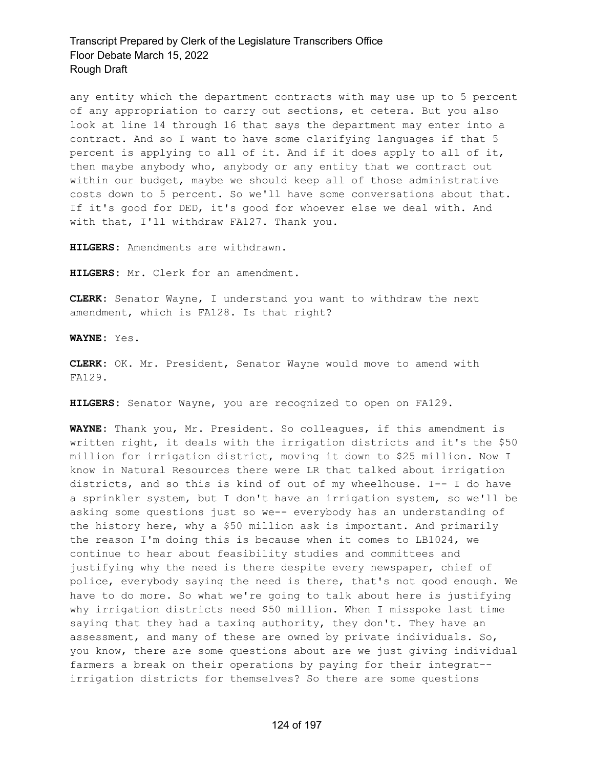any entity which the department contracts with may use up to 5 percent of any appropriation to carry out sections, et cetera. But you also look at line 14 through 16 that says the department may enter into a contract. And so I want to have some clarifying languages if that 5 percent is applying to all of it. And if it does apply to all of it, then maybe anybody who, anybody or any entity that we contract out within our budget, maybe we should keep all of those administrative costs down to 5 percent. So we'll have some conversations about that. If it's good for DED, it's good for whoever else we deal with. And with that, I'll withdraw FA127. Thank you.

**HILGERS:** Amendments are withdrawn.

**HILGERS:** Mr. Clerk for an amendment.

**CLERK:** Senator Wayne, I understand you want to withdraw the next amendment, which is FA128. Is that right?

**WAYNE:** Yes.

**CLERK:** OK. Mr. President, Senator Wayne would move to amend with FA129.

**HILGERS:** Senator Wayne, you are recognized to open on FA129.

**WAYNE:** Thank you, Mr. President. So colleagues, if this amendment is written right, it deals with the irrigation districts and it's the \$50 million for irrigation district, moving it down to \$25 million. Now I know in Natural Resources there were LR that talked about irrigation districts, and so this is kind of out of my wheelhouse. I-- I do have a sprinkler system, but I don't have an irrigation system, so we'll be asking some questions just so we-- everybody has an understanding of the history here, why a \$50 million ask is important. And primarily the reason I'm doing this is because when it comes to LB1024, we continue to hear about feasibility studies and committees and justifying why the need is there despite every newspaper, chief of police, everybody saying the need is there, that's not good enough. We have to do more. So what we're going to talk about here is justifying why irrigation districts need \$50 million. When I misspoke last time saying that they had a taxing authority, they don't. They have an assessment, and many of these are owned by private individuals. So, you know, there are some questions about are we just giving individual farmers a break on their operations by paying for their integrat- irrigation districts for themselves? So there are some questions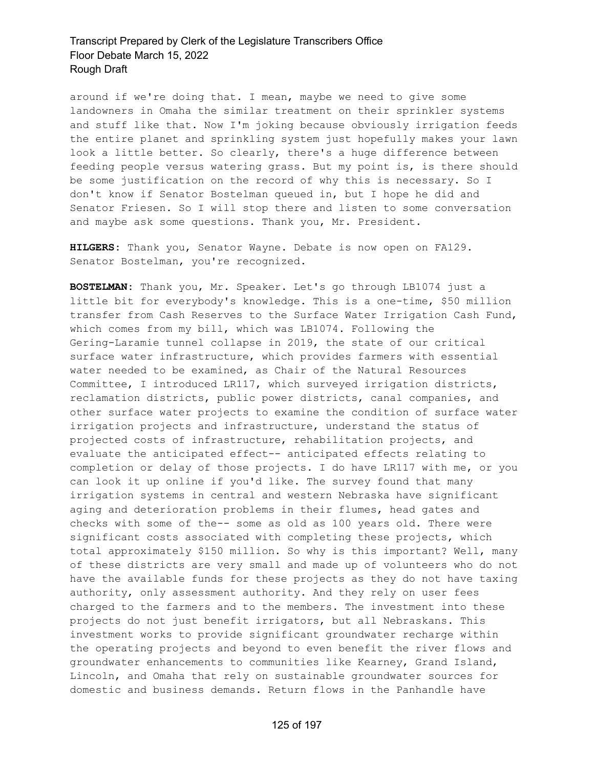around if we're doing that. I mean, maybe we need to give some landowners in Omaha the similar treatment on their sprinkler systems and stuff like that. Now I'm joking because obviously irrigation feeds the entire planet and sprinkling system just hopefully makes your lawn look a little better. So clearly, there's a huge difference between feeding people versus watering grass. But my point is, is there should be some justification on the record of why this is necessary. So I don't know if Senator Bostelman queued in, but I hope he did and Senator Friesen. So I will stop there and listen to some conversation and maybe ask some questions. Thank you, Mr. President.

**HILGERS:** Thank you, Senator Wayne. Debate is now open on FA129. Senator Bostelman, you're recognized.

**BOSTELMAN:** Thank you, Mr. Speaker. Let's go through LB1074 just a little bit for everybody's knowledge. This is a one-time, \$50 million transfer from Cash Reserves to the Surface Water Irrigation Cash Fund, which comes from my bill, which was LB1074. Following the Gering-Laramie tunnel collapse in 2019, the state of our critical surface water infrastructure, which provides farmers with essential water needed to be examined, as Chair of the Natural Resources Committee, I introduced LR117, which surveyed irrigation districts, reclamation districts, public power districts, canal companies, and other surface water projects to examine the condition of surface water irrigation projects and infrastructure, understand the status of projected costs of infrastructure, rehabilitation projects, and evaluate the anticipated effect-- anticipated effects relating to completion or delay of those projects. I do have LR117 with me, or you can look it up online if you'd like. The survey found that many irrigation systems in central and western Nebraska have significant aging and deterioration problems in their flumes, head gates and checks with some of the-- some as old as 100 years old. There were significant costs associated with completing these projects, which total approximately \$150 million. So why is this important? Well, many of these districts are very small and made up of volunteers who do not have the available funds for these projects as they do not have taxing authority, only assessment authority. And they rely on user fees charged to the farmers and to the members. The investment into these projects do not just benefit irrigators, but all Nebraskans. This investment works to provide significant groundwater recharge within the operating projects and beyond to even benefit the river flows and groundwater enhancements to communities like Kearney, Grand Island, Lincoln, and Omaha that rely on sustainable groundwater sources for domestic and business demands. Return flows in the Panhandle have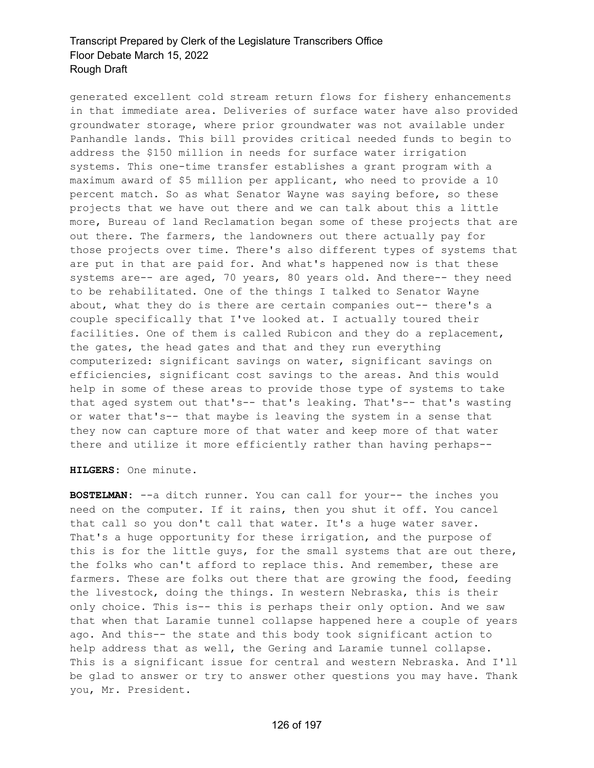generated excellent cold stream return flows for fishery enhancements in that immediate area. Deliveries of surface water have also provided groundwater storage, where prior groundwater was not available under Panhandle lands. This bill provides critical needed funds to begin to address the \$150 million in needs for surface water irrigation systems. This one-time transfer establishes a grant program with a maximum award of \$5 million per applicant, who need to provide a 10 percent match. So as what Senator Wayne was saying before, so these projects that we have out there and we can talk about this a little more, Bureau of land Reclamation began some of these projects that are out there. The farmers, the landowners out there actually pay for those projects over time. There's also different types of systems that are put in that are paid for. And what's happened now is that these systems are-- are aged, 70 years, 80 years old. And there-- they need to be rehabilitated. One of the things I talked to Senator Wayne about, what they do is there are certain companies out-- there's a couple specifically that I've looked at. I actually toured their facilities. One of them is called Rubicon and they do a replacement, the gates, the head gates and that and they run everything computerized: significant savings on water, significant savings on efficiencies, significant cost savings to the areas. And this would help in some of these areas to provide those type of systems to take that aged system out that's-- that's leaking. That's-- that's wasting or water that's-- that maybe is leaving the system in a sense that they now can capture more of that water and keep more of that water there and utilize it more efficiently rather than having perhaps--

**HILGERS:** One minute.

**BOSTELMAN:** --a ditch runner. You can call for your-- the inches you need on the computer. If it rains, then you shut it off. You cancel that call so you don't call that water. It's a huge water saver. That's a huge opportunity for these irrigation, and the purpose of this is for the little guys, for the small systems that are out there, the folks who can't afford to replace this. And remember, these are farmers. These are folks out there that are growing the food, feeding the livestock, doing the things. In western Nebraska, this is their only choice. This is-- this is perhaps their only option. And we saw that when that Laramie tunnel collapse happened here a couple of years ago. And this-- the state and this body took significant action to help address that as well, the Gering and Laramie tunnel collapse. This is a significant issue for central and western Nebraska. And I'll be glad to answer or try to answer other questions you may have. Thank you, Mr. President.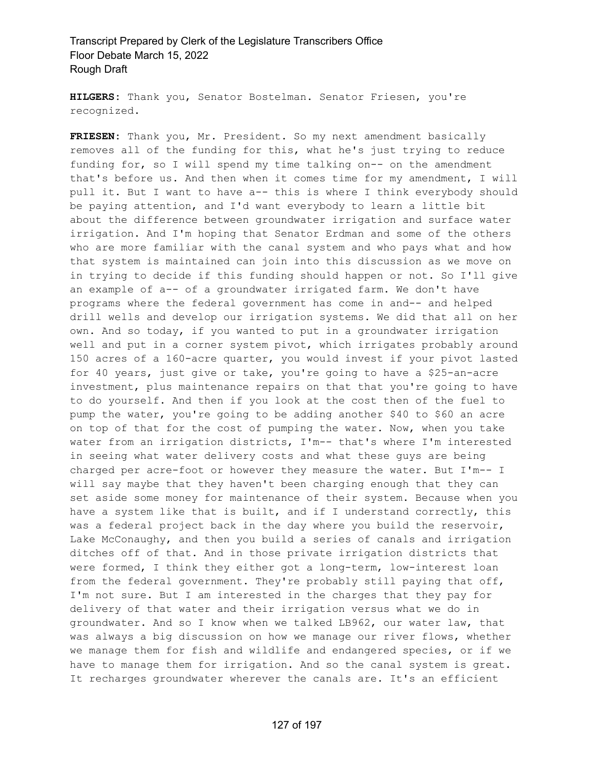**HILGERS:** Thank you, Senator Bostelman. Senator Friesen, you're recognized.

**FRIESEN:** Thank you, Mr. President. So my next amendment basically removes all of the funding for this, what he's just trying to reduce funding for, so I will spend my time talking on-- on the amendment that's before us. And then when it comes time for my amendment, I will pull it. But I want to have a-- this is where I think everybody should be paying attention, and I'd want everybody to learn a little bit about the difference between groundwater irrigation and surface water irrigation. And I'm hoping that Senator Erdman and some of the others who are more familiar with the canal system and who pays what and how that system is maintained can join into this discussion as we move on in trying to decide if this funding should happen or not. So I'll give an example of a-- of a groundwater irrigated farm. We don't have programs where the federal government has come in and-- and helped drill wells and develop our irrigation systems. We did that all on her own. And so today, if you wanted to put in a groundwater irrigation well and put in a corner system pivot, which irrigates probably around 150 acres of a 160-acre quarter, you would invest if your pivot lasted for 40 years, just give or take, you're going to have a \$25-an-acre investment, plus maintenance repairs on that that you're going to have to do yourself. And then if you look at the cost then of the fuel to pump the water, you're going to be adding another \$40 to \$60 an acre on top of that for the cost of pumping the water. Now, when you take water from an irrigation districts, I'm-- that's where I'm interested in seeing what water delivery costs and what these guys are being charged per acre-foot or however they measure the water. But I'm-- I will say maybe that they haven't been charging enough that they can set aside some money for maintenance of their system. Because when you have a system like that is built, and if I understand correctly, this was a federal project back in the day where you build the reservoir, Lake McConaughy, and then you build a series of canals and irrigation ditches off of that. And in those private irrigation districts that were formed, I think they either got a long-term, low-interest loan from the federal government. They're probably still paying that off, I'm not sure. But I am interested in the charges that they pay for delivery of that water and their irrigation versus what we do in groundwater. And so I know when we talked LB962, our water law, that was always a big discussion on how we manage our river flows, whether we manage them for fish and wildlife and endangered species, or if we have to manage them for irrigation. And so the canal system is great. It recharges groundwater wherever the canals are. It's an efficient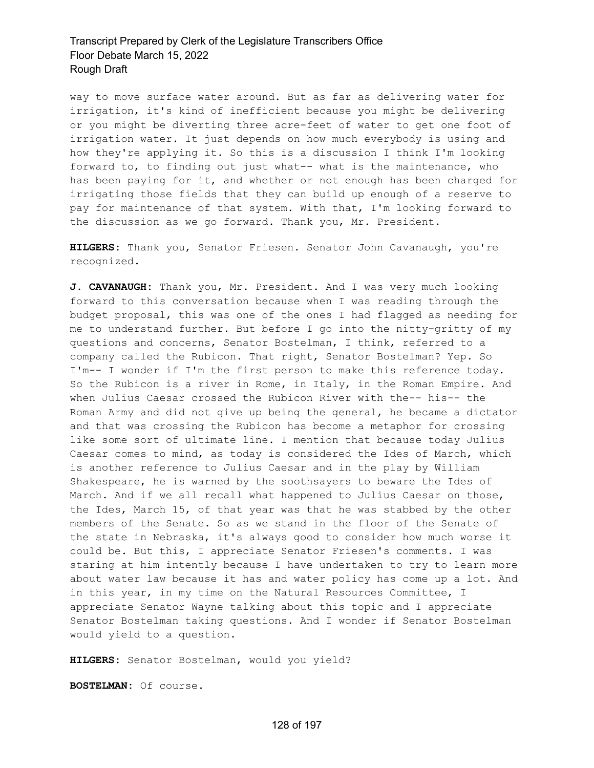way to move surface water around. But as far as delivering water for irrigation, it's kind of inefficient because you might be delivering or you might be diverting three acre-feet of water to get one foot of irrigation water. It just depends on how much everybody is using and how they're applying it. So this is a discussion I think I'm looking forward to, to finding out just what-- what is the maintenance, who has been paying for it, and whether or not enough has been charged for irrigating those fields that they can build up enough of a reserve to pay for maintenance of that system. With that, I'm looking forward to the discussion as we go forward. Thank you, Mr. President.

**HILGERS:** Thank you, Senator Friesen. Senator John Cavanaugh, you're recognized.

**J. CAVANAUGH:** Thank you, Mr. President. And I was very much looking forward to this conversation because when I was reading through the budget proposal, this was one of the ones I had flagged as needing for me to understand further. But before I go into the nitty-gritty of my questions and concerns, Senator Bostelman, I think, referred to a company called the Rubicon. That right, Senator Bostelman? Yep. So I'm-- I wonder if I'm the first person to make this reference today. So the Rubicon is a river in Rome, in Italy, in the Roman Empire. And when Julius Caesar crossed the Rubicon River with the-- his-- the Roman Army and did not give up being the general, he became a dictator and that was crossing the Rubicon has become a metaphor for crossing like some sort of ultimate line. I mention that because today Julius Caesar comes to mind, as today is considered the Ides of March, which is another reference to Julius Caesar and in the play by William Shakespeare, he is warned by the soothsayers to beware the Ides of March. And if we all recall what happened to Julius Caesar on those, the Ides, March 15, of that year was that he was stabbed by the other members of the Senate. So as we stand in the floor of the Senate of the state in Nebraska, it's always good to consider how much worse it could be. But this, I appreciate Senator Friesen's comments. I was staring at him intently because I have undertaken to try to learn more about water law because it has and water policy has come up a lot. And in this year, in my time on the Natural Resources Committee, I appreciate Senator Wayne talking about this topic and I appreciate Senator Bostelman taking questions. And I wonder if Senator Bostelman would yield to a question.

**HILGERS:** Senator Bostelman, would you yield?

**BOSTELMAN:** Of course.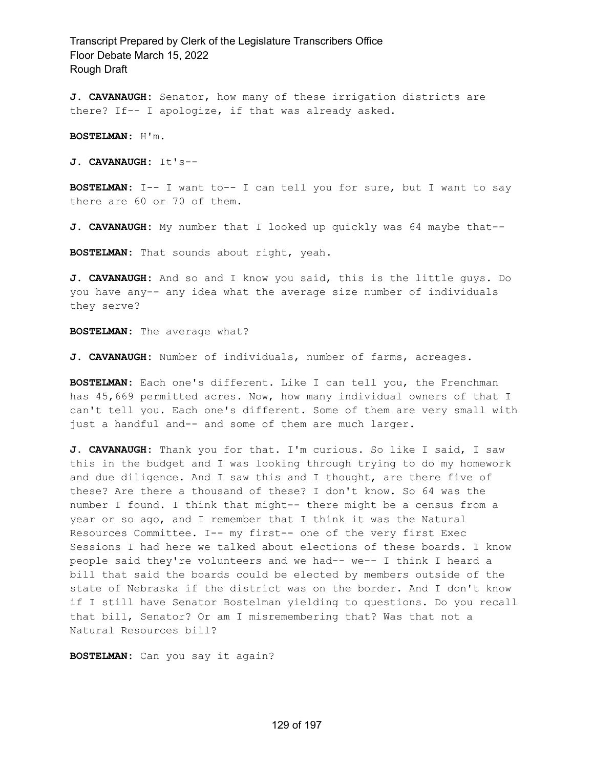**J. CAVANAUGH:** Senator, how many of these irrigation districts are there? If-- I apologize, if that was already asked.

**BOSTELMAN:** H'm.

**J. CAVANAUGH:** It's--

**BOSTELMAN:** I-- I want to-- I can tell you for sure, but I want to say there are 60 or 70 of them.

**J. CAVANAUGH:** My number that I looked up quickly was 64 maybe that--

**BOSTELMAN:** That sounds about right, yeah.

**J. CAVANAUGH:** And so and I know you said, this is the little guys. Do you have any-- any idea what the average size number of individuals they serve?

**BOSTELMAN:** The average what?

**J. CAVANAUGH:** Number of individuals, number of farms, acreages.

**BOSTELMAN:** Each one's different. Like I can tell you, the Frenchman has 45,669 permitted acres. Now, how many individual owners of that I can't tell you. Each one's different. Some of them are very small with just a handful and-- and some of them are much larger.

**J. CAVANAUGH:** Thank you for that. I'm curious. So like I said, I saw this in the budget and I was looking through trying to do my homework and due diligence. And I saw this and I thought, are there five of these? Are there a thousand of these? I don't know. So 64 was the number I found. I think that might-- there might be a census from a year or so ago, and I remember that I think it was the Natural Resources Committee. I-- my first-- one of the very first Exec Sessions I had here we talked about elections of these boards. I know people said they're volunteers and we had-- we-- I think I heard a bill that said the boards could be elected by members outside of the state of Nebraska if the district was on the border. And I don't know if I still have Senator Bostelman yielding to questions. Do you recall that bill, Senator? Or am I misremembering that? Was that not a Natural Resources bill?

**BOSTELMAN:** Can you say it again?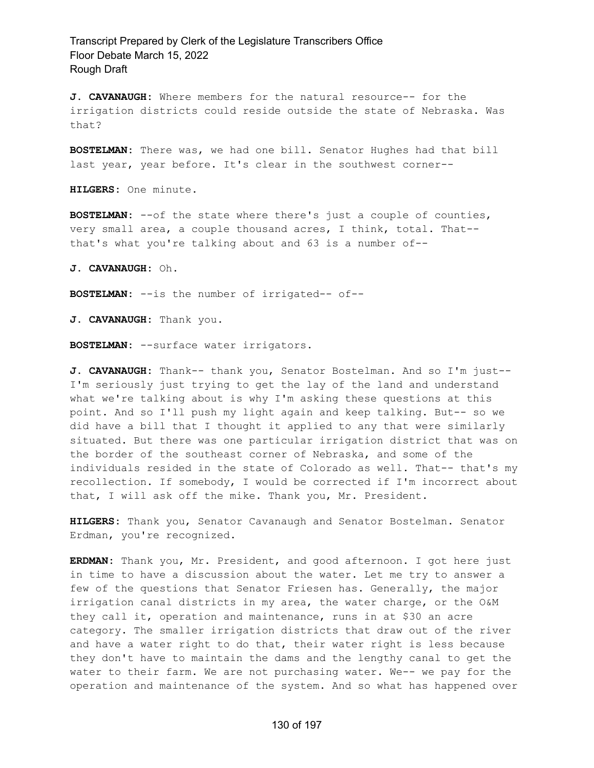**J. CAVANAUGH:** Where members for the natural resource-- for the irrigation districts could reside outside the state of Nebraska. Was that?

**BOSTELMAN:** There was, we had one bill. Senator Hughes had that bill last year, year before. It's clear in the southwest corner--

**HILGERS:** One minute.

**BOSTELMAN:** --of the state where there's just a couple of counties, very small area, a couple thousand acres, I think, total. That- that's what you're talking about and 63 is a number of--

**J. CAVANAUGH:** Oh.

**BOSTELMAN:** --is the number of irrigated-- of--

**J. CAVANAUGH:** Thank you.

**BOSTELMAN:** --surface water irrigators.

**J. CAVANAUGH:** Thank-- thank you, Senator Bostelman. And so I'm just-- I'm seriously just trying to get the lay of the land and understand what we're talking about is why I'm asking these questions at this point. And so I'll push my light again and keep talking. But-- so we did have a bill that I thought it applied to any that were similarly situated. But there was one particular irrigation district that was on the border of the southeast corner of Nebraska, and some of the individuals resided in the state of Colorado as well. That-- that's my recollection. If somebody, I would be corrected if I'm incorrect about that, I will ask off the mike. Thank you, Mr. President.

**HILGERS:** Thank you, Senator Cavanaugh and Senator Bostelman. Senator Erdman, you're recognized.

**ERDMAN:** Thank you, Mr. President, and good afternoon. I got here just in time to have a discussion about the water. Let me try to answer a few of the questions that Senator Friesen has. Generally, the major irrigation canal districts in my area, the water charge, or the O&M they call it, operation and maintenance, runs in at \$30 an acre category. The smaller irrigation districts that draw out of the river and have a water right to do that, their water right is less because they don't have to maintain the dams and the lengthy canal to get the water to their farm. We are not purchasing water. We-- we pay for the operation and maintenance of the system. And so what has happened over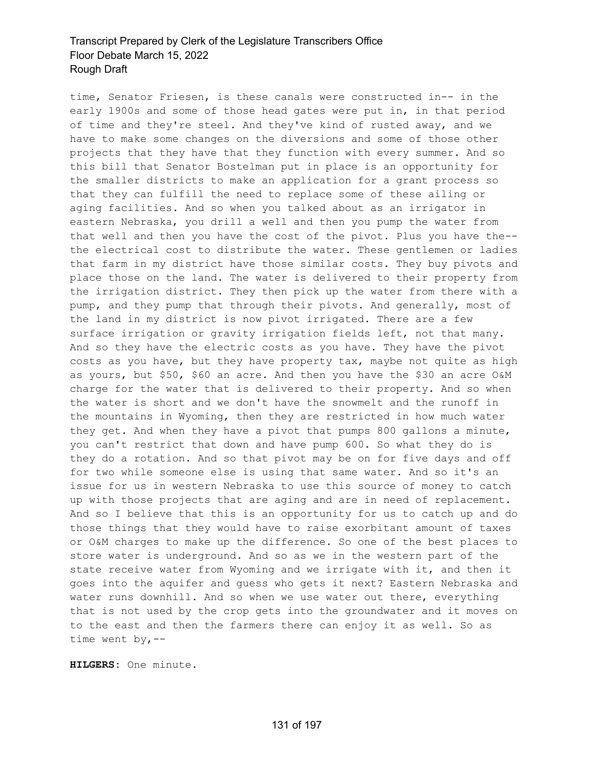time, Senator Friesen, is these canals were constructed in-- in the early 1900s and some of those head gates were put in, in that period of time and they're steel. And they've kind of rusted away, and we have to make some changes on the diversions and some of those other projects that they have that they function with every summer. And so this bill that Senator Bostelman put in place is an opportunity for the smaller districts to make an application for a grant process so that they can fulfill the need to replace some of these ailing or aging facilities. And so when you talked about as an irrigator in eastern Nebraska, you drill a well and then you pump the water from that well and then you have the cost of the pivot. Plus you have the- the electrical cost to distribute the water. These gentlemen or ladies that farm in my district have those similar costs. They buy pivots and place those on the land. The water is delivered to their property from the irrigation district. They then pick up the water from there with a pump, and they pump that through their pivots. And generally, most of the land in my district is now pivot irrigated. There are a few surface irrigation or gravity irrigation fields left, not that many. And so they have the electric costs as you have. They have the pivot costs as you have, but they have property tax, maybe not quite as high as yours, but \$50, \$60 an acre. And then you have the \$30 an acre O&M charge for the water that is delivered to their property. And so when the water is short and we don't have the snowmelt and the runoff in the mountains in Wyoming, then they are restricted in how much water they get. And when they have a pivot that pumps 800 gallons a minute, you can't restrict that down and have pump 600. So what they do is they do a rotation. And so that pivot may be on for five days and off for two while someone else is using that same water. And so it's an issue for us in western Nebraska to use this source of money to catch up with those projects that are aging and are in need of replacement. And so I believe that this is an opportunity for us to catch up and do those things that they would have to raise exorbitant amount of taxes or O&M charges to make up the difference. So one of the best places to store water is underground. And so as we in the western part of the state receive water from Wyoming and we irrigate with it, and then it goes into the aquifer and guess who gets it next? Eastern Nebraska and water runs downhill. And so when we use water out there, everything that is not used by the crop gets into the groundwater and it moves on to the east and then the farmers there can enjoy it as well. So as time went by,--

**HILGERS:** One minute.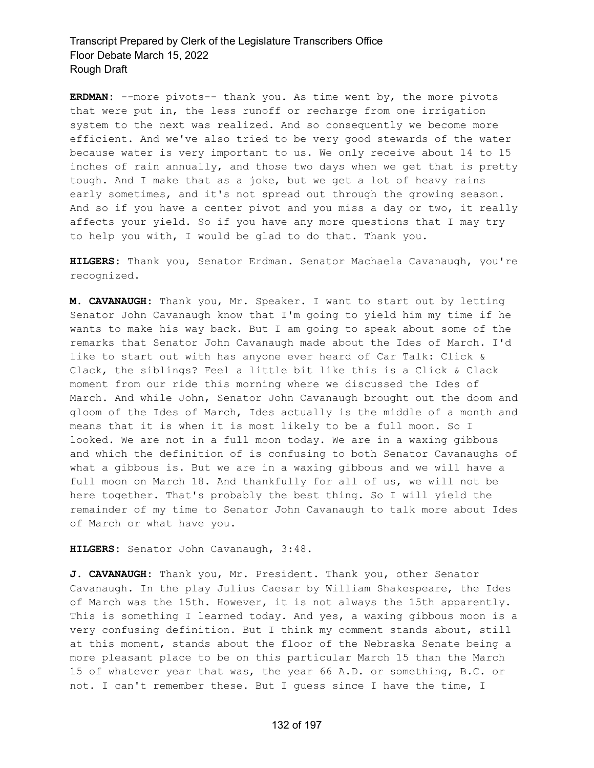**ERDMAN:** --more pivots-- thank you. As time went by, the more pivots that were put in, the less runoff or recharge from one irrigation system to the next was realized. And so consequently we become more efficient. And we've also tried to be very good stewards of the water because water is very important to us. We only receive about 14 to 15 inches of rain annually, and those two days when we get that is pretty tough. And I make that as a joke, but we get a lot of heavy rains early sometimes, and it's not spread out through the growing season. And so if you have a center pivot and you miss a day or two, it really affects your yield. So if you have any more questions that I may try to help you with, I would be glad to do that. Thank you.

**HILGERS:** Thank you, Senator Erdman. Senator Machaela Cavanaugh, you're recognized.

**M. CAVANAUGH:** Thank you, Mr. Speaker. I want to start out by letting Senator John Cavanaugh know that I'm going to yield him my time if he wants to make his way back. But I am going to speak about some of the remarks that Senator John Cavanaugh made about the Ides of March. I'd like to start out with has anyone ever heard of Car Talk: Click & Clack, the siblings? Feel a little bit like this is a Click & Clack moment from our ride this morning where we discussed the Ides of March. And while John, Senator John Cavanaugh brought out the doom and gloom of the Ides of March, Ides actually is the middle of a month and means that it is when it is most likely to be a full moon. So I looked. We are not in a full moon today. We are in a waxing gibbous and which the definition of is confusing to both Senator Cavanaughs of what a gibbous is. But we are in a waxing gibbous and we will have a full moon on March 18. And thankfully for all of us, we will not be here together. That's probably the best thing. So I will yield the remainder of my time to Senator John Cavanaugh to talk more about Ides of March or what have you.

**HILGERS:** Senator John Cavanaugh, 3:48.

**J. CAVANAUGH:** Thank you, Mr. President. Thank you, other Senator Cavanaugh. In the play Julius Caesar by William Shakespeare, the Ides of March was the 15th. However, it is not always the 15th apparently. This is something I learned today. And yes, a waxing gibbous moon is a very confusing definition. But I think my comment stands about, still at this moment, stands about the floor of the Nebraska Senate being a more pleasant place to be on this particular March 15 than the March 15 of whatever year that was, the year 66 A.D. or something, B.C. or not. I can't remember these. But I guess since I have the time, I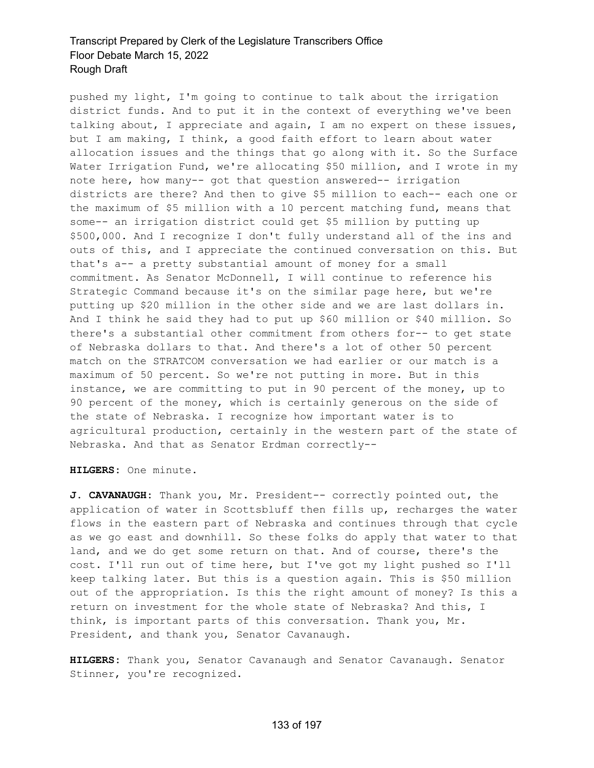pushed my light, I'm going to continue to talk about the irrigation district funds. And to put it in the context of everything we've been talking about, I appreciate and again, I am no expert on these issues, but I am making, I think, a good faith effort to learn about water allocation issues and the things that go along with it. So the Surface Water Irrigation Fund, we're allocating \$50 million, and I wrote in my note here, how many-- got that question answered-- irrigation districts are there? And then to give \$5 million to each-- each one or the maximum of \$5 million with a 10 percent matching fund, means that some-- an irrigation district could get \$5 million by putting up \$500,000. And I recognize I don't fully understand all of the ins and outs of this, and I appreciate the continued conversation on this. But that's a-- a pretty substantial amount of money for a small commitment. As Senator McDonnell, I will continue to reference his Strategic Command because it's on the similar page here, but we're putting up \$20 million in the other side and we are last dollars in. And I think he said they had to put up \$60 million or \$40 million. So there's a substantial other commitment from others for-- to get state of Nebraska dollars to that. And there's a lot of other 50 percent match on the STRATCOM conversation we had earlier or our match is a maximum of 50 percent. So we're not putting in more. But in this instance, we are committing to put in 90 percent of the money, up to 90 percent of the money, which is certainly generous on the side of the state of Nebraska. I recognize how important water is to agricultural production, certainly in the western part of the state of Nebraska. And that as Senator Erdman correctly--

**HILGERS:** One minute.

**J. CAVANAUGH:** Thank you, Mr. President-- correctly pointed out, the application of water in Scottsbluff then fills up, recharges the water flows in the eastern part of Nebraska and continues through that cycle as we go east and downhill. So these folks do apply that water to that land, and we do get some return on that. And of course, there's the cost. I'll run out of time here, but I've got my light pushed so I'll keep talking later. But this is a question again. This is \$50 million out of the appropriation. Is this the right amount of money? Is this a return on investment for the whole state of Nebraska? And this, I think, is important parts of this conversation. Thank you, Mr. President, and thank you, Senator Cavanaugh.

**HILGERS:** Thank you, Senator Cavanaugh and Senator Cavanaugh. Senator Stinner, you're recognized.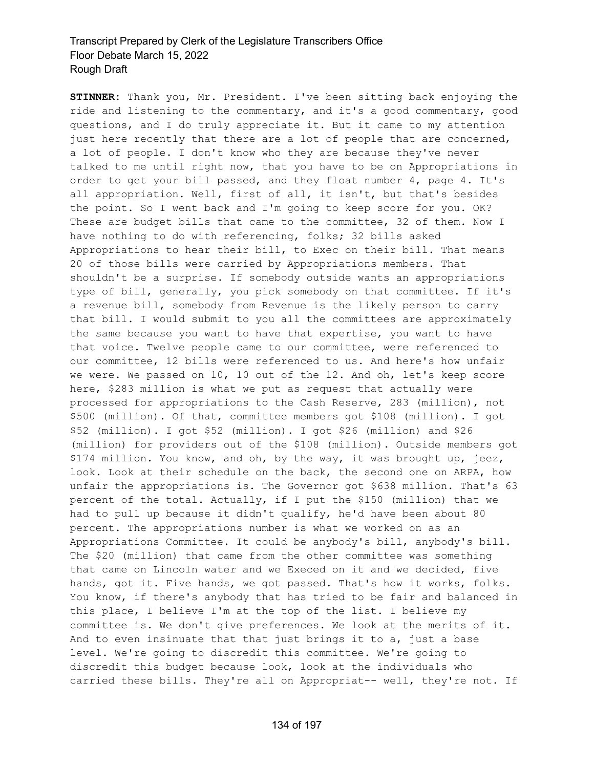**STINNER:** Thank you, Mr. President. I've been sitting back enjoying the ride and listening to the commentary, and it's a good commentary, good questions, and I do truly appreciate it. But it came to my attention just here recently that there are a lot of people that are concerned, a lot of people. I don't know who they are because they've never talked to me until right now, that you have to be on Appropriations in order to get your bill passed, and they float number 4, page 4. It's all appropriation. Well, first of all, it isn't, but that's besides the point. So I went back and I'm going to keep score for you. OK? These are budget bills that came to the committee, 32 of them. Now I have nothing to do with referencing, folks; 32 bills asked Appropriations to hear their bill, to Exec on their bill. That means 20 of those bills were carried by Appropriations members. That shouldn't be a surprise. If somebody outside wants an appropriations type of bill, generally, you pick somebody on that committee. If it's a revenue bill, somebody from Revenue is the likely person to carry that bill. I would submit to you all the committees are approximately the same because you want to have that expertise, you want to have that voice. Twelve people came to our committee, were referenced to our committee, 12 bills were referenced to us. And here's how unfair we were. We passed on 10, 10 out of the 12. And oh, let's keep score here, \$283 million is what we put as request that actually were processed for appropriations to the Cash Reserve, 283 (million), not \$500 (million). Of that, committee members got \$108 (million). I got \$52 (million). I got \$52 (million). I got \$26 (million) and \$26 (million) for providers out of the \$108 (million). Outside members got \$174 million. You know, and oh, by the way, it was brought up, jeez, look. Look at their schedule on the back, the second one on ARPA, how unfair the appropriations is. The Governor got \$638 million. That's 63 percent of the total. Actually, if I put the \$150 (million) that we had to pull up because it didn't qualify, he'd have been about 80 percent. The appropriations number is what we worked on as an Appropriations Committee. It could be anybody's bill, anybody's bill. The \$20 (million) that came from the other committee was something that came on Lincoln water and we Execed on it and we decided, five hands, got it. Five hands, we got passed. That's how it works, folks. You know, if there's anybody that has tried to be fair and balanced in this place, I believe I'm at the top of the list. I believe my committee is. We don't give preferences. We look at the merits of it. And to even insinuate that that just brings it to a, just a base level. We're going to discredit this committee. We're going to discredit this budget because look, look at the individuals who carried these bills. They're all on Appropriat-- well, they're not. If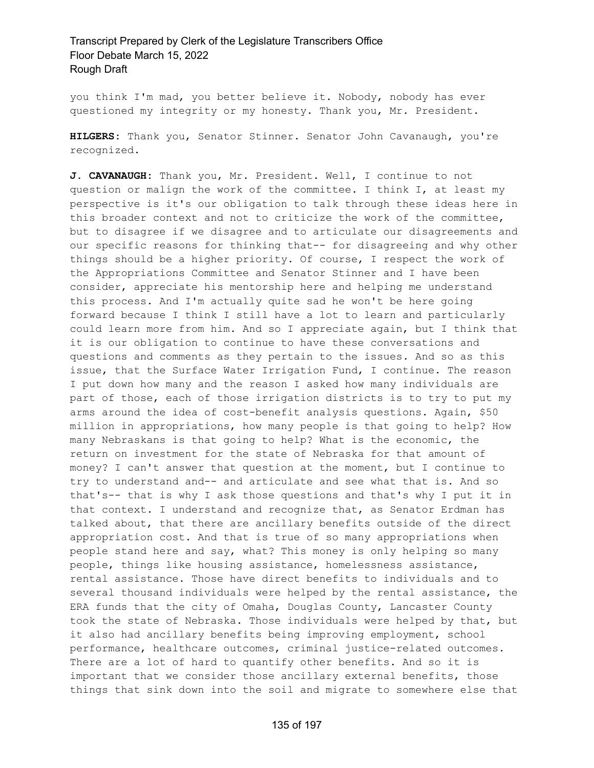you think I'm mad, you better believe it. Nobody, nobody has ever questioned my integrity or my honesty. Thank you, Mr. President.

**HILGERS:** Thank you, Senator Stinner. Senator John Cavanaugh, you're recognized.

**J. CAVANAUGH:** Thank you, Mr. President. Well, I continue to not question or malign the work of the committee. I think I, at least my perspective is it's our obligation to talk through these ideas here in this broader context and not to criticize the work of the committee, but to disagree if we disagree and to articulate our disagreements and our specific reasons for thinking that-- for disagreeing and why other things should be a higher priority. Of course, I respect the work of the Appropriations Committee and Senator Stinner and I have been consider, appreciate his mentorship here and helping me understand this process. And I'm actually quite sad he won't be here going forward because I think I still have a lot to learn and particularly could learn more from him. And so I appreciate again, but I think that it is our obligation to continue to have these conversations and questions and comments as they pertain to the issues. And so as this issue, that the Surface Water Irrigation Fund, I continue. The reason I put down how many and the reason I asked how many individuals are part of those, each of those irrigation districts is to try to put my arms around the idea of cost-benefit analysis questions. Again, \$50 million in appropriations, how many people is that going to help? How many Nebraskans is that going to help? What is the economic, the return on investment for the state of Nebraska for that amount of money? I can't answer that question at the moment, but I continue to try to understand and-- and articulate and see what that is. And so that's-- that is why I ask those questions and that's why I put it in that context. I understand and recognize that, as Senator Erdman has talked about, that there are ancillary benefits outside of the direct appropriation cost. And that is true of so many appropriations when people stand here and say, what? This money is only helping so many people, things like housing assistance, homelessness assistance, rental assistance. Those have direct benefits to individuals and to several thousand individuals were helped by the rental assistance, the ERA funds that the city of Omaha, Douglas County, Lancaster County took the state of Nebraska. Those individuals were helped by that, but it also had ancillary benefits being improving employment, school performance, healthcare outcomes, criminal justice-related outcomes. There are a lot of hard to quantify other benefits. And so it is important that we consider those ancillary external benefits, those things that sink down into the soil and migrate to somewhere else that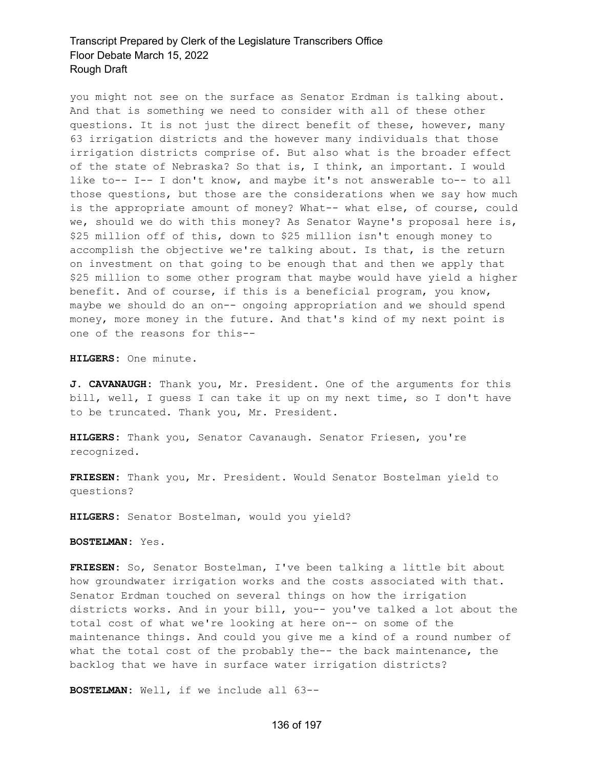you might not see on the surface as Senator Erdman is talking about. And that is something we need to consider with all of these other questions. It is not just the direct benefit of these, however, many 63 irrigation districts and the however many individuals that those irrigation districts comprise of. But also what is the broader effect of the state of Nebraska? So that is, I think, an important. I would like to-- I-- I don't know, and maybe it's not answerable to-- to all those questions, but those are the considerations when we say how much is the appropriate amount of money? What-- what else, of course, could we, should we do with this money? As Senator Wayne's proposal here is, \$25 million off of this, down to \$25 million isn't enough money to accomplish the objective we're talking about. Is that, is the return on investment on that going to be enough that and then we apply that \$25 million to some other program that maybe would have yield a higher benefit. And of course, if this is a beneficial program, you know, maybe we should do an on-- ongoing appropriation and we should spend money, more money in the future. And that's kind of my next point is one of the reasons for this--

**HILGERS:** One minute.

**J. CAVANAUGH:** Thank you, Mr. President. One of the arguments for this bill, well, I guess I can take it up on my next time, so I don't have to be truncated. Thank you, Mr. President.

**HILGERS:** Thank you, Senator Cavanaugh. Senator Friesen, you're recognized.

**FRIESEN:** Thank you, Mr. President. Would Senator Bostelman yield to questions?

**HILGERS:** Senator Bostelman, would you yield?

**BOSTELMAN:** Yes.

**FRIESEN:** So, Senator Bostelman, I've been talking a little bit about how groundwater irrigation works and the costs associated with that. Senator Erdman touched on several things on how the irrigation districts works. And in your bill, you-- you've talked a lot about the total cost of what we're looking at here on-- on some of the maintenance things. And could you give me a kind of a round number of what the total cost of the probably the-- the back maintenance, the backlog that we have in surface water irrigation districts?

**BOSTELMAN:** Well, if we include all 63--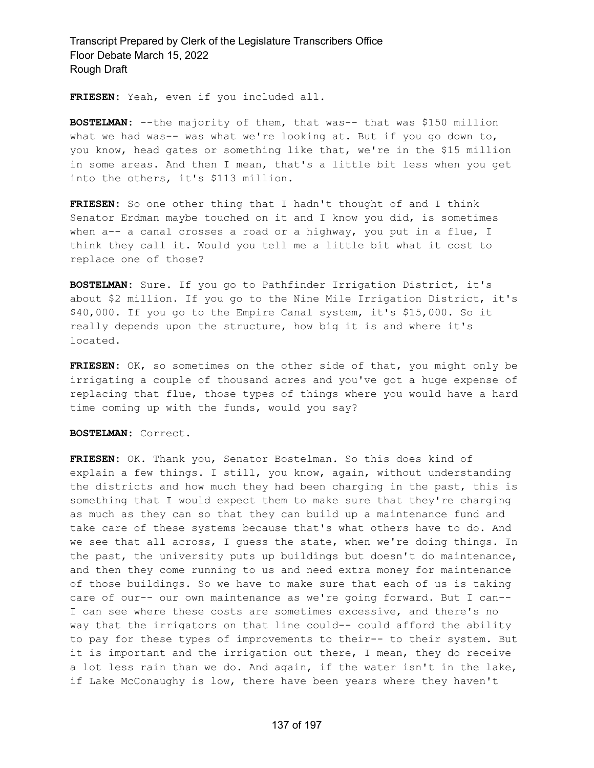**FRIESEN:** Yeah, even if you included all.

**BOSTELMAN:** --the majority of them, that was-- that was \$150 million what we had was-- was what we're looking at. But if you go down to, you know, head gates or something like that, we're in the \$15 million in some areas. And then I mean, that's a little bit less when you get into the others, it's \$113 million.

**FRIESEN:** So one other thing that I hadn't thought of and I think Senator Erdman maybe touched on it and I know you did, is sometimes when a-- a canal crosses a road or a highway, you put in a flue, I think they call it. Would you tell me a little bit what it cost to replace one of those?

**BOSTELMAN:** Sure. If you go to Pathfinder Irrigation District, it's about \$2 million. If you go to the Nine Mile Irrigation District, it's \$40,000. If you go to the Empire Canal system, it's \$15,000. So it really depends upon the structure, how big it is and where it's located.

**FRIESEN:** OK, so sometimes on the other side of that, you might only be irrigating a couple of thousand acres and you've got a huge expense of replacing that flue, those types of things where you would have a hard time coming up with the funds, would you say?

**BOSTELMAN:** Correct.

**FRIESEN:** OK. Thank you, Senator Bostelman. So this does kind of explain a few things. I still, you know, again, without understanding the districts and how much they had been charging in the past, this is something that I would expect them to make sure that they're charging as much as they can so that they can build up a maintenance fund and take care of these systems because that's what others have to do. And we see that all across, I guess the state, when we're doing things. In the past, the university puts up buildings but doesn't do maintenance, and then they come running to us and need extra money for maintenance of those buildings. So we have to make sure that each of us is taking care of our-- our own maintenance as we're going forward. But I can-- I can see where these costs are sometimes excessive, and there's no way that the irrigators on that line could-- could afford the ability to pay for these types of improvements to their-- to their system. But it is important and the irrigation out there, I mean, they do receive a lot less rain than we do. And again, if the water isn't in the lake, if Lake McConaughy is low, there have been years where they haven't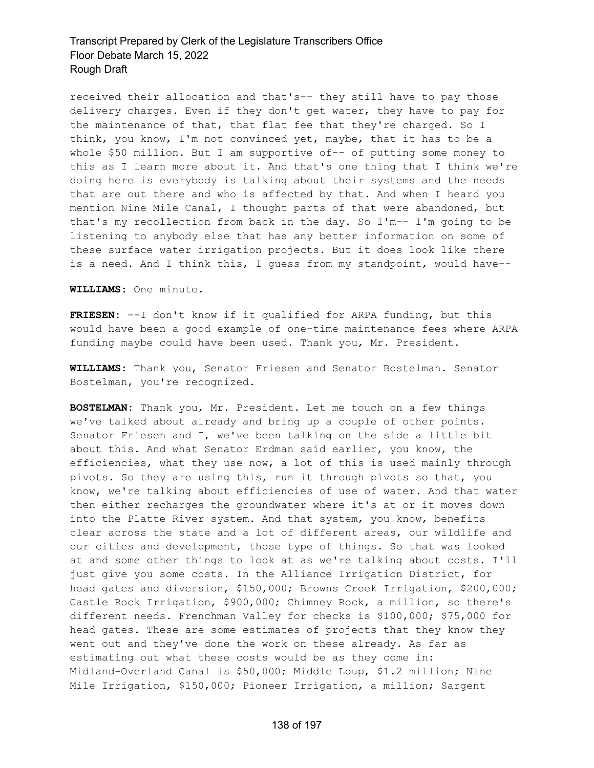received their allocation and that's-- they still have to pay those delivery charges. Even if they don't get water, they have to pay for the maintenance of that, that flat fee that they're charged. So I think, you know, I'm not convinced yet, maybe, that it has to be a whole \$50 million. But I am supportive of-- of putting some money to this as I learn more about it. And that's one thing that I think we're doing here is everybody is talking about their systems and the needs that are out there and who is affected by that. And when I heard you mention Nine Mile Canal, I thought parts of that were abandoned, but that's my recollection from back in the day. So I'm-- I'm going to be listening to anybody else that has any better information on some of these surface water irrigation projects. But it does look like there is a need. And I think this, I guess from my standpoint, would have--

**WILLIAMS:** One minute.

**FRIESEN:** --I don't know if it qualified for ARPA funding, but this would have been a good example of one-time maintenance fees where ARPA funding maybe could have been used. Thank you, Mr. President.

**WILLIAMS:** Thank you, Senator Friesen and Senator Bostelman. Senator Bostelman, you're recognized.

**BOSTELMAN:** Thank you, Mr. President. Let me touch on a few things we've talked about already and bring up a couple of other points. Senator Friesen and I, we've been talking on the side a little bit about this. And what Senator Erdman said earlier, you know, the efficiencies, what they use now, a lot of this is used mainly through pivots. So they are using this, run it through pivots so that, you know, we're talking about efficiencies of use of water. And that water then either recharges the groundwater where it's at or it moves down into the Platte River system. And that system, you know, benefits clear across the state and a lot of different areas, our wildlife and our cities and development, those type of things. So that was looked at and some other things to look at as we're talking about costs. I'll just give you some costs. In the Alliance Irrigation District, for head gates and diversion, \$150,000; Browns Creek Irrigation, \$200,000; Castle Rock Irrigation, \$900,000; Chimney Rock, a million, so there's different needs. Frenchman Valley for checks is \$100,000; \$75,000 for head gates. These are some estimates of projects that they know they went out and they've done the work on these already. As far as estimating out what these costs would be as they come in: Midland-Overland Canal is \$50,000; Middle Loup, \$1.2 million; Nine Mile Irrigation, \$150,000; Pioneer Irrigation, a million; Sargent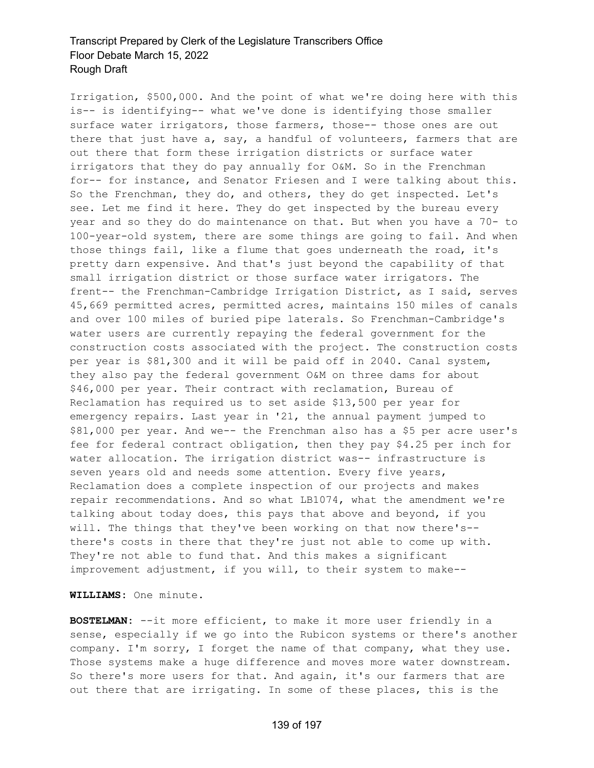Irrigation, \$500,000. And the point of what we're doing here with this is-- is identifying-- what we've done is identifying those smaller surface water irrigators, those farmers, those-- those ones are out there that just have a, say, a handful of volunteers, farmers that are out there that form these irrigation districts or surface water irrigators that they do pay annually for O&M. So in the Frenchman for-- for instance, and Senator Friesen and I were talking about this. So the Frenchman, they do, and others, they do get inspected. Let's see. Let me find it here. They do get inspected by the bureau every year and so they do do maintenance on that. But when you have a 70- to 100-year-old system, there are some things are going to fail. And when those things fail, like a flume that goes underneath the road, it's pretty darn expensive. And that's just beyond the capability of that small irrigation district or those surface water irrigators. The frent-- the Frenchman-Cambridge Irrigation District, as I said, serves 45,669 permitted acres, permitted acres, maintains 150 miles of canals and over 100 miles of buried pipe laterals. So Frenchman-Cambridge's water users are currently repaying the federal government for the construction costs associated with the project. The construction costs per year is \$81,300 and it will be paid off in 2040. Canal system, they also pay the federal government O&M on three dams for about \$46,000 per year. Their contract with reclamation, Bureau of Reclamation has required us to set aside \$13,500 per year for emergency repairs. Last year in '21, the annual payment jumped to \$81,000 per year. And we-- the Frenchman also has a \$5 per acre user's fee for federal contract obligation, then they pay \$4.25 per inch for water allocation. The irrigation district was-- infrastructure is seven years old and needs some attention. Every five years, Reclamation does a complete inspection of our projects and makes repair recommendations. And so what LB1074, what the amendment we're talking about today does, this pays that above and beyond, if you will. The things that they've been working on that now there's- there's costs in there that they're just not able to come up with. They're not able to fund that. And this makes a significant improvement adjustment, if you will, to their system to make--

**WILLIAMS:** One minute.

**BOSTELMAN:** --it more efficient, to make it more user friendly in a sense, especially if we go into the Rubicon systems or there's another company. I'm sorry, I forget the name of that company, what they use. Those systems make a huge difference and moves more water downstream. So there's more users for that. And again, it's our farmers that are out there that are irrigating. In some of these places, this is the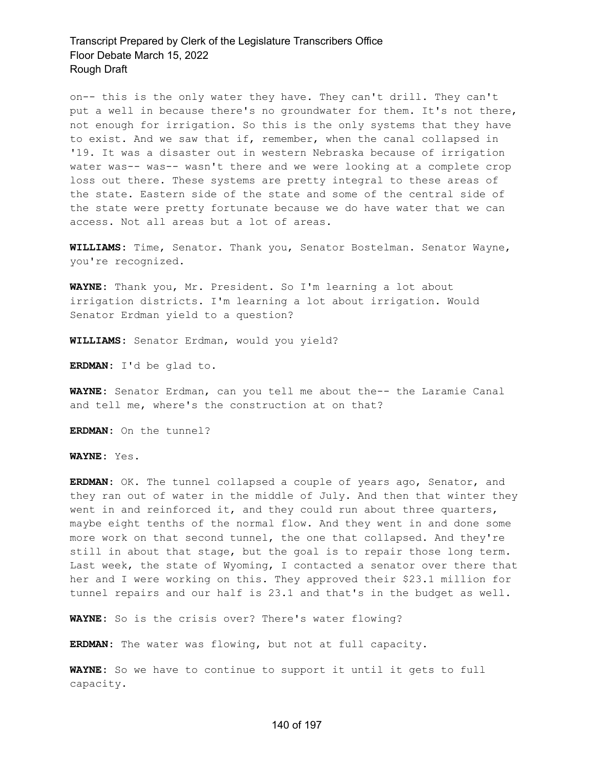on-- this is the only water they have. They can't drill. They can't put a well in because there's no groundwater for them. It's not there, not enough for irrigation. So this is the only systems that they have to exist. And we saw that if, remember, when the canal collapsed in '19. It was a disaster out in western Nebraska because of irrigation water was-- was-- wasn't there and we were looking at a complete crop loss out there. These systems are pretty integral to these areas of the state. Eastern side of the state and some of the central side of the state were pretty fortunate because we do have water that we can access. Not all areas but a lot of areas.

**WILLIAMS:** Time, Senator. Thank you, Senator Bostelman. Senator Wayne, you're recognized.

**WAYNE:** Thank you, Mr. President. So I'm learning a lot about irrigation districts. I'm learning a lot about irrigation. Would Senator Erdman yield to a question?

**WILLIAMS:** Senator Erdman, would you yield?

**ERDMAN:** I'd be glad to.

**WAYNE:** Senator Erdman, can you tell me about the-- the Laramie Canal and tell me, where's the construction at on that?

**ERDMAN:** On the tunnel?

**WAYNE:** Yes.

**ERDMAN:** OK. The tunnel collapsed a couple of years ago, Senator, and they ran out of water in the middle of July. And then that winter they went in and reinforced it, and they could run about three quarters, maybe eight tenths of the normal flow. And they went in and done some more work on that second tunnel, the one that collapsed. And they're still in about that stage, but the goal is to repair those long term. Last week, the state of Wyoming, I contacted a senator over there that her and I were working on this. They approved their \$23.1 million for tunnel repairs and our half is 23.1 and that's in the budget as well.

**WAYNE:** So is the crisis over? There's water flowing?

**ERDMAN:** The water was flowing, but not at full capacity.

**WAYNE:** So we have to continue to support it until it gets to full capacity.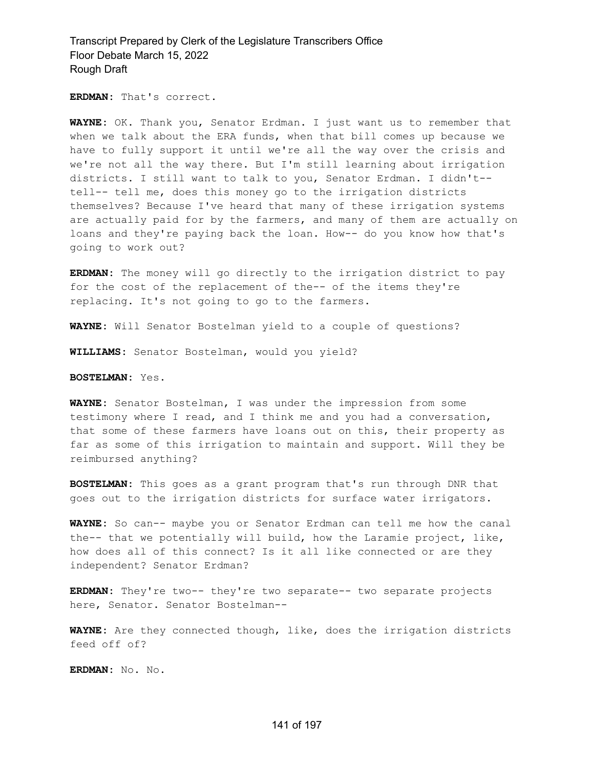**ERDMAN:** That's correct.

**WAYNE:** OK. Thank you, Senator Erdman. I just want us to remember that when we talk about the ERA funds, when that bill comes up because we have to fully support it until we're all the way over the crisis and we're not all the way there. But I'm still learning about irrigation districts. I still want to talk to you, Senator Erdman. I didn't- tell-- tell me, does this money go to the irrigation districts themselves? Because I've heard that many of these irrigation systems are actually paid for by the farmers, and many of them are actually on loans and they're paying back the loan. How-- do you know how that's going to work out?

**ERDMAN:** The money will go directly to the irrigation district to pay for the cost of the replacement of the-- of the items they're replacing. It's not going to go to the farmers.

**WAYNE:** Will Senator Bostelman yield to a couple of questions?

**WILLIAMS:** Senator Bostelman, would you yield?

**BOSTELMAN:** Yes.

**WAYNE:** Senator Bostelman, I was under the impression from some testimony where I read, and I think me and you had a conversation, that some of these farmers have loans out on this, their property as far as some of this irrigation to maintain and support. Will they be reimbursed anything?

**BOSTELMAN:** This goes as a grant program that's run through DNR that goes out to the irrigation districts for surface water irrigators.

**WAYNE:** So can-- maybe you or Senator Erdman can tell me how the canal the-- that we potentially will build, how the Laramie project, like, how does all of this connect? Is it all like connected or are they independent? Senator Erdman?

**ERDMAN:** They're two-- they're two separate-- two separate projects here, Senator. Senator Bostelman--

**WAYNE:** Are they connected though, like, does the irrigation districts feed off of?

**ERDMAN:** No. No.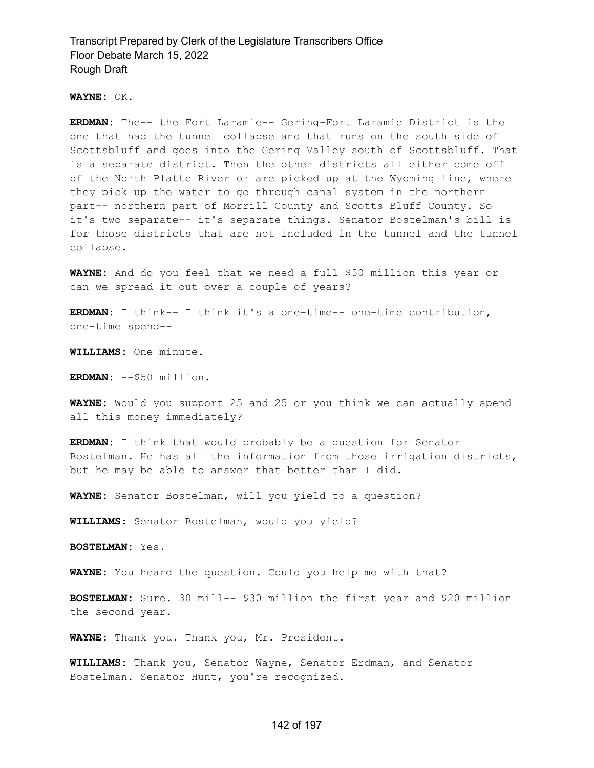**WAYNE:** OK.

**ERDMAN:** The-- the Fort Laramie-- Gering-Fort Laramie District is the one that had the tunnel collapse and that runs on the south side of Scottsbluff and goes into the Gering Valley south of Scottsbluff. That is a separate district. Then the other districts all either come off of the North Platte River or are picked up at the Wyoming line, where they pick up the water to go through canal system in the northern part-- northern part of Morrill County and Scotts Bluff County. So it's two separate-- it's separate things. Senator Bostelman's bill is for those districts that are not included in the tunnel and the tunnel collapse.

**WAYNE:** And do you feel that we need a full \$50 million this year or can we spread it out over a couple of years?

**ERDMAN:** I think-- I think it's a one-time-- one-time contribution, one-time spend--

**WILLIAMS:** One minute.

**ERDMAN:** --\$50 million.

**WAYNE:** Would you support 25 and 25 or you think we can actually spend all this money immediately?

**ERDMAN:** I think that would probably be a question for Senator Bostelman. He has all the information from those irrigation districts, but he may be able to answer that better than I did.

**WAYNE:** Senator Bostelman, will you yield to a question?

**WILLIAMS:** Senator Bostelman, would you yield?

**BOSTELMAN:** Yes.

**WAYNE:** You heard the question. Could you help me with that?

**BOSTELMAN:** Sure. 30 mill-- \$30 million the first year and \$20 million the second year.

**WAYNE:** Thank you. Thank you, Mr. President.

**WILLIAMS:** Thank you, Senator Wayne, Senator Erdman, and Senator Bostelman. Senator Hunt, you're recognized.

#### 142 of 197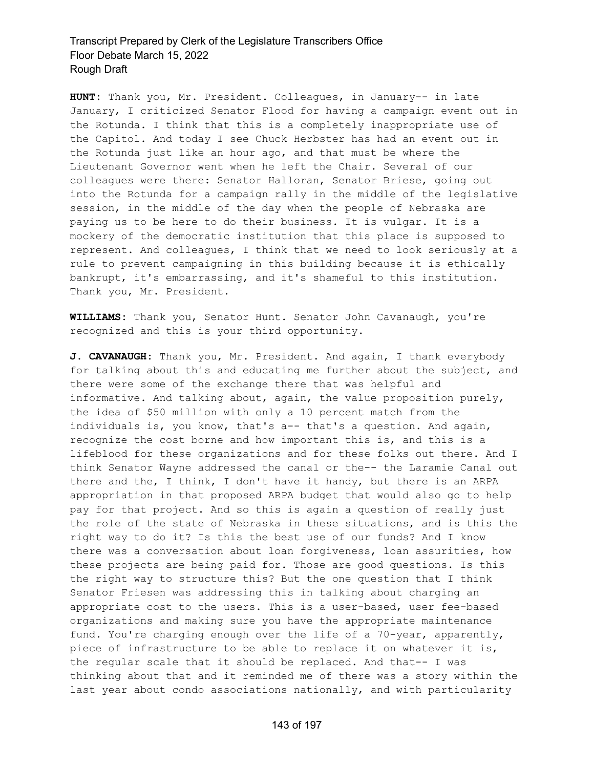**HUNT:** Thank you, Mr. President. Colleagues, in January-- in late January, I criticized Senator Flood for having a campaign event out in the Rotunda. I think that this is a completely inappropriate use of the Capitol. And today I see Chuck Herbster has had an event out in the Rotunda just like an hour ago, and that must be where the Lieutenant Governor went when he left the Chair. Several of our colleagues were there: Senator Halloran, Senator Briese, going out into the Rotunda for a campaign rally in the middle of the legislative session, in the middle of the day when the people of Nebraska are paying us to be here to do their business. It is vulgar. It is a mockery of the democratic institution that this place is supposed to represent. And colleagues, I think that we need to look seriously at a rule to prevent campaigning in this building because it is ethically bankrupt, it's embarrassing, and it's shameful to this institution. Thank you, Mr. President.

**WILLIAMS:** Thank you, Senator Hunt. Senator John Cavanaugh, you're recognized and this is your third opportunity.

**J. CAVANAUGH:** Thank you, Mr. President. And again, I thank everybody for talking about this and educating me further about the subject, and there were some of the exchange there that was helpful and informative. And talking about, again, the value proposition purely, the idea of \$50 million with only a 10 percent match from the individuals is, you know, that's a-- that's a question. And again, recognize the cost borne and how important this is, and this is a lifeblood for these organizations and for these folks out there. And I think Senator Wayne addressed the canal or the-- the Laramie Canal out there and the, I think, I don't have it handy, but there is an ARPA appropriation in that proposed ARPA budget that would also go to help pay for that project. And so this is again a question of really just the role of the state of Nebraska in these situations, and is this the right way to do it? Is this the best use of our funds? And I know there was a conversation about loan forgiveness, loan assurities, how these projects are being paid for. Those are good questions. Is this the right way to structure this? But the one question that I think Senator Friesen was addressing this in talking about charging an appropriate cost to the users. This is a user-based, user fee-based organizations and making sure you have the appropriate maintenance fund. You're charging enough over the life of a 70-year, apparently, piece of infrastructure to be able to replace it on whatever it is, the regular scale that it should be replaced. And that-- I was thinking about that and it reminded me of there was a story within the last year about condo associations nationally, and with particularity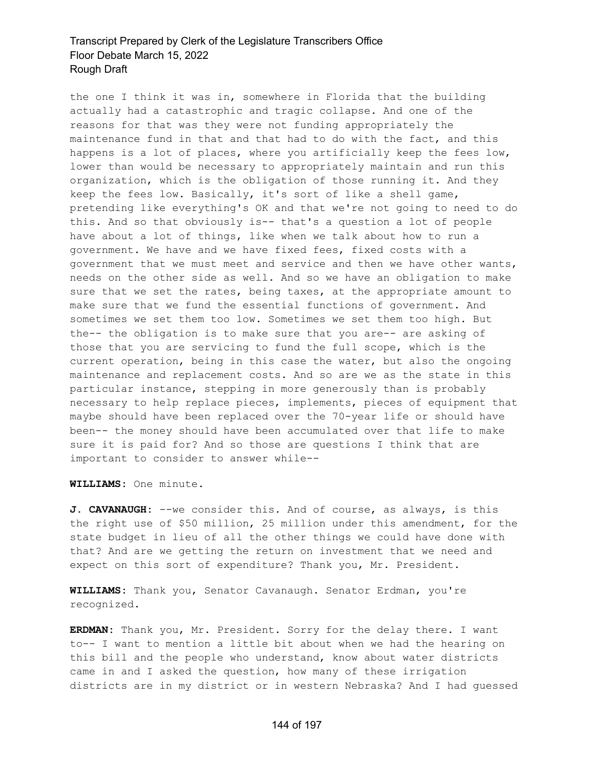the one I think it was in, somewhere in Florida that the building actually had a catastrophic and tragic collapse. And one of the reasons for that was they were not funding appropriately the maintenance fund in that and that had to do with the fact, and this happens is a lot of places, where you artificially keep the fees low, lower than would be necessary to appropriately maintain and run this organization, which is the obligation of those running it. And they keep the fees low. Basically, it's sort of like a shell game, pretending like everything's OK and that we're not going to need to do this. And so that obviously is-- that's a question a lot of people have about a lot of things, like when we talk about how to run a government. We have and we have fixed fees, fixed costs with a government that we must meet and service and then we have other wants, needs on the other side as well. And so we have an obligation to make sure that we set the rates, being taxes, at the appropriate amount to make sure that we fund the essential functions of government. And sometimes we set them too low. Sometimes we set them too high. But the-- the obligation is to make sure that you are-- are asking of those that you are servicing to fund the full scope, which is the current operation, being in this case the water, but also the ongoing maintenance and replacement costs. And so are we as the state in this particular instance, stepping in more generously than is probably necessary to help replace pieces, implements, pieces of equipment that maybe should have been replaced over the 70-year life or should have been-- the money should have been accumulated over that life to make sure it is paid for? And so those are questions I think that are important to consider to answer while--

**WILLIAMS:** One minute.

**J. CAVANAUGH:** --we consider this. And of course, as always, is this the right use of \$50 million, 25 million under this amendment, for the state budget in lieu of all the other things we could have done with that? And are we getting the return on investment that we need and expect on this sort of expenditure? Thank you, Mr. President.

**WILLIAMS:** Thank you, Senator Cavanaugh. Senator Erdman, you're recognized.

**ERDMAN:** Thank you, Mr. President. Sorry for the delay there. I want to-- I want to mention a little bit about when we had the hearing on this bill and the people who understand, know about water districts came in and I asked the question, how many of these irrigation districts are in my district or in western Nebraska? And I had guessed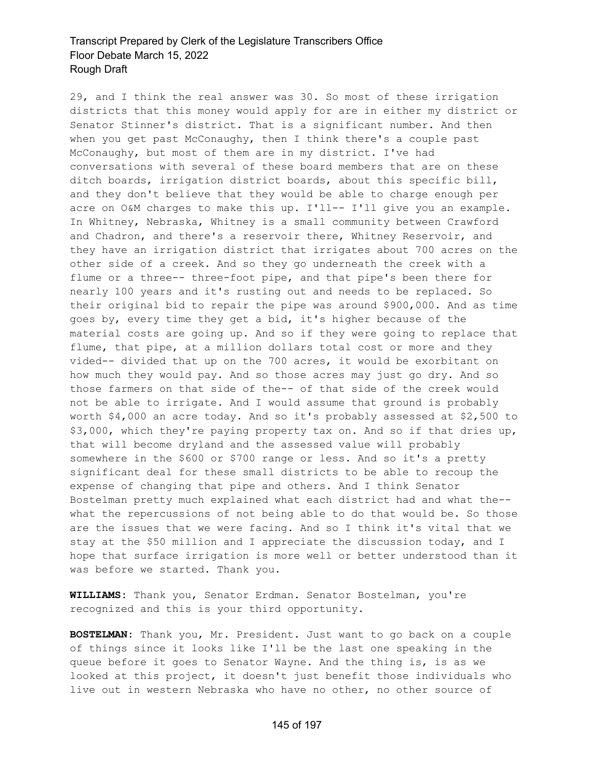29, and I think the real answer was 30. So most of these irrigation districts that this money would apply for are in either my district or Senator Stinner's district. That is a significant number. And then when you get past McConaughy, then I think there's a couple past McConaughy, but most of them are in my district. I've had conversations with several of these board members that are on these ditch boards, irrigation district boards, about this specific bill, and they don't believe that they would be able to charge enough per acre on O&M charges to make this up. I'll-- I'll give you an example. In Whitney, Nebraska, Whitney is a small community between Crawford and Chadron, and there's a reservoir there, Whitney Reservoir, and they have an irrigation district that irrigates about 700 acres on the other side of a creek. And so they go underneath the creek with a flume or a three-- three-foot pipe, and that pipe's been there for nearly 100 years and it's rusting out and needs to be replaced. So their original bid to repair the pipe was around \$900,000. And as time goes by, every time they get a bid, it's higher because of the material costs are going up. And so if they were going to replace that flume, that pipe, at a million dollars total cost or more and they vided-- divided that up on the 700 acres, it would be exorbitant on how much they would pay. And so those acres may just go dry. And so those farmers on that side of the-- of that side of the creek would not be able to irrigate. And I would assume that ground is probably worth \$4,000 an acre today. And so it's probably assessed at \$2,500 to \$3,000, which they're paying property tax on. And so if that dries up, that will become dryland and the assessed value will probably somewhere in the \$600 or \$700 range or less. And so it's a pretty significant deal for these small districts to be able to recoup the expense of changing that pipe and others. And I think Senator Bostelman pretty much explained what each district had and what the- what the repercussions of not being able to do that would be. So those are the issues that we were facing. And so I think it's vital that we stay at the \$50 million and I appreciate the discussion today, and I hope that surface irrigation is more well or better understood than it was before we started. Thank you.

**WILLIAMS:** Thank you, Senator Erdman. Senator Bostelman, you're recognized and this is your third opportunity.

**BOSTELMAN:** Thank you, Mr. President. Just want to go back on a couple of things since it looks like I'll be the last one speaking in the queue before it goes to Senator Wayne. And the thing is, is as we looked at this project, it doesn't just benefit those individuals who live out in western Nebraska who have no other, no other source of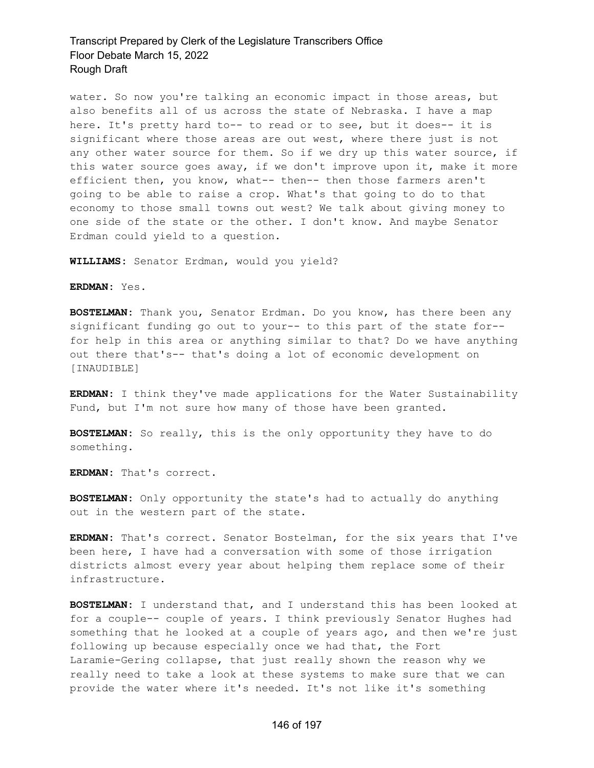water. So now you're talking an economic impact in those areas, but also benefits all of us across the state of Nebraska. I have a map here. It's pretty hard to-- to read or to see, but it does-- it is significant where those areas are out west, where there just is not any other water source for them. So if we dry up this water source, if this water source goes away, if we don't improve upon it, make it more efficient then, you know, what-- then-- then those farmers aren't going to be able to raise a crop. What's that going to do to that economy to those small towns out west? We talk about giving money to one side of the state or the other. I don't know. And maybe Senator Erdman could yield to a question.

**WILLIAMS:** Senator Erdman, would you yield?

**ERDMAN:** Yes.

**BOSTELMAN:** Thank you, Senator Erdman. Do you know, has there been any significant funding go out to your-- to this part of the state for- for help in this area or anything similar to that? Do we have anything out there that's-- that's doing a lot of economic development on [INAUDIBLE]

**ERDMAN:** I think they've made applications for the Water Sustainability Fund, but I'm not sure how many of those have been granted.

**BOSTELMAN:** So really, this is the only opportunity they have to do something.

**ERDMAN:** That's correct.

**BOSTELMAN:** Only opportunity the state's had to actually do anything out in the western part of the state.

**ERDMAN:** That's correct. Senator Bostelman, for the six years that I've been here, I have had a conversation with some of those irrigation districts almost every year about helping them replace some of their infrastructure.

**BOSTELMAN:** I understand that, and I understand this has been looked at for a couple-- couple of years. I think previously Senator Hughes had something that he looked at a couple of years ago, and then we're just following up because especially once we had that, the Fort Laramie-Gering collapse, that just really shown the reason why we really need to take a look at these systems to make sure that we can provide the water where it's needed. It's not like it's something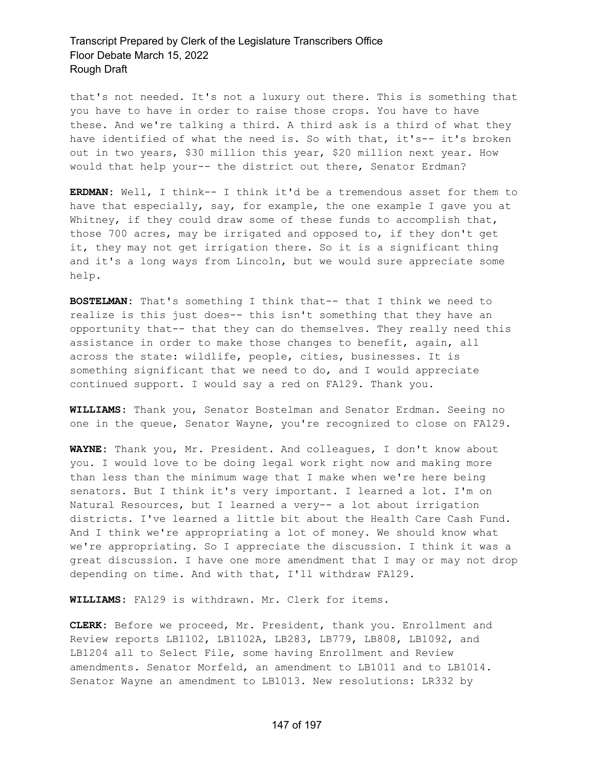that's not needed. It's not a luxury out there. This is something that you have to have in order to raise those crops. You have to have these. And we're talking a third. A third ask is a third of what they have identified of what the need is. So with that, it's-- it's broken out in two years, \$30 million this year, \$20 million next year. How would that help your-- the district out there, Senator Erdman?

**ERDMAN:** Well, I think-- I think it'd be a tremendous asset for them to have that especially, say, for example, the one example I gave you at Whitney, if they could draw some of these funds to accomplish that, those 700 acres, may be irrigated and opposed to, if they don't get it, they may not get irrigation there. So it is a significant thing and it's a long ways from Lincoln, but we would sure appreciate some help.

**BOSTELMAN:** That's something I think that-- that I think we need to realize is this just does-- this isn't something that they have an opportunity that-- that they can do themselves. They really need this assistance in order to make those changes to benefit, again, all across the state: wildlife, people, cities, businesses. It is something significant that we need to do, and I would appreciate continued support. I would say a red on FA129. Thank you.

**WILLIAMS:** Thank you, Senator Bostelman and Senator Erdman. Seeing no one in the queue, Senator Wayne, you're recognized to close on FA129.

**WAYNE:** Thank you, Mr. President. And colleagues, I don't know about you. I would love to be doing legal work right now and making more than less than the minimum wage that I make when we're here being senators. But I think it's very important. I learned a lot. I'm on Natural Resources, but I learned a very-- a lot about irrigation districts. I've learned a little bit about the Health Care Cash Fund. And I think we're appropriating a lot of money. We should know what we're appropriating. So I appreciate the discussion. I think it was a great discussion. I have one more amendment that I may or may not drop depending on time. And with that, I'll withdraw FA129.

**WILLIAMS:** FA129 is withdrawn. Mr. Clerk for items.

**CLERK:** Before we proceed, Mr. President, thank you. Enrollment and Review reports LB1102, LB1102A, LB283, LB779, LB808, LB1092, and LB1204 all to Select File, some having Enrollment and Review amendments. Senator Morfeld, an amendment to LB1011 and to LB1014. Senator Wayne an amendment to LB1013. New resolutions: LR332 by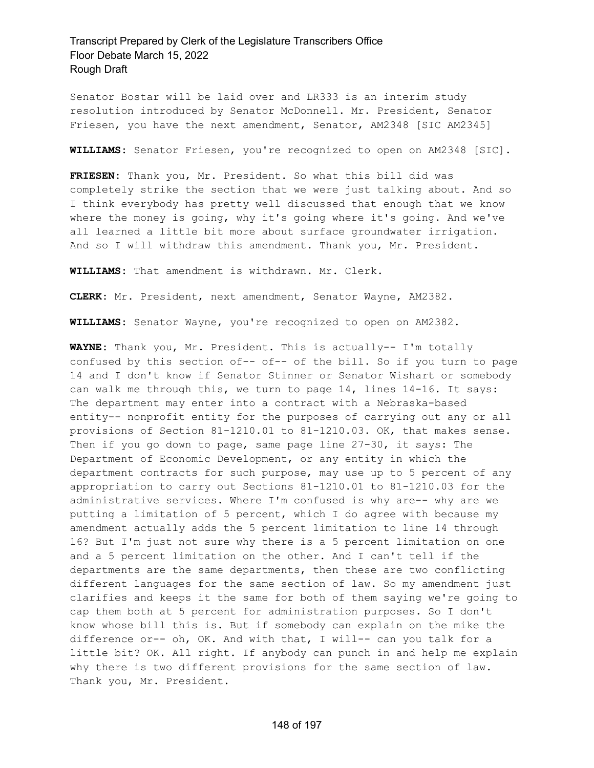Senator Bostar will be laid over and LR333 is an interim study resolution introduced by Senator McDonnell. Mr. President, Senator Friesen, you have the next amendment, Senator, AM2348 [SIC AM2345]

**WILLIAMS:** Senator Friesen, you're recognized to open on AM2348 [SIC].

**FRIESEN:** Thank you, Mr. President. So what this bill did was completely strike the section that we were just talking about. And so I think everybody has pretty well discussed that enough that we know where the money is going, why it's going where it's going. And we've all learned a little bit more about surface groundwater irrigation. And so I will withdraw this amendment. Thank you, Mr. President.

**WILLIAMS:** That amendment is withdrawn. Mr. Clerk.

**CLERK:** Mr. President, next amendment, Senator Wayne, AM2382.

**WILLIAMS:** Senator Wayne, you're recognized to open on AM2382.

**WAYNE:** Thank you, Mr. President. This is actually-- I'm totally confused by this section of-- of-- of the bill. So if you turn to page 14 and I don't know if Senator Stinner or Senator Wishart or somebody can walk me through this, we turn to page 14, lines 14-16. It says: The department may enter into a contract with a Nebraska-based entity-- nonprofit entity for the purposes of carrying out any or all provisions of Section 81-1210.01 to 81-1210.03. OK, that makes sense. Then if you go down to page, same page line 27-30, it says: The Department of Economic Development, or any entity in which the department contracts for such purpose, may use up to 5 percent of any appropriation to carry out Sections 81-1210.01 to 81-1210.03 for the administrative services. Where I'm confused is why are-- why are we putting a limitation of 5 percent, which I do agree with because my amendment actually adds the 5 percent limitation to line 14 through 16? But I'm just not sure why there is a 5 percent limitation on one and a 5 percent limitation on the other. And I can't tell if the departments are the same departments, then these are two conflicting different languages for the same section of law. So my amendment just clarifies and keeps it the same for both of them saying we're going to cap them both at 5 percent for administration purposes. So I don't know whose bill this is. But if somebody can explain on the mike the difference or-- oh, OK. And with that, I will-- can you talk for a little bit? OK. All right. If anybody can punch in and help me explain why there is two different provisions for the same section of law. Thank you, Mr. President.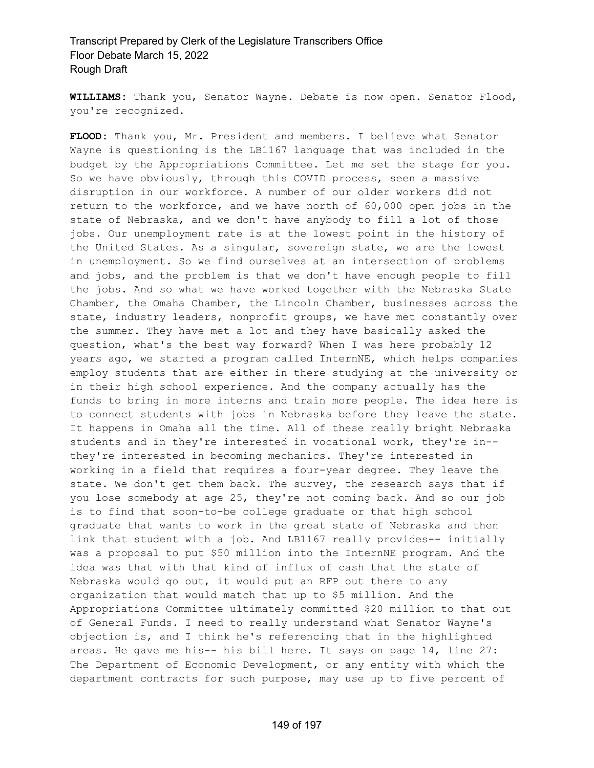**WILLIAMS:** Thank you, Senator Wayne. Debate is now open. Senator Flood, you're recognized.

**FLOOD:** Thank you, Mr. President and members. I believe what Senator Wayne is questioning is the LB1167 language that was included in the budget by the Appropriations Committee. Let me set the stage for you. So we have obviously, through this COVID process, seen a massive disruption in our workforce. A number of our older workers did not return to the workforce, and we have north of 60,000 open jobs in the state of Nebraska, and we don't have anybody to fill a lot of those jobs. Our unemployment rate is at the lowest point in the history of the United States. As a singular, sovereign state, we are the lowest in unemployment. So we find ourselves at an intersection of problems and jobs, and the problem is that we don't have enough people to fill the jobs. And so what we have worked together with the Nebraska State Chamber, the Omaha Chamber, the Lincoln Chamber, businesses across the state, industry leaders, nonprofit groups, we have met constantly over the summer. They have met a lot and they have basically asked the question, what's the best way forward? When I was here probably 12 years ago, we started a program called InternNE, which helps companies employ students that are either in there studying at the university or in their high school experience. And the company actually has the funds to bring in more interns and train more people. The idea here is to connect students with jobs in Nebraska before they leave the state. It happens in Omaha all the time. All of these really bright Nebraska students and in they're interested in vocational work, they're in- they're interested in becoming mechanics. They're interested in working in a field that requires a four-year degree. They leave the state. We don't get them back. The survey, the research says that if you lose somebody at age 25, they're not coming back. And so our job is to find that soon-to-be college graduate or that high school graduate that wants to work in the great state of Nebraska and then link that student with a job. And LB1167 really provides-- initially was a proposal to put \$50 million into the InternNE program. And the idea was that with that kind of influx of cash that the state of Nebraska would go out, it would put an RFP out there to any organization that would match that up to \$5 million. And the Appropriations Committee ultimately committed \$20 million to that out of General Funds. I need to really understand what Senator Wayne's objection is, and I think he's referencing that in the highlighted areas. He gave me his-- his bill here. It says on page 14, line 27: The Department of Economic Development, or any entity with which the department contracts for such purpose, may use up to five percent of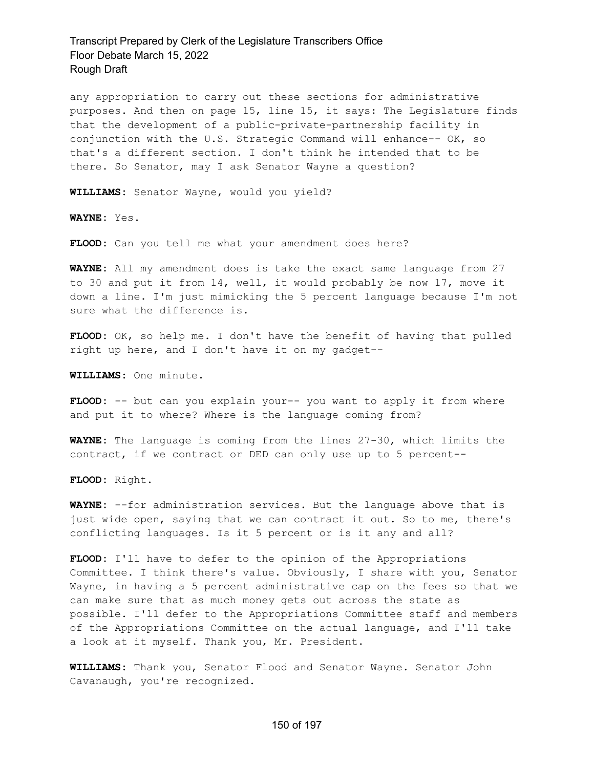any appropriation to carry out these sections for administrative purposes. And then on page 15, line 15, it says: The Legislature finds that the development of a public-private-partnership facility in conjunction with the U.S. Strategic Command will enhance-- OK, so that's a different section. I don't think he intended that to be there. So Senator, may I ask Senator Wayne a question?

**WILLIAMS:** Senator Wayne, would you yield?

**WAYNE:** Yes.

**FLOOD:** Can you tell me what your amendment does here?

**WAYNE:** All my amendment does is take the exact same language from 27 to 30 and put it from 14, well, it would probably be now 17, move it down a line. I'm just mimicking the 5 percent language because I'm not sure what the difference is.

**FLOOD:** OK, so help me. I don't have the benefit of having that pulled right up here, and I don't have it on my gadget--

**WILLIAMS:** One minute.

**FLOOD:** -- but can you explain your-- you want to apply it from where and put it to where? Where is the language coming from?

**WAYNE:** The language is coming from the lines 27-30, which limits the contract, if we contract or DED can only use up to 5 percent--

**FLOOD:** Right.

**WAYNE:** --for administration services. But the language above that is just wide open, saying that we can contract it out. So to me, there's conflicting languages. Is it 5 percent or is it any and all?

**FLOOD:** I'll have to defer to the opinion of the Appropriations Committee. I think there's value. Obviously, I share with you, Senator Wayne, in having a 5 percent administrative cap on the fees so that we can make sure that as much money gets out across the state as possible. I'll defer to the Appropriations Committee staff and members of the Appropriations Committee on the actual language, and I'll take a look at it myself. Thank you, Mr. President.

**WILLIAMS:** Thank you, Senator Flood and Senator Wayne. Senator John Cavanaugh, you're recognized.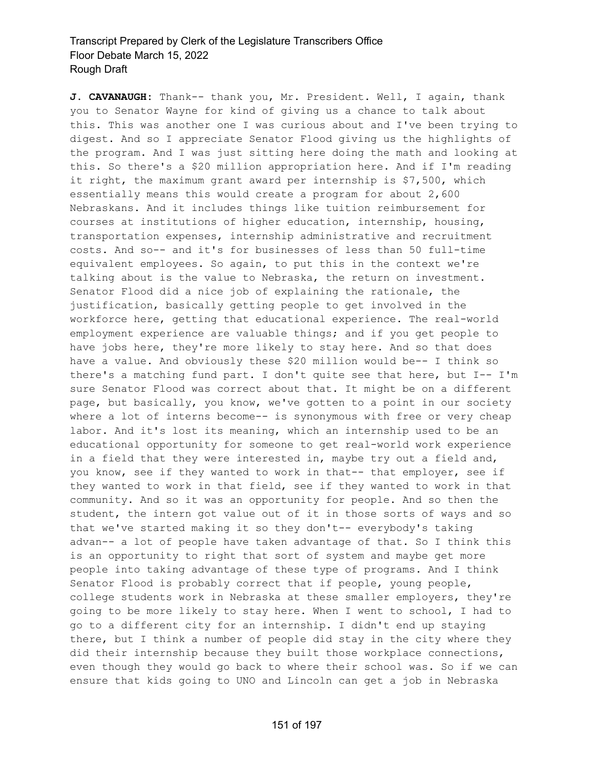**J. CAVANAUGH:** Thank-- thank you, Mr. President. Well, I again, thank you to Senator Wayne for kind of giving us a chance to talk about this. This was another one I was curious about and I've been trying to digest. And so I appreciate Senator Flood giving us the highlights of the program. And I was just sitting here doing the math and looking at this. So there's a \$20 million appropriation here. And if I'm reading it right, the maximum grant award per internship is \$7,500, which essentially means this would create a program for about 2,600 Nebraskans. And it includes things like tuition reimbursement for courses at institutions of higher education, internship, housing, transportation expenses, internship administrative and recruitment costs. And so-- and it's for businesses of less than 50 full-time equivalent employees. So again, to put this in the context we're talking about is the value to Nebraska, the return on investment. Senator Flood did a nice job of explaining the rationale, the justification, basically getting people to get involved in the workforce here, getting that educational experience. The real-world employment experience are valuable things; and if you get people to have jobs here, they're more likely to stay here. And so that does have a value. And obviously these \$20 million would be-- I think so there's a matching fund part. I don't quite see that here, but I-- I'm sure Senator Flood was correct about that. It might be on a different page, but basically, you know, we've gotten to a point in our society where a lot of interns become-- is synonymous with free or very cheap labor. And it's lost its meaning, which an internship used to be an educational opportunity for someone to get real-world work experience in a field that they were interested in, maybe try out a field and, you know, see if they wanted to work in that-- that employer, see if they wanted to work in that field, see if they wanted to work in that community. And so it was an opportunity for people. And so then the student, the intern got value out of it in those sorts of ways and so that we've started making it so they don't-- everybody's taking advan-- a lot of people have taken advantage of that. So I think this is an opportunity to right that sort of system and maybe get more people into taking advantage of these type of programs. And I think Senator Flood is probably correct that if people, young people, college students work in Nebraska at these smaller employers, they're going to be more likely to stay here. When I went to school, I had to go to a different city for an internship. I didn't end up staying there, but I think a number of people did stay in the city where they did their internship because they built those workplace connections, even though they would go back to where their school was. So if we can ensure that kids going to UNO and Lincoln can get a job in Nebraska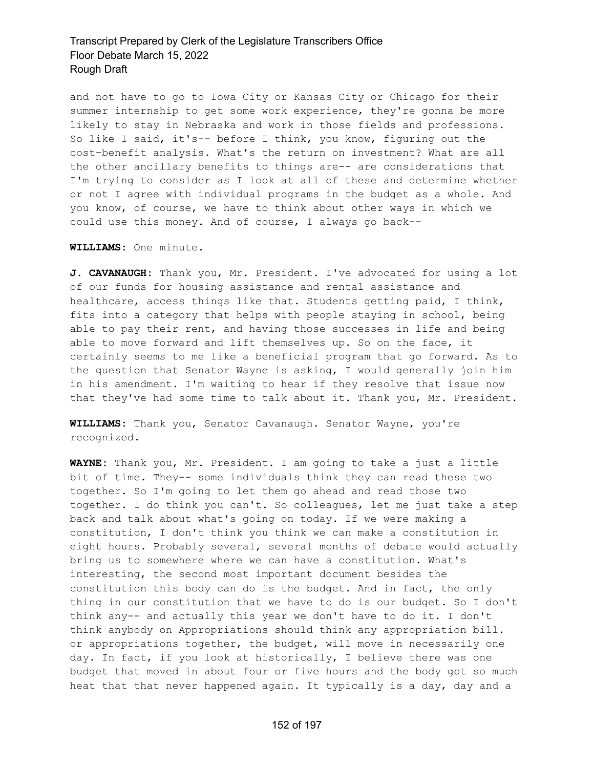and not have to go to Iowa City or Kansas City or Chicago for their summer internship to get some work experience, they're gonna be more likely to stay in Nebraska and work in those fields and professions. So like I said, it's-- before I think, you know, figuring out the cost-benefit analysis. What's the return on investment? What are all the other ancillary benefits to things are-- are considerations that I'm trying to consider as I look at all of these and determine whether or not I agree with individual programs in the budget as a whole. And you know, of course, we have to think about other ways in which we could use this money. And of course, I always go back--

#### **WILLIAMS:** One minute.

**J. CAVANAUGH:** Thank you, Mr. President. I've advocated for using a lot of our funds for housing assistance and rental assistance and healthcare, access things like that. Students getting paid, I think, fits into a category that helps with people staying in school, being able to pay their rent, and having those successes in life and being able to move forward and lift themselves up. So on the face, it certainly seems to me like a beneficial program that go forward. As to the question that Senator Wayne is asking, I would generally join him in his amendment. I'm waiting to hear if they resolve that issue now that they've had some time to talk about it. Thank you, Mr. President.

**WILLIAMS:** Thank you, Senator Cavanaugh. Senator Wayne, you're recognized.

**WAYNE:** Thank you, Mr. President. I am going to take a just a little bit of time. They-- some individuals think they can read these two together. So I'm going to let them go ahead and read those two together. I do think you can't. So colleagues, let me just take a step back and talk about what's going on today. If we were making a constitution, I don't think you think we can make a constitution in eight hours. Probably several, several months of debate would actually bring us to somewhere where we can have a constitution. What's interesting, the second most important document besides the constitution this body can do is the budget. And in fact, the only thing in our constitution that we have to do is our budget. So I don't think any-- and actually this year we don't have to do it. I don't think anybody on Appropriations should think any appropriation bill. or appropriations together, the budget, will move in necessarily one day. In fact, if you look at historically, I believe there was one budget that moved in about four or five hours and the body got so much heat that that never happened again. It typically is a day, day and a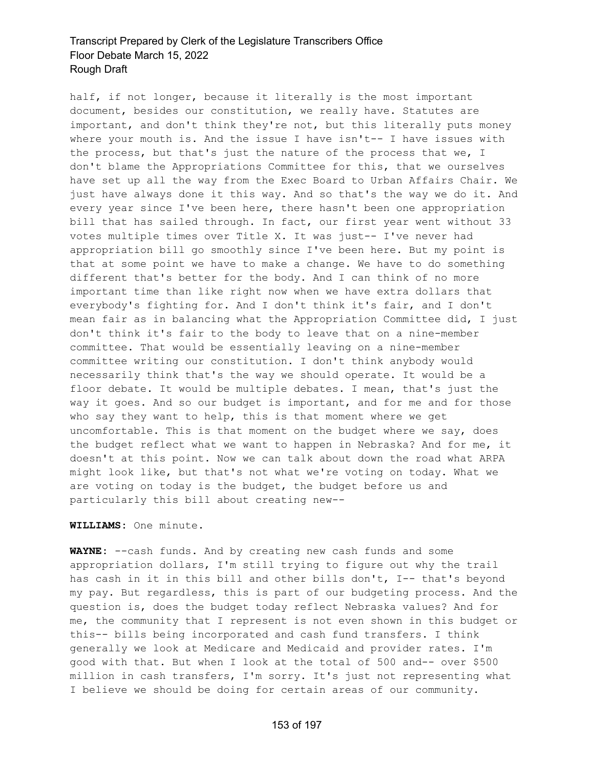half, if not longer, because it literally is the most important document, besides our constitution, we really have. Statutes are important, and don't think they're not, but this literally puts money where your mouth is. And the issue I have isn't-- I have issues with the process, but that's just the nature of the process that we, I don't blame the Appropriations Committee for this, that we ourselves have set up all the way from the Exec Board to Urban Affairs Chair. We just have always done it this way. And so that's the way we do it. And every year since I've been here, there hasn't been one appropriation bill that has sailed through. In fact, our first year went without 33 votes multiple times over Title X. It was just-- I've never had appropriation bill go smoothly since I've been here. But my point is that at some point we have to make a change. We have to do something different that's better for the body. And I can think of no more important time than like right now when we have extra dollars that everybody's fighting for. And I don't think it's fair, and I don't mean fair as in balancing what the Appropriation Committee did, I just don't think it's fair to the body to leave that on a nine-member committee. That would be essentially leaving on a nine-member committee writing our constitution. I don't think anybody would necessarily think that's the way we should operate. It would be a floor debate. It would be multiple debates. I mean, that's just the way it goes. And so our budget is important, and for me and for those who say they want to help, this is that moment where we get uncomfortable. This is that moment on the budget where we say, does the budget reflect what we want to happen in Nebraska? And for me, it doesn't at this point. Now we can talk about down the road what ARPA might look like, but that's not what we're voting on today. What we are voting on today is the budget, the budget before us and particularly this bill about creating new--

#### **WILLIAMS:** One minute.

**WAYNE:** --cash funds. And by creating new cash funds and some appropriation dollars, I'm still trying to figure out why the trail has cash in it in this bill and other bills don't, I-- that's beyond my pay. But regardless, this is part of our budgeting process. And the question is, does the budget today reflect Nebraska values? And for me, the community that I represent is not even shown in this budget or this-- bills being incorporated and cash fund transfers. I think generally we look at Medicare and Medicaid and provider rates. I'm good with that. But when I look at the total of 500 and-- over \$500 million in cash transfers, I'm sorry. It's just not representing what I believe we should be doing for certain areas of our community.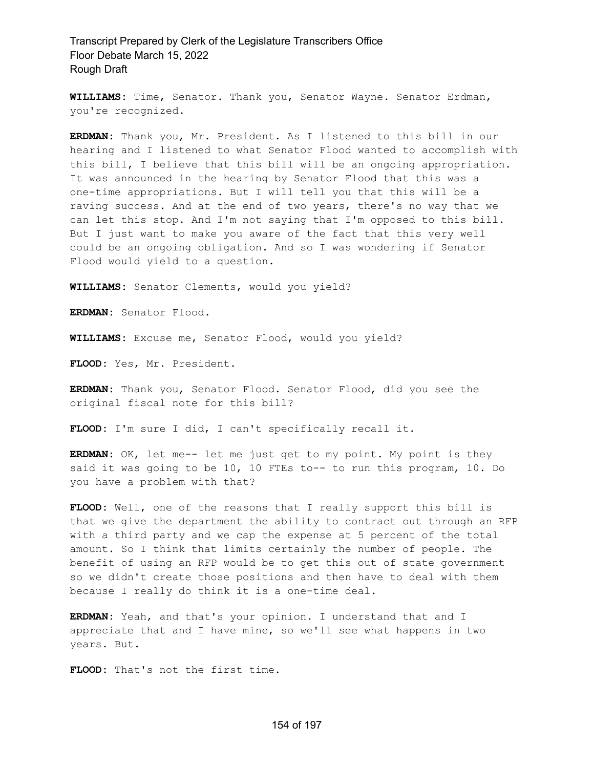**WILLIAMS:** Time, Senator. Thank you, Senator Wayne. Senator Erdman, you're recognized.

**ERDMAN:** Thank you, Mr. President. As I listened to this bill in our hearing and I listened to what Senator Flood wanted to accomplish with this bill, I believe that this bill will be an ongoing appropriation. It was announced in the hearing by Senator Flood that this was a one-time appropriations. But I will tell you that this will be a raving success. And at the end of two years, there's no way that we can let this stop. And I'm not saying that I'm opposed to this bill. But I just want to make you aware of the fact that this very well could be an ongoing obligation. And so I was wondering if Senator Flood would yield to a question.

**WILLIAMS:** Senator Clements, would you yield?

**ERDMAN:** Senator Flood.

**WILLIAMS:** Excuse me, Senator Flood, would you yield?

**FLOOD:** Yes, Mr. President.

**ERDMAN:** Thank you, Senator Flood. Senator Flood, did you see the original fiscal note for this bill?

**FLOOD:** I'm sure I did, I can't specifically recall it.

**ERDMAN:** OK, let me-- let me just get to my point. My point is they said it was going to be 10, 10 FTEs to-- to run this program, 10. Do you have a problem with that?

**FLOOD:** Well, one of the reasons that I really support this bill is that we give the department the ability to contract out through an RFP with a third party and we cap the expense at 5 percent of the total amount. So I think that limits certainly the number of people. The benefit of using an RFP would be to get this out of state government so we didn't create those positions and then have to deal with them because I really do think it is a one-time deal.

**ERDMAN:** Yeah, and that's your opinion. I understand that and I appreciate that and I have mine, so we'll see what happens in two years. But.

**FLOOD:** That's not the first time.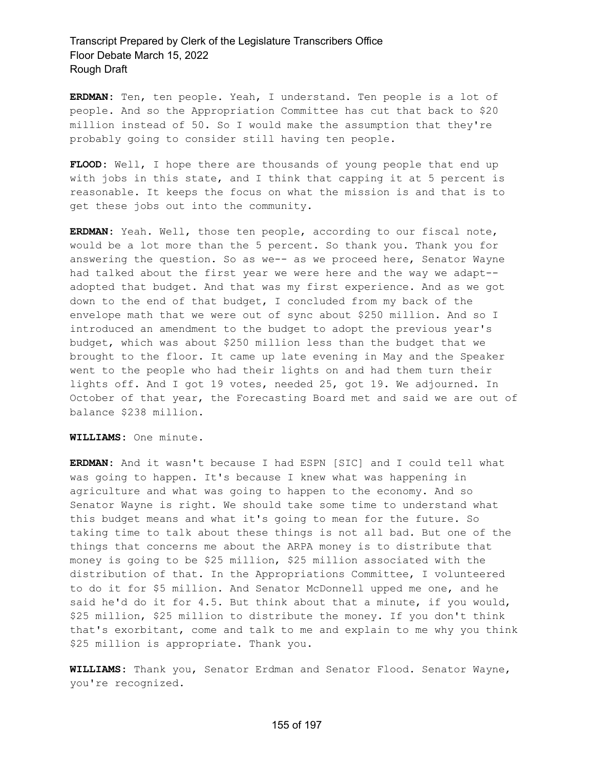**ERDMAN:** Ten, ten people. Yeah, I understand. Ten people is a lot of people. And so the Appropriation Committee has cut that back to \$20 million instead of 50. So I would make the assumption that they're probably going to consider still having ten people.

**FLOOD:** Well, I hope there are thousands of young people that end up with jobs in this state, and I think that capping it at 5 percent is reasonable. It keeps the focus on what the mission is and that is to get these jobs out into the community.

**ERDMAN:** Yeah. Well, those ten people, according to our fiscal note, would be a lot more than the 5 percent. So thank you. Thank you for answering the question. So as we-- as we proceed here, Senator Wayne had talked about the first year we were here and the way we adapt- adopted that budget. And that was my first experience. And as we got down to the end of that budget, I concluded from my back of the envelope math that we were out of sync about \$250 million. And so I introduced an amendment to the budget to adopt the previous year's budget, which was about \$250 million less than the budget that we brought to the floor. It came up late evening in May and the Speaker went to the people who had their lights on and had them turn their lights off. And I got 19 votes, needed 25, got 19. We adjourned. In October of that year, the Forecasting Board met and said we are out of balance \$238 million.

**WILLIAMS:** One minute.

**ERDMAN:** And it wasn't because I had ESPN [SIC] and I could tell what was going to happen. It's because I knew what was happening in agriculture and what was going to happen to the economy. And so Senator Wayne is right. We should take some time to understand what this budget means and what it's going to mean for the future. So taking time to talk about these things is not all bad. But one of the things that concerns me about the ARPA money is to distribute that money is going to be \$25 million, \$25 million associated with the distribution of that. In the Appropriations Committee, I volunteered to do it for \$5 million. And Senator McDonnell upped me one, and he said he'd do it for 4.5. But think about that a minute, if you would, \$25 million, \$25 million to distribute the money. If you don't think that's exorbitant, come and talk to me and explain to me why you think \$25 million is appropriate. Thank you.

**WILLIAMS:** Thank you, Senator Erdman and Senator Flood. Senator Wayne, you're recognized.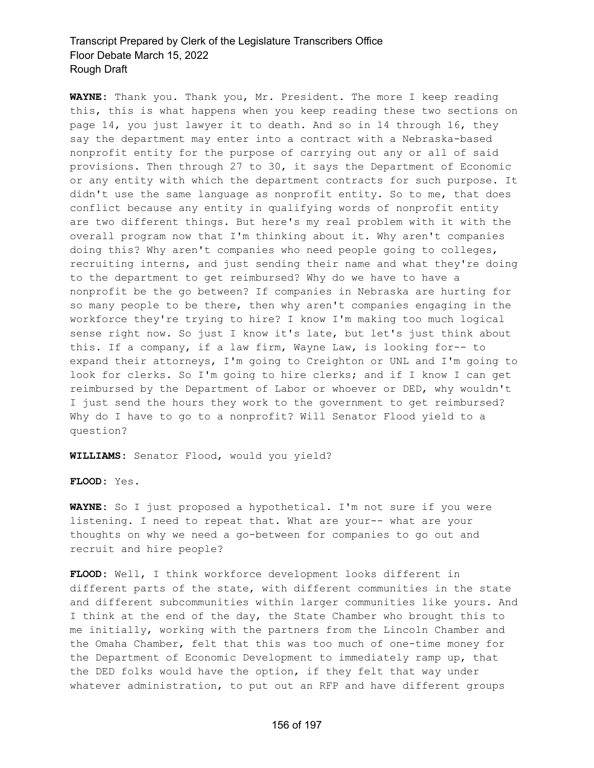**WAYNE:** Thank you. Thank you, Mr. President. The more I keep reading this, this is what happens when you keep reading these two sections on page 14, you just lawyer it to death. And so in 14 through 16, they say the department may enter into a contract with a Nebraska-based nonprofit entity for the purpose of carrying out any or all of said provisions. Then through 27 to 30, it says the Department of Economic or any entity with which the department contracts for such purpose. It didn't use the same language as nonprofit entity. So to me, that does conflict because any entity in qualifying words of nonprofit entity are two different things. But here's my real problem with it with the overall program now that I'm thinking about it. Why aren't companies doing this? Why aren't companies who need people going to colleges, recruiting interns, and just sending their name and what they're doing to the department to get reimbursed? Why do we have to have a nonprofit be the go between? If companies in Nebraska are hurting for so many people to be there, then why aren't companies engaging in the workforce they're trying to hire? I know I'm making too much logical sense right now. So just I know it's late, but let's just think about this. If a company, if a law firm, Wayne Law, is looking for-- to expand their attorneys, I'm going to Creighton or UNL and I'm going to look for clerks. So I'm going to hire clerks; and if I know I can get reimbursed by the Department of Labor or whoever or DED, why wouldn't I just send the hours they work to the government to get reimbursed? Why do I have to go to a nonprofit? Will Senator Flood yield to a question?

**WILLIAMS:** Senator Flood, would you yield?

**FLOOD:** Yes.

**WAYNE:** So I just proposed a hypothetical. I'm not sure if you were listening. I need to repeat that. What are your-- what are your thoughts on why we need a go-between for companies to go out and recruit and hire people?

**FLOOD:** Well, I think workforce development looks different in different parts of the state, with different communities in the state and different subcommunities within larger communities like yours. And I think at the end of the day, the State Chamber who brought this to me initially, working with the partners from the Lincoln Chamber and the Omaha Chamber, felt that this was too much of one-time money for the Department of Economic Development to immediately ramp up, that the DED folks would have the option, if they felt that way under whatever administration, to put out an RFP and have different groups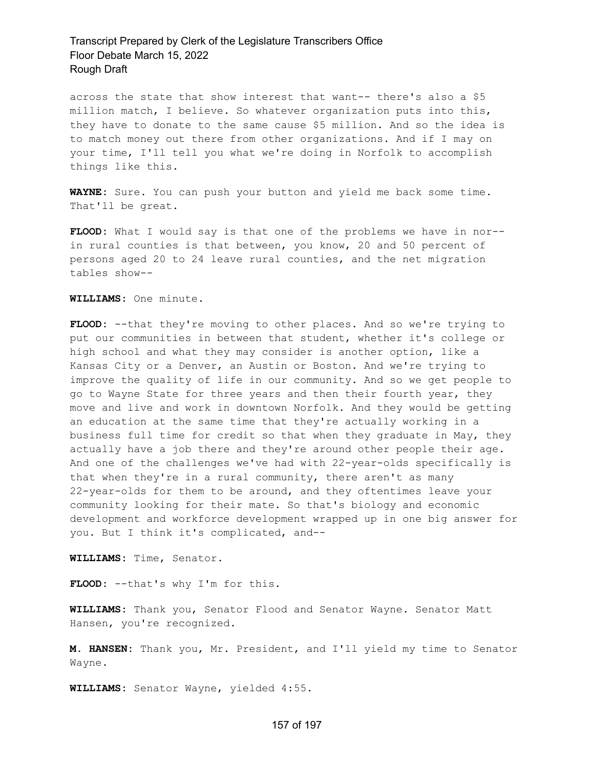across the state that show interest that want-- there's also a \$5 million match, I believe. So whatever organization puts into this, they have to donate to the same cause \$5 million. And so the idea is to match money out there from other organizations. And if I may on your time, I'll tell you what we're doing in Norfolk to accomplish things like this.

**WAYNE:** Sure. You can push your button and yield me back some time. That'll be great.

**FLOOD:** What I would say is that one of the problems we have in nor- in rural counties is that between, you know, 20 and 50 percent of persons aged 20 to 24 leave rural counties, and the net migration tables show--

**WILLIAMS:** One minute.

**FLOOD:** --that they're moving to other places. And so we're trying to put our communities in between that student, whether it's college or high school and what they may consider is another option, like a Kansas City or a Denver, an Austin or Boston. And we're trying to improve the quality of life in our community. And so we get people to go to Wayne State for three years and then their fourth year, they move and live and work in downtown Norfolk. And they would be getting an education at the same time that they're actually working in a business full time for credit so that when they graduate in May, they actually have a job there and they're around other people their age. And one of the challenges we've had with 22-year-olds specifically is that when they're in a rural community, there aren't as many 22-year-olds for them to be around, and they oftentimes leave your community looking for their mate. So that's biology and economic development and workforce development wrapped up in one big answer for you. But I think it's complicated, and--

**WILLIAMS:** Time, Senator.

**FLOOD:** --that's why I'm for this.

**WILLIAMS:** Thank you, Senator Flood and Senator Wayne. Senator Matt Hansen, you're recognized.

**M. HANSEN:** Thank you, Mr. President, and I'll yield my time to Senator Wayne.

**WILLIAMS:** Senator Wayne, yielded 4:55.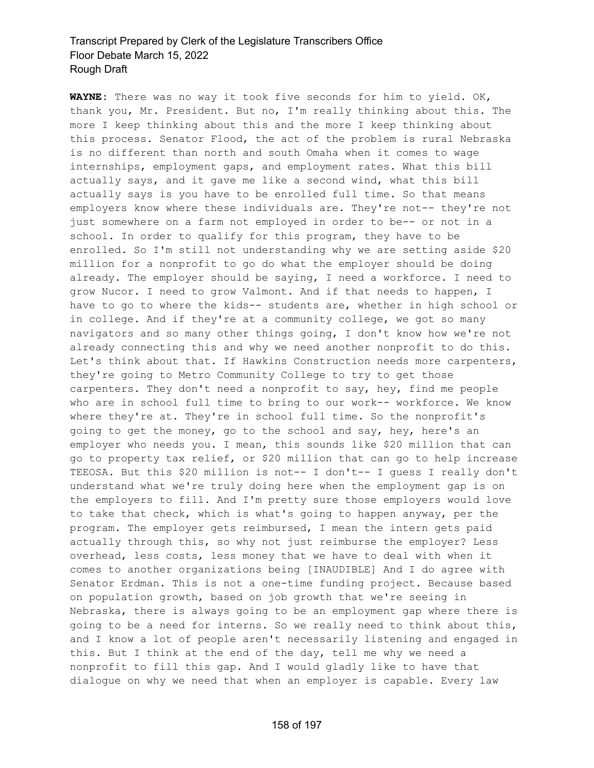**WAYNE:** There was no way it took five seconds for him to yield. OK, thank you, Mr. President. But no, I'm really thinking about this. The more I keep thinking about this and the more I keep thinking about this process. Senator Flood, the act of the problem is rural Nebraska is no different than north and south Omaha when it comes to wage internships, employment gaps, and employment rates. What this bill actually says, and it gave me like a second wind, what this bill actually says is you have to be enrolled full time. So that means employers know where these individuals are. They're not-- they're not just somewhere on a farm not employed in order to be-- or not in a school. In order to qualify for this program, they have to be enrolled. So I'm still not understanding why we are setting aside \$20 million for a nonprofit to go do what the employer should be doing already. The employer should be saying, I need a workforce. I need to grow Nucor. I need to grow Valmont. And if that needs to happen, I have to go to where the kids-- students are, whether in high school or in college. And if they're at a community college, we got so many navigators and so many other things going, I don't know how we're not already connecting this and why we need another nonprofit to do this. Let's think about that. If Hawkins Construction needs more carpenters, they're going to Metro Community College to try to get those carpenters. They don't need a nonprofit to say, hey, find me people who are in school full time to bring to our work-- workforce. We know where they're at. They're in school full time. So the nonprofit's going to get the money, go to the school and say, hey, here's an employer who needs you. I mean, this sounds like \$20 million that can go to property tax relief, or \$20 million that can go to help increase TEEOSA. But this \$20 million is not-- I don't-- I guess I really don't understand what we're truly doing here when the employment gap is on the employers to fill. And I'm pretty sure those employers would love to take that check, which is what's going to happen anyway, per the program. The employer gets reimbursed, I mean the intern gets paid actually through this, so why not just reimburse the employer? Less overhead, less costs, less money that we have to deal with when it comes to another organizations being [INAUDIBLE] And I do agree with Senator Erdman. This is not a one-time funding project. Because based on population growth, based on job growth that we're seeing in Nebraska, there is always going to be an employment gap where there is going to be a need for interns. So we really need to think about this, and I know a lot of people aren't necessarily listening and engaged in this. But I think at the end of the day, tell me why we need a nonprofit to fill this gap. And I would gladly like to have that dialogue on why we need that when an employer is capable. Every law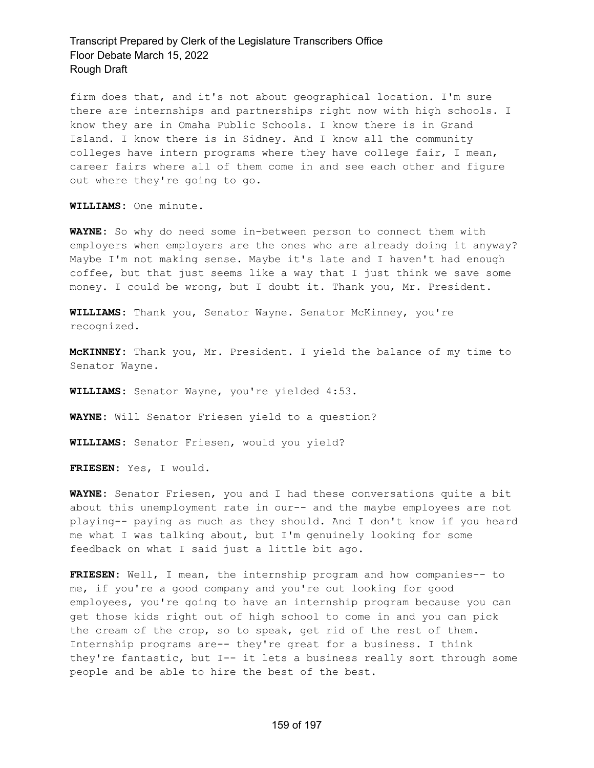firm does that, and it's not about geographical location. I'm sure there are internships and partnerships right now with high schools. I know they are in Omaha Public Schools. I know there is in Grand Island. I know there is in Sidney. And I know all the community colleges have intern programs where they have college fair, I mean, career fairs where all of them come in and see each other and figure out where they're going to go.

**WILLIAMS:** One minute.

**WAYNE:** So why do need some in-between person to connect them with employers when employers are the ones who are already doing it anyway? Maybe I'm not making sense. Maybe it's late and I haven't had enough coffee, but that just seems like a way that I just think we save some money. I could be wrong, but I doubt it. Thank you, Mr. President.

**WILLIAMS:** Thank you, Senator Wayne. Senator McKinney, you're recognized.

**McKINNEY:** Thank you, Mr. President. I yield the balance of my time to Senator Wayne.

**WILLIAMS:** Senator Wayne, you're yielded 4:53.

**WAYNE:** Will Senator Friesen yield to a question?

**WILLIAMS:** Senator Friesen, would you yield?

**FRIESEN:** Yes, I would.

**WAYNE:** Senator Friesen, you and I had these conversations quite a bit about this unemployment rate in our-- and the maybe employees are not playing-- paying as much as they should. And I don't know if you heard me what I was talking about, but I'm genuinely looking for some feedback on what I said just a little bit ago.

**FRIESEN:** Well, I mean, the internship program and how companies-- to me, if you're a good company and you're out looking for good employees, you're going to have an internship program because you can get those kids right out of high school to come in and you can pick the cream of the crop, so to speak, get rid of the rest of them. Internship programs are-- they're great for a business. I think they're fantastic, but I-- it lets a business really sort through some people and be able to hire the best of the best.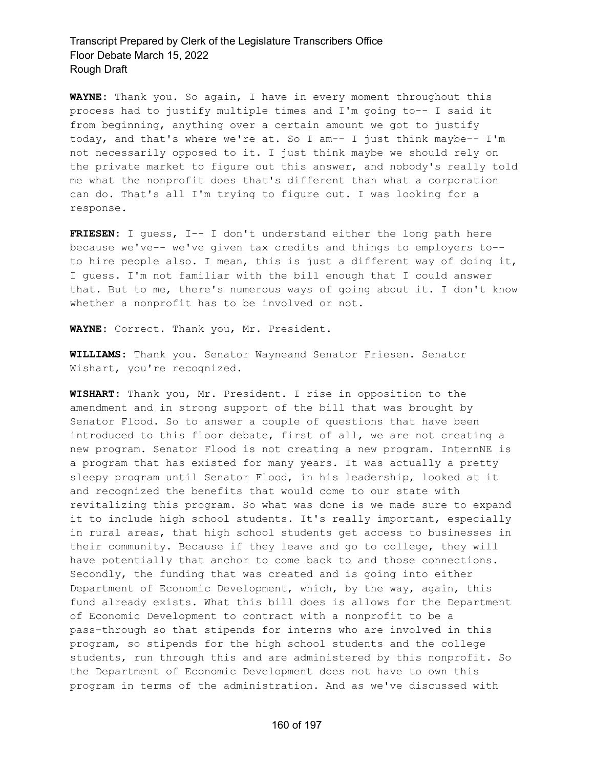**WAYNE:** Thank you. So again, I have in every moment throughout this process had to justify multiple times and I'm going to-- I said it from beginning, anything over a certain amount we got to justify today, and that's where we're at. So I am-- I just think maybe-- I'm not necessarily opposed to it. I just think maybe we should rely on the private market to figure out this answer, and nobody's really told me what the nonprofit does that's different than what a corporation can do. That's all I'm trying to figure out. I was looking for a response.

**FRIESEN:** I guess, I-- I don't understand either the long path here because we've-- we've given tax credits and things to employers to- to hire people also. I mean, this is just a different way of doing it, I guess. I'm not familiar with the bill enough that I could answer that. But to me, there's numerous ways of going about it. I don't know whether a nonprofit has to be involved or not.

**WAYNE:** Correct. Thank you, Mr. President.

**WILLIAMS:** Thank you. Senator Wayneand Senator Friesen. Senator Wishart, you're recognized.

**WISHART:** Thank you, Mr. President. I rise in opposition to the amendment and in strong support of the bill that was brought by Senator Flood. So to answer a couple of questions that have been introduced to this floor debate, first of all, we are not creating a new program. Senator Flood is not creating a new program. InternNE is a program that has existed for many years. It was actually a pretty sleepy program until Senator Flood, in his leadership, looked at it and recognized the benefits that would come to our state with revitalizing this program. So what was done is we made sure to expand it to include high school students. It's really important, especially in rural areas, that high school students get access to businesses in their community. Because if they leave and go to college, they will have potentially that anchor to come back to and those connections. Secondly, the funding that was created and is going into either Department of Economic Development, which, by the way, again, this fund already exists. What this bill does is allows for the Department of Economic Development to contract with a nonprofit to be a pass-through so that stipends for interns who are involved in this program, so stipends for the high school students and the college students, run through this and are administered by this nonprofit. So the Department of Economic Development does not have to own this program in terms of the administration. And as we've discussed with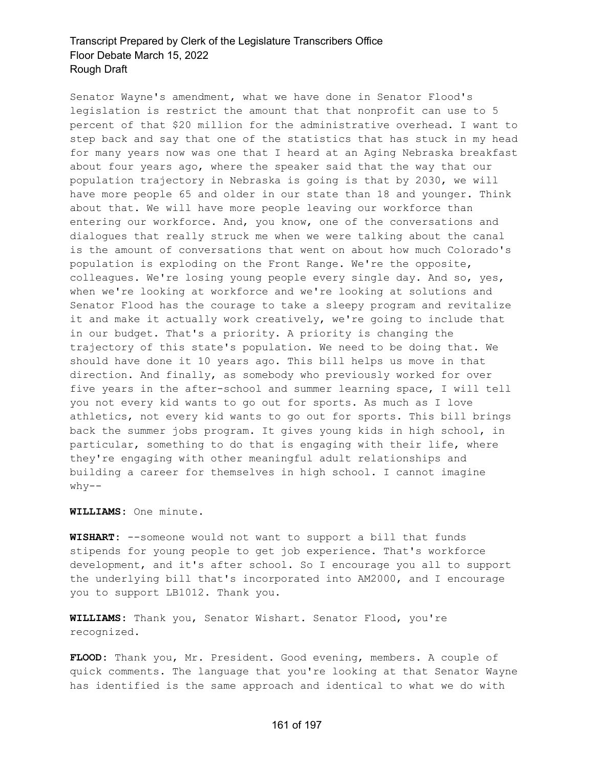Senator Wayne's amendment, what we have done in Senator Flood's legislation is restrict the amount that that nonprofit can use to 5 percent of that \$20 million for the administrative overhead. I want to step back and say that one of the statistics that has stuck in my head for many years now was one that I heard at an Aging Nebraska breakfast about four years ago, where the speaker said that the way that our population trajectory in Nebraska is going is that by 2030, we will have more people 65 and older in our state than 18 and younger. Think about that. We will have more people leaving our workforce than entering our workforce. And, you know, one of the conversations and dialogues that really struck me when we were talking about the canal is the amount of conversations that went on about how much Colorado's population is exploding on the Front Range. We're the opposite, colleagues. We're losing young people every single day. And so, yes, when we're looking at workforce and we're looking at solutions and Senator Flood has the courage to take a sleepy program and revitalize it and make it actually work creatively, we're going to include that in our budget. That's a priority. A priority is changing the trajectory of this state's population. We need to be doing that. We should have done it 10 years ago. This bill helps us move in that direction. And finally, as somebody who previously worked for over five years in the after-school and summer learning space, I will tell you not every kid wants to go out for sports. As much as I love athletics, not every kid wants to go out for sports. This bill brings back the summer jobs program. It gives young kids in high school, in particular, something to do that is engaging with their life, where they're engaging with other meaningful adult relationships and building a career for themselves in high school. I cannot imagine  $why--$ 

#### **WILLIAMS:** One minute.

**WISHART:** --someone would not want to support a bill that funds stipends for young people to get job experience. That's workforce development, and it's after school. So I encourage you all to support the underlying bill that's incorporated into AM2000, and I encourage you to support LB1012. Thank you.

**WILLIAMS:** Thank you, Senator Wishart. Senator Flood, you're recognized.

**FLOOD:** Thank you, Mr. President. Good evening, members. A couple of quick comments. The language that you're looking at that Senator Wayne has identified is the same approach and identical to what we do with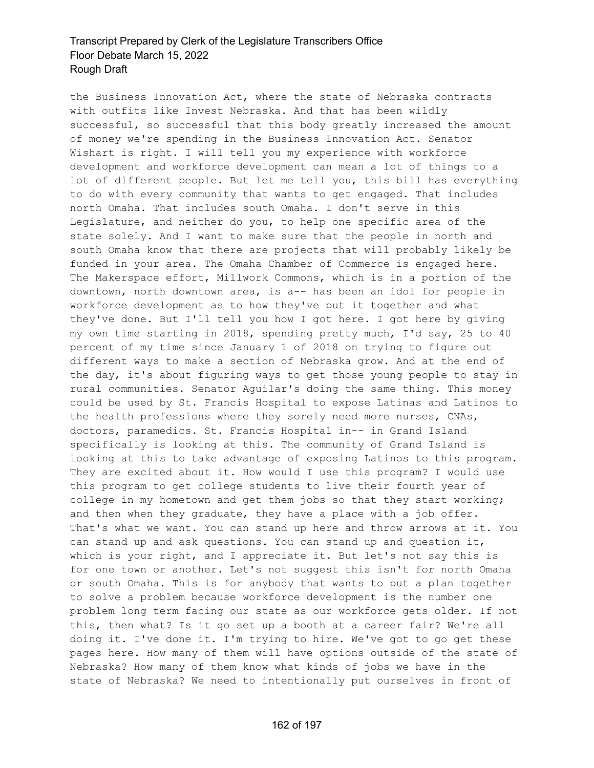the Business Innovation Act, where the state of Nebraska contracts with outfits like Invest Nebraska. And that has been wildly successful, so successful that this body greatly increased the amount of money we're spending in the Business Innovation Act. Senator Wishart is right. I will tell you my experience with workforce development and workforce development can mean a lot of things to a lot of different people. But let me tell you, this bill has everything to do with every community that wants to get engaged. That includes north Omaha. That includes south Omaha. I don't serve in this Legislature, and neither do you, to help one specific area of the state solely. And I want to make sure that the people in north and south Omaha know that there are projects that will probably likely be funded in your area. The Omaha Chamber of Commerce is engaged here. The Makerspace effort, Millwork Commons, which is in a portion of the downtown, north downtown area, is a-- has been an idol for people in workforce development as to how they've put it together and what they've done. But I'll tell you how I got here. I got here by giving my own time starting in 2018, spending pretty much, I'd say, 25 to 40 percent of my time since January 1 of 2018 on trying to figure out different ways to make a section of Nebraska grow. And at the end of the day, it's about figuring ways to get those young people to stay in rural communities. Senator Aguilar's doing the same thing. This money could be used by St. Francis Hospital to expose Latinas and Latinos to the health professions where they sorely need more nurses, CNAs, doctors, paramedics. St. Francis Hospital in-- in Grand Island specifically is looking at this. The community of Grand Island is looking at this to take advantage of exposing Latinos to this program. They are excited about it. How would I use this program? I would use this program to get college students to live their fourth year of college in my hometown and get them jobs so that they start working; and then when they graduate, they have a place with a job offer. That's what we want. You can stand up here and throw arrows at it. You can stand up and ask questions. You can stand up and question it, which is your right, and I appreciate it. But let's not say this is for one town or another. Let's not suggest this isn't for north Omaha or south Omaha. This is for anybody that wants to put a plan together to solve a problem because workforce development is the number one problem long term facing our state as our workforce gets older. If not this, then what? Is it go set up a booth at a career fair? We're all doing it. I've done it. I'm trying to hire. We've got to go get these pages here. How many of them will have options outside of the state of Nebraska? How many of them know what kinds of jobs we have in the state of Nebraska? We need to intentionally put ourselves in front of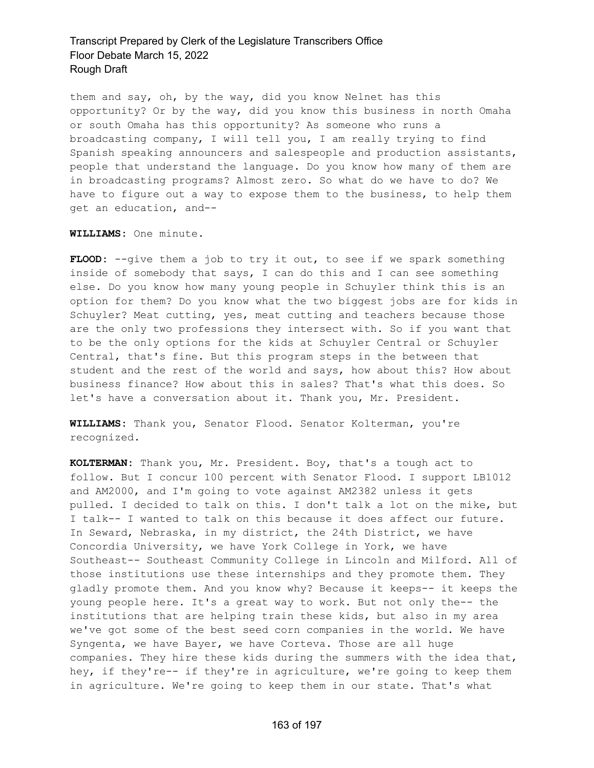them and say, oh, by the way, did you know Nelnet has this opportunity? Or by the way, did you know this business in north Omaha or south Omaha has this opportunity? As someone who runs a broadcasting company, I will tell you, I am really trying to find Spanish speaking announcers and salespeople and production assistants, people that understand the language. Do you know how many of them are in broadcasting programs? Almost zero. So what do we have to do? We have to figure out a way to expose them to the business, to help them get an education, and--

**WILLIAMS:** One minute.

**FLOOD:** --give them a job to try it out, to see if we spark something inside of somebody that says, I can do this and I can see something else. Do you know how many young people in Schuyler think this is an option for them? Do you know what the two biggest jobs are for kids in Schuyler? Meat cutting, yes, meat cutting and teachers because those are the only two professions they intersect with. So if you want that to be the only options for the kids at Schuyler Central or Schuyler Central, that's fine. But this program steps in the between that student and the rest of the world and says, how about this? How about business finance? How about this in sales? That's what this does. So let's have a conversation about it. Thank you, Mr. President.

**WILLIAMS:** Thank you, Senator Flood. Senator Kolterman, you're recognized.

**KOLTERMAN:** Thank you, Mr. President. Boy, that's a tough act to follow. But I concur 100 percent with Senator Flood. I support LB1012 and AM2000, and I'm going to vote against AM2382 unless it gets pulled. I decided to talk on this. I don't talk a lot on the mike, but I talk-- I wanted to talk on this because it does affect our future. In Seward, Nebraska, in my district, the 24th District, we have Concordia University, we have York College in York, we have Southeast-- Southeast Community College in Lincoln and Milford. All of those institutions use these internships and they promote them. They gladly promote them. And you know why? Because it keeps-- it keeps the young people here. It's a great way to work. But not only the-- the institutions that are helping train these kids, but also in my area we've got some of the best seed corn companies in the world. We have Syngenta, we have Bayer, we have Corteva. Those are all huge companies. They hire these kids during the summers with the idea that, hey, if they're-- if they're in agriculture, we're going to keep them in agriculture. We're going to keep them in our state. That's what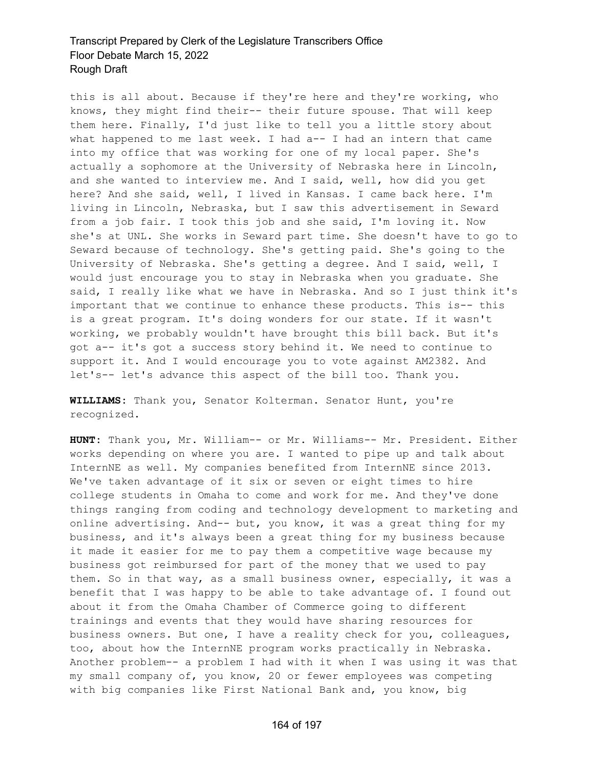this is all about. Because if they're here and they're working, who knows, they might find their-- their future spouse. That will keep them here. Finally, I'd just like to tell you a little story about what happened to me last week. I had a-- I had an intern that came into my office that was working for one of my local paper. She's actually a sophomore at the University of Nebraska here in Lincoln, and she wanted to interview me. And I said, well, how did you get here? And she said, well, I lived in Kansas. I came back here. I'm living in Lincoln, Nebraska, but I saw this advertisement in Seward from a job fair. I took this job and she said, I'm loving it. Now she's at UNL. She works in Seward part time. She doesn't have to go to Seward because of technology. She's getting paid. She's going to the University of Nebraska. She's getting a degree. And I said, well, I would just encourage you to stay in Nebraska when you graduate. She said, I really like what we have in Nebraska. And so I just think it's important that we continue to enhance these products. This is-- this is a great program. It's doing wonders for our state. If it wasn't working, we probably wouldn't have brought this bill back. But it's got a-- it's got a success story behind it. We need to continue to support it. And I would encourage you to vote against AM2382. And let's-- let's advance this aspect of the bill too. Thank you.

**WILLIAMS:** Thank you, Senator Kolterman. Senator Hunt, you're recognized.

**HUNT:** Thank you, Mr. William-- or Mr. Williams-- Mr. President. Either works depending on where you are. I wanted to pipe up and talk about InternNE as well. My companies benefited from InternNE since 2013. We've taken advantage of it six or seven or eight times to hire college students in Omaha to come and work for me. And they've done things ranging from coding and technology development to marketing and online advertising. And-- but, you know, it was a great thing for my business, and it's always been a great thing for my business because it made it easier for me to pay them a competitive wage because my business got reimbursed for part of the money that we used to pay them. So in that way, as a small business owner, especially, it was a benefit that I was happy to be able to take advantage of. I found out about it from the Omaha Chamber of Commerce going to different trainings and events that they would have sharing resources for business owners. But one, I have a reality check for you, colleagues, too, about how the InternNE program works practically in Nebraska. Another problem-- a problem I had with it when I was using it was that my small company of, you know, 20 or fewer employees was competing with big companies like First National Bank and, you know, big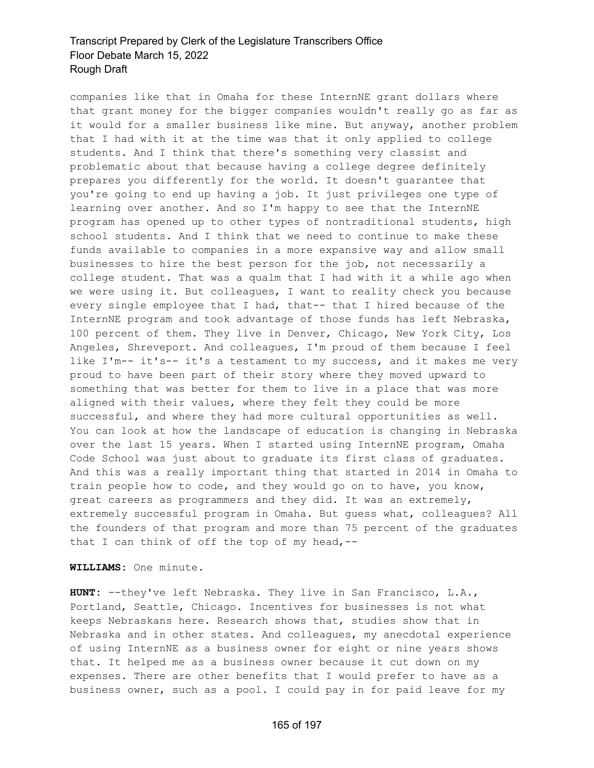companies like that in Omaha for these InternNE grant dollars where that grant money for the bigger companies wouldn't really go as far as it would for a smaller business like mine. But anyway, another problem that I had with it at the time was that it only applied to college students. And I think that there's something very classist and problematic about that because having a college degree definitely prepares you differently for the world. It doesn't guarantee that you're going to end up having a job. It just privileges one type of learning over another. And so I'm happy to see that the InternNE program has opened up to other types of nontraditional students, high school students. And I think that we need to continue to make these funds available to companies in a more expansive way and allow small businesses to hire the best person for the job, not necessarily a college student. That was a qualm that I had with it a while ago when we were using it. But colleagues, I want to reality check you because every single employee that I had, that-- that I hired because of the InternNE program and took advantage of those funds has left Nebraska, 100 percent of them. They live in Denver, Chicago, New York City, Los Angeles, Shreveport. And colleagues, I'm proud of them because I feel like I'm-- it's-- it's a testament to my success, and it makes me very proud to have been part of their story where they moved upward to something that was better for them to live in a place that was more aligned with their values, where they felt they could be more successful, and where they had more cultural opportunities as well. You can look at how the landscape of education is changing in Nebraska over the last 15 years. When I started using InternNE program, Omaha Code School was just about to graduate its first class of graduates. And this was a really important thing that started in 2014 in Omaha to train people how to code, and they would go on to have, you know, great careers as programmers and they did. It was an extremely, extremely successful program in Omaha. But guess what, colleagues? All the founders of that program and more than 75 percent of the graduates that I can think of off the top of my head,  $-$ 

#### **WILLIAMS:** One minute.

**HUNT:** --they've left Nebraska. They live in San Francisco, L.A., Portland, Seattle, Chicago. Incentives for businesses is not what keeps Nebraskans here. Research shows that, studies show that in Nebraska and in other states. And colleagues, my anecdotal experience of using InternNE as a business owner for eight or nine years shows that. It helped me as a business owner because it cut down on my expenses. There are other benefits that I would prefer to have as a business owner, such as a pool. I could pay in for paid leave for my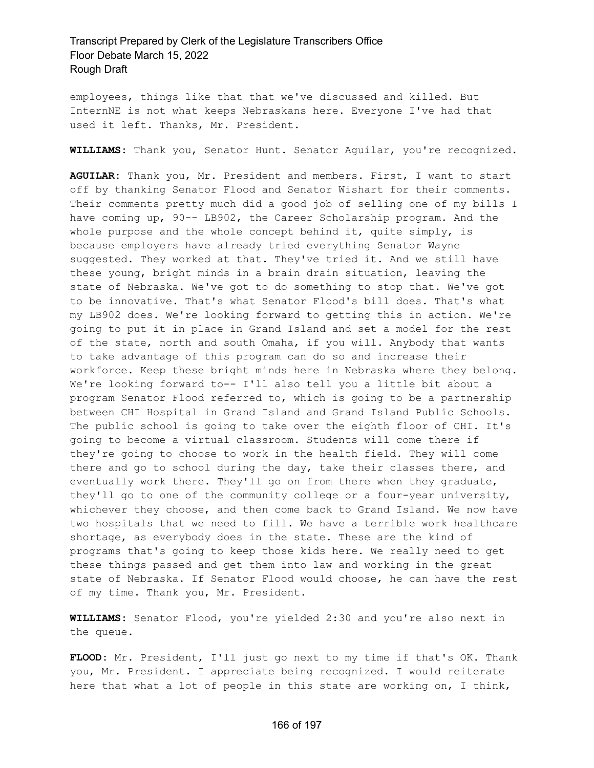employees, things like that that we've discussed and killed. But InternNE is not what keeps Nebraskans here. Everyone I've had that used it left. Thanks, Mr. President.

**WILLIAMS:** Thank you, Senator Hunt. Senator Aguilar, you're recognized.

**AGUILAR:** Thank you, Mr. President and members. First, I want to start off by thanking Senator Flood and Senator Wishart for their comments. Their comments pretty much did a good job of selling one of my bills I have coming up, 90-- LB902, the Career Scholarship program. And the whole purpose and the whole concept behind it, quite simply, is because employers have already tried everything Senator Wayne suggested. They worked at that. They've tried it. And we still have these young, bright minds in a brain drain situation, leaving the state of Nebraska. We've got to do something to stop that. We've got to be innovative. That's what Senator Flood's bill does. That's what my LB902 does. We're looking forward to getting this in action. We're going to put it in place in Grand Island and set a model for the rest of the state, north and south Omaha, if you will. Anybody that wants to take advantage of this program can do so and increase their workforce. Keep these bright minds here in Nebraska where they belong. We're looking forward to-- I'll also tell you a little bit about a program Senator Flood referred to, which is going to be a partnership between CHI Hospital in Grand Island and Grand Island Public Schools. The public school is going to take over the eighth floor of CHI. It's going to become a virtual classroom. Students will come there if they're going to choose to work in the health field. They will come there and go to school during the day, take their classes there, and eventually work there. They'll go on from there when they graduate, they'll go to one of the community college or a four-year university, whichever they choose, and then come back to Grand Island. We now have two hospitals that we need to fill. We have a terrible work healthcare shortage, as everybody does in the state. These are the kind of programs that's going to keep those kids here. We really need to get these things passed and get them into law and working in the great state of Nebraska. If Senator Flood would choose, he can have the rest of my time. Thank you, Mr. President.

**WILLIAMS:** Senator Flood, you're yielded 2:30 and you're also next in the queue.

**FLOOD:** Mr. President, I'll just go next to my time if that's OK. Thank you, Mr. President. I appreciate being recognized. I would reiterate here that what a lot of people in this state are working on, I think,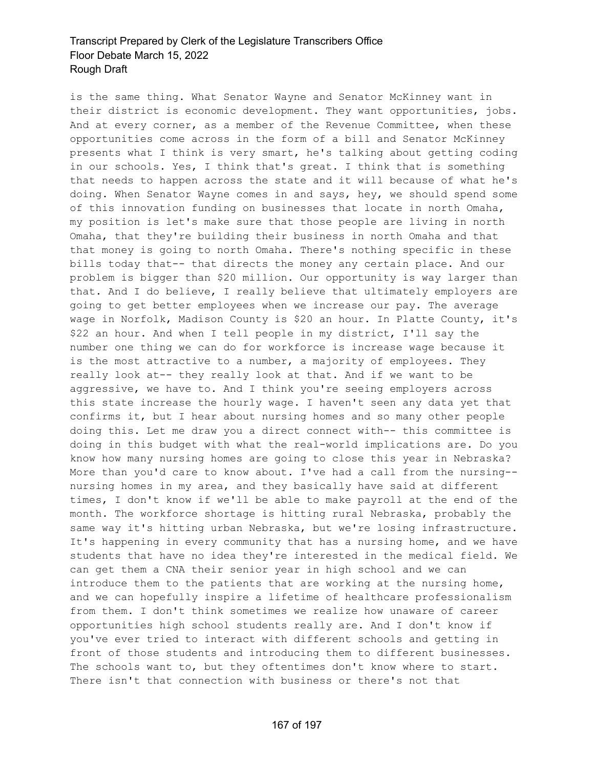is the same thing. What Senator Wayne and Senator McKinney want in their district is economic development. They want opportunities, jobs. And at every corner, as a member of the Revenue Committee, when these opportunities come across in the form of a bill and Senator McKinney presents what I think is very smart, he's talking about getting coding in our schools. Yes, I think that's great. I think that is something that needs to happen across the state and it will because of what he's doing. When Senator Wayne comes in and says, hey, we should spend some of this innovation funding on businesses that locate in north Omaha, my position is let's make sure that those people are living in north Omaha, that they're building their business in north Omaha and that that money is going to north Omaha. There's nothing specific in these bills today that-- that directs the money any certain place. And our problem is bigger than \$20 million. Our opportunity is way larger than that. And I do believe, I really believe that ultimately employers are going to get better employees when we increase our pay. The average wage in Norfolk, Madison County is \$20 an hour. In Platte County, it's \$22 an hour. And when I tell people in my district, I'll say the number one thing we can do for workforce is increase wage because it is the most attractive to a number, a majority of employees. They really look at-- they really look at that. And if we want to be aggressive, we have to. And I think you're seeing employers across this state increase the hourly wage. I haven't seen any data yet that confirms it, but I hear about nursing homes and so many other people doing this. Let me draw you a direct connect with-- this committee is doing in this budget with what the real-world implications are. Do you know how many nursing homes are going to close this year in Nebraska? More than you'd care to know about. I've had a call from the nursing- nursing homes in my area, and they basically have said at different times, I don't know if we'll be able to make payroll at the end of the month. The workforce shortage is hitting rural Nebraska, probably the same way it's hitting urban Nebraska, but we're losing infrastructure. It's happening in every community that has a nursing home, and we have students that have no idea they're interested in the medical field. We can get them a CNA their senior year in high school and we can introduce them to the patients that are working at the nursing home, and we can hopefully inspire a lifetime of healthcare professionalism from them. I don't think sometimes we realize how unaware of career opportunities high school students really are. And I don't know if you've ever tried to interact with different schools and getting in front of those students and introducing them to different businesses. The schools want to, but they oftentimes don't know where to start. There isn't that connection with business or there's not that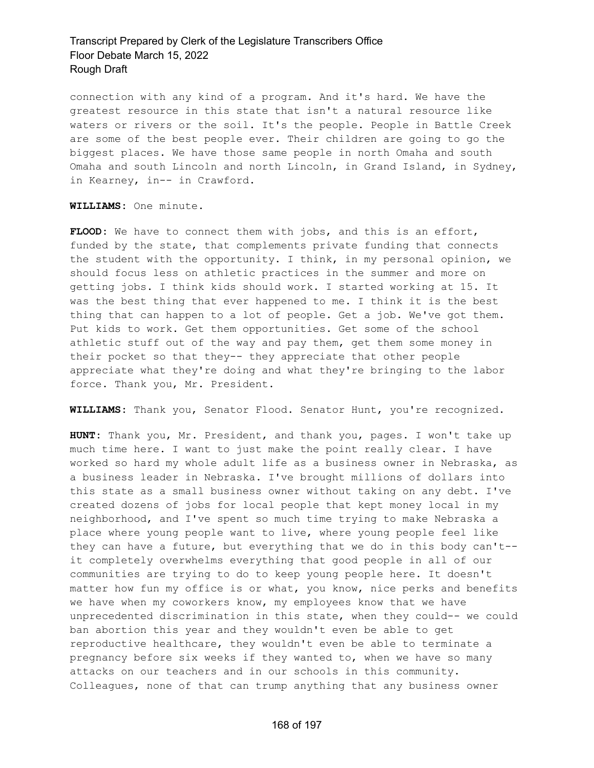connection with any kind of a program. And it's hard. We have the greatest resource in this state that isn't a natural resource like waters or rivers or the soil. It's the people. People in Battle Creek are some of the best people ever. Their children are going to go the biggest places. We have those same people in north Omaha and south Omaha and south Lincoln and north Lincoln, in Grand Island, in Sydney, in Kearney, in-- in Crawford.

#### **WILLIAMS:** One minute.

**FLOOD:** We have to connect them with jobs, and this is an effort, funded by the state, that complements private funding that connects the student with the opportunity. I think, in my personal opinion, we should focus less on athletic practices in the summer and more on getting jobs. I think kids should work. I started working at 15. It was the best thing that ever happened to me. I think it is the best thing that can happen to a lot of people. Get a job. We've got them. Put kids to work. Get them opportunities. Get some of the school athletic stuff out of the way and pay them, get them some money in their pocket so that they-- they appreciate that other people appreciate what they're doing and what they're bringing to the labor force. Thank you, Mr. President.

**WILLIAMS:** Thank you, Senator Flood. Senator Hunt, you're recognized.

**HUNT:** Thank you, Mr. President, and thank you, pages. I won't take up much time here. I want to just make the point really clear. I have worked so hard my whole adult life as a business owner in Nebraska, as a business leader in Nebraska. I've brought millions of dollars into this state as a small business owner without taking on any debt. I've created dozens of jobs for local people that kept money local in my neighborhood, and I've spent so much time trying to make Nebraska a place where young people want to live, where young people feel like they can have a future, but everything that we do in this body can't- it completely overwhelms everything that good people in all of our communities are trying to do to keep young people here. It doesn't matter how fun my office is or what, you know, nice perks and benefits we have when my coworkers know, my employees know that we have unprecedented discrimination in this state, when they could-- we could ban abortion this year and they wouldn't even be able to get reproductive healthcare, they wouldn't even be able to terminate a pregnancy before six weeks if they wanted to, when we have so many attacks on our teachers and in our schools in this community. Colleagues, none of that can trump anything that any business owner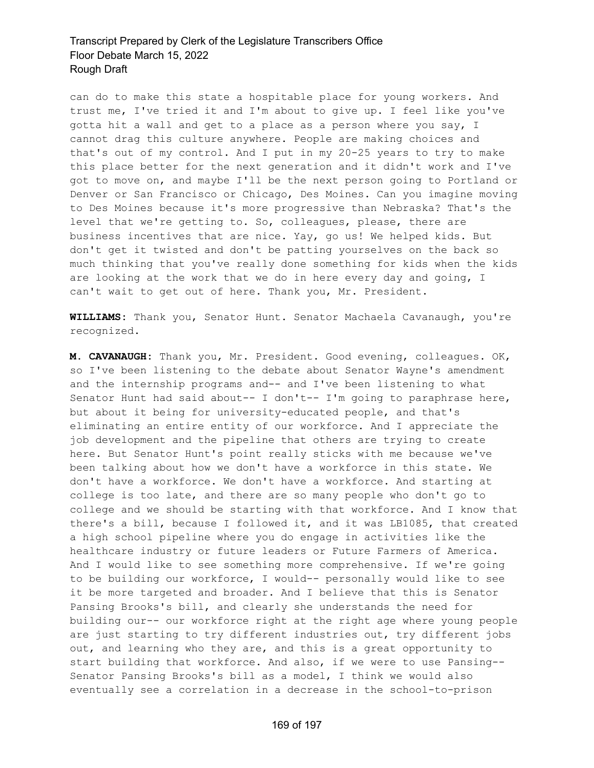can do to make this state a hospitable place for young workers. And trust me, I've tried it and I'm about to give up. I feel like you've gotta hit a wall and get to a place as a person where you say, I cannot drag this culture anywhere. People are making choices and that's out of my control. And I put in my 20-25 years to try to make this place better for the next generation and it didn't work and I've got to move on, and maybe I'll be the next person going to Portland or Denver or San Francisco or Chicago, Des Moines. Can you imagine moving to Des Moines because it's more progressive than Nebraska? That's the level that we're getting to. So, colleagues, please, there are business incentives that are nice. Yay, go us! We helped kids. But don't get it twisted and don't be patting yourselves on the back so much thinking that you've really done something for kids when the kids are looking at the work that we do in here every day and going, I can't wait to get out of here. Thank you, Mr. President.

**WILLIAMS:** Thank you, Senator Hunt. Senator Machaela Cavanaugh, you're recognized.

**M. CAVANAUGH:** Thank you, Mr. President. Good evening, colleagues. OK, so I've been listening to the debate about Senator Wayne's amendment and the internship programs and-- and I've been listening to what Senator Hunt had said about-- I don't-- I'm going to paraphrase here, but about it being for university-educated people, and that's eliminating an entire entity of our workforce. And I appreciate the job development and the pipeline that others are trying to create here. But Senator Hunt's point really sticks with me because we've been talking about how we don't have a workforce in this state. We don't have a workforce. We don't have a workforce. And starting at college is too late, and there are so many people who don't go to college and we should be starting with that workforce. And I know that there's a bill, because I followed it, and it was LB1085, that created a high school pipeline where you do engage in activities like the healthcare industry or future leaders or Future Farmers of America. And I would like to see something more comprehensive. If we're going to be building our workforce, I would-- personally would like to see it be more targeted and broader. And I believe that this is Senator Pansing Brooks's bill, and clearly she understands the need for building our-- our workforce right at the right age where young people are just starting to try different industries out, try different jobs out, and learning who they are, and this is a great opportunity to start building that workforce. And also, if we were to use Pansing-- Senator Pansing Brooks's bill as a model, I think we would also eventually see a correlation in a decrease in the school-to-prison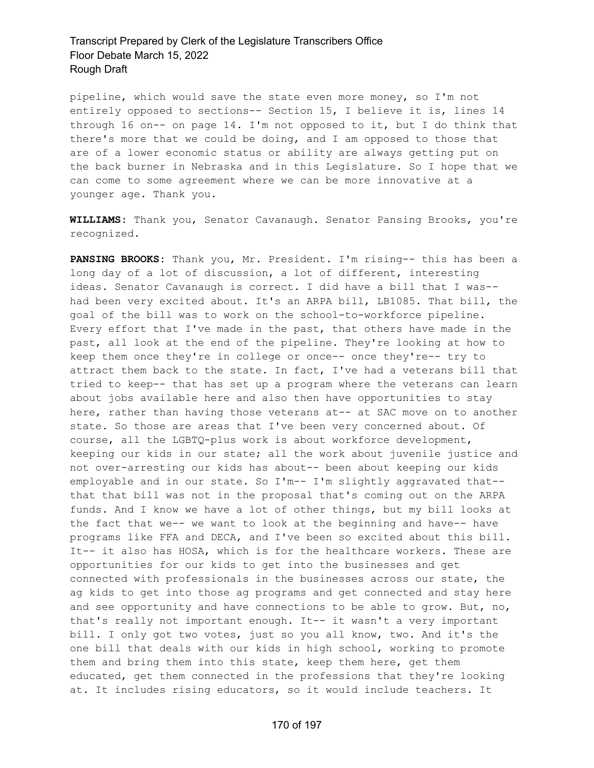pipeline, which would save the state even more money, so I'm not entirely opposed to sections-- Section 15, I believe it is, lines 14 through 16 on-- on page 14. I'm not opposed to it, but I do think that there's more that we could be doing, and I am opposed to those that are of a lower economic status or ability are always getting put on the back burner in Nebraska and in this Legislature. So I hope that we can come to some agreement where we can be more innovative at a younger age. Thank you.

**WILLIAMS:** Thank you, Senator Cavanaugh. Senator Pansing Brooks, you're recognized.

**PANSING BROOKS:** Thank you, Mr. President. I'm rising-- this has been a long day of a lot of discussion, a lot of different, interesting ideas. Senator Cavanaugh is correct. I did have a bill that I was- had been very excited about. It's an ARPA bill, LB1085. That bill, the goal of the bill was to work on the school-to-workforce pipeline. Every effort that I've made in the past, that others have made in the past, all look at the end of the pipeline. They're looking at how to keep them once they're in college or once-- once they're-- try to attract them back to the state. In fact, I've had a veterans bill that tried to keep-- that has set up a program where the veterans can learn about jobs available here and also then have opportunities to stay here, rather than having those veterans at-- at SAC move on to another state. So those are areas that I've been very concerned about. Of course, all the LGBTQ-plus work is about workforce development, keeping our kids in our state; all the work about juvenile justice and not over-arresting our kids has about-- been about keeping our kids employable and in our state. So I'm-- I'm slightly aggravated that- that that bill was not in the proposal that's coming out on the ARPA funds. And I know we have a lot of other things, but my bill looks at the fact that we-- we want to look at the beginning and have-- have programs like FFA and DECA, and I've been so excited about this bill. It-- it also has HOSA, which is for the healthcare workers. These are opportunities for our kids to get into the businesses and get connected with professionals in the businesses across our state, the ag kids to get into those ag programs and get connected and stay here and see opportunity and have connections to be able to grow. But, no, that's really not important enough. It-- it wasn't a very important bill. I only got two votes, just so you all know, two. And it's the one bill that deals with our kids in high school, working to promote them and bring them into this state, keep them here, get them educated, get them connected in the professions that they're looking at. It includes rising educators, so it would include teachers. It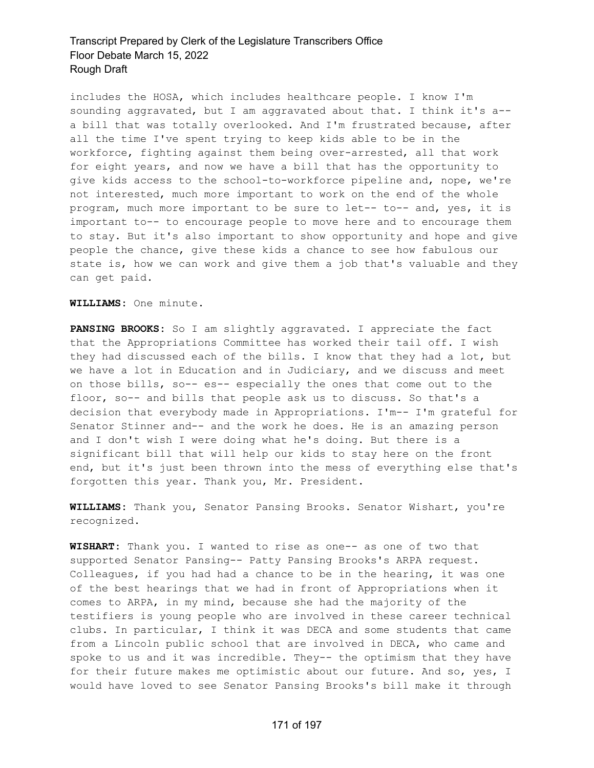includes the HOSA, which includes healthcare people. I know I'm sounding aggravated, but I am aggravated about that. I think it's a- a bill that was totally overlooked. And I'm frustrated because, after all the time I've spent trying to keep kids able to be in the workforce, fighting against them being over-arrested, all that work for eight years, and now we have a bill that has the opportunity to give kids access to the school-to-workforce pipeline and, nope, we're not interested, much more important to work on the end of the whole program, much more important to be sure to let-- to-- and, yes, it is important to-- to encourage people to move here and to encourage them to stay. But it's also important to show opportunity and hope and give people the chance, give these kids a chance to see how fabulous our state is, how we can work and give them a job that's valuable and they can get paid.

**WILLIAMS:** One minute.

**PANSING BROOKS:** So I am slightly aggravated. I appreciate the fact that the Appropriations Committee has worked their tail off. I wish they had discussed each of the bills. I know that they had a lot, but we have a lot in Education and in Judiciary, and we discuss and meet on those bills, so-- es-- especially the ones that come out to the floor, so-- and bills that people ask us to discuss. So that's a decision that everybody made in Appropriations. I'm-- I'm grateful for Senator Stinner and-- and the work he does. He is an amazing person and I don't wish I were doing what he's doing. But there is a significant bill that will help our kids to stay here on the front end, but it's just been thrown into the mess of everything else that's forgotten this year. Thank you, Mr. President.

**WILLIAMS:** Thank you, Senator Pansing Brooks. Senator Wishart, you're recognized.

**WISHART:** Thank you. I wanted to rise as one-- as one of two that supported Senator Pansing-- Patty Pansing Brooks's ARPA request. Colleagues, if you had had a chance to be in the hearing, it was one of the best hearings that we had in front of Appropriations when it comes to ARPA, in my mind, because she had the majority of the testifiers is young people who are involved in these career technical clubs. In particular, I think it was DECA and some students that came from a Lincoln public school that are involved in DECA, who came and spoke to us and it was incredible. They-- the optimism that they have for their future makes me optimistic about our future. And so, yes, I would have loved to see Senator Pansing Brooks's bill make it through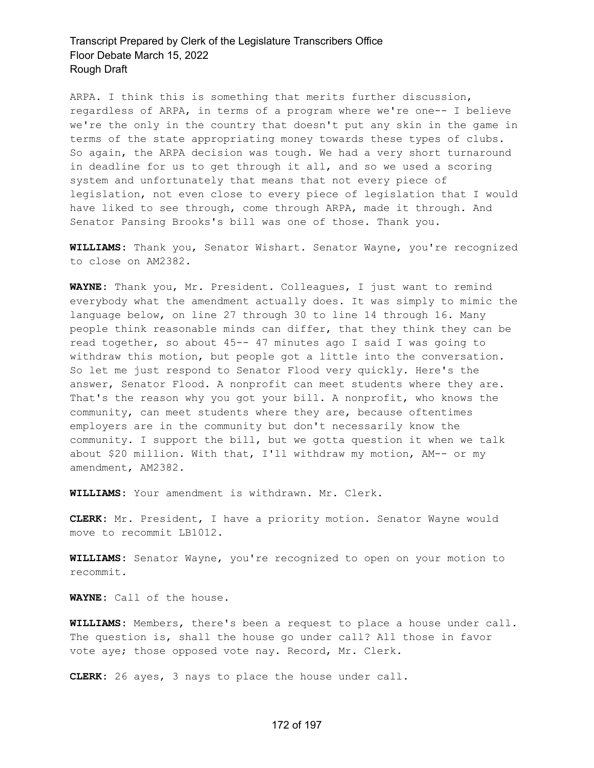ARPA. I think this is something that merits further discussion, regardless of ARPA, in terms of a program where we're one-- I believe we're the only in the country that doesn't put any skin in the game in terms of the state appropriating money towards these types of clubs. So again, the ARPA decision was tough. We had a very short turnaround in deadline for us to get through it all, and so we used a scoring system and unfortunately that means that not every piece of legislation, not even close to every piece of legislation that I would have liked to see through, come through ARPA, made it through. And Senator Pansing Brooks's bill was one of those. Thank you.

**WILLIAMS:** Thank you, Senator Wishart. Senator Wayne, you're recognized to close on AM2382.

**WAYNE:** Thank you, Mr. President. Colleagues, I just want to remind everybody what the amendment actually does. It was simply to mimic the language below, on line 27 through 30 to line 14 through 16. Many people think reasonable minds can differ, that they think they can be read together, so about 45-- 47 minutes ago I said I was going to withdraw this motion, but people got a little into the conversation. So let me just respond to Senator Flood very quickly. Here's the answer, Senator Flood. A nonprofit can meet students where they are. That's the reason why you got your bill. A nonprofit, who knows the community, can meet students where they are, because oftentimes employers are in the community but don't necessarily know the community. I support the bill, but we gotta question it when we talk about \$20 million. With that, I'll withdraw my motion, AM-- or my amendment, AM2382.

**WILLIAMS:** Your amendment is withdrawn. Mr. Clerk.

**CLERK:** Mr. President, I have a priority motion. Senator Wayne would move to recommit LB1012.

**WILLIAMS:** Senator Wayne, you're recognized to open on your motion to recommit.

**WAYNE:** Call of the house.

**WILLIAMS:** Members, there's been a request to place a house under call. The question is, shall the house go under call? All those in favor vote aye; those opposed vote nay. Record, Mr. Clerk.

**CLERK:** 26 ayes, 3 nays to place the house under call.

#### 172 of 197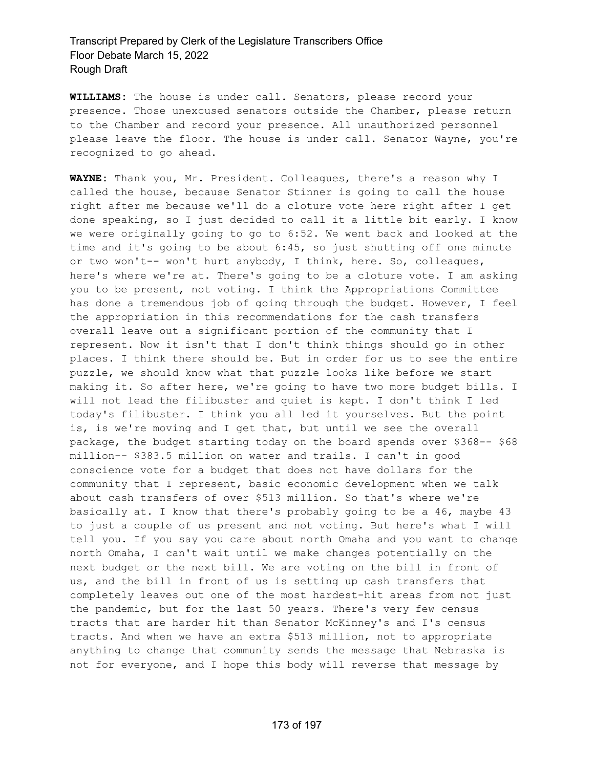**WILLIAMS:** The house is under call. Senators, please record your presence. Those unexcused senators outside the Chamber, please return to the Chamber and record your presence. All unauthorized personnel please leave the floor. The house is under call. Senator Wayne, you're recognized to go ahead.

**WAYNE:** Thank you, Mr. President. Colleagues, there's a reason why I called the house, because Senator Stinner is going to call the house right after me because we'll do a cloture vote here right after I get done speaking, so I just decided to call it a little bit early. I know we were originally going to go to 6:52. We went back and looked at the time and it's going to be about 6:45, so just shutting off one minute or two won't-- won't hurt anybody, I think, here. So, colleagues, here's where we're at. There's going to be a cloture vote. I am asking you to be present, not voting. I think the Appropriations Committee has done a tremendous job of going through the budget. However, I feel the appropriation in this recommendations for the cash transfers overall leave out a significant portion of the community that I represent. Now it isn't that I don't think things should go in other places. I think there should be. But in order for us to see the entire puzzle, we should know what that puzzle looks like before we start making it. So after here, we're going to have two more budget bills. I will not lead the filibuster and quiet is kept. I don't think I led today's filibuster. I think you all led it yourselves. But the point is, is we're moving and I get that, but until we see the overall package, the budget starting today on the board spends over \$368-- \$68 million-- \$383.5 million on water and trails. I can't in good conscience vote for a budget that does not have dollars for the community that I represent, basic economic development when we talk about cash transfers of over \$513 million. So that's where we're basically at. I know that there's probably going to be a 46, maybe 43 to just a couple of us present and not voting. But here's what I will tell you. If you say you care about north Omaha and you want to change north Omaha, I can't wait until we make changes potentially on the next budget or the next bill. We are voting on the bill in front of us, and the bill in front of us is setting up cash transfers that completely leaves out one of the most hardest-hit areas from not just the pandemic, but for the last 50 years. There's very few census tracts that are harder hit than Senator McKinney's and I's census tracts. And when we have an extra \$513 million, not to appropriate anything to change that community sends the message that Nebraska is not for everyone, and I hope this body will reverse that message by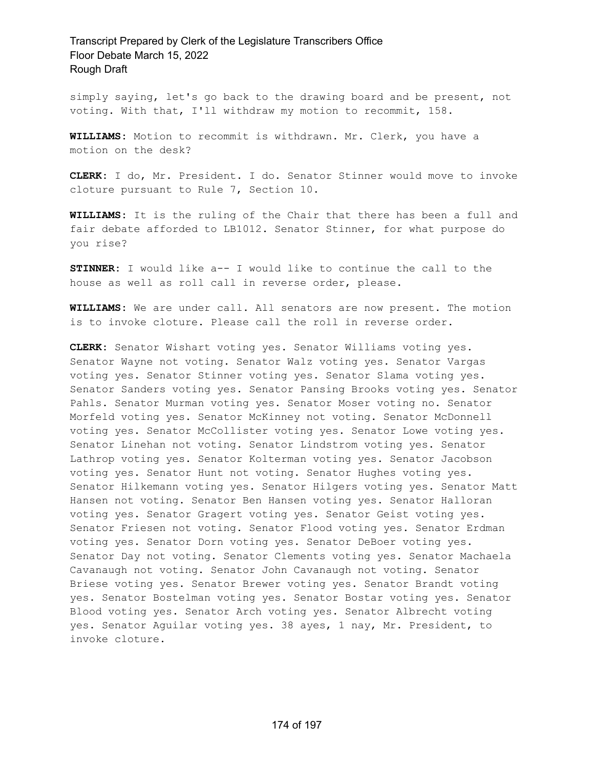simply saying, let's go back to the drawing board and be present, not voting. With that, I'll withdraw my motion to recommit, 158.

**WILLIAMS:** Motion to recommit is withdrawn. Mr. Clerk, you have a motion on the desk?

**CLERK:** I do, Mr. President. I do. Senator Stinner would move to invoke cloture pursuant to Rule 7, Section 10.

**WILLIAMS:** It is the ruling of the Chair that there has been a full and fair debate afforded to LB1012. Senator Stinner, for what purpose do you rise?

**STINNER:** I would like a-- I would like to continue the call to the house as well as roll call in reverse order, please.

**WILLIAMS:** We are under call. All senators are now present. The motion is to invoke cloture. Please call the roll in reverse order.

**CLERK:** Senator Wishart voting yes. Senator Williams voting yes. Senator Wayne not voting. Senator Walz voting yes. Senator Vargas voting yes. Senator Stinner voting yes. Senator Slama voting yes. Senator Sanders voting yes. Senator Pansing Brooks voting yes. Senator Pahls. Senator Murman voting yes. Senator Moser voting no. Senator Morfeld voting yes. Senator McKinney not voting. Senator McDonnell voting yes. Senator McCollister voting yes. Senator Lowe voting yes. Senator Linehan not voting. Senator Lindstrom voting yes. Senator Lathrop voting yes. Senator Kolterman voting yes. Senator Jacobson voting yes. Senator Hunt not voting. Senator Hughes voting yes. Senator Hilkemann voting yes. Senator Hilgers voting yes. Senator Matt Hansen not voting. Senator Ben Hansen voting yes. Senator Halloran voting yes. Senator Gragert voting yes. Senator Geist voting yes. Senator Friesen not voting. Senator Flood voting yes. Senator Erdman voting yes. Senator Dorn voting yes. Senator DeBoer voting yes. Senator Day not voting. Senator Clements voting yes. Senator Machaela Cavanaugh not voting. Senator John Cavanaugh not voting. Senator Briese voting yes. Senator Brewer voting yes. Senator Brandt voting yes. Senator Bostelman voting yes. Senator Bostar voting yes. Senator Blood voting yes. Senator Arch voting yes. Senator Albrecht voting yes. Senator Aguilar voting yes. 38 ayes, 1 nay, Mr. President, to invoke cloture.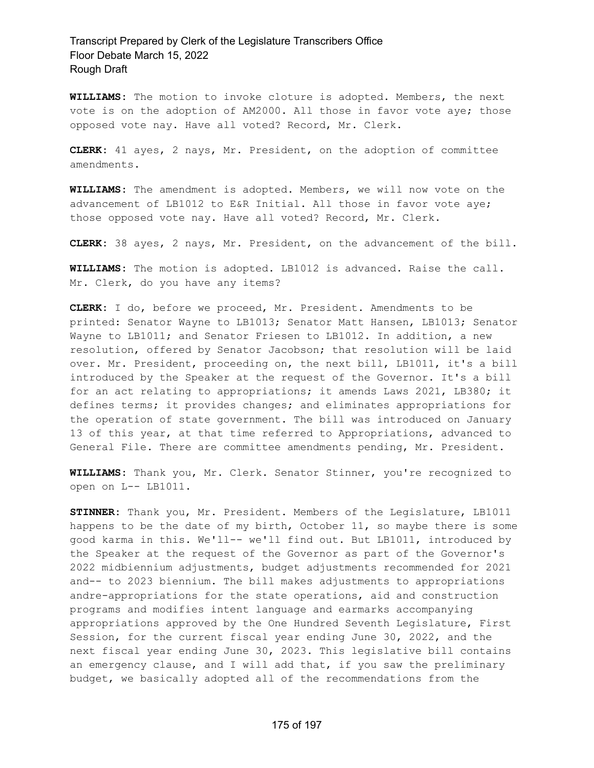**WILLIAMS:** The motion to invoke cloture is adopted. Members, the next vote is on the adoption of AM2000. All those in favor vote aye; those opposed vote nay. Have all voted? Record, Mr. Clerk.

**CLERK:** 41 ayes, 2 nays, Mr. President, on the adoption of committee amendments.

**WILLIAMS:** The amendment is adopted. Members, we will now vote on the advancement of LB1012 to E&R Initial. All those in favor vote aye; those opposed vote nay. Have all voted? Record, Mr. Clerk.

**CLERK:** 38 ayes, 2 nays, Mr. President, on the advancement of the bill.

**WILLIAMS:** The motion is adopted. LB1012 is advanced. Raise the call. Mr. Clerk, do you have any items?

**CLERK:** I do, before we proceed, Mr. President. Amendments to be printed: Senator Wayne to LB1013; Senator Matt Hansen, LB1013; Senator Wayne to LB1011; and Senator Friesen to LB1012. In addition, a new resolution, offered by Senator Jacobson; that resolution will be laid over. Mr. President, proceeding on, the next bill, LB1011, it's a bill introduced by the Speaker at the request of the Governor. It's a bill for an act relating to appropriations; it amends Laws 2021, LB380; it defines terms; it provides changes; and eliminates appropriations for the operation of state government. The bill was introduced on January 13 of this year, at that time referred to Appropriations, advanced to General File. There are committee amendments pending, Mr. President.

**WILLIAMS:** Thank you, Mr. Clerk. Senator Stinner, you're recognized to open on L-- LB1011.

**STINNER:** Thank you, Mr. President. Members of the Legislature, LB1011 happens to be the date of my birth, October 11, so maybe there is some good karma in this. We'll-- we'll find out. But LB1011, introduced by the Speaker at the request of the Governor as part of the Governor's 2022 midbiennium adjustments, budget adjustments recommended for 2021 and-- to 2023 biennium. The bill makes adjustments to appropriations andre-appropriations for the state operations, aid and construction programs and modifies intent language and earmarks accompanying appropriations approved by the One Hundred Seventh Legislature, First Session, for the current fiscal year ending June 30, 2022, and the next fiscal year ending June 30, 2023. This legislative bill contains an emergency clause, and I will add that, if you saw the preliminary budget, we basically adopted all of the recommendations from the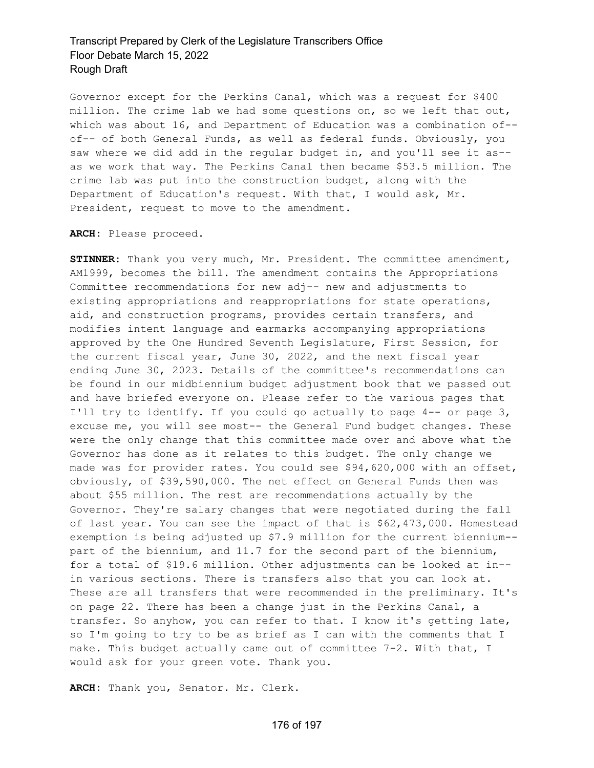Governor except for the Perkins Canal, which was a request for \$400 million. The crime lab we had some questions on, so we left that out, which was about 16, and Department of Education was a combination of- of-- of both General Funds, as well as federal funds. Obviously, you saw where we did add in the regular budget in, and you'll see it as- as we work that way. The Perkins Canal then became \$53.5 million. The crime lab was put into the construction budget, along with the Department of Education's request. With that, I would ask, Mr. President, request to move to the amendment.

**ARCH:** Please proceed.

**STINNER:** Thank you very much, Mr. President. The committee amendment, AM1999, becomes the bill. The amendment contains the Appropriations Committee recommendations for new adj-- new and adjustments to existing appropriations and reappropriations for state operations, aid, and construction programs, provides certain transfers, and modifies intent language and earmarks accompanying appropriations approved by the One Hundred Seventh Legislature, First Session, for the current fiscal year, June 30, 2022, and the next fiscal year ending June 30, 2023. Details of the committee's recommendations can be found in our midbiennium budget adjustment book that we passed out and have briefed everyone on. Please refer to the various pages that I'll try to identify. If you could go actually to page 4-- or page 3, excuse me, you will see most-- the General Fund budget changes. These were the only change that this committee made over and above what the Governor has done as it relates to this budget. The only change we made was for provider rates. You could see \$94,620,000 with an offset, obviously, of \$39,590,000. The net effect on General Funds then was about \$55 million. The rest are recommendations actually by the Governor. They're salary changes that were negotiated during the fall of last year. You can see the impact of that is \$62,473,000. Homestead exemption is being adjusted up \$7.9 million for the current biennium- part of the biennium, and 11.7 for the second part of the biennium, for a total of \$19.6 million. Other adjustments can be looked at in- in various sections. There is transfers also that you can look at. These are all transfers that were recommended in the preliminary. It's on page 22. There has been a change just in the Perkins Canal, a transfer. So anyhow, you can refer to that. I know it's getting late, so I'm going to try to be as brief as I can with the comments that I make. This budget actually came out of committee 7-2. With that, I would ask for your green vote. Thank you.

**ARCH:** Thank you, Senator. Mr. Clerk.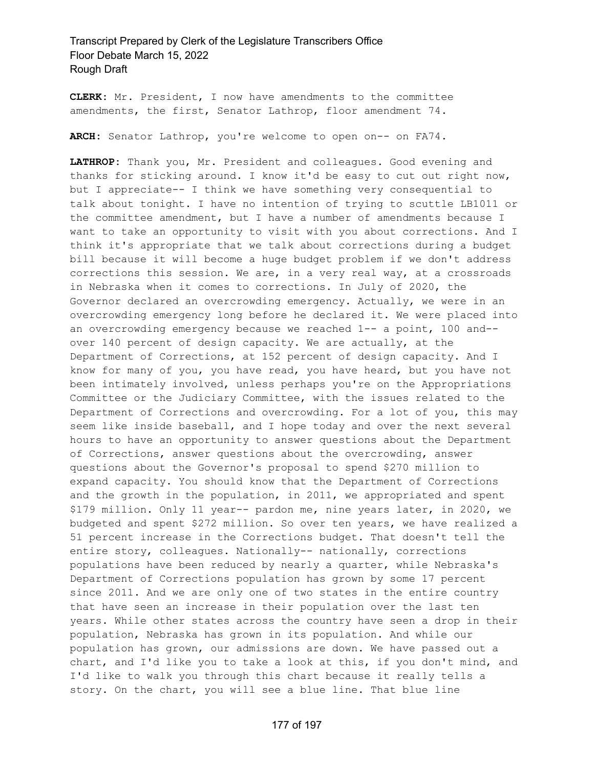**CLERK:** Mr. President, I now have amendments to the committee amendments, the first, Senator Lathrop, floor amendment 74.

**ARCH:** Senator Lathrop, you're welcome to open on-- on FA74.

**LATHROP:** Thank you, Mr. President and colleagues. Good evening and thanks for sticking around. I know it'd be easy to cut out right now, but I appreciate-- I think we have something very consequential to talk about tonight. I have no intention of trying to scuttle LB1011 or the committee amendment, but I have a number of amendments because I want to take an opportunity to visit with you about corrections. And I think it's appropriate that we talk about corrections during a budget bill because it will become a huge budget problem if we don't address corrections this session. We are, in a very real way, at a crossroads in Nebraska when it comes to corrections. In July of 2020, the Governor declared an overcrowding emergency. Actually, we were in an overcrowding emergency long before he declared it. We were placed into an overcrowding emergency because we reached  $1--$  a point, 100 and-over 140 percent of design capacity. We are actually, at the Department of Corrections, at 152 percent of design capacity. And I know for many of you, you have read, you have heard, but you have not been intimately involved, unless perhaps you're on the Appropriations Committee or the Judiciary Committee, with the issues related to the Department of Corrections and overcrowding. For a lot of you, this may seem like inside baseball, and I hope today and over the next several hours to have an opportunity to answer questions about the Department of Corrections, answer questions about the overcrowding, answer questions about the Governor's proposal to spend \$270 million to expand capacity. You should know that the Department of Corrections and the growth in the population, in 2011, we appropriated and spent \$179 million. Only 11 year-- pardon me, nine years later, in 2020, we budgeted and spent \$272 million. So over ten years, we have realized a 51 percent increase in the Corrections budget. That doesn't tell the entire story, colleagues. Nationally-- nationally, corrections populations have been reduced by nearly a quarter, while Nebraska's Department of Corrections population has grown by some 17 percent since 2011. And we are only one of two states in the entire country that have seen an increase in their population over the last ten years. While other states across the country have seen a drop in their population, Nebraska has grown in its population. And while our population has grown, our admissions are down. We have passed out a chart, and I'd like you to take a look at this, if you don't mind, and I'd like to walk you through this chart because it really tells a story. On the chart, you will see a blue line. That blue line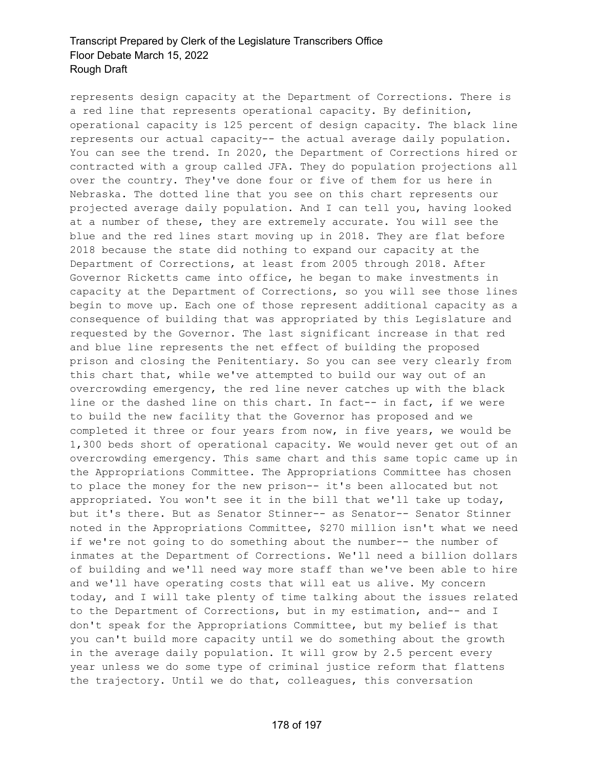represents design capacity at the Department of Corrections. There is a red line that represents operational capacity. By definition, operational capacity is 125 percent of design capacity. The black line represents our actual capacity-- the actual average daily population. You can see the trend. In 2020, the Department of Corrections hired or contracted with a group called JFA. They do population projections all over the country. They've done four or five of them for us here in Nebraska. The dotted line that you see on this chart represents our projected average daily population. And I can tell you, having looked at a number of these, they are extremely accurate. You will see the blue and the red lines start moving up in 2018. They are flat before 2018 because the state did nothing to expand our capacity at the Department of Corrections, at least from 2005 through 2018. After Governor Ricketts came into office, he began to make investments in capacity at the Department of Corrections, so you will see those lines begin to move up. Each one of those represent additional capacity as a consequence of building that was appropriated by this Legislature and requested by the Governor. The last significant increase in that red and blue line represents the net effect of building the proposed prison and closing the Penitentiary. So you can see very clearly from this chart that, while we've attempted to build our way out of an overcrowding emergency, the red line never catches up with the black line or the dashed line on this chart. In fact-- in fact, if we were to build the new facility that the Governor has proposed and we completed it three or four years from now, in five years, we would be 1,300 beds short of operational capacity. We would never get out of an overcrowding emergency. This same chart and this same topic came up in the Appropriations Committee. The Appropriations Committee has chosen to place the money for the new prison-- it's been allocated but not appropriated. You won't see it in the bill that we'll take up today, but it's there. But as Senator Stinner-- as Senator-- Senator Stinner noted in the Appropriations Committee, \$270 million isn't what we need if we're not going to do something about the number-- the number of inmates at the Department of Corrections. We'll need a billion dollars of building and we'll need way more staff than we've been able to hire and we'll have operating costs that will eat us alive. My concern today, and I will take plenty of time talking about the issues related to the Department of Corrections, but in my estimation, and-- and I don't speak for the Appropriations Committee, but my belief is that you can't build more capacity until we do something about the growth in the average daily population. It will grow by 2.5 percent every year unless we do some type of criminal justice reform that flattens the trajectory. Until we do that, colleagues, this conversation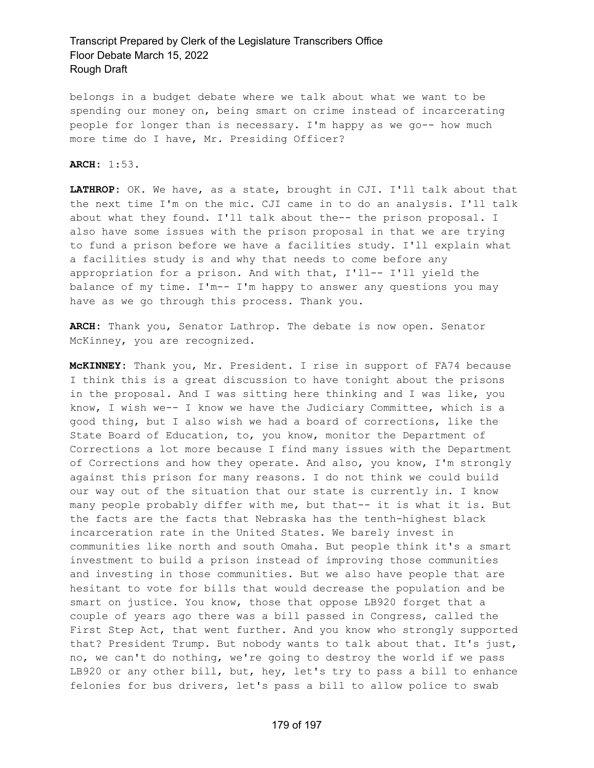belongs in a budget debate where we talk about what we want to be spending our money on, being smart on crime instead of incarcerating people for longer than is necessary. I'm happy as we go-- how much more time do I have, Mr. Presiding Officer?

#### **ARCH:** 1:53.

**LATHROP:** OK. We have, as a state, brought in CJI. I'll talk about that the next time I'm on the mic. CJI came in to do an analysis. I'll talk about what they found. I'll talk about the-- the prison proposal. I also have some issues with the prison proposal in that we are trying to fund a prison before we have a facilities study. I'll explain what a facilities study is and why that needs to come before any appropriation for a prison. And with that, I'll-- I'll yield the balance of my time. I'm-- I'm happy to answer any questions you may have as we go through this process. Thank you.

**ARCH:** Thank you, Senator Lathrop. The debate is now open. Senator McKinney, you are recognized.

**McKINNEY:** Thank you, Mr. President. I rise in support of FA74 because I think this is a great discussion to have tonight about the prisons in the proposal. And I was sitting here thinking and I was like, you know, I wish we-- I know we have the Judiciary Committee, which is a good thing, but I also wish we had a board of corrections, like the State Board of Education, to, you know, monitor the Department of Corrections a lot more because I find many issues with the Department of Corrections and how they operate. And also, you know, I'm strongly against this prison for many reasons. I do not think we could build our way out of the situation that our state is currently in. I know many people probably differ with me, but that-- it is what it is. But the facts are the facts that Nebraska has the tenth-highest black incarceration rate in the United States. We barely invest in communities like north and south Omaha. But people think it's a smart investment to build a prison instead of improving those communities and investing in those communities. But we also have people that are hesitant to vote for bills that would decrease the population and be smart on justice. You know, those that oppose LB920 forget that a couple of years ago there was a bill passed in Congress, called the First Step Act, that went further. And you know who strongly supported that? President Trump. But nobody wants to talk about that. It's just, no, we can't do nothing, we're going to destroy the world if we pass LB920 or any other bill, but, hey, let's try to pass a bill to enhance felonies for bus drivers, let's pass a bill to allow police to swab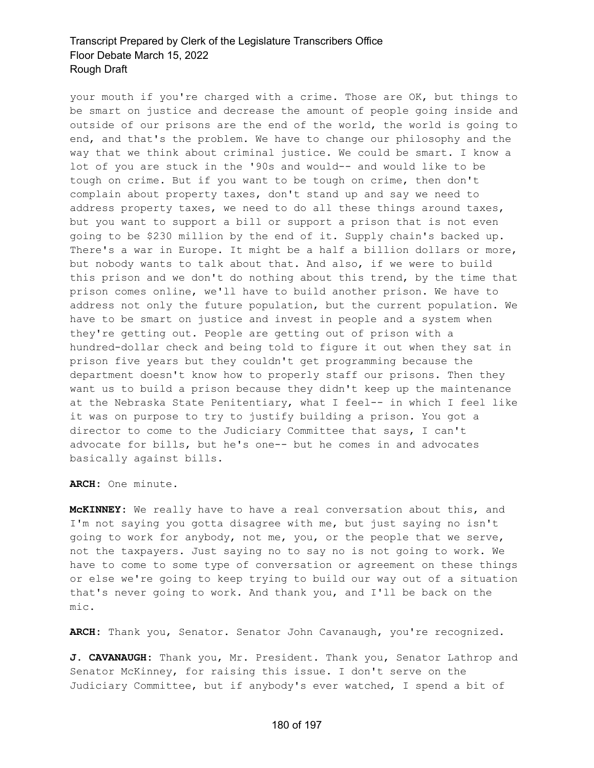your mouth if you're charged with a crime. Those are OK, but things to be smart on justice and decrease the amount of people going inside and outside of our prisons are the end of the world, the world is going to end, and that's the problem. We have to change our philosophy and the way that we think about criminal justice. We could be smart. I know a lot of you are stuck in the '90s and would-- and would like to be tough on crime. But if you want to be tough on crime, then don't complain about property taxes, don't stand up and say we need to address property taxes, we need to do all these things around taxes, but you want to support a bill or support a prison that is not even going to be \$230 million by the end of it. Supply chain's backed up. There's a war in Europe. It might be a half a billion dollars or more, but nobody wants to talk about that. And also, if we were to build this prison and we don't do nothing about this trend, by the time that prison comes online, we'll have to build another prison. We have to address not only the future population, but the current population. We have to be smart on justice and invest in people and a system when they're getting out. People are getting out of prison with a hundred-dollar check and being told to figure it out when they sat in prison five years but they couldn't get programming because the department doesn't know how to properly staff our prisons. Then they want us to build a prison because they didn't keep up the maintenance at the Nebraska State Penitentiary, what I feel-- in which I feel like it was on purpose to try to justify building a prison. You got a director to come to the Judiciary Committee that says, I can't advocate for bills, but he's one-- but he comes in and advocates basically against bills.

**ARCH:** One minute.

**McKINNEY:** We really have to have a real conversation about this, and I'm not saying you gotta disagree with me, but just saying no isn't going to work for anybody, not me, you, or the people that we serve, not the taxpayers. Just saying no to say no is not going to work. We have to come to some type of conversation or agreement on these things or else we're going to keep trying to build our way out of a situation that's never going to work. And thank you, and I'll be back on the mic.

**ARCH:** Thank you, Senator. Senator John Cavanaugh, you're recognized.

**J. CAVANAUGH:** Thank you, Mr. President. Thank you, Senator Lathrop and Senator McKinney, for raising this issue. I don't serve on the Judiciary Committee, but if anybody's ever watched, I spend a bit of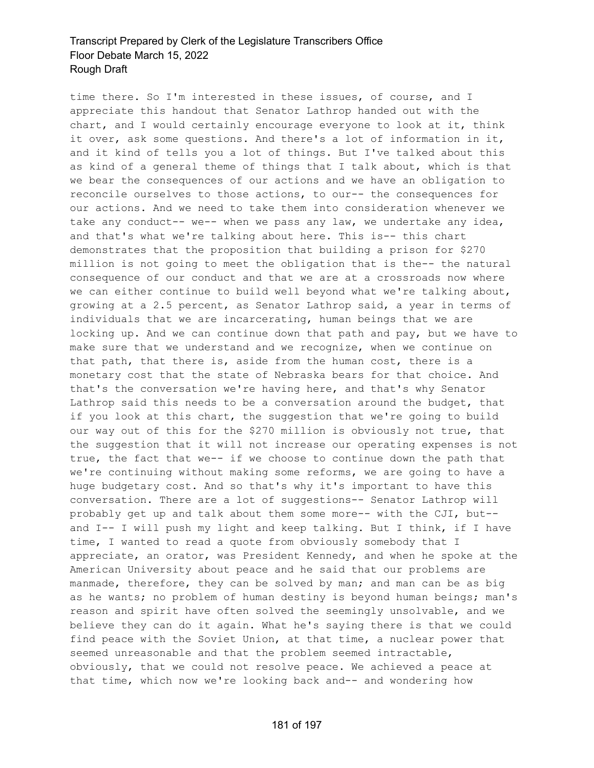time there. So I'm interested in these issues, of course, and I appreciate this handout that Senator Lathrop handed out with the chart, and I would certainly encourage everyone to look at it, think it over, ask some questions. And there's a lot of information in it, and it kind of tells you a lot of things. But I've talked about this as kind of a general theme of things that I talk about, which is that we bear the consequences of our actions and we have an obligation to reconcile ourselves to those actions, to our-- the consequences for our actions. And we need to take them into consideration whenever we take any conduct-- we-- when we pass any law, we undertake any idea, and that's what we're talking about here. This is-- this chart demonstrates that the proposition that building a prison for \$270 million is not going to meet the obligation that is the-- the natural consequence of our conduct and that we are at a crossroads now where we can either continue to build well beyond what we're talking about, growing at a 2.5 percent, as Senator Lathrop said, a year in terms of individuals that we are incarcerating, human beings that we are locking up. And we can continue down that path and pay, but we have to make sure that we understand and we recognize, when we continue on that path, that there is, aside from the human cost, there is a monetary cost that the state of Nebraska bears for that choice. And that's the conversation we're having here, and that's why Senator Lathrop said this needs to be a conversation around the budget, that if you look at this chart, the suggestion that we're going to build our way out of this for the \$270 million is obviously not true, that the suggestion that it will not increase our operating expenses is not true, the fact that we-- if we choose to continue down the path that we're continuing without making some reforms, we are going to have a huge budgetary cost. And so that's why it's important to have this conversation. There are a lot of suggestions-- Senator Lathrop will probably get up and talk about them some more-- with the CJI, but- and I-- I will push my light and keep talking. But I think, if I have time, I wanted to read a quote from obviously somebody that I appreciate, an orator, was President Kennedy, and when he spoke at the American University about peace and he said that our problems are manmade, therefore, they can be solved by man; and man can be as big as he wants; no problem of human destiny is beyond human beings; man's reason and spirit have often solved the seemingly unsolvable, and we believe they can do it again. What he's saying there is that we could find peace with the Soviet Union, at that time, a nuclear power that seemed unreasonable and that the problem seemed intractable, obviously, that we could not resolve peace. We achieved a peace at that time, which now we're looking back and-- and wondering how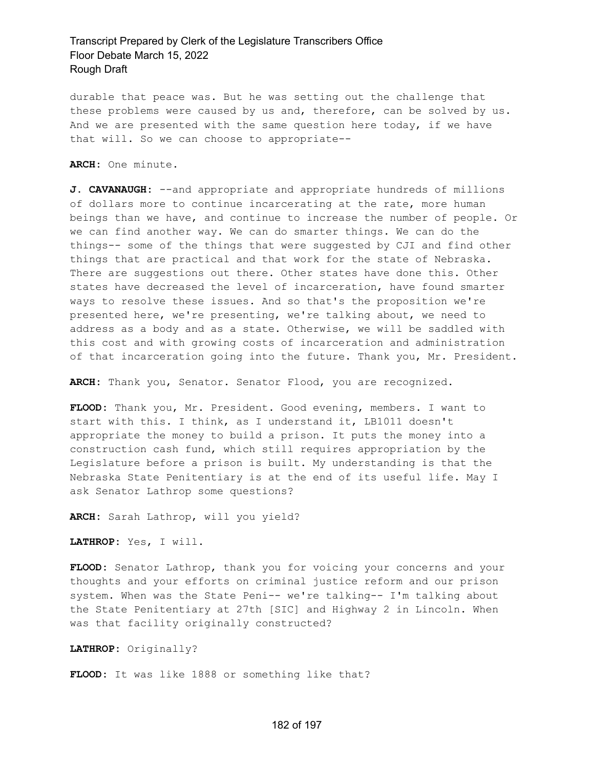durable that peace was. But he was setting out the challenge that these problems were caused by us and, therefore, can be solved by us. And we are presented with the same question here today, if we have that will. So we can choose to appropriate--

**ARCH:** One minute.

**J. CAVANAUGH:** --and appropriate and appropriate hundreds of millions of dollars more to continue incarcerating at the rate, more human beings than we have, and continue to increase the number of people. Or we can find another way. We can do smarter things. We can do the things-- some of the things that were suggested by CJI and find other things that are practical and that work for the state of Nebraska. There are suggestions out there. Other states have done this. Other states have decreased the level of incarceration, have found smarter ways to resolve these issues. And so that's the proposition we're presented here, we're presenting, we're talking about, we need to address as a body and as a state. Otherwise, we will be saddled with this cost and with growing costs of incarceration and administration of that incarceration going into the future. Thank you, Mr. President.

**ARCH:** Thank you, Senator. Senator Flood, you are recognized.

**FLOOD:** Thank you, Mr. President. Good evening, members. I want to start with this. I think, as I understand it, LB1011 doesn't appropriate the money to build a prison. It puts the money into a construction cash fund, which still requires appropriation by the Legislature before a prison is built. My understanding is that the Nebraska State Penitentiary is at the end of its useful life. May I ask Senator Lathrop some questions?

**ARCH:** Sarah Lathrop, will you yield?

**LATHROP:** Yes, I will.

**FLOOD:** Senator Lathrop, thank you for voicing your concerns and your thoughts and your efforts on criminal justice reform and our prison system. When was the State Peni-- we're talking-- I'm talking about the State Penitentiary at 27th [SIC] and Highway 2 in Lincoln. When was that facility originally constructed?

**LATHROP:** Originally?

**FLOOD:** It was like 1888 or something like that?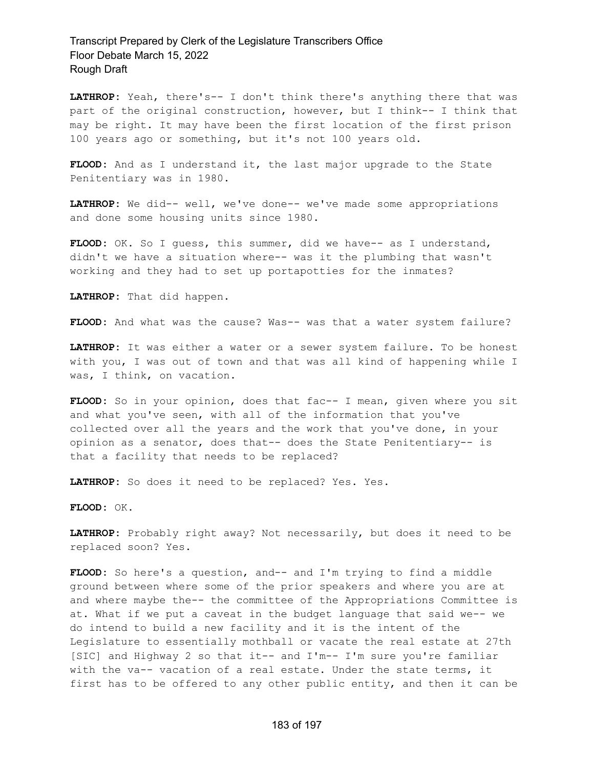**LATHROP:** Yeah, there's-- I don't think there's anything there that was part of the original construction, however, but I think-- I think that may be right. It may have been the first location of the first prison 100 years ago or something, but it's not 100 years old.

**FLOOD:** And as I understand it, the last major upgrade to the State Penitentiary was in 1980.

**LATHROP:** We did-- well, we've done-- we've made some appropriations and done some housing units since 1980.

**FLOOD:** OK. So I guess, this summer, did we have-- as I understand, didn't we have a situation where-- was it the plumbing that wasn't working and they had to set up portapotties for the inmates?

**LATHROP:** That did happen.

**FLOOD:** And what was the cause? Was-- was that a water system failure?

**LATHROP:** It was either a water or a sewer system failure. To be honest with you, I was out of town and that was all kind of happening while I was, I think, on vacation.

FLOOD: So in your opinion, does that fac-- I mean, given where you sit and what you've seen, with all of the information that you've collected over all the years and the work that you've done, in your opinion as a senator, does that-- does the State Penitentiary-- is that a facility that needs to be replaced?

**LATHROP:** So does it need to be replaced? Yes. Yes.

**FLOOD:** OK.

**LATHROP:** Probably right away? Not necessarily, but does it need to be replaced soon? Yes.

**FLOOD:** So here's a question, and-- and I'm trying to find a middle ground between where some of the prior speakers and where you are at and where maybe the-- the committee of the Appropriations Committee is at. What if we put a caveat in the budget language that said we-- we do intend to build a new facility and it is the intent of the Legislature to essentially mothball or vacate the real estate at 27th [SIC] and Highway 2 so that it-- and I'm-- I'm sure you're familiar with the va-- vacation of a real estate. Under the state terms, it first has to be offered to any other public entity, and then it can be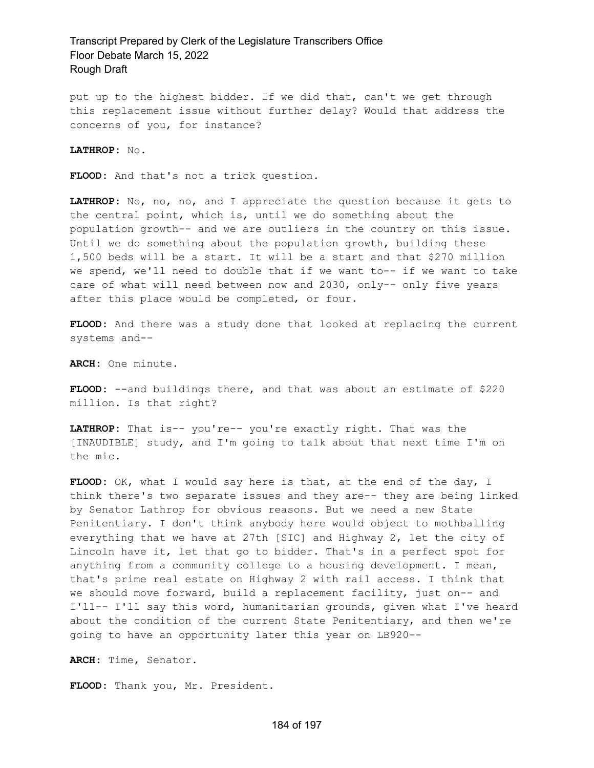put up to the highest bidder. If we did that, can't we get through this replacement issue without further delay? Would that address the concerns of you, for instance?

**LATHROP:** No.

**FLOOD:** And that's not a trick question.

**LATHROP:** No, no, no, and I appreciate the question because it gets to the central point, which is, until we do something about the population growth-- and we are outliers in the country on this issue. Until we do something about the population growth, building these 1,500 beds will be a start. It will be a start and that \$270 million we spend, we'll need to double that if we want to-- if we want to take care of what will need between now and 2030, only-- only five years after this place would be completed, or four.

**FLOOD:** And there was a study done that looked at replacing the current systems and--

**ARCH:** One minute.

**FLOOD:** --and buildings there, and that was about an estimate of \$220 million. Is that right?

**LATHROP:** That is-- you're-- you're exactly right. That was the [INAUDIBLE] study, and I'm going to talk about that next time I'm on the mic.

**FLOOD:** OK, what I would say here is that, at the end of the day, I think there's two separate issues and they are-- they are being linked by Senator Lathrop for obvious reasons. But we need a new State Penitentiary. I don't think anybody here would object to mothballing everything that we have at 27th [SIC] and Highway 2, let the city of Lincoln have it, let that go to bidder. That's in a perfect spot for anything from a community college to a housing development. I mean, that's prime real estate on Highway 2 with rail access. I think that we should move forward, build a replacement facility, just on-- and I'll-- I'll say this word, humanitarian grounds, given what I've heard about the condition of the current State Penitentiary, and then we're going to have an opportunity later this year on LB920--

**ARCH:** Time, Senator.

**FLOOD:** Thank you, Mr. President.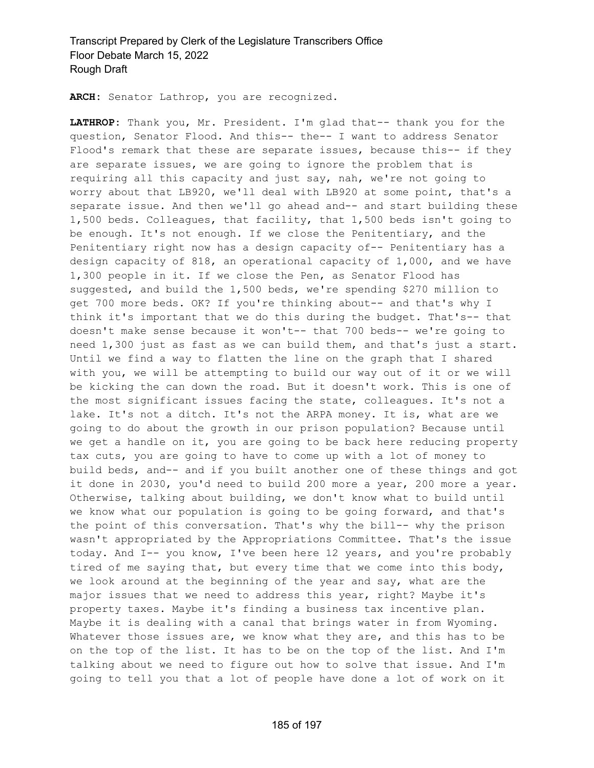**ARCH:** Senator Lathrop, you are recognized.

**LATHROP:** Thank you, Mr. President. I'm glad that-- thank you for the question, Senator Flood. And this-- the-- I want to address Senator Flood's remark that these are separate issues, because this-- if they are separate issues, we are going to ignore the problem that is requiring all this capacity and just say, nah, we're not going to worry about that LB920, we'll deal with LB920 at some point, that's a separate issue. And then we'll go ahead and-- and start building these 1,500 beds. Colleagues, that facility, that 1,500 beds isn't going to be enough. It's not enough. If we close the Penitentiary, and the Penitentiary right now has a design capacity of-- Penitentiary has a design capacity of 818, an operational capacity of 1,000, and we have 1,300 people in it. If we close the Pen, as Senator Flood has suggested, and build the 1,500 beds, we're spending \$270 million to get 700 more beds. OK? If you're thinking about-- and that's why I think it's important that we do this during the budget. That's-- that doesn't make sense because it won't-- that 700 beds-- we're going to need 1,300 just as fast as we can build them, and that's just a start. Until we find a way to flatten the line on the graph that I shared with you, we will be attempting to build our way out of it or we will be kicking the can down the road. But it doesn't work. This is one of the most significant issues facing the state, colleagues. It's not a lake. It's not a ditch. It's not the ARPA money. It is, what are we going to do about the growth in our prison population? Because until we get a handle on it, you are going to be back here reducing property tax cuts, you are going to have to come up with a lot of money to build beds, and-- and if you built another one of these things and got it done in 2030, you'd need to build 200 more a year, 200 more a year. Otherwise, talking about building, we don't know what to build until we know what our population is going to be going forward, and that's the point of this conversation. That's why the bill-- why the prison wasn't appropriated by the Appropriations Committee. That's the issue today. And I-- you know, I've been here 12 years, and you're probably tired of me saying that, but every time that we come into this body, we look around at the beginning of the year and say, what are the major issues that we need to address this year, right? Maybe it's property taxes. Maybe it's finding a business tax incentive plan. Maybe it is dealing with a canal that brings water in from Wyoming. Whatever those issues are, we know what they are, and this has to be on the top of the list. It has to be on the top of the list. And I'm talking about we need to figure out how to solve that issue. And I'm going to tell you that a lot of people have done a lot of work on it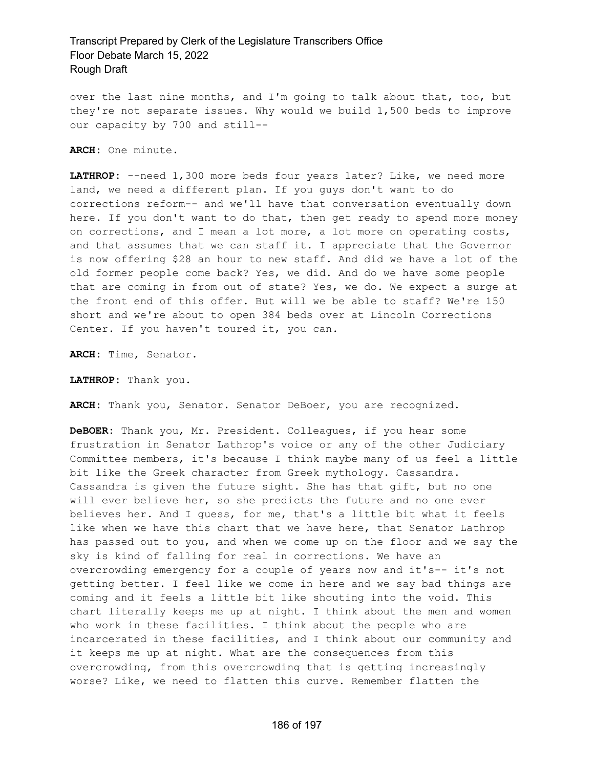over the last nine months, and I'm going to talk about that, too, but they're not separate issues. Why would we build 1,500 beds to improve our capacity by 700 and still--

**ARCH:** One minute.

LATHROP: --need 1,300 more beds four years later? Like, we need more land, we need a different plan. If you guys don't want to do corrections reform-- and we'll have that conversation eventually down here. If you don't want to do that, then get ready to spend more money on corrections, and I mean a lot more, a lot more on operating costs, and that assumes that we can staff it. I appreciate that the Governor is now offering \$28 an hour to new staff. And did we have a lot of the old former people come back? Yes, we did. And do we have some people that are coming in from out of state? Yes, we do. We expect a surge at the front end of this offer. But will we be able to staff? We're 150 short and we're about to open 384 beds over at Lincoln Corrections Center. If you haven't toured it, you can.

**ARCH:** Time, Senator.

**LATHROP:** Thank you.

**ARCH:** Thank you, Senator. Senator DeBoer, you are recognized.

**DeBOER:** Thank you, Mr. President. Colleagues, if you hear some frustration in Senator Lathrop's voice or any of the other Judiciary Committee members, it's because I think maybe many of us feel a little bit like the Greek character from Greek mythology. Cassandra. Cassandra is given the future sight. She has that gift, but no one will ever believe her, so she predicts the future and no one ever believes her. And I guess, for me, that's a little bit what it feels like when we have this chart that we have here, that Senator Lathrop has passed out to you, and when we come up on the floor and we say the sky is kind of falling for real in corrections. We have an overcrowding emergency for a couple of years now and it's-- it's not getting better. I feel like we come in here and we say bad things are coming and it feels a little bit like shouting into the void. This chart literally keeps me up at night. I think about the men and women who work in these facilities. I think about the people who are incarcerated in these facilities, and I think about our community and it keeps me up at night. What are the consequences from this overcrowding, from this overcrowding that is getting increasingly worse? Like, we need to flatten this curve. Remember flatten the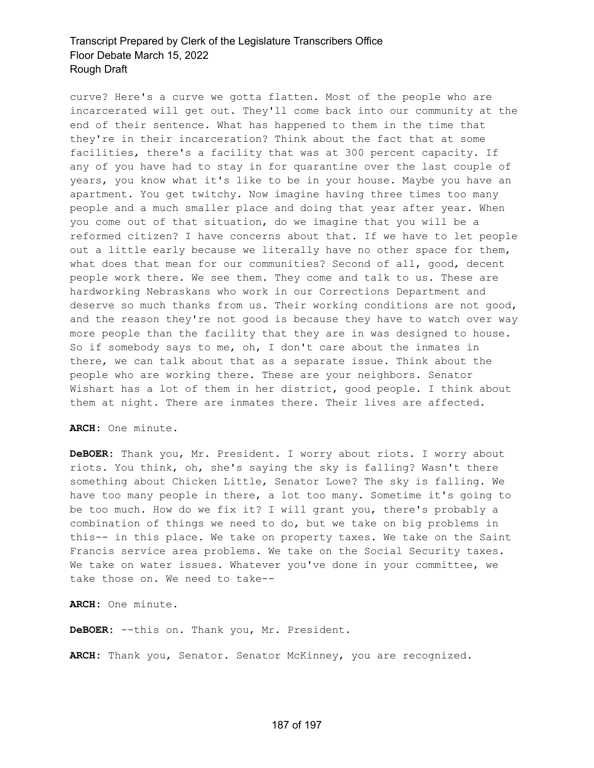curve? Here's a curve we gotta flatten. Most of the people who are incarcerated will get out. They'll come back into our community at the end of their sentence. What has happened to them in the time that they're in their incarceration? Think about the fact that at some facilities, there's a facility that was at 300 percent capacity. If any of you have had to stay in for quarantine over the last couple of years, you know what it's like to be in your house. Maybe you have an apartment. You get twitchy. Now imagine having three times too many people and a much smaller place and doing that year after year. When you come out of that situation, do we imagine that you will be a reformed citizen? I have concerns about that. If we have to let people out a little early because we literally have no other space for them, what does that mean for our communities? Second of all, good, decent people work there. We see them. They come and talk to us. These are hardworking Nebraskans who work in our Corrections Department and deserve so much thanks from us. Their working conditions are not good, and the reason they're not good is because they have to watch over way more people than the facility that they are in was designed to house. So if somebody says to me, oh, I don't care about the inmates in there, we can talk about that as a separate issue. Think about the people who are working there. These are your neighbors. Senator Wishart has a lot of them in her district, good people. I think about them at night. There are inmates there. Their lives are affected.

**ARCH:** One minute.

**DeBOER:** Thank you, Mr. President. I worry about riots. I worry about riots. You think, oh, she's saying the sky is falling? Wasn't there something about Chicken Little, Senator Lowe? The sky is falling. We have too many people in there, a lot too many. Sometime it's going to be too much. How do we fix it? I will grant you, there's probably a combination of things we need to do, but we take on big problems in this-- in this place. We take on property taxes. We take on the Saint Francis service area problems. We take on the Social Security taxes. We take on water issues. Whatever you've done in your committee, we take those on. We need to take--

**ARCH:** One minute.

**DeBOER:** --this on. Thank you, Mr. President.

**ARCH:** Thank you, Senator. Senator McKinney, you are recognized.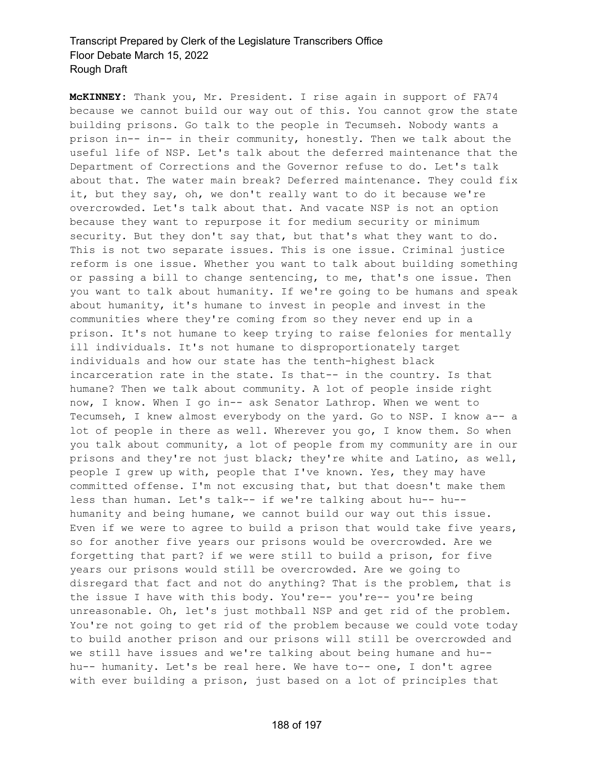**McKINNEY:** Thank you, Mr. President. I rise again in support of FA74 because we cannot build our way out of this. You cannot grow the state building prisons. Go talk to the people in Tecumseh. Nobody wants a prison in-- in-- in their community, honestly. Then we talk about the useful life of NSP. Let's talk about the deferred maintenance that the Department of Corrections and the Governor refuse to do. Let's talk about that. The water main break? Deferred maintenance. They could fix it, but they say, oh, we don't really want to do it because we're overcrowded. Let's talk about that. And vacate NSP is not an option because they want to repurpose it for medium security or minimum security. But they don't say that, but that's what they want to do. This is not two separate issues. This is one issue. Criminal justice reform is one issue. Whether you want to talk about building something or passing a bill to change sentencing, to me, that's one issue. Then you want to talk about humanity. If we're going to be humans and speak about humanity, it's humane to invest in people and invest in the communities where they're coming from so they never end up in a prison. It's not humane to keep trying to raise felonies for mentally ill individuals. It's not humane to disproportionately target individuals and how our state has the tenth-highest black incarceration rate in the state. Is that-- in the country. Is that humane? Then we talk about community. A lot of people inside right now, I know. When I go in-- ask Senator Lathrop. When we went to Tecumseh, I knew almost everybody on the yard. Go to NSP. I know a-- a lot of people in there as well. Wherever you go, I know them. So when you talk about community, a lot of people from my community are in our prisons and they're not just black; they're white and Latino, as well, people I grew up with, people that I've known. Yes, they may have committed offense. I'm not excusing that, but that doesn't make them less than human. Let's talk-- if we're talking about hu-- hu- humanity and being humane, we cannot build our way out this issue. Even if we were to agree to build a prison that would take five years, so for another five years our prisons would be overcrowded. Are we forgetting that part? if we were still to build a prison, for five years our prisons would still be overcrowded. Are we going to disregard that fact and not do anything? That is the problem, that is the issue I have with this body. You're-- you're-- you're being unreasonable. Oh, let's just mothball NSP and get rid of the problem. You're not going to get rid of the problem because we could vote today to build another prison and our prisons will still be overcrowded and we still have issues and we're talking about being humane and hu- hu-- humanity. Let's be real here. We have to-- one, I don't agree with ever building a prison, just based on a lot of principles that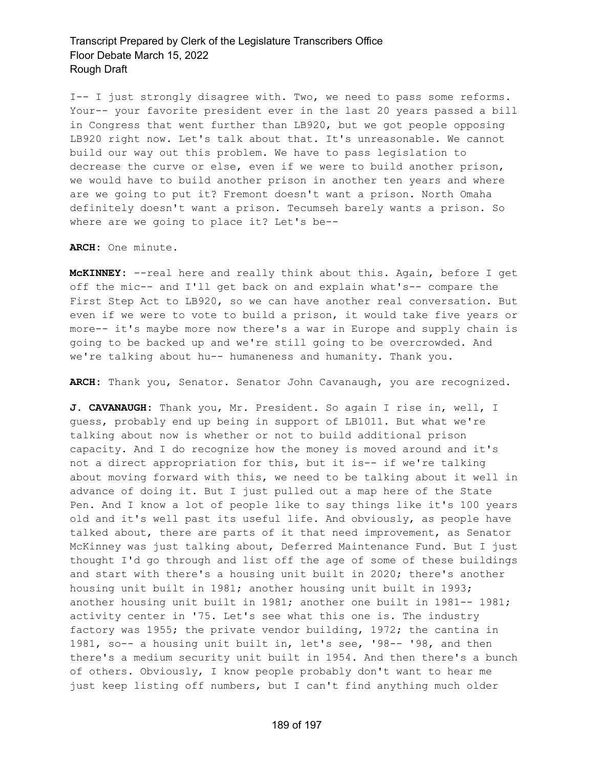I-- I just strongly disagree with. Two, we need to pass some reforms. Your-- your favorite president ever in the last 20 years passed a bill in Congress that went further than LB920, but we got people opposing LB920 right now. Let's talk about that. It's unreasonable. We cannot build our way out this problem. We have to pass legislation to decrease the curve or else, even if we were to build another prison, we would have to build another prison in another ten years and where are we going to put it? Fremont doesn't want a prison. North Omaha definitely doesn't want a prison. Tecumseh barely wants a prison. So where are we going to place it? Let's be--

**ARCH:** One minute.

**McKINNEY:** --real here and really think about this. Again, before I get off the mic-- and I'll get back on and explain what's-- compare the First Step Act to LB920, so we can have another real conversation. But even if we were to vote to build a prison, it would take five years or more-- it's maybe more now there's a war in Europe and supply chain is going to be backed up and we're still going to be overcrowded. And we're talking about hu-- humaneness and humanity. Thank you.

**ARCH:** Thank you, Senator. Senator John Cavanaugh, you are recognized.

**J. CAVANAUGH:** Thank you, Mr. President. So again I rise in, well, I guess, probably end up being in support of LB1011. But what we're talking about now is whether or not to build additional prison capacity. And I do recognize how the money is moved around and it's not a direct appropriation for this, but it is-- if we're talking about moving forward with this, we need to be talking about it well in advance of doing it. But I just pulled out a map here of the State Pen. And I know a lot of people like to say things like it's 100 years old and it's well past its useful life. And obviously, as people have talked about, there are parts of it that need improvement, as Senator McKinney was just talking about, Deferred Maintenance Fund. But I just thought I'd go through and list off the age of some of these buildings and start with there's a housing unit built in 2020; there's another housing unit built in 1981; another housing unit built in 1993; another housing unit built in 1981; another one built in 1981-- 1981; activity center in '75. Let's see what this one is. The industry factory was 1955; the private vendor building, 1972; the cantina in 1981, so-- a housing unit built in, let's see, '98-- '98, and then there's a medium security unit built in 1954. And then there's a bunch of others. Obviously, I know people probably don't want to hear me just keep listing off numbers, but I can't find anything much older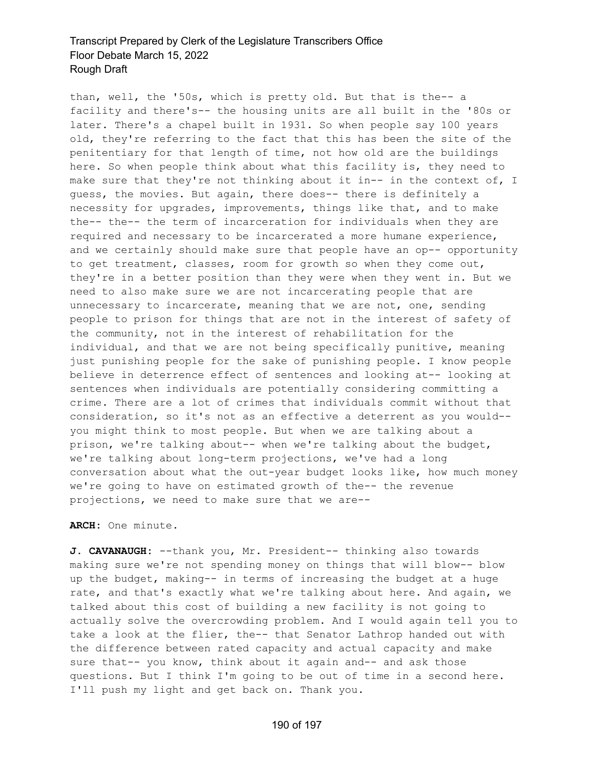than, well, the '50s, which is pretty old. But that is the-- a facility and there's-- the housing units are all built in the '80s or later. There's a chapel built in 1931. So when people say 100 years old, they're referring to the fact that this has been the site of the penitentiary for that length of time, not how old are the buildings here. So when people think about what this facility is, they need to make sure that they're not thinking about it in-- in the context of, I guess, the movies. But again, there does-- there is definitely a necessity for upgrades, improvements, things like that, and to make the-- the-- the term of incarceration for individuals when they are required and necessary to be incarcerated a more humane experience, and we certainly should make sure that people have an op-- opportunity to get treatment, classes, room for growth so when they come out, they're in a better position than they were when they went in. But we need to also make sure we are not incarcerating people that are unnecessary to incarcerate, meaning that we are not, one, sending people to prison for things that are not in the interest of safety of the community, not in the interest of rehabilitation for the individual, and that we are not being specifically punitive, meaning just punishing people for the sake of punishing people. I know people believe in deterrence effect of sentences and looking at-- looking at sentences when individuals are potentially considering committing a crime. There are a lot of crimes that individuals commit without that consideration, so it's not as an effective a deterrent as you would- you might think to most people. But when we are talking about a prison, we're talking about-- when we're talking about the budget, we're talking about long-term projections, we've had a long conversation about what the out-year budget looks like, how much money we're going to have on estimated growth of the-- the revenue projections, we need to make sure that we are--

#### **ARCH:** One minute.

**J. CAVANAUGH:** --thank you, Mr. President-- thinking also towards making sure we're not spending money on things that will blow-- blow up the budget, making-- in terms of increasing the budget at a huge rate, and that's exactly what we're talking about here. And again, we talked about this cost of building a new facility is not going to actually solve the overcrowding problem. And I would again tell you to take a look at the flier, the-- that Senator Lathrop handed out with the difference between rated capacity and actual capacity and make sure that-- you know, think about it again and-- and ask those questions. But I think I'm going to be out of time in a second here. I'll push my light and get back on. Thank you.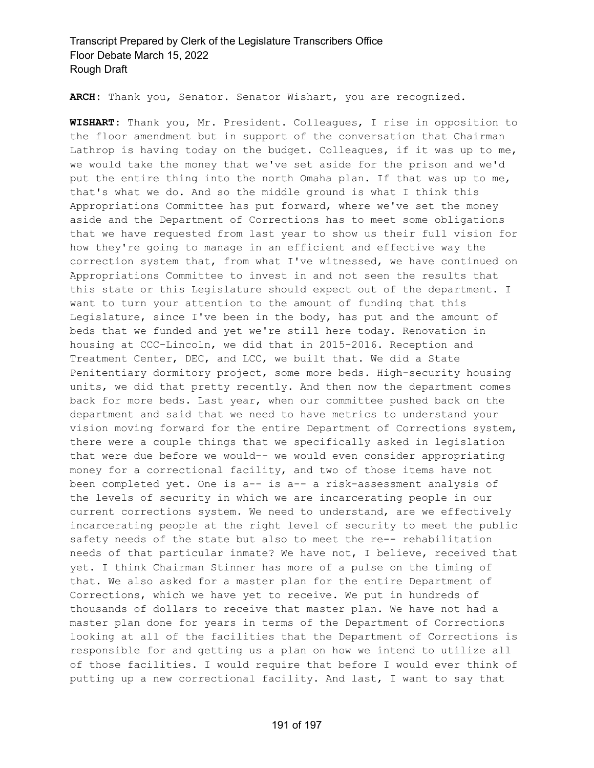**ARCH:** Thank you, Senator. Senator Wishart, you are recognized.

**WISHART:** Thank you, Mr. President. Colleagues, I rise in opposition to the floor amendment but in support of the conversation that Chairman Lathrop is having today on the budget. Colleagues, if it was up to me, we would take the money that we've set aside for the prison and we'd put the entire thing into the north Omaha plan. If that was up to me, that's what we do. And so the middle ground is what I think this Appropriations Committee has put forward, where we've set the money aside and the Department of Corrections has to meet some obligations that we have requested from last year to show us their full vision for how they're going to manage in an efficient and effective way the correction system that, from what I've witnessed, we have continued on Appropriations Committee to invest in and not seen the results that this state or this Legislature should expect out of the department. I want to turn your attention to the amount of funding that this Legislature, since I've been in the body, has put and the amount of beds that we funded and yet we're still here today. Renovation in housing at CCC-Lincoln, we did that in 2015-2016. Reception and Treatment Center, DEC, and LCC, we built that. We did a State Penitentiary dormitory project, some more beds. High-security housing units, we did that pretty recently. And then now the department comes back for more beds. Last year, when our committee pushed back on the department and said that we need to have metrics to understand your vision moving forward for the entire Department of Corrections system, there were a couple things that we specifically asked in legislation that were due before we would-- we would even consider appropriating money for a correctional facility, and two of those items have not been completed yet. One is a-- is a-- a risk-assessment analysis of the levels of security in which we are incarcerating people in our current corrections system. We need to understand, are we effectively incarcerating people at the right level of security to meet the public safety needs of the state but also to meet the re-- rehabilitation needs of that particular inmate? We have not, I believe, received that yet. I think Chairman Stinner has more of a pulse on the timing of that. We also asked for a master plan for the entire Department of Corrections, which we have yet to receive. We put in hundreds of thousands of dollars to receive that master plan. We have not had a master plan done for years in terms of the Department of Corrections looking at all of the facilities that the Department of Corrections is responsible for and getting us a plan on how we intend to utilize all of those facilities. I would require that before I would ever think of putting up a new correctional facility. And last, I want to say that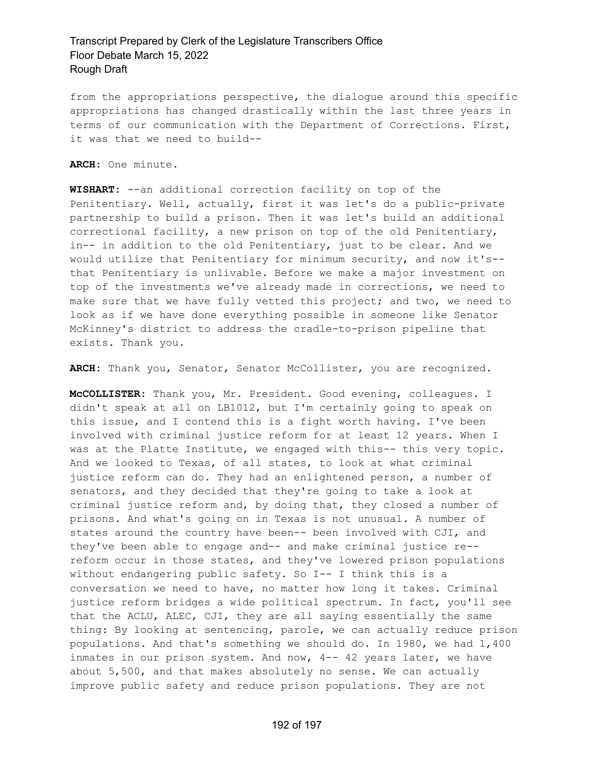from the appropriations perspective, the dialogue around this specific appropriations has changed drastically within the last three years in terms of our communication with the Department of Corrections. First, it was that we need to build--

**ARCH:** One minute.

**WISHART:** --an additional correction facility on top of the Penitentiary. Well, actually, first it was let's do a public-private partnership to build a prison. Then it was let's build an additional correctional facility, a new prison on top of the old Penitentiary, in-- in addition to the old Penitentiary, just to be clear. And we would utilize that Penitentiary for minimum security, and now it's- that Penitentiary is unlivable. Before we make a major investment on top of the investments we've already made in corrections, we need to make sure that we have fully vetted this project; and two, we need to look as if we have done everything possible in someone like Senator McKinney's district to address the cradle-to-prison pipeline that exists. Thank you.

**ARCH:** Thank you, Senator, Senator McCollister, you are recognized.

**McCOLLISTER:** Thank you, Mr. President. Good evening, colleagues. I didn't speak at all on LB1012, but I'm certainly going to speak on this issue, and I contend this is a fight worth having. I've been involved with criminal justice reform for at least 12 years. When I was at the Platte Institute, we engaged with this-- this very topic. And we looked to Texas, of all states, to look at what criminal justice reform can do. They had an enlightened person, a number of senators, and they decided that they're going to take a look at criminal justice reform and, by doing that, they closed a number of prisons. And what's going on in Texas is not unusual. A number of states around the country have been-- been involved with CJI, and they've been able to engage and-- and make criminal justice re- reform occur in those states, and they've lowered prison populations without endangering public safety. So I-- I think this is a conversation we need to have, no matter how long it takes. Criminal justice reform bridges a wide political spectrum. In fact, you'll see that the ACLU, ALEC, CJI, they are all saying essentially the same thing: By looking at sentencing, parole, we can actually reduce prison populations. And that's something we should do. In 1980, we had 1,400 inmates in our prison system. And now, 4-- 42 years later, we have about 5,500, and that makes absolutely no sense. We can actually improve public safety and reduce prison populations. They are not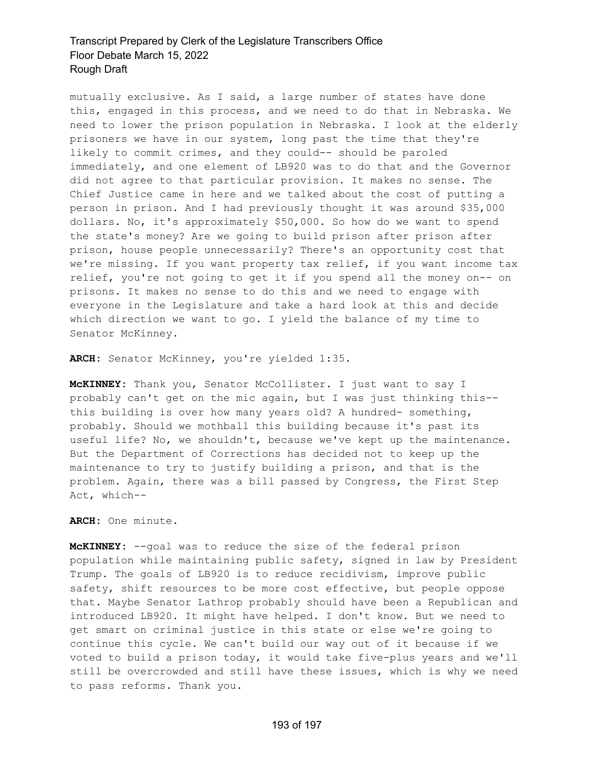mutually exclusive. As I said, a large number of states have done this, engaged in this process, and we need to do that in Nebraska. We need to lower the prison population in Nebraska. I look at the elderly prisoners we have in our system, long past the time that they're likely to commit crimes, and they could-- should be paroled immediately, and one element of LB920 was to do that and the Governor did not agree to that particular provision. It makes no sense. The Chief Justice came in here and we talked about the cost of putting a person in prison. And I had previously thought it was around \$35,000 dollars. No, it's approximately \$50,000. So how do we want to spend the state's money? Are we going to build prison after prison after prison, house people unnecessarily? There's an opportunity cost that we're missing. If you want property tax relief, if you want income tax relief, you're not going to get it if you spend all the money on-- on prisons. It makes no sense to do this and we need to engage with everyone in the Legislature and take a hard look at this and decide which direction we want to go. I yield the balance of my time to Senator McKinney.

**ARCH:** Senator McKinney, you're yielded 1:35.

**McKINNEY:** Thank you, Senator McCollister. I just want to say I probably can't get on the mic again, but I was just thinking this- this building is over how many years old? A hundred- something, probably. Should we mothball this building because it's past its useful life? No, we shouldn't, because we've kept up the maintenance. But the Department of Corrections has decided not to keep up the maintenance to try to justify building a prison, and that is the problem. Again, there was a bill passed by Congress, the First Step Act, which--

**ARCH:** One minute.

**McKINNEY:** --goal was to reduce the size of the federal prison population while maintaining public safety, signed in law by President Trump. The goals of LB920 is to reduce recidivism, improve public safety, shift resources to be more cost effective, but people oppose that. Maybe Senator Lathrop probably should have been a Republican and introduced LB920. It might have helped. I don't know. But we need to get smart on criminal justice in this state or else we're going to continue this cycle. We can't build our way out of it because if we voted to build a prison today, it would take five-plus years and we'll still be overcrowded and still have these issues, which is why we need to pass reforms. Thank you.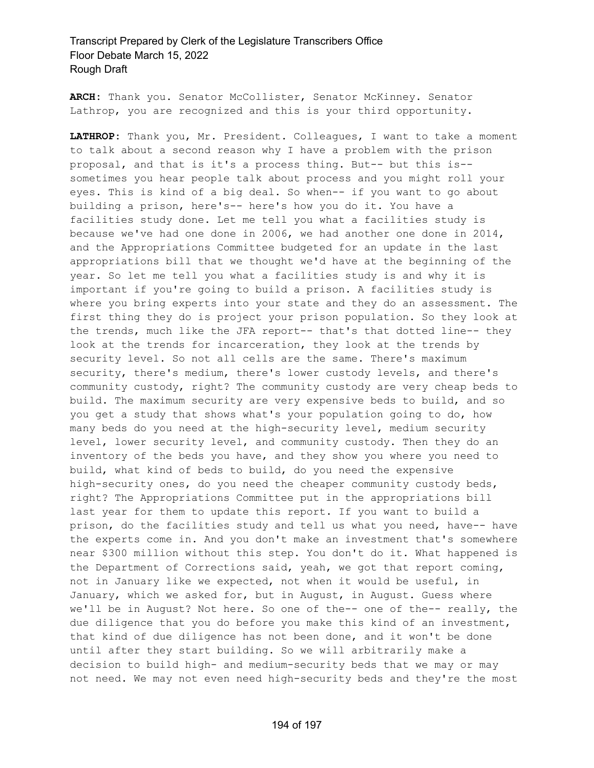**ARCH:** Thank you. Senator McCollister, Senator McKinney. Senator Lathrop, you are recognized and this is your third opportunity.

**LATHROP:** Thank you, Mr. President. Colleagues, I want to take a moment to talk about a second reason why I have a problem with the prison proposal, and that is it's a process thing. But-- but this is- sometimes you hear people talk about process and you might roll your eyes. This is kind of a big deal. So when-- if you want to go about building a prison, here's-- here's how you do it. You have a facilities study done. Let me tell you what a facilities study is because we've had one done in 2006, we had another one done in 2014, and the Appropriations Committee budgeted for an update in the last appropriations bill that we thought we'd have at the beginning of the year. So let me tell you what a facilities study is and why it is important if you're going to build a prison. A facilities study is where you bring experts into your state and they do an assessment. The first thing they do is project your prison population. So they look at the trends, much like the JFA report-- that's that dotted line-- they look at the trends for incarceration, they look at the trends by security level. So not all cells are the same. There's maximum security, there's medium, there's lower custody levels, and there's community custody, right? The community custody are very cheap beds to build. The maximum security are very expensive beds to build, and so you get a study that shows what's your population going to do, how many beds do you need at the high-security level, medium security level, lower security level, and community custody. Then they do an inventory of the beds you have, and they show you where you need to build, what kind of beds to build, do you need the expensive high-security ones, do you need the cheaper community custody beds, right? The Appropriations Committee put in the appropriations bill last year for them to update this report. If you want to build a prison, do the facilities study and tell us what you need, have-- have the experts come in. And you don't make an investment that's somewhere near \$300 million without this step. You don't do it. What happened is the Department of Corrections said, yeah, we got that report coming, not in January like we expected, not when it would be useful, in January, which we asked for, but in August, in August. Guess where we'll be in August? Not here. So one of the-- one of the-- really, the due diligence that you do before you make this kind of an investment, that kind of due diligence has not been done, and it won't be done until after they start building. So we will arbitrarily make a decision to build high- and medium-security beds that we may or may not need. We may not even need high-security beds and they're the most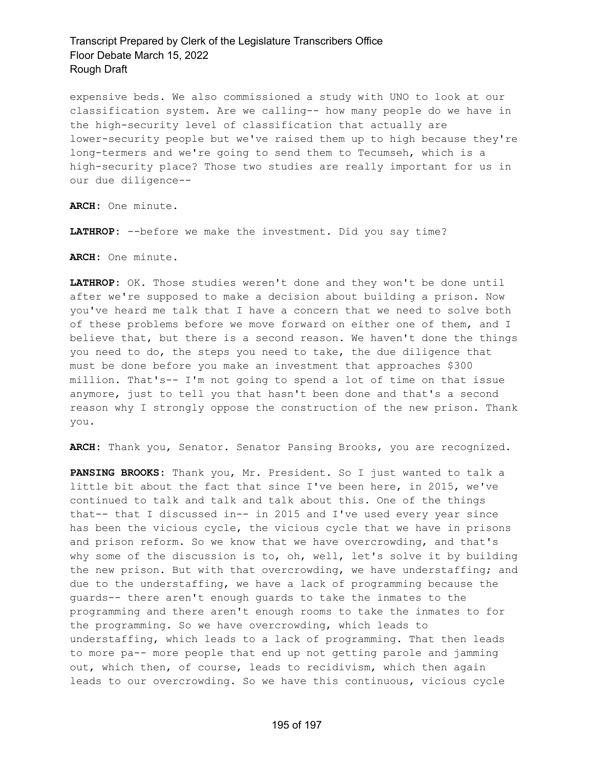expensive beds. We also commissioned a study with UNO to look at our classification system. Are we calling-- how many people do we have in the high-security level of classification that actually are lower-security people but we've raised them up to high because they're long-termers and we're going to send them to Tecumseh, which is a high-security place? Those two studies are really important for us in our due diligence--

**ARCH:** One minute.

**LATHROP:** --before we make the investment. Did you say time?

**ARCH:** One minute.

**LATHROP:** OK. Those studies weren't done and they won't be done until after we're supposed to make a decision about building a prison. Now you've heard me talk that I have a concern that we need to solve both of these problems before we move forward on either one of them, and I believe that, but there is a second reason. We haven't done the things you need to do, the steps you need to take, the due diligence that must be done before you make an investment that approaches \$300 million. That's-- I'm not going to spend a lot of time on that issue anymore, just to tell you that hasn't been done and that's a second reason why I strongly oppose the construction of the new prison. Thank you.

**ARCH:** Thank you, Senator. Senator Pansing Brooks, you are recognized.

**PANSING BROOKS:** Thank you, Mr. President. So I just wanted to talk a little bit about the fact that since I've been here, in 2015, we've continued to talk and talk and talk about this. One of the things that-- that I discussed in-- in 2015 and I've used every year since has been the vicious cycle, the vicious cycle that we have in prisons and prison reform. So we know that we have overcrowding, and that's why some of the discussion is to, oh, well, let's solve it by building the new prison. But with that overcrowding, we have understaffing; and due to the understaffing, we have a lack of programming because the guards-- there aren't enough guards to take the inmates to the programming and there aren't enough rooms to take the inmates to for the programming. So we have overcrowding, which leads to understaffing, which leads to a lack of programming. That then leads to more pa-- more people that end up not getting parole and jamming out, which then, of course, leads to recidivism, which then again leads to our overcrowding. So we have this continuous, vicious cycle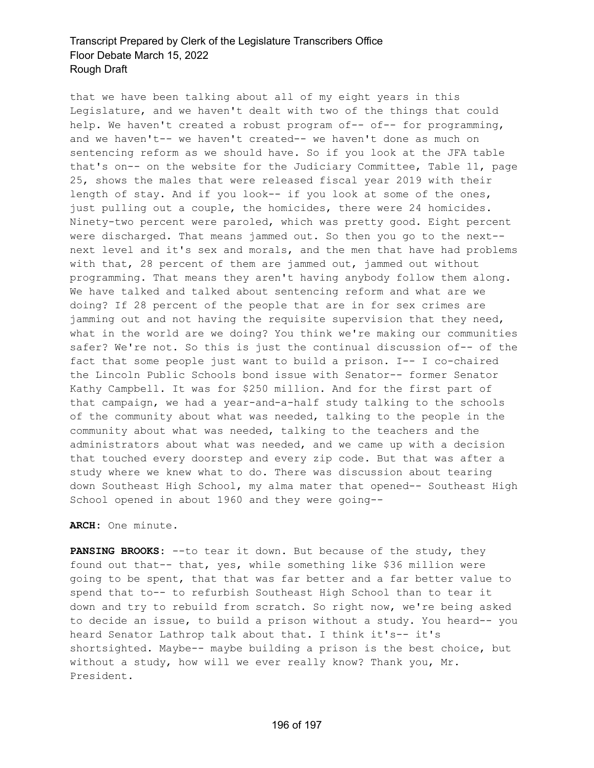that we have been talking about all of my eight years in this Legislature, and we haven't dealt with two of the things that could help. We haven't created a robust program of-- of-- for programming, and we haven't-- we haven't created-- we haven't done as much on sentencing reform as we should have. So if you look at the JFA table that's on-- on the website for the Judiciary Committee, Table 11, page 25, shows the males that were released fiscal year 2019 with their length of stay. And if you look-- if you look at some of the ones, just pulling out a couple, the homicides, there were 24 homicides. Ninety-two percent were paroled, which was pretty good. Eight percent were discharged. That means jammed out. So then you go to the next- next level and it's sex and morals, and the men that have had problems with that, 28 percent of them are jammed out, jammed out without programming. That means they aren't having anybody follow them along. We have talked and talked about sentencing reform and what are we doing? If 28 percent of the people that are in for sex crimes are jamming out and not having the requisite supervision that they need, what in the world are we doing? You think we're making our communities safer? We're not. So this is just the continual discussion of-- of the fact that some people just want to build a prison. I-- I co-chaired the Lincoln Public Schools bond issue with Senator-- former Senator Kathy Campbell. It was for \$250 million. And for the first part of that campaign, we had a year-and-a-half study talking to the schools of the community about what was needed, talking to the people in the community about what was needed, talking to the teachers and the administrators about what was needed, and we came up with a decision that touched every doorstep and every zip code. But that was after a study where we knew what to do. There was discussion about tearing down Southeast High School, my alma mater that opened-- Southeast High School opened in about 1960 and they were going--

**ARCH:** One minute.

**PANSING BROOKS:** --to tear it down. But because of the study, they found out that-- that, yes, while something like \$36 million were going to be spent, that that was far better and a far better value to spend that to-- to refurbish Southeast High School than to tear it down and try to rebuild from scratch. So right now, we're being asked to decide an issue, to build a prison without a study. You heard-- you heard Senator Lathrop talk about that. I think it's-- it's shortsighted. Maybe-- maybe building a prison is the best choice, but without a study, how will we ever really know? Thank you, Mr. President.